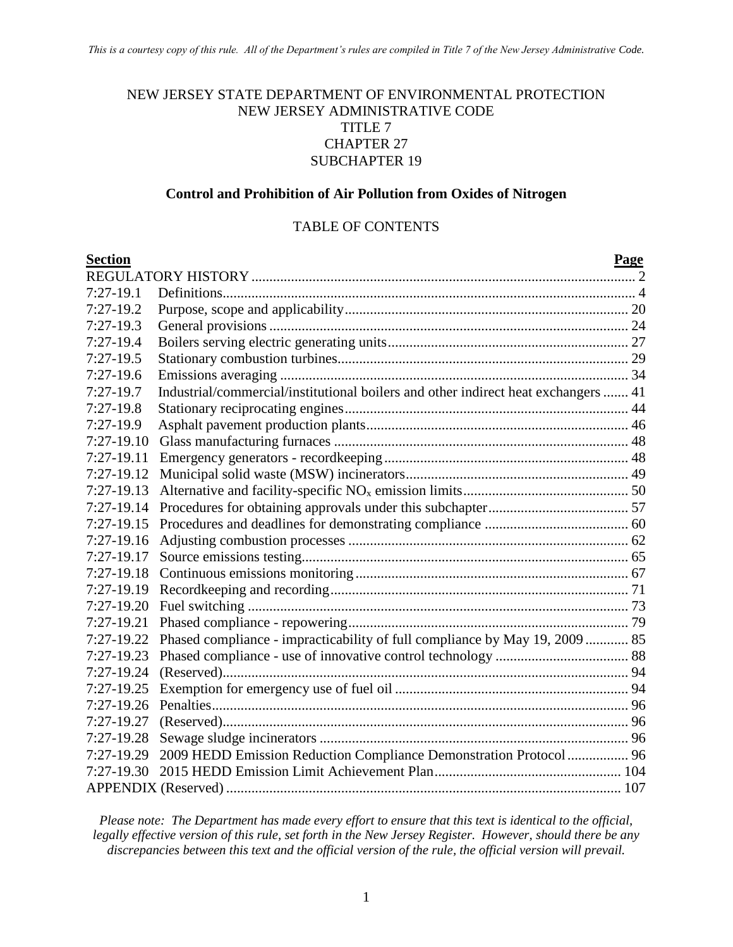#### NEW JERSEY STATE DEPARTMENT OF ENVIRONMENTAL PROTECTION NEW JERSEY ADMINISTRATIVE CODE TITLE 7 CHAPTER 27 SUBCHAPTER 19

#### **Control and Prohibition of Air Pollution from Oxides of Nitrogen**

#### TABLE OF CONTENTS

| <b>Section</b> |                                                                                    | <b>Page</b> |
|----------------|------------------------------------------------------------------------------------|-------------|
|                |                                                                                    |             |
| $7:27-19.1$    |                                                                                    |             |
| $7:27-19.2$    |                                                                                    |             |
| $7:27-19.3$    |                                                                                    |             |
| $7:27-19.4$    |                                                                                    |             |
| $7:27-19.5$    |                                                                                    |             |
| $7:27-19.6$    |                                                                                    |             |
| $7:27-19.7$    | Industrial/commercial/institutional boilers and other indirect heat exchangers  41 |             |
| $7:27-19.8$    |                                                                                    |             |
| 7:27-19.9      |                                                                                    |             |
| $7:27-19.10$   |                                                                                    |             |
| $7:27-19.11$   |                                                                                    |             |
| 7:27-19.12     |                                                                                    |             |
| $7:27-19.13$   |                                                                                    |             |
| $7:27-19.14$   |                                                                                    |             |
| 7:27-19.15     |                                                                                    |             |
| 7:27-19.16     |                                                                                    |             |
| $7:27-19.17$   |                                                                                    |             |
| $7:27-19.18$   |                                                                                    |             |
| 7:27-19.19     |                                                                                    |             |
| $7:27-19.20$   |                                                                                    |             |
| $7:27-19.21$   |                                                                                    |             |
| 7:27-19.22     | Phased compliance - impracticability of full compliance by May 19, 2009  85        |             |
| $7:27-19.23$   |                                                                                    |             |
| $7:27-19.24$   |                                                                                    |             |
| $7:27-19.25$   |                                                                                    |             |
| $7:27-19.26$   |                                                                                    |             |
| 7:27-19.27     |                                                                                    |             |
| $7:27-19.28$   |                                                                                    |             |
| $7:27-19.29$   | 2009 HEDD Emission Reduction Compliance Demonstration Protocol  96                 |             |
| 7:27-19.30     |                                                                                    |             |
|                |                                                                                    |             |

*Please note: The Department has made every effort to ensure that this text is identical to the official, legally effective version of this rule, set forth in the New Jersey Register. However, should there be any discrepancies between this text and the official version of the rule, the official version will prevail.*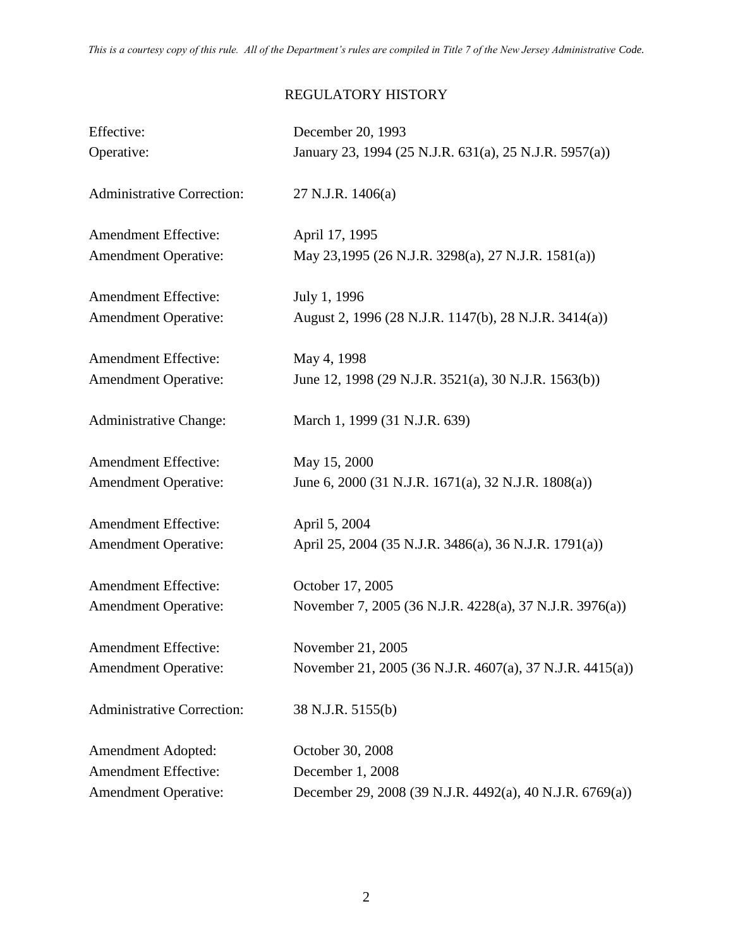# REGULATORY HISTORY

| Effective:                        | December 20, 1993                                        |  |
|-----------------------------------|----------------------------------------------------------|--|
| Operative:                        | January 23, 1994 (25 N.J.R. 631(a), 25 N.J.R. 5957(a))   |  |
| <b>Administrative Correction:</b> | 27 N.J.R. 1406(a)                                        |  |
| <b>Amendment Effective:</b>       | April 17, 1995                                           |  |
| <b>Amendment Operative:</b>       | May 23,1995 (26 N.J.R. 3298(a), 27 N.J.R. 1581(a))       |  |
| <b>Amendment Effective:</b>       | July 1, 1996                                             |  |
| <b>Amendment Operative:</b>       | August 2, 1996 (28 N.J.R. 1147(b), 28 N.J.R. 3414(a))    |  |
| <b>Amendment Effective:</b>       | May 4, 1998                                              |  |
| <b>Amendment Operative:</b>       | June 12, 1998 (29 N.J.R. 3521(a), 30 N.J.R. 1563(b))     |  |
| <b>Administrative Change:</b>     | March 1, 1999 (31 N.J.R. 639)                            |  |
| <b>Amendment Effective:</b>       | May 15, 2000                                             |  |
| <b>Amendment Operative:</b>       | June 6, 2000 (31 N.J.R. 1671(a), 32 N.J.R. 1808(a))      |  |
| <b>Amendment Effective:</b>       | April 5, 2004                                            |  |
| <b>Amendment Operative:</b>       | April 25, 2004 (35 N.J.R. 3486(a), 36 N.J.R. 1791(a))    |  |
| <b>Amendment Effective:</b>       | October 17, 2005                                         |  |
| <b>Amendment Operative:</b>       | November 7, 2005 (36 N.J.R. 4228(a), 37 N.J.R. 3976(a))  |  |
| <b>Amendment Effective:</b>       | November 21, 2005                                        |  |
| <b>Amendment Operative:</b>       | November 21, 2005 (36 N.J.R. 4607(a), 37 N.J.R. 4415(a)) |  |
| <b>Administrative Correction:</b> | 38 N.J.R. 5155(b)                                        |  |
| <b>Amendment Adopted:</b>         | October 30, 2008                                         |  |
| <b>Amendment Effective:</b>       | December 1, 2008                                         |  |
| <b>Amendment Operative:</b>       | December 29, 2008 (39 N.J.R. 4492(a), 40 N.J.R. 6769(a)) |  |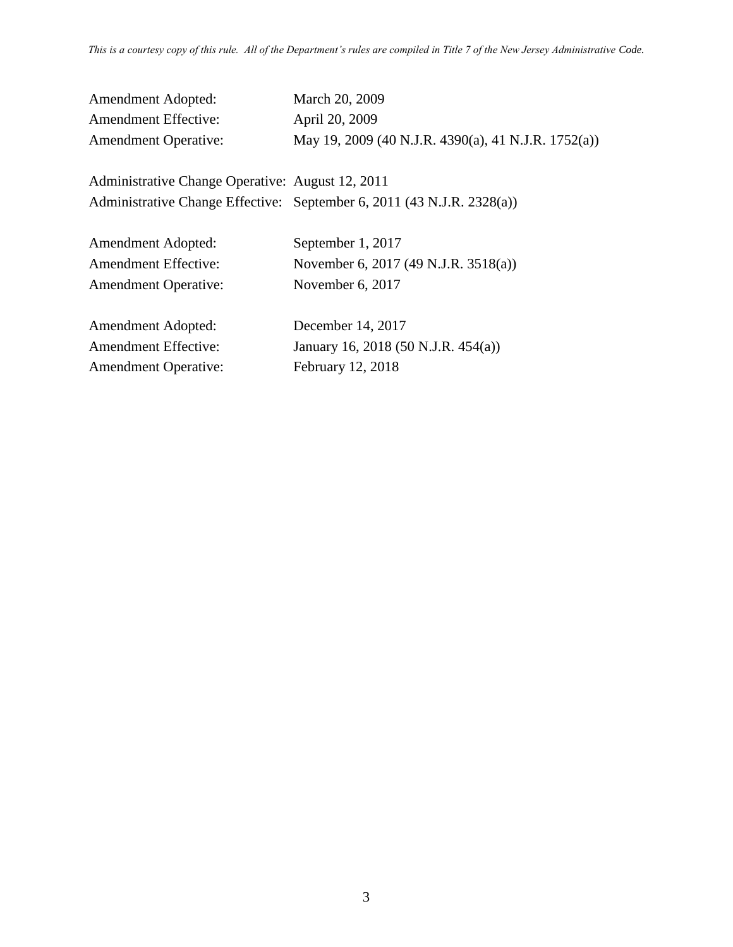| <b>Amendment Adopted:</b>   | March 20, 2009                                      |
|-----------------------------|-----------------------------------------------------|
| <b>Amendment Effective:</b> | April 20, 2009                                      |
| <b>Amendment Operative:</b> | May 19, 2009 (40 N.J.R. 4390(a), 41 N.J.R. 1752(a)) |

Administrative Change Operative: August 12, 2011 Administrative Change Effective: September 6, 2011 (43 N.J.R. 2328(a))

| <b>Amendment Adopted:</b>   | September 1, 2017                    |
|-----------------------------|--------------------------------------|
| <b>Amendment Effective:</b> | November 6, 2017 (49 N.J.R. 3518(a)) |
| <b>Amendment Operative:</b> | November 6, 2017                     |
|                             |                                      |

Amendment Adopted: December 14, 2017 Amendment Effective: January 16, 2018 (50 N.J.R. 454(a)) Amendment Operative: February 12, 2018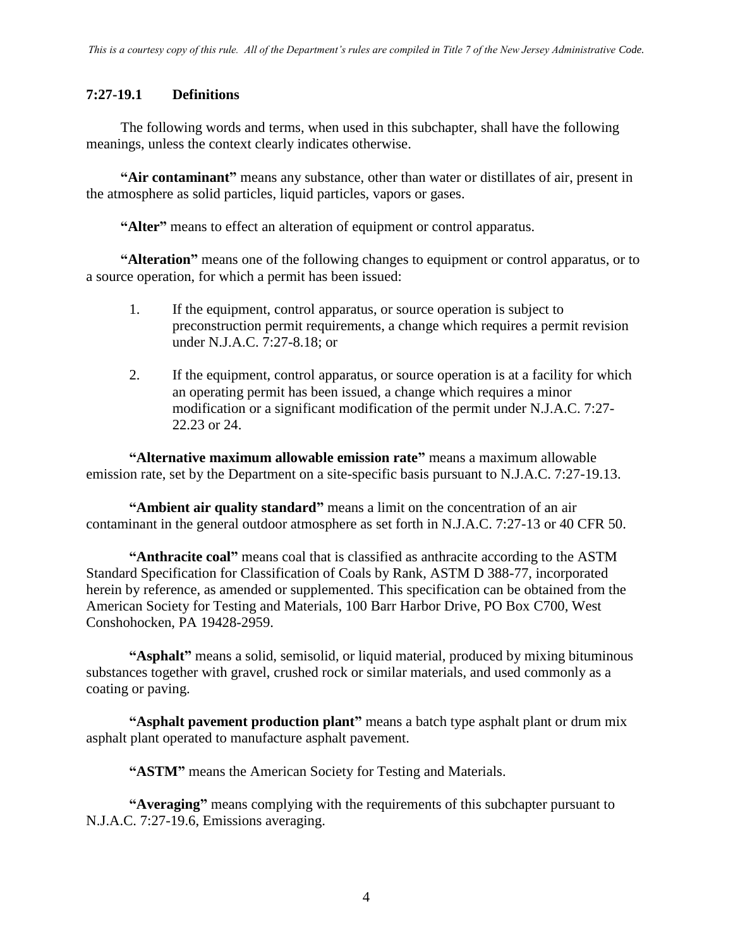#### **7:27-19.1 Definitions**

The following words and terms, when used in this subchapter, shall have the following meanings, unless the context clearly indicates otherwise.

**"Air contaminant"** means any substance, other than water or distillates of air, present in the atmosphere as solid particles, liquid particles, vapors or gases.

**"Alter"** means to effect an alteration of equipment or control apparatus.

**"Alteration"** means one of the following changes to equipment or control apparatus, or to a source operation, for which a permit has been issued:

- 1. If the equipment, control apparatus, or source operation is subject to preconstruction permit requirements, a change which requires a permit revision under N.J.A.C. 7:27-8.18; or
- 2. If the equipment, control apparatus, or source operation is at a facility for which an operating permit has been issued, a change which requires a minor modification or a significant modification of the permit under N.J.A.C. 7:27- 22.23 or 24.

**"Alternative maximum allowable emission rate"** means a maximum allowable emission rate, set by the Department on a site-specific basis pursuant to N.J.A.C. 7:27-19.13.

**"Ambient air quality standard"** means a limit on the concentration of an air contaminant in the general outdoor atmosphere as set forth in N.J.A.C. 7:27-13 or 40 CFR 50.

**"Anthracite coal"** means coal that is classified as anthracite according to the ASTM Standard Specification for Classification of Coals by Rank, ASTM D 388-77, incorporated herein by reference, as amended or supplemented. This specification can be obtained from the American Society for Testing and Materials, 100 Barr Harbor Drive, PO Box C700, West Conshohocken, PA 19428-2959.

**"Asphalt"** means a solid, semisolid, or liquid material, produced by mixing bituminous substances together with gravel, crushed rock or similar materials, and used commonly as a coating or paving.

**"Asphalt pavement production plant"** means a batch type asphalt plant or drum mix asphalt plant operated to manufacture asphalt pavement.

**"ASTM"** means the American Society for Testing and Materials.

**"Averaging"** means complying with the requirements of this subchapter pursuant to N.J.A.C. 7:27-19.6, Emissions averaging.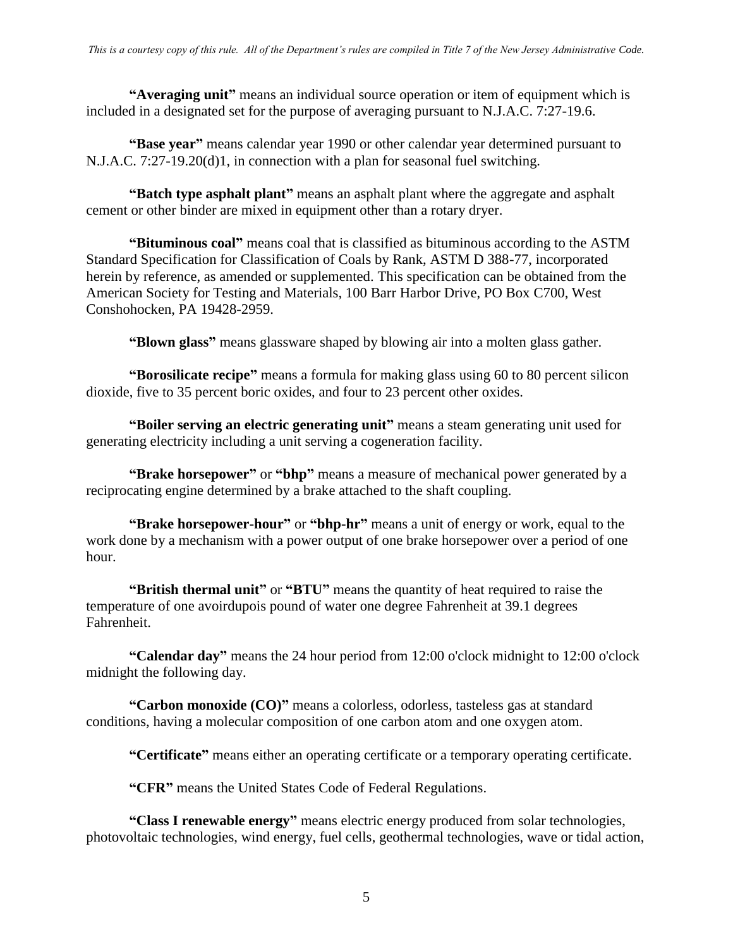**"Averaging unit"** means an individual source operation or item of equipment which is included in a designated set for the purpose of averaging pursuant to N.J.A.C. 7:27-19.6.

**"Base year"** means calendar year 1990 or other calendar year determined pursuant to N.J.A.C. 7:27-19.20(d)1, in connection with a plan for seasonal fuel switching.

**"Batch type asphalt plant"** means an asphalt plant where the aggregate and asphalt cement or other binder are mixed in equipment other than a rotary dryer.

**"Bituminous coal"** means coal that is classified as bituminous according to the ASTM Standard Specification for Classification of Coals by Rank, ASTM D 388-77, incorporated herein by reference, as amended or supplemented. This specification can be obtained from the American Society for Testing and Materials, 100 Barr Harbor Drive, PO Box C700, West Conshohocken, PA 19428-2959.

**"Blown glass"** means glassware shaped by blowing air into a molten glass gather.

**"Borosilicate recipe"** means a formula for making glass using 60 to 80 percent silicon dioxide, five to 35 percent boric oxides, and four to 23 percent other oxides.

**"Boiler serving an electric generating unit"** means a steam generating unit used for generating electricity including a unit serving a cogeneration facility.

**"Brake horsepower"** or **"bhp"** means a measure of mechanical power generated by a reciprocating engine determined by a brake attached to the shaft coupling.

**"Brake horsepower-hour"** or **"bhp-hr"** means a unit of energy or work, equal to the work done by a mechanism with a power output of one brake horsepower over a period of one hour.

**"British thermal unit"** or **"BTU"** means the quantity of heat required to raise the temperature of one avoirdupois pound of water one degree Fahrenheit at 39.1 degrees Fahrenheit.

**"Calendar day"** means the 24 hour period from 12:00 o'clock midnight to 12:00 o'clock midnight the following day.

**"Carbon monoxide (CO)"** means a colorless, odorless, tasteless gas at standard conditions, having a molecular composition of one carbon atom and one oxygen atom.

**"Certificate"** means either an operating certificate or a temporary operating certificate.

**"CFR"** means the United States Code of Federal Regulations.

**"Class I renewable energy"** means electric energy produced from solar technologies, photovoltaic technologies, wind energy, fuel cells, geothermal technologies, wave or tidal action,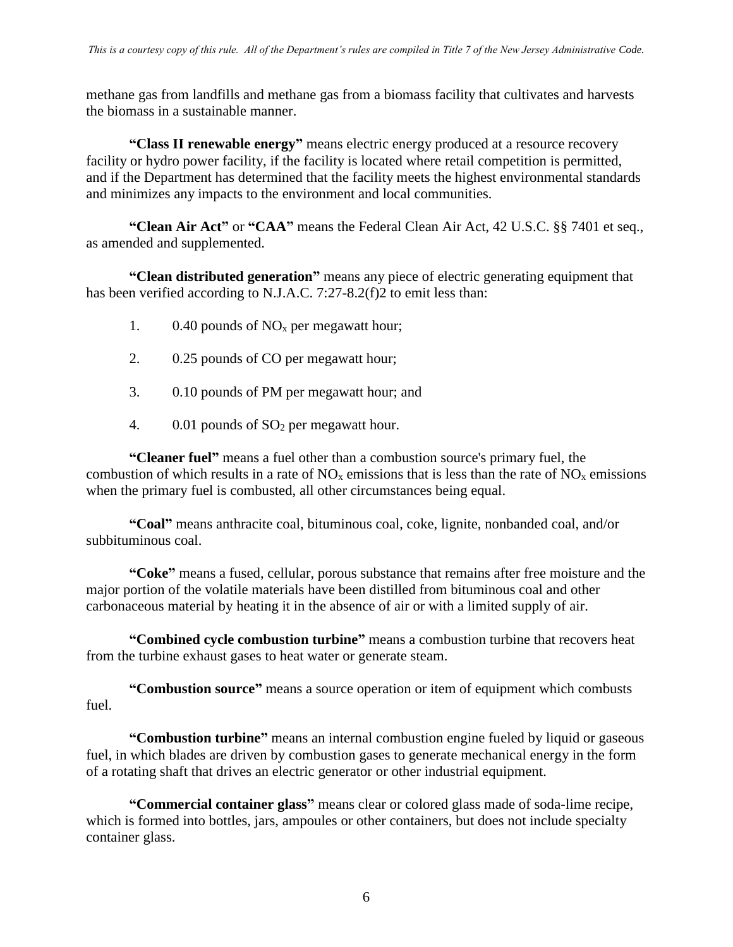methane gas from landfills and methane gas from a biomass facility that cultivates and harvests the biomass in a sustainable manner.

**"Class II renewable energy"** means electric energy produced at a resource recovery facility or hydro power facility, if the facility is located where retail competition is permitted, and if the Department has determined that the facility meets the highest environmental standards and minimizes any impacts to the environment and local communities.

**"Clean Air Act"** or **"CAA"** means the Federal Clean Air Act, 42 U.S.C. §§ 7401 et seq., as amended and supplemented.

**"Clean distributed generation"** means any piece of electric generating equipment that has been verified according to N.J.A.C. 7:27-8.2(f)2 to emit less than:

- 1.  $0.40$  pounds of NO<sub>x</sub> per megawatt hour;
- 2. 0.25 pounds of CO per megawatt hour;
- 3. 0.10 pounds of PM per megawatt hour; and
- 4. 0.01 pounds of SO<sub>2</sub> per megawatt hour.

**"Cleaner fuel"** means a fuel other than a combustion source's primary fuel, the combustion of which results in a rate of  $NO<sub>x</sub>$  emissions that is less than the rate of  $NO<sub>x</sub>$  emissions when the primary fuel is combusted, all other circumstances being equal.

**"Coal"** means anthracite coal, bituminous coal, coke, lignite, nonbanded coal, and/or subbituminous coal.

**"Coke"** means a fused, cellular, porous substance that remains after free moisture and the major portion of the volatile materials have been distilled from bituminous coal and other carbonaceous material by heating it in the absence of air or with a limited supply of air.

**"Combined cycle combustion turbine"** means a combustion turbine that recovers heat from the turbine exhaust gases to heat water or generate steam.

**"Combustion source"** means a source operation or item of equipment which combusts fuel.

**"Combustion turbine"** means an internal combustion engine fueled by liquid or gaseous fuel, in which blades are driven by combustion gases to generate mechanical energy in the form of a rotating shaft that drives an electric generator or other industrial equipment.

**"Commercial container glass"** means clear or colored glass made of soda-lime recipe, which is formed into bottles, jars, ampoules or other containers, but does not include specialty container glass.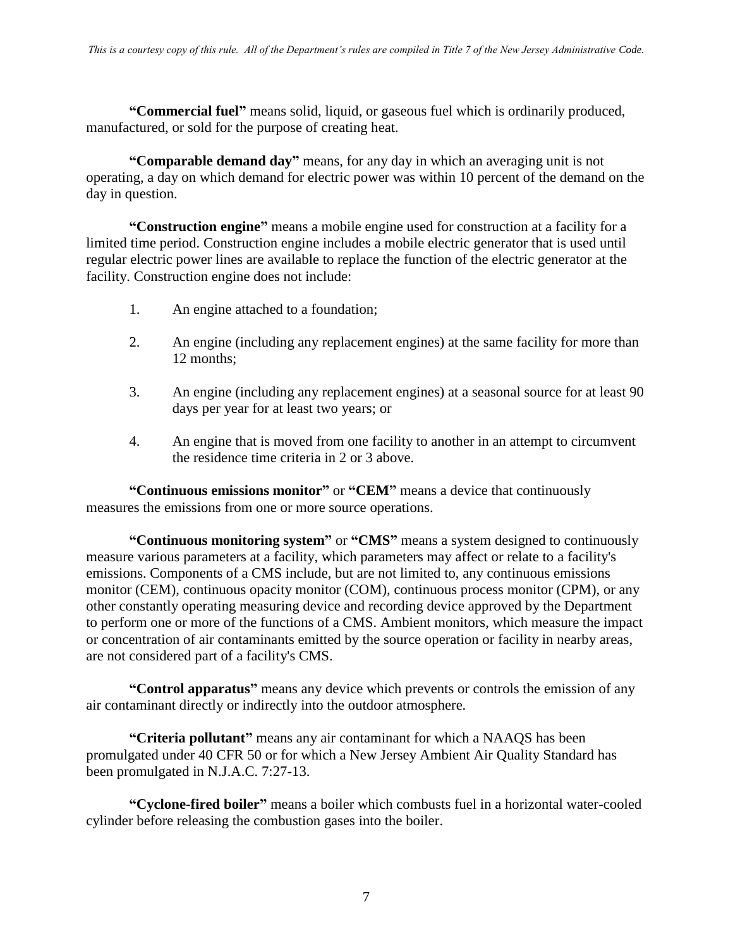**"Commercial fuel"** means solid, liquid, or gaseous fuel which is ordinarily produced, manufactured, or sold for the purpose of creating heat.

**"Comparable demand day"** means, for any day in which an averaging unit is not operating, a day on which demand for electric power was within 10 percent of the demand on the day in question.

**"Construction engine"** means a mobile engine used for construction at a facility for a limited time period. Construction engine includes a mobile electric generator that is used until regular electric power lines are available to replace the function of the electric generator at the facility. Construction engine does not include:

- 1. An engine attached to a foundation;
- 2. An engine (including any replacement engines) at the same facility for more than 12 months;
- 3. An engine (including any replacement engines) at a seasonal source for at least 90 days per year for at least two years; or
- 4. An engine that is moved from one facility to another in an attempt to circumvent the residence time criteria in 2 or 3 above.

**"Continuous emissions monitor"** or **"CEM"** means a device that continuously measures the emissions from one or more source operations.

**"Continuous monitoring system"** or **"CMS"** means a system designed to continuously measure various parameters at a facility, which parameters may affect or relate to a facility's emissions. Components of a CMS include, but are not limited to, any continuous emissions monitor (CEM), continuous opacity monitor (COM), continuous process monitor (CPM), or any other constantly operating measuring device and recording device approved by the Department to perform one or more of the functions of a CMS. Ambient monitors, which measure the impact or concentration of air contaminants emitted by the source operation or facility in nearby areas, are not considered part of a facility's CMS.

**"Control apparatus"** means any device which prevents or controls the emission of any air contaminant directly or indirectly into the outdoor atmosphere.

**"Criteria pollutant"** means any air contaminant for which a NAAQS has been promulgated under 40 CFR 50 or for which a New Jersey Ambient Air Quality Standard has been promulgated in N.J.A.C. 7:27-13.

**"Cyclone-fired boiler"** means a boiler which combusts fuel in a horizontal water-cooled cylinder before releasing the combustion gases into the boiler.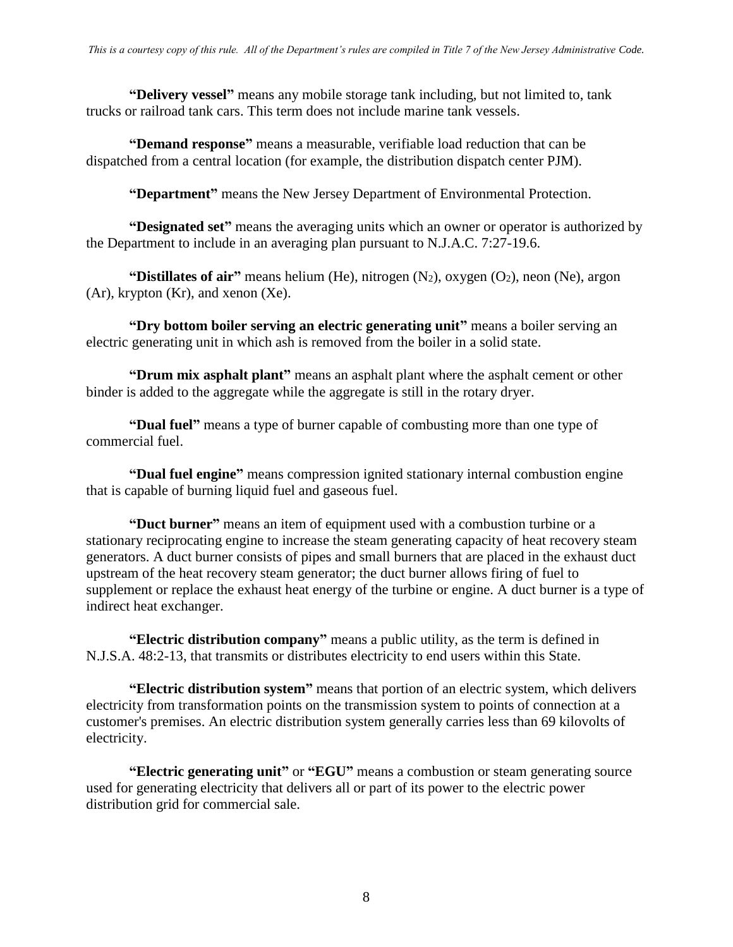**"Delivery vessel"** means any mobile storage tank including, but not limited to, tank trucks or railroad tank cars. This term does not include marine tank vessels.

**"Demand response"** means a measurable, verifiable load reduction that can be dispatched from a central location (for example, the distribution dispatch center PJM).

**"Department"** means the New Jersey Department of Environmental Protection.

**"Designated set"** means the averaging units which an owner or operator is authorized by the Department to include in an averaging plan pursuant to N.J.A.C. 7:27-19.6.

**"Distillates of air"** means helium (He), nitrogen (N<sub>2</sub>), oxygen (O<sub>2</sub>), neon (Ne), argon (Ar), krypton (Kr), and xenon (Xe).

**"Dry bottom boiler serving an electric generating unit"** means a boiler serving an electric generating unit in which ash is removed from the boiler in a solid state.

**"Drum mix asphalt plant"** means an asphalt plant where the asphalt cement or other binder is added to the aggregate while the aggregate is still in the rotary dryer.

**"Dual fuel"** means a type of burner capable of combusting more than one type of commercial fuel.

**"Dual fuel engine"** means compression ignited stationary internal combustion engine that is capable of burning liquid fuel and gaseous fuel.

**"Duct burner"** means an item of equipment used with a combustion turbine or a stationary reciprocating engine to increase the steam generating capacity of heat recovery steam generators. A duct burner consists of pipes and small burners that are placed in the exhaust duct upstream of the heat recovery steam generator; the duct burner allows firing of fuel to supplement or replace the exhaust heat energy of the turbine or engine. A duct burner is a type of indirect heat exchanger.

**"Electric distribution company"** means a public utility, as the term is defined in N.J.S.A. 48:2-13, that transmits or distributes electricity to end users within this State.

**"Electric distribution system"** means that portion of an electric system, which delivers electricity from transformation points on the transmission system to points of connection at a customer's premises. An electric distribution system generally carries less than 69 kilovolts of electricity.

**"Electric generating unit"** or **"EGU"** means a combustion or steam generating source used for generating electricity that delivers all or part of its power to the electric power distribution grid for commercial sale.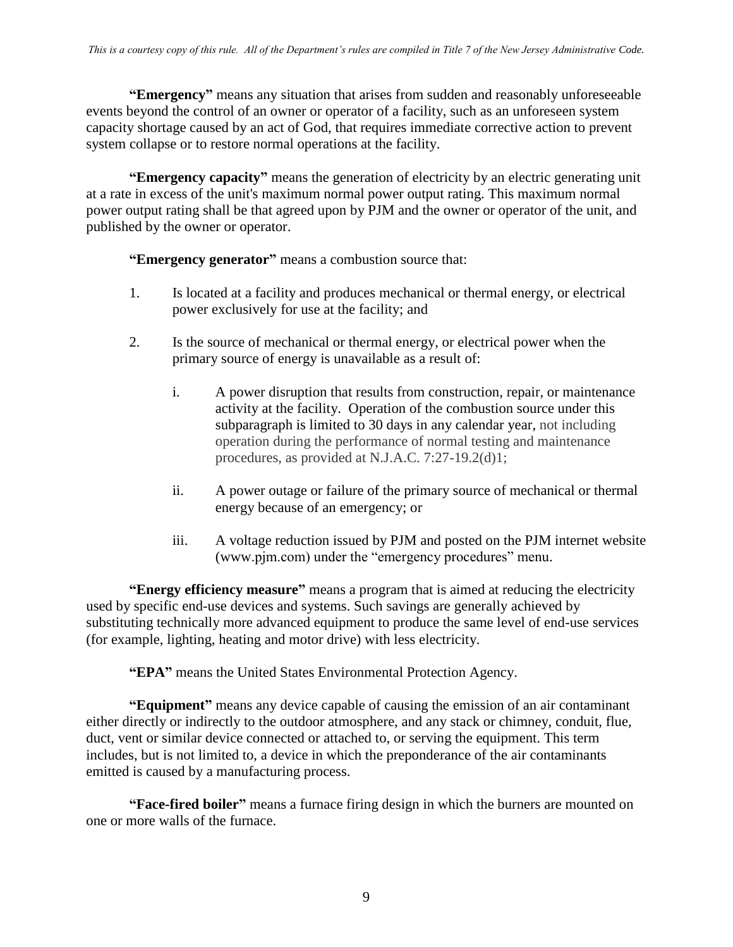**"Emergency"** means any situation that arises from sudden and reasonably unforeseeable events beyond the control of an owner or operator of a facility, such as an unforeseen system capacity shortage caused by an act of God, that requires immediate corrective action to prevent system collapse or to restore normal operations at the facility.

**"Emergency capacity"** means the generation of electricity by an electric generating unit at a rate in excess of the unit's maximum normal power output rating. This maximum normal power output rating shall be that agreed upon by PJM and the owner or operator of the unit, and published by the owner or operator.

**"Emergency generator"** means a combustion source that:

- 1. Is located at a facility and produces mechanical or thermal energy, or electrical power exclusively for use at the facility; and
- 2. Is the source of mechanical or thermal energy, or electrical power when the primary source of energy is unavailable as a result of:
	- i. A power disruption that results from construction, repair, or maintenance activity at the facility. Operation of the combustion source under this subparagraph is limited to 30 days in any calendar year, not including operation during the performance of normal testing and maintenance procedures, as provided at N.J.A.C. 7:27-19.2(d)1;
	- ii. A power outage or failure of the primary source of mechanical or thermal energy because of an emergency; or
	- iii. A voltage reduction issued by PJM and posted on the PJM internet website (www.pjm.com) under the "emergency procedures" menu.

**"Energy efficiency measure"** means a program that is aimed at reducing the electricity used by specific end-use devices and systems. Such savings are generally achieved by substituting technically more advanced equipment to produce the same level of end-use services (for example, lighting, heating and motor drive) with less electricity.

**"EPA"** means the United States Environmental Protection Agency.

**"Equipment"** means any device capable of causing the emission of an air contaminant either directly or indirectly to the outdoor atmosphere, and any stack or chimney, conduit, flue, duct, vent or similar device connected or attached to, or serving the equipment. This term includes, but is not limited to, a device in which the preponderance of the air contaminants emitted is caused by a manufacturing process.

**"Face-fired boiler"** means a furnace firing design in which the burners are mounted on one or more walls of the furnace.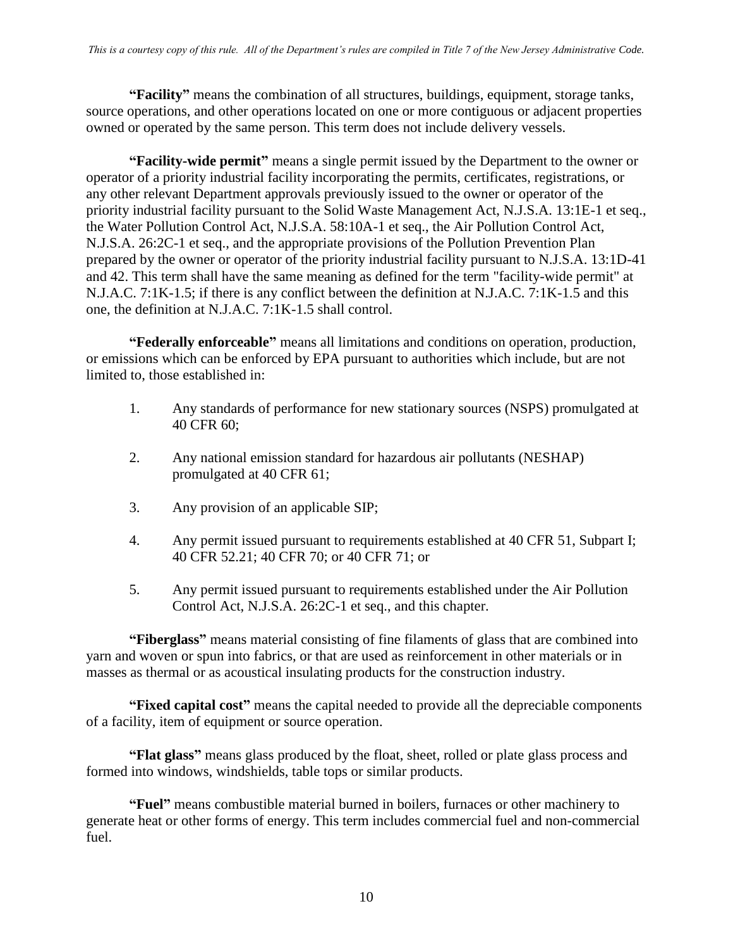**"Facility"** means the combination of all structures, buildings, equipment, storage tanks, source operations, and other operations located on one or more contiguous or adjacent properties owned or operated by the same person. This term does not include delivery vessels.

**"Facility-wide permit"** means a single permit issued by the Department to the owner or operator of a priority industrial facility incorporating the permits, certificates, registrations, or any other relevant Department approvals previously issued to the owner or operator of the priority industrial facility pursuant to the Solid Waste Management Act, N.J.S.A. 13:1E-1 et seq., the Water Pollution Control Act, N.J.S.A. 58:10A-1 et seq., the Air Pollution Control Act, N.J.S.A. 26:2C-1 et seq., and the appropriate provisions of the Pollution Prevention Plan prepared by the owner or operator of the priority industrial facility pursuant to N.J.S.A. 13:1D-41 and 42. This term shall have the same meaning as defined for the term "facility-wide permit" at N.J.A.C. 7:1K-1.5; if there is any conflict between the definition at N.J.A.C. 7:1K-1.5 and this one, the definition at N.J.A.C. 7:1K-1.5 shall control.

**"Federally enforceable"** means all limitations and conditions on operation, production, or emissions which can be enforced by EPA pursuant to authorities which include, but are not limited to, those established in:

- 1. Any standards of performance for new stationary sources (NSPS) promulgated at 40 CFR 60;
- 2. Any national emission standard for hazardous air pollutants (NESHAP) promulgated at 40 CFR 61;
- 3. Any provision of an applicable SIP;
- 4. Any permit issued pursuant to requirements established at 40 CFR 51, Subpart I; 40 CFR 52.21; 40 CFR 70; or 40 CFR 71; or
- 5. Any permit issued pursuant to requirements established under the Air Pollution Control Act, N.J.S.A. 26:2C-1 et seq., and this chapter.

**"Fiberglass"** means material consisting of fine filaments of glass that are combined into yarn and woven or spun into fabrics, or that are used as reinforcement in other materials or in masses as thermal or as acoustical insulating products for the construction industry.

**"Fixed capital cost"** means the capital needed to provide all the depreciable components of a facility, item of equipment or source operation.

**"Flat glass"** means glass produced by the float, sheet, rolled or plate glass process and formed into windows, windshields, table tops or similar products.

**"Fuel"** means combustible material burned in boilers, furnaces or other machinery to generate heat or other forms of energy. This term includes commercial fuel and non-commercial fuel.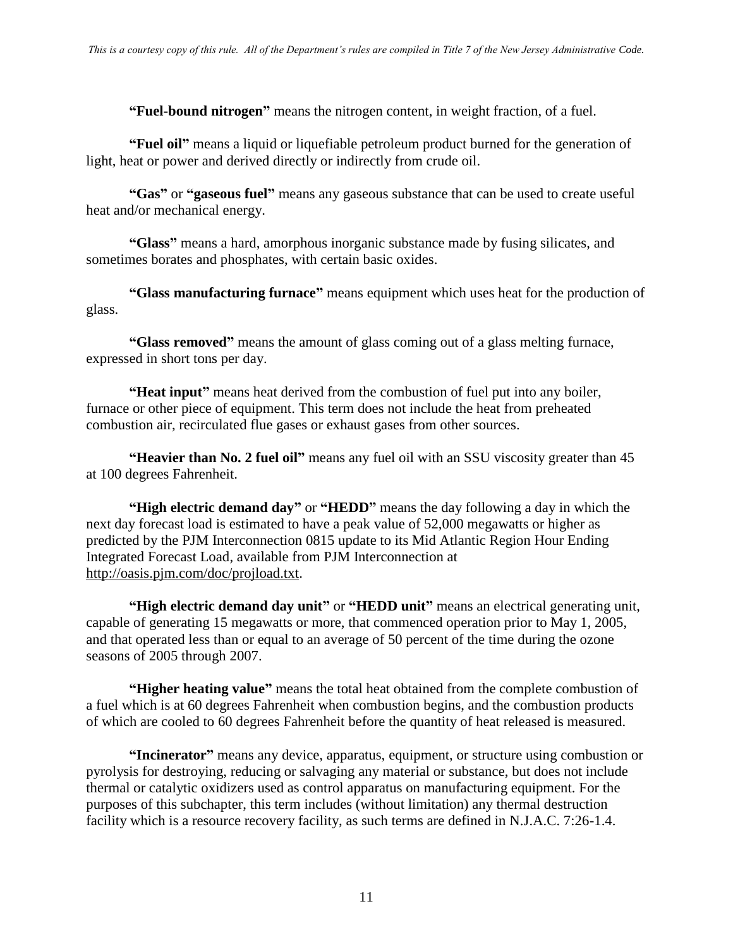**"Fuel-bound nitrogen"** means the nitrogen content, in weight fraction, of a fuel.

**"Fuel oil"** means a liquid or liquefiable petroleum product burned for the generation of light, heat or power and derived directly or indirectly from crude oil.

**"Gas"** or **"gaseous fuel"** means any gaseous substance that can be used to create useful heat and/or mechanical energy.

**"Glass"** means a hard, amorphous inorganic substance made by fusing silicates, and sometimes borates and phosphates, with certain basic oxides.

**"Glass manufacturing furnace"** means equipment which uses heat for the production of glass.

**"Glass removed"** means the amount of glass coming out of a glass melting furnace, expressed in short tons per day.

**"Heat input"** means heat derived from the combustion of fuel put into any boiler, furnace or other piece of equipment. This term does not include the heat from preheated combustion air, recirculated flue gases or exhaust gases from other sources.

**"Heavier than No. 2 fuel oil"** means any fuel oil with an SSU viscosity greater than 45 at 100 degrees Fahrenheit.

**"High electric demand day"** or **"HEDD"** means the day following a day in which the next day forecast load is estimated to have a peak value of 52,000 megawatts or higher as predicted by the PJM Interconnection 0815 update to its Mid Atlantic Region Hour Ending Integrated Forecast Load, available from PJM Interconnection at [http://oasis.pjm.com/doc/projload.txt.](http://oasis.pjm.com/doc/projload.txt)

**"High electric demand day unit"** or **"HEDD unit"** means an electrical generating unit, capable of generating 15 megawatts or more, that commenced operation prior to May 1, 2005, and that operated less than or equal to an average of 50 percent of the time during the ozone seasons of 2005 through 2007.

**"Higher heating value"** means the total heat obtained from the complete combustion of a fuel which is at 60 degrees Fahrenheit when combustion begins, and the combustion products of which are cooled to 60 degrees Fahrenheit before the quantity of heat released is measured.

**"Incinerator"** means any device, apparatus, equipment, or structure using combustion or pyrolysis for destroying, reducing or salvaging any material or substance, but does not include thermal or catalytic oxidizers used as control apparatus on manufacturing equipment. For the purposes of this subchapter, this term includes (without limitation) any thermal destruction facility which is a resource recovery facility, as such terms are defined in N.J.A.C. 7:26-1.4.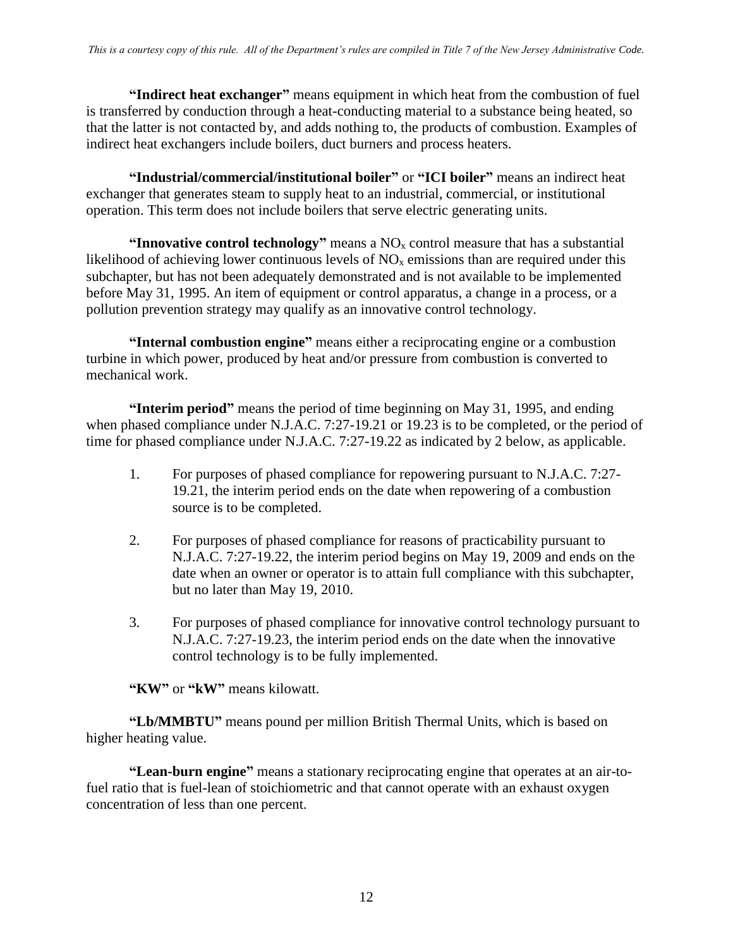**"Indirect heat exchanger"** means equipment in which heat from the combustion of fuel is transferred by conduction through a heat-conducting material to a substance being heated, so that the latter is not contacted by, and adds nothing to, the products of combustion. Examples of indirect heat exchangers include boilers, duct burners and process heaters.

**"Industrial/commercial/institutional boiler"** or **"ICI boiler"** means an indirect heat exchanger that generates steam to supply heat to an industrial, commercial, or institutional operation. This term does not include boilers that serve electric generating units.

**"Innovative control technology"** means a  $NO<sub>x</sub>$  control measure that has a substantial likelihood of achieving lower continuous levels of  $NO<sub>x</sub>$  emissions than are required under this subchapter, but has not been adequately demonstrated and is not available to be implemented before May 31, 1995. An item of equipment or control apparatus, a change in a process, or a pollution prevention strategy may qualify as an innovative control technology.

**"Internal combustion engine"** means either a reciprocating engine or a combustion turbine in which power, produced by heat and/or pressure from combustion is converted to mechanical work.

**"Interim period"** means the period of time beginning on May 31, 1995, and ending when phased compliance under N.J.A.C. 7:27-19.21 or 19.23 is to be completed, or the period of time for phased compliance under N.J.A.C. 7:27-19.22 as indicated by 2 below, as applicable.

- 1. For purposes of phased compliance for repowering pursuant to N.J.A.C. 7:27- 19.21, the interim period ends on the date when repowering of a combustion source is to be completed.
- 2. For purposes of phased compliance for reasons of practicability pursuant to N.J.A.C. 7:27-19.22, the interim period begins on May 19, 2009 and ends on the date when an owner or operator is to attain full compliance with this subchapter, but no later than May 19, 2010.
- 3. For purposes of phased compliance for innovative control technology pursuant to N.J.A.C. 7:27-19.23, the interim period ends on the date when the innovative control technology is to be fully implemented.

**"KW"** or **"kW"** means kilowatt.

**"Lb/MMBTU"** means pound per million British Thermal Units, which is based on higher heating value.

**"Lean-burn engine"** means a stationary reciprocating engine that operates at an air-tofuel ratio that is fuel-lean of stoichiometric and that cannot operate with an exhaust oxygen concentration of less than one percent.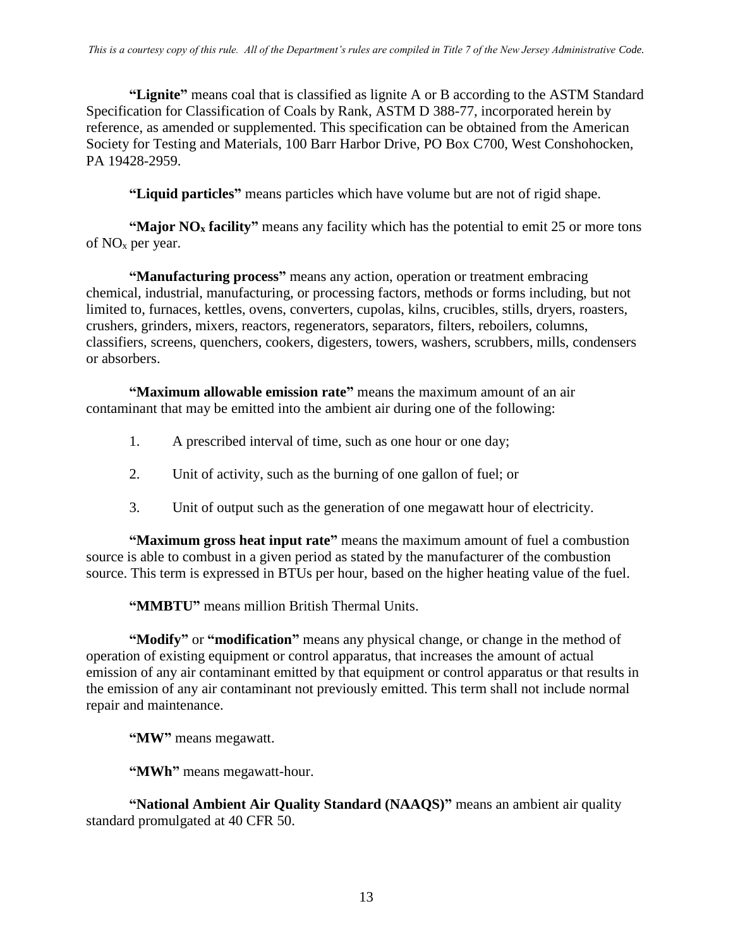**"Lignite"** means coal that is classified as lignite A or B according to the ASTM Standard Specification for Classification of Coals by Rank, ASTM D 388-77, incorporated herein by reference, as amended or supplemented. This specification can be obtained from the American Society for Testing and Materials, 100 Barr Harbor Drive, PO Box C700, West Conshohocken, PA 19428-2959.

**"Liquid particles"** means particles which have volume but are not of rigid shape.

**"Major NO<sup>x</sup> facility"** means any facility which has the potential to emit 25 or more tons of  $NO<sub>x</sub>$  per year.

**"Manufacturing process"** means any action, operation or treatment embracing chemical, industrial, manufacturing, or processing factors, methods or forms including, but not limited to, furnaces, kettles, ovens, converters, cupolas, kilns, crucibles, stills, dryers, roasters, crushers, grinders, mixers, reactors, regenerators, separators, filters, reboilers, columns, classifiers, screens, quenchers, cookers, digesters, towers, washers, scrubbers, mills, condensers or absorbers.

**"Maximum allowable emission rate"** means the maximum amount of an air contaminant that may be emitted into the ambient air during one of the following:

- 1. A prescribed interval of time, such as one hour or one day;
- 2. Unit of activity, such as the burning of one gallon of fuel; or
- 3. Unit of output such as the generation of one megawatt hour of electricity.

**"Maximum gross heat input rate"** means the maximum amount of fuel a combustion source is able to combust in a given period as stated by the manufacturer of the combustion source. This term is expressed in BTUs per hour, based on the higher heating value of the fuel.

**"MMBTU"** means million British Thermal Units.

**"Modify"** or **"modification"** means any physical change, or change in the method of operation of existing equipment or control apparatus, that increases the amount of actual emission of any air contaminant emitted by that equipment or control apparatus or that results in the emission of any air contaminant not previously emitted. This term shall not include normal repair and maintenance.

**"MW"** means megawatt.

**"MWh"** means megawatt-hour.

**"National Ambient Air Quality Standard (NAAQS)"** means an ambient air quality standard promulgated at 40 CFR 50.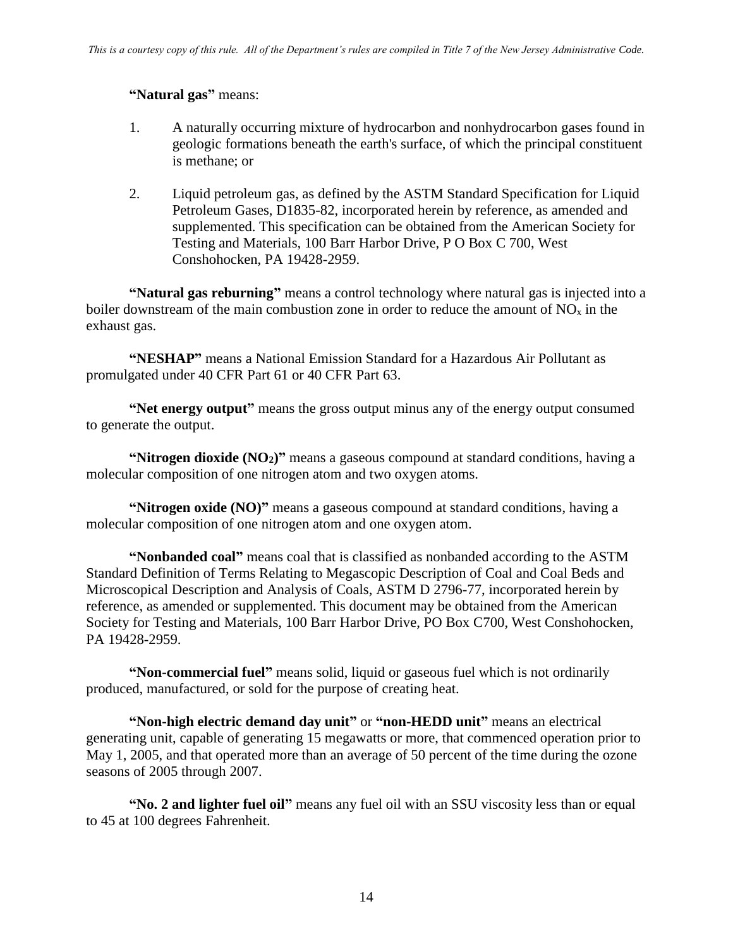#### **"Natural gas"** means:

- 1. A naturally occurring mixture of hydrocarbon and nonhydrocarbon gases found in geologic formations beneath the earth's surface, of which the principal constituent is methane; or
- 2. Liquid petroleum gas, as defined by the ASTM Standard Specification for Liquid Petroleum Gases, D1835-82, incorporated herein by reference, as amended and supplemented. This specification can be obtained from the American Society for Testing and Materials, 100 Barr Harbor Drive, P O Box C 700, West Conshohocken, PA 19428-2959.

**"Natural gas reburning"** means a control technology where natural gas is injected into a boiler downstream of the main combustion zone in order to reduce the amount of  $NO<sub>x</sub>$  in the exhaust gas.

**"NESHAP"** means a National Emission Standard for a Hazardous Air Pollutant as promulgated under 40 CFR Part 61 or 40 CFR Part 63.

**"Net energy output"** means the gross output minus any of the energy output consumed to generate the output.

**"Nitrogen dioxide (NO2)"** means a gaseous compound at standard conditions, having a molecular composition of one nitrogen atom and two oxygen atoms.

**"Nitrogen oxide (NO)"** means a gaseous compound at standard conditions, having a molecular composition of one nitrogen atom and one oxygen atom.

**"Nonbanded coal"** means coal that is classified as nonbanded according to the ASTM Standard Definition of Terms Relating to Megascopic Description of Coal and Coal Beds and Microscopical Description and Analysis of Coals, ASTM D 2796-77, incorporated herein by reference, as amended or supplemented. This document may be obtained from the American Society for Testing and Materials, 100 Barr Harbor Drive, PO Box C700, West Conshohocken, PA 19428-2959.

**"Non-commercial fuel"** means solid, liquid or gaseous fuel which is not ordinarily produced, manufactured, or sold for the purpose of creating heat.

**"Non-high electric demand day unit"** or **"non-HEDD unit"** means an electrical generating unit, capable of generating 15 megawatts or more, that commenced operation prior to May 1, 2005, and that operated more than an average of 50 percent of the time during the ozone seasons of 2005 through 2007.

**"No. 2 and lighter fuel oil"** means any fuel oil with an SSU viscosity less than or equal to 45 at 100 degrees Fahrenheit.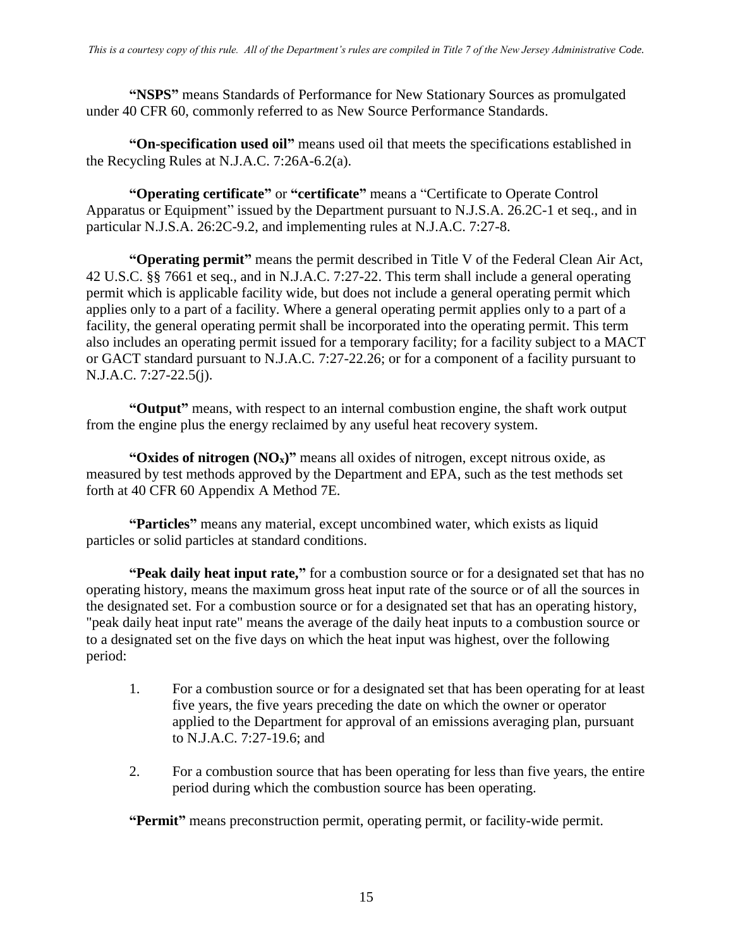**"NSPS"** means Standards of Performance for New Stationary Sources as promulgated under 40 CFR 60, commonly referred to as New Source Performance Standards.

**"On-specification used oil"** means used oil that meets the specifications established in the Recycling Rules at N.J.A.C. 7:26A-6.2(a).

**"Operating certificate"** or **"certificate"** means a "Certificate to Operate Control Apparatus or Equipment" issued by the Department pursuant to N.J.S.A. 26.2C-1 et seq., and in particular N.J.S.A. 26:2C-9.2, and implementing rules at N.J.A.C. 7:27-8.

**"Operating permit"** means the permit described in Title V of the Federal Clean Air Act, 42 U.S.C. §§ 7661 et seq., and in N.J.A.C. 7:27-22. This term shall include a general operating permit which is applicable facility wide, but does not include a general operating permit which applies only to a part of a facility. Where a general operating permit applies only to a part of a facility, the general operating permit shall be incorporated into the operating permit. This term also includes an operating permit issued for a temporary facility; for a facility subject to a MACT or GACT standard pursuant to N.J.A.C. 7:27-22.26; or for a component of a facility pursuant to N.J.A.C. 7:27-22.5(j).

**"Output"** means, with respect to an internal combustion engine, the shaft work output from the engine plus the energy reclaimed by any useful heat recovery system.

**"Oxides of nitrogen (NOx)"** means all oxides of nitrogen, except nitrous oxide, as measured by test methods approved by the Department and EPA, such as the test methods set forth at 40 CFR 60 Appendix A Method 7E.

**"Particles"** means any material, except uncombined water, which exists as liquid particles or solid particles at standard conditions.

**"Peak daily heat input rate,"** for a combustion source or for a designated set that has no operating history, means the maximum gross heat input rate of the source or of all the sources in the designated set. For a combustion source or for a designated set that has an operating history, "peak daily heat input rate" means the average of the daily heat inputs to a combustion source or to a designated set on the five days on which the heat input was highest, over the following period:

- 1. For a combustion source or for a designated set that has been operating for at least five years, the five years preceding the date on which the owner or operator applied to the Department for approval of an emissions averaging plan, pursuant to N.J.A.C. 7:27-19.6; and
- 2. For a combustion source that has been operating for less than five years, the entire period during which the combustion source has been operating.

**"Permit"** means preconstruction permit, operating permit, or facility-wide permit.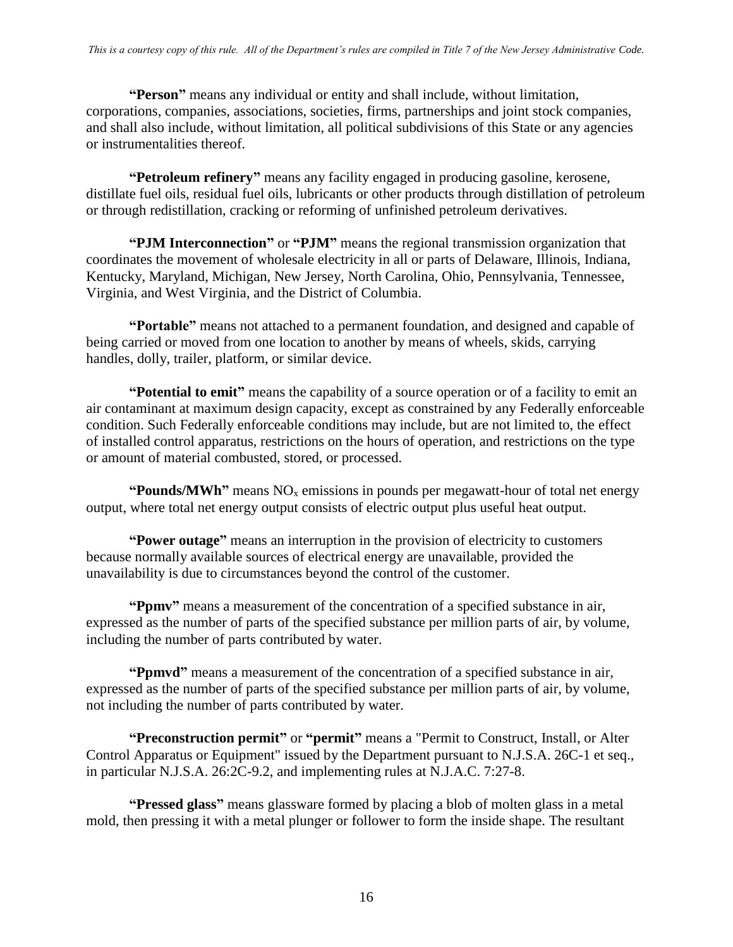**"Person"** means any individual or entity and shall include, without limitation, corporations, companies, associations, societies, firms, partnerships and joint stock companies, and shall also include, without limitation, all political subdivisions of this State or any agencies or instrumentalities thereof.

**"Petroleum refinery"** means any facility engaged in producing gasoline, kerosene, distillate fuel oils, residual fuel oils, lubricants or other products through distillation of petroleum or through redistillation, cracking or reforming of unfinished petroleum derivatives.

**"PJM Interconnection"** or **"PJM"** means the regional transmission organization that coordinates the movement of wholesale electricity in all or parts of Delaware, Illinois, Indiana, Kentucky, Maryland, Michigan, New Jersey, North Carolina, Ohio, Pennsylvania, Tennessee, Virginia, and West Virginia, and the District of Columbia.

**"Portable"** means not attached to a permanent foundation, and designed and capable of being carried or moved from one location to another by means of wheels, skids, carrying handles, dolly, trailer, platform, or similar device.

**"Potential to emit"** means the capability of a source operation or of a facility to emit an air contaminant at maximum design capacity, except as constrained by any Federally enforceable condition. Such Federally enforceable conditions may include, but are not limited to, the effect of installed control apparatus, restrictions on the hours of operation, and restrictions on the type or amount of material combusted, stored, or processed.

**"Pounds/MWh"** means  $NO<sub>x</sub>$  emissions in pounds per megawatt-hour of total net energy output, where total net energy output consists of electric output plus useful heat output.

**"Power outage"** means an interruption in the provision of electricity to customers because normally available sources of electrical energy are unavailable, provided the unavailability is due to circumstances beyond the control of the customer.

**"Ppmv"** means a measurement of the concentration of a specified substance in air, expressed as the number of parts of the specified substance per million parts of air, by volume, including the number of parts contributed by water.

**"Ppmvd"** means a measurement of the concentration of a specified substance in air, expressed as the number of parts of the specified substance per million parts of air, by volume, not including the number of parts contributed by water.

**"Preconstruction permit"** or **"permit"** means a "Permit to Construct, Install, or Alter Control Apparatus or Equipment" issued by the Department pursuant to N.J.S.A. 26C-1 et seq., in particular N.J.S.A. 26:2C-9.2, and implementing rules at N.J.A.C. 7:27-8.

**"Pressed glass"** means glassware formed by placing a blob of molten glass in a metal mold, then pressing it with a metal plunger or follower to form the inside shape. The resultant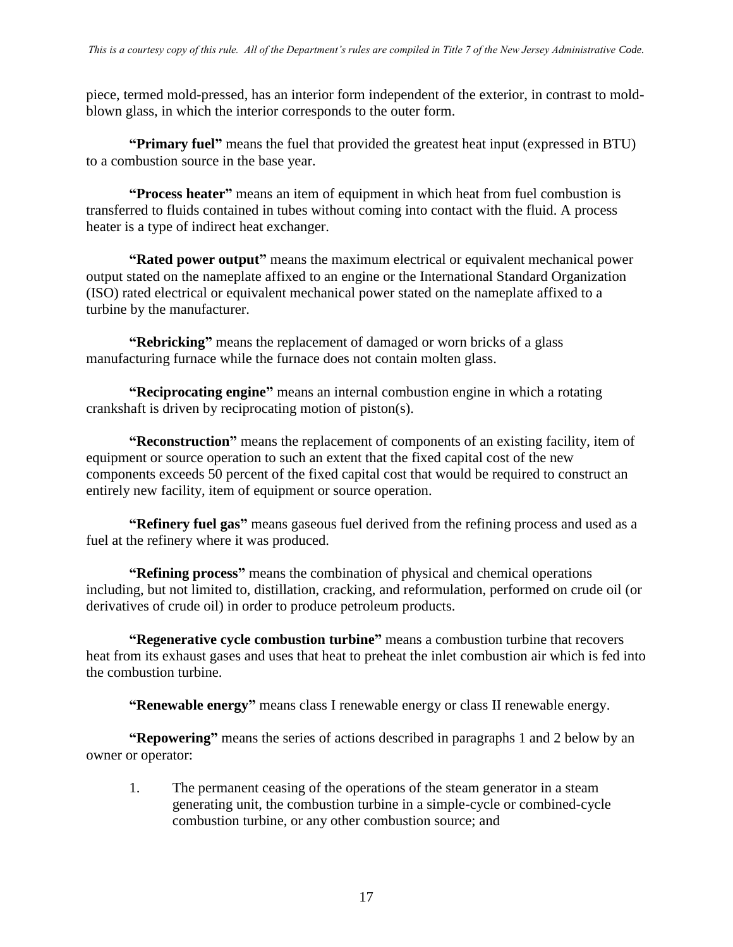piece, termed mold-pressed, has an interior form independent of the exterior, in contrast to moldblown glass, in which the interior corresponds to the outer form.

**"Primary fuel"** means the fuel that provided the greatest heat input (expressed in BTU) to a combustion source in the base year.

**"Process heater"** means an item of equipment in which heat from fuel combustion is transferred to fluids contained in tubes without coming into contact with the fluid. A process heater is a type of indirect heat exchanger.

**"Rated power output"** means the maximum electrical or equivalent mechanical power output stated on the nameplate affixed to an engine or the International Standard Organization (ISO) rated electrical or equivalent mechanical power stated on the nameplate affixed to a turbine by the manufacturer.

**"Rebricking"** means the replacement of damaged or worn bricks of a glass manufacturing furnace while the furnace does not contain molten glass.

**"Reciprocating engine"** means an internal combustion engine in which a rotating crankshaft is driven by reciprocating motion of piston(s).

**"Reconstruction"** means the replacement of components of an existing facility, item of equipment or source operation to such an extent that the fixed capital cost of the new components exceeds 50 percent of the fixed capital cost that would be required to construct an entirely new facility, item of equipment or source operation.

**"Refinery fuel gas"** means gaseous fuel derived from the refining process and used as a fuel at the refinery where it was produced.

**"Refining process"** means the combination of physical and chemical operations including, but not limited to, distillation, cracking, and reformulation, performed on crude oil (or derivatives of crude oil) in order to produce petroleum products.

**"Regenerative cycle combustion turbine"** means a combustion turbine that recovers heat from its exhaust gases and uses that heat to preheat the inlet combustion air which is fed into the combustion turbine.

**"Renewable energy"** means class I renewable energy or class II renewable energy.

**"Repowering"** means the series of actions described in paragraphs 1 and 2 below by an owner or operator:

1. The permanent ceasing of the operations of the steam generator in a steam generating unit, the combustion turbine in a simple-cycle or combined-cycle combustion turbine, or any other combustion source; and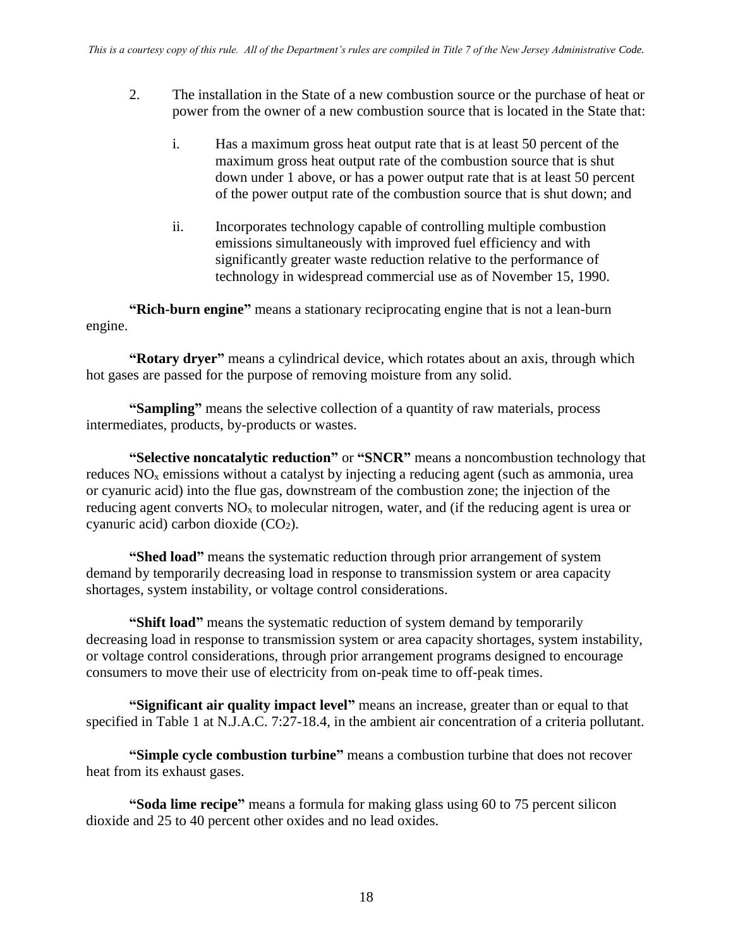- 2. The installation in the State of a new combustion source or the purchase of heat or power from the owner of a new combustion source that is located in the State that:
	- i. Has a maximum gross heat output rate that is at least 50 percent of the maximum gross heat output rate of the combustion source that is shut down under 1 above, or has a power output rate that is at least 50 percent of the power output rate of the combustion source that is shut down; and
	- ii. Incorporates technology capable of controlling multiple combustion emissions simultaneously with improved fuel efficiency and with significantly greater waste reduction relative to the performance of technology in widespread commercial use as of November 15, 1990.

**"Rich-burn engine"** means a stationary reciprocating engine that is not a lean-burn engine.

**"Rotary dryer"** means a cylindrical device, which rotates about an axis, through which hot gases are passed for the purpose of removing moisture from any solid.

**"Sampling"** means the selective collection of a quantity of raw materials, process intermediates, products, by-products or wastes.

**"Selective noncatalytic reduction"** or **"SNCR"** means a noncombustion technology that reduces  $NO<sub>x</sub>$  emissions without a catalyst by injecting a reducing agent (such as ammonia, urea or cyanuric acid) into the flue gas, downstream of the combustion zone; the injection of the reducing agent converts  $NO<sub>x</sub>$  to molecular nitrogen, water, and (if the reducing agent is urea or cyanuric acid) carbon dioxide  $(CO<sub>2</sub>)$ .

**"Shed load"** means the systematic reduction through prior arrangement of system demand by temporarily decreasing load in response to transmission system or area capacity shortages, system instability, or voltage control considerations.

**"Shift load"** means the systematic reduction of system demand by temporarily decreasing load in response to transmission system or area capacity shortages, system instability, or voltage control considerations, through prior arrangement programs designed to encourage consumers to move their use of electricity from on-peak time to off-peak times.

**"Significant air quality impact level"** means an increase, greater than or equal to that specified in Table 1 at N.J.A.C. 7:27-18.4, in the ambient air concentration of a criteria pollutant.

**"Simple cycle combustion turbine"** means a combustion turbine that does not recover heat from its exhaust gases.

**"Soda lime recipe"** means a formula for making glass using 60 to 75 percent silicon dioxide and 25 to 40 percent other oxides and no lead oxides.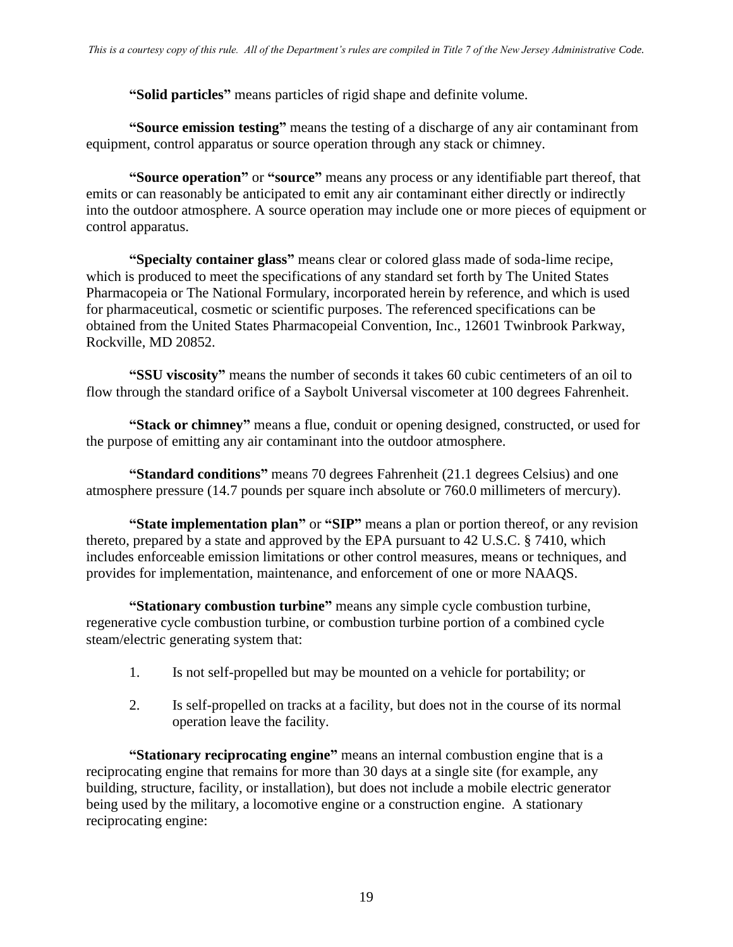**"Solid particles"** means particles of rigid shape and definite volume.

**"Source emission testing"** means the testing of a discharge of any air contaminant from equipment, control apparatus or source operation through any stack or chimney.

**"Source operation"** or **"source"** means any process or any identifiable part thereof, that emits or can reasonably be anticipated to emit any air contaminant either directly or indirectly into the outdoor atmosphere. A source operation may include one or more pieces of equipment or control apparatus.

**"Specialty container glass"** means clear or colored glass made of soda-lime recipe, which is produced to meet the specifications of any standard set forth by The United States Pharmacopeia or The National Formulary, incorporated herein by reference, and which is used for pharmaceutical, cosmetic or scientific purposes. The referenced specifications can be obtained from the United States Pharmacopeial Convention, Inc., 12601 Twinbrook Parkway, Rockville, MD 20852.

**"SSU viscosity"** means the number of seconds it takes 60 cubic centimeters of an oil to flow through the standard orifice of a Saybolt Universal viscometer at 100 degrees Fahrenheit.

**"Stack or chimney"** means a flue, conduit or opening designed, constructed, or used for the purpose of emitting any air contaminant into the outdoor atmosphere.

**"Standard conditions"** means 70 degrees Fahrenheit (21.1 degrees Celsius) and one atmosphere pressure (14.7 pounds per square inch absolute or 760.0 millimeters of mercury).

**"State implementation plan"** or **"SIP"** means a plan or portion thereof, or any revision thereto, prepared by a state and approved by the EPA pursuant to 42 U.S.C. § 7410, which includes enforceable emission limitations or other control measures, means or techniques, and provides for implementation, maintenance, and enforcement of one or more NAAQS.

**"Stationary combustion turbine"** means any simple cycle combustion turbine, regenerative cycle combustion turbine, or combustion turbine portion of a combined cycle steam/electric generating system that:

- 1. Is not self-propelled but may be mounted on a vehicle for portability; or
- 2. Is self-propelled on tracks at a facility, but does not in the course of its normal operation leave the facility.

**"Stationary reciprocating engine"** means an internal combustion engine that is a reciprocating engine that remains for more than 30 days at a single site (for example, any building, structure, facility, or installation), but does not include a mobile electric generator being used by the military, a locomotive engine or a construction engine. A stationary reciprocating engine: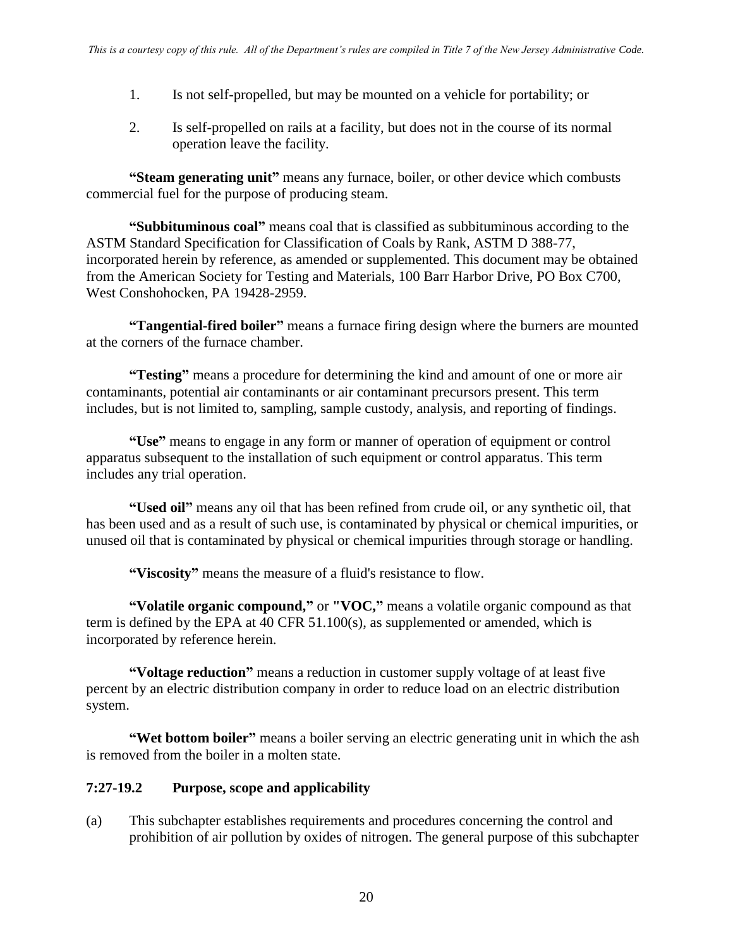- 1. Is not self-propelled, but may be mounted on a vehicle for portability; or
- 2. Is self-propelled on rails at a facility, but does not in the course of its normal operation leave the facility.

**"Steam generating unit"** means any furnace, boiler, or other device which combusts commercial fuel for the purpose of producing steam.

**"Subbituminous coal"** means coal that is classified as subbituminous according to the ASTM Standard Specification for Classification of Coals by Rank, ASTM D 388-77, incorporated herein by reference, as amended or supplemented. This document may be obtained from the American Society for Testing and Materials, 100 Barr Harbor Drive, PO Box C700, West Conshohocken, PA 19428-2959.

**"Tangential-fired boiler"** means a furnace firing design where the burners are mounted at the corners of the furnace chamber.

**"Testing"** means a procedure for determining the kind and amount of one or more air contaminants, potential air contaminants or air contaminant precursors present. This term includes, but is not limited to, sampling, sample custody, analysis, and reporting of findings.

**"Use"** means to engage in any form or manner of operation of equipment or control apparatus subsequent to the installation of such equipment or control apparatus. This term includes any trial operation.

**"Used oil"** means any oil that has been refined from crude oil, or any synthetic oil, that has been used and as a result of such use, is contaminated by physical or chemical impurities, or unused oil that is contaminated by physical or chemical impurities through storage or handling.

**"Viscosity"** means the measure of a fluid's resistance to flow.

**"Volatile organic compound,"** or **"VOC,"** means a volatile organic compound as that term is defined by the EPA at 40 CFR 51.100(s), as supplemented or amended, which is incorporated by reference herein.

**"Voltage reduction"** means a reduction in customer supply voltage of at least five percent by an electric distribution company in order to reduce load on an electric distribution system.

**"Wet bottom boiler"** means a boiler serving an electric generating unit in which the ash is removed from the boiler in a molten state.

#### **7:27-19.2 Purpose, scope and applicability**

(a) This subchapter establishes requirements and procedures concerning the control and prohibition of air pollution by oxides of nitrogen. The general purpose of this subchapter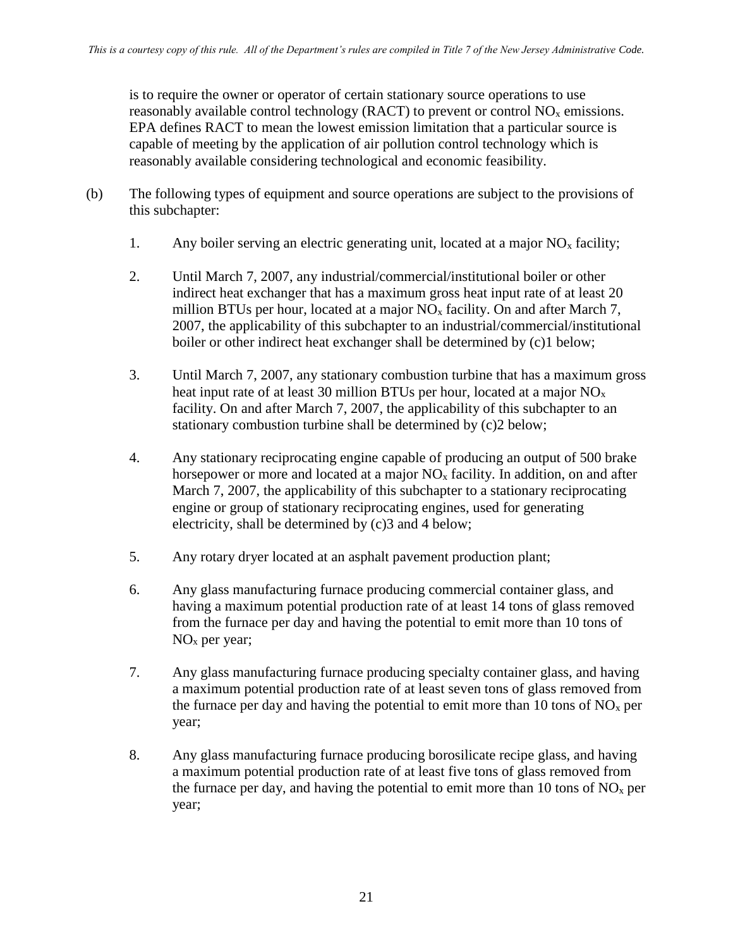is to require the owner or operator of certain stationary source operations to use reasonably available control technology (RACT) to prevent or control  $NO<sub>x</sub>$  emissions. EPA defines RACT to mean the lowest emission limitation that a particular source is capable of meeting by the application of air pollution control technology which is reasonably available considering technological and economic feasibility.

- (b) The following types of equipment and source operations are subject to the provisions of this subchapter:
	- 1. Any boiler serving an electric generating unit, located at a major  $NO<sub>x</sub>$  facility;
	- 2. Until March 7, 2007, any industrial/commercial/institutional boiler or other indirect heat exchanger that has a maximum gross heat input rate of at least 20 million BTUs per hour, located at a major  $NO<sub>x</sub>$  facility. On and after March 7, 2007, the applicability of this subchapter to an industrial/commercial/institutional boiler or other indirect heat exchanger shall be determined by (c)1 below;
	- 3. Until March 7, 2007, any stationary combustion turbine that has a maximum gross heat input rate of at least 30 million BTUs per hour, located at a major  $NO<sub>x</sub>$ facility. On and after March 7, 2007, the applicability of this subchapter to an stationary combustion turbine shall be determined by (c)2 below;
	- 4. Any stationary reciprocating engine capable of producing an output of 500 brake horsepower or more and located at a major  $NO<sub>x</sub>$  facility. In addition, on and after March 7, 2007, the applicability of this subchapter to a stationary reciprocating engine or group of stationary reciprocating engines, used for generating electricity, shall be determined by (c)3 and 4 below;
	- 5. Any rotary dryer located at an asphalt pavement production plant;
	- 6. Any glass manufacturing furnace producing commercial container glass, and having a maximum potential production rate of at least 14 tons of glass removed from the furnace per day and having the potential to emit more than 10 tons of NO<sup>x</sup> per year;
	- 7. Any glass manufacturing furnace producing specialty container glass, and having a maximum potential production rate of at least seven tons of glass removed from the furnace per day and having the potential to emit more than 10 tons of  $NO<sub>x</sub>$  per year;
	- 8. Any glass manufacturing furnace producing borosilicate recipe glass, and having a maximum potential production rate of at least five tons of glass removed from the furnace per day, and having the potential to emit more than 10 tons of  $NO<sub>x</sub>$  per year;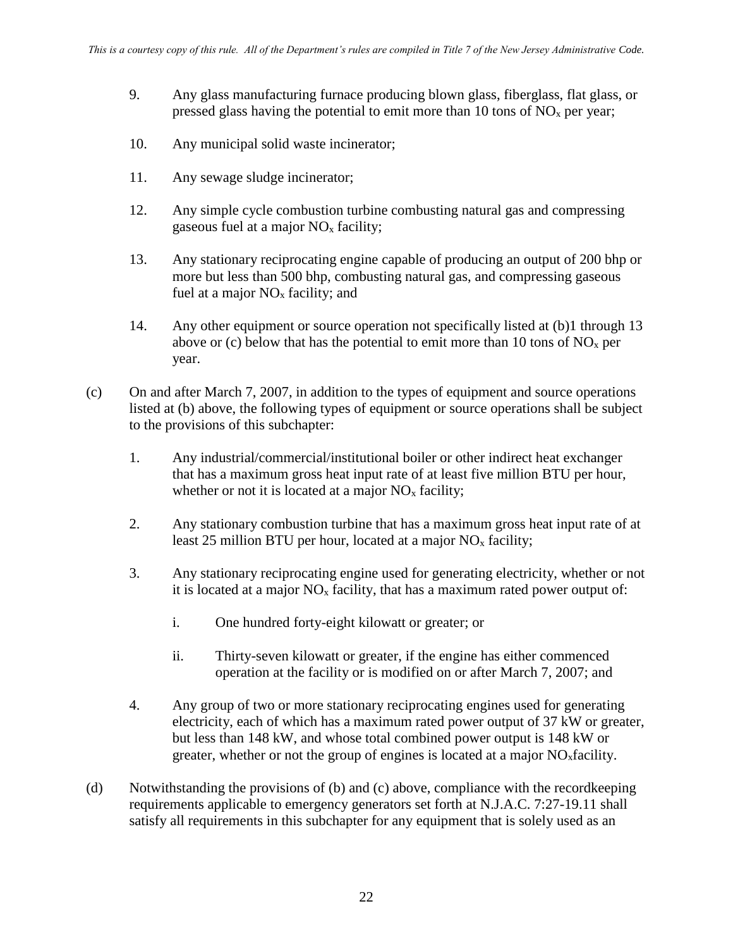- 9. Any glass manufacturing furnace producing blown glass, fiberglass, flat glass, or pressed glass having the potential to emit more than 10 tons of  $NO<sub>x</sub>$  per year;
- 10. Any municipal solid waste incinerator;
- 11. Any sewage sludge incinerator;
- 12. Any simple cycle combustion turbine combusting natural gas and compressing gaseous fuel at a major  $NO<sub>x</sub>$  facility;
- 13. Any stationary reciprocating engine capable of producing an output of 200 bhp or more but less than 500 bhp, combusting natural gas, and compressing gaseous fuel at a major  $NO<sub>x</sub>$  facility; and
- 14. Any other equipment or source operation not specifically listed at (b)1 through 13 above or (c) below that has the potential to emit more than 10 tons of  $NO<sub>x</sub>$  per year.
- (c) On and after March 7, 2007, in addition to the types of equipment and source operations listed at (b) above, the following types of equipment or source operations shall be subject to the provisions of this subchapter:
	- 1. Any industrial/commercial/institutional boiler or other indirect heat exchanger that has a maximum gross heat input rate of at least five million BTU per hour, whether or not it is located at a major  $NO<sub>x</sub>$  facility;
	- 2. Any stationary combustion turbine that has a maximum gross heat input rate of at least 25 million BTU per hour, located at a major  $NO<sub>x</sub>$  facility;
	- 3. Any stationary reciprocating engine used for generating electricity, whether or not it is located at a major  $NO<sub>x</sub>$  facility, that has a maximum rated power output of:
		- i. One hundred forty-eight kilowatt or greater; or
		- ii. Thirty-seven kilowatt or greater, if the engine has either commenced operation at the facility or is modified on or after March 7, 2007; and
	- 4. Any group of two or more stationary reciprocating engines used for generating electricity, each of which has a maximum rated power output of 37 kW or greater, but less than 148 kW, and whose total combined power output is 148 kW or greater, whether or not the group of engines is located at a major  $NO<sub>x</sub>$  facility.
- (d) Notwithstanding the provisions of (b) and (c) above, compliance with the recordkeeping requirements applicable to emergency generators set forth at N.J.A.C. 7:27-19.11 shall satisfy all requirements in this subchapter for any equipment that is solely used as an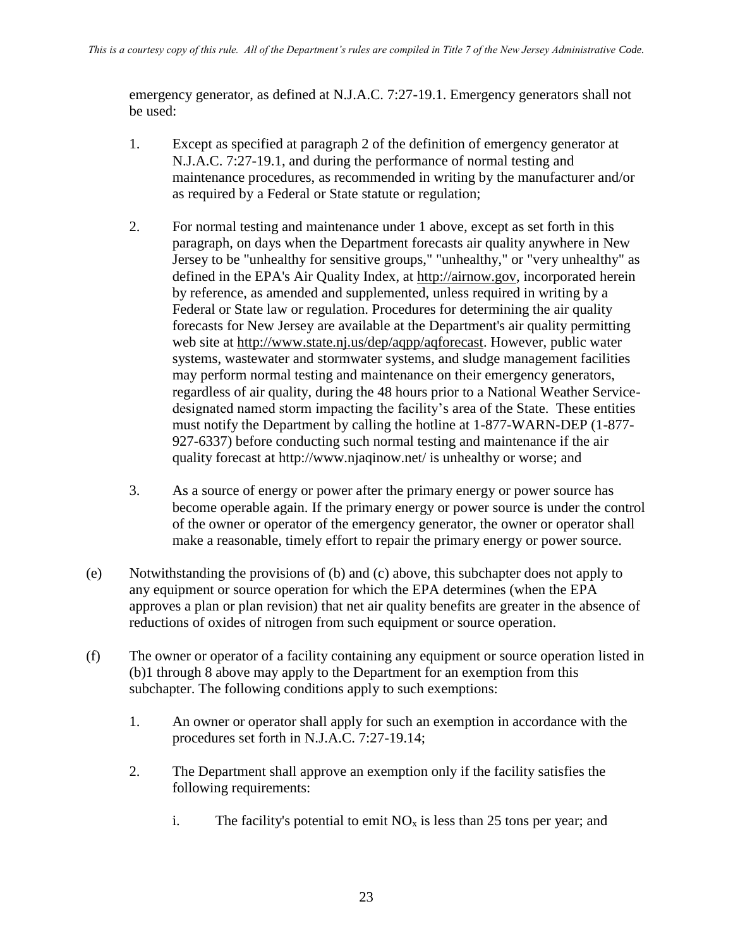emergency generator, as defined at N.J.A.C. 7:27-19.1. Emergency generators shall not be used:

- 1. Except as specified at paragraph 2 of the definition of emergency generator at N.J.A.C. 7:27-19.1, and during the performance of normal testing and maintenance procedures, as recommended in writing by the manufacturer and/or as required by a Federal or State statute or regulation;
- 2. For normal testing and maintenance under 1 above, except as set forth in this paragraph, on days when the Department forecasts air quality anywhere in New Jersey to be "unhealthy for sensitive groups," "unhealthy," or "very unhealthy" as defined in the EPA's Air Quality Index, at [http://airnow.gov,](http://airnow.gov/) incorporated herein by reference, as amended and supplemented, unless required in writing by a Federal or State law or regulation. Procedures for determining the air quality forecasts for New Jersey are available at the Department's air quality permitting web site at [http://www.state.nj.us/dep/aqpp/aqforecast.](http://www.state.nj.us/dep/aqpp/aqforecast) However, public water systems, wastewater and stormwater systems, and sludge management facilities may perform normal testing and maintenance on their emergency generators, regardless of air quality, during the 48 hours prior to a National Weather Servicedesignated named storm impacting the facility's area of the State. These entities must notify the Department by calling the hotline at 1-877-WARN-DEP (1-877- 927-6337) before conducting such normal testing and maintenance if the air quality forecast at http://www.njaqinow.net/ is unhealthy or worse; and
- 3. As a source of energy or power after the primary energy or power source has become operable again. If the primary energy or power source is under the control of the owner or operator of the emergency generator, the owner or operator shall make a reasonable, timely effort to repair the primary energy or power source.
- (e) Notwithstanding the provisions of (b) and (c) above, this subchapter does not apply to any equipment or source operation for which the EPA determines (when the EPA approves a plan or plan revision) that net air quality benefits are greater in the absence of reductions of oxides of nitrogen from such equipment or source operation.
- (f) The owner or operator of a facility containing any equipment or source operation listed in (b)1 through 8 above may apply to the Department for an exemption from this subchapter. The following conditions apply to such exemptions:
	- 1. An owner or operator shall apply for such an exemption in accordance with the procedures set forth in N.J.A.C. 7:27-19.14;
	- 2. The Department shall approve an exemption only if the facility satisfies the following requirements:
		- i. The facility's potential to emit  $NO<sub>x</sub>$  is less than 25 tons per year; and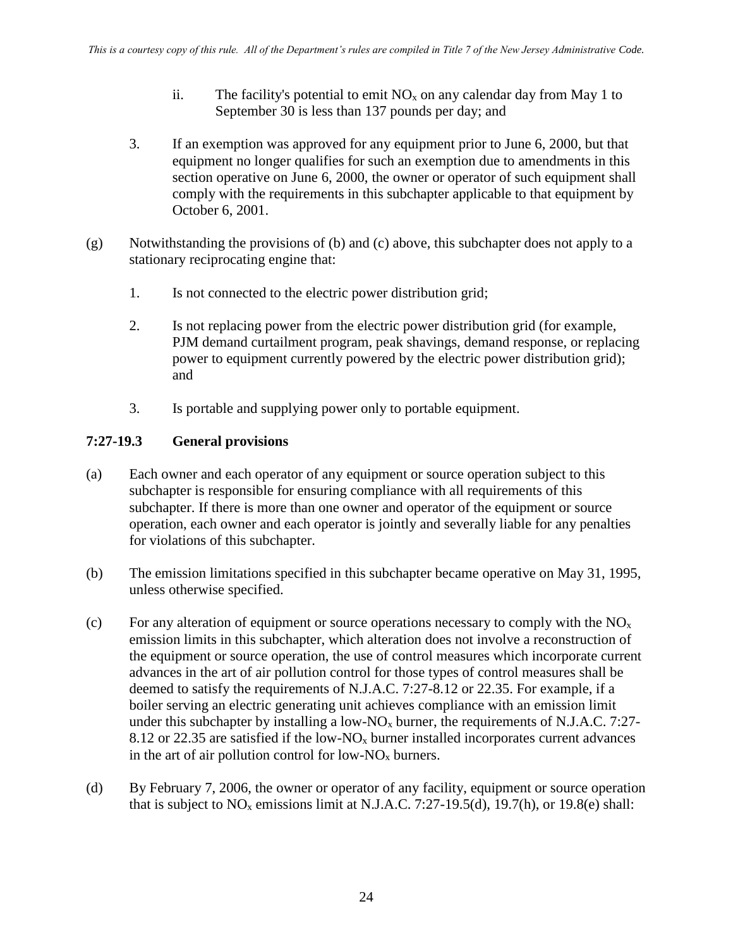- ii. The facility's potential to emit  $NO<sub>x</sub>$  on any calendar day from May 1 to September 30 is less than 137 pounds per day; and
- 3. If an exemption was approved for any equipment prior to June 6, 2000, but that equipment no longer qualifies for such an exemption due to amendments in this section operative on June 6, 2000, the owner or operator of such equipment shall comply with the requirements in this subchapter applicable to that equipment by October 6, 2001.
- (g) Notwithstanding the provisions of (b) and (c) above, this subchapter does not apply to a stationary reciprocating engine that:
	- 1. Is not connected to the electric power distribution grid;
	- 2. Is not replacing power from the electric power distribution grid (for example, PJM demand curtailment program, peak shavings, demand response, or replacing power to equipment currently powered by the electric power distribution grid); and
	- 3. Is portable and supplying power only to portable equipment.

## **7:27-19.3 General provisions**

- (a) Each owner and each operator of any equipment or source operation subject to this subchapter is responsible for ensuring compliance with all requirements of this subchapter. If there is more than one owner and operator of the equipment or source operation, each owner and each operator is jointly and severally liable for any penalties for violations of this subchapter.
- (b) The emission limitations specified in this subchapter became operative on May 31, 1995, unless otherwise specified.
- (c) For any alteration of equipment or source operations necessary to comply with the  $NO<sub>x</sub>$ emission limits in this subchapter, which alteration does not involve a reconstruction of the equipment or source operation, the use of control measures which incorporate current advances in the art of air pollution control for those types of control measures shall be deemed to satisfy the requirements of N.J.A.C. 7:27-8.12 or 22.35. For example, if a boiler serving an electric generating unit achieves compliance with an emission limit under this subchapter by installing a low-NO<sub>x</sub> burner, the requirements of N.J.A.C. 7:27-8.12 or 22.35 are satisfied if the low- $N_{\text{A}}$  burner installed incorporates current advances in the art of air pollution control for low- $N_{\alpha}$  burners.
- (d) By February 7, 2006, the owner or operator of any facility, equipment or source operation that is subject to  $NO_x$  emissions limit at N.J.A.C. 7:27-19.5(d), 19.7(h), or 19.8(e) shall: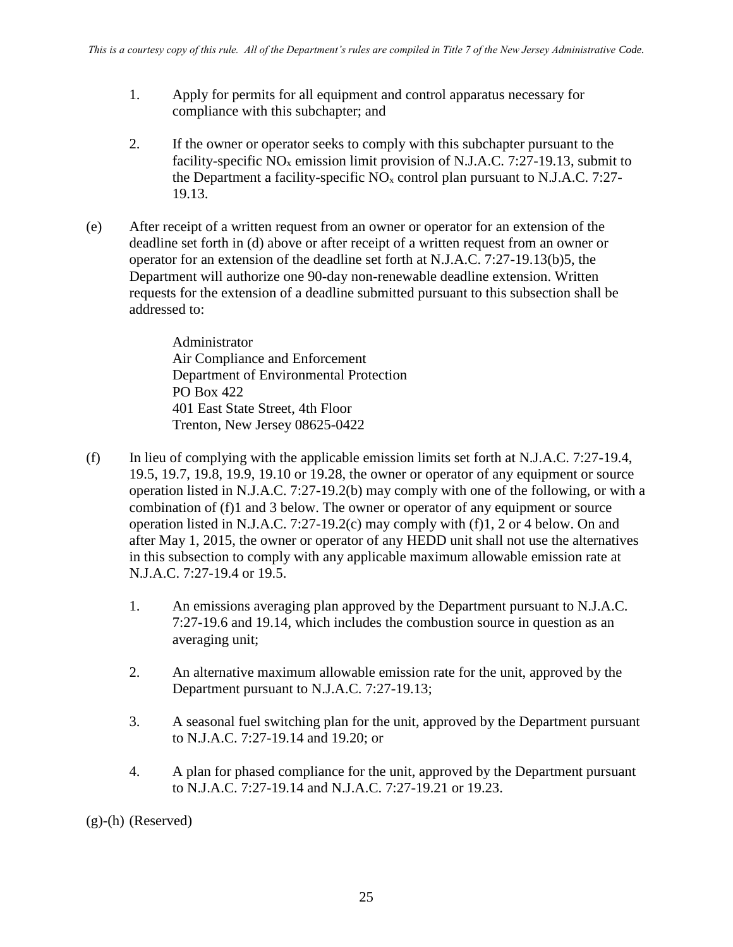- 1. Apply for permits for all equipment and control apparatus necessary for compliance with this subchapter; and
- 2. If the owner or operator seeks to comply with this subchapter pursuant to the facility-specific  $NO<sub>x</sub>$  emission limit provision of N.J.A.C. 7:27-19.13, submit to the Department a facility-specific  $NO<sub>x</sub>$  control plan pursuant to N.J.A.C. 7:27-19.13.
- (e) After receipt of a written request from an owner or operator for an extension of the deadline set forth in (d) above or after receipt of a written request from an owner or operator for an extension of the deadline set forth at N.J.A.C. 7:27-19.13(b)5, the Department will authorize one 90-day non-renewable deadline extension. Written requests for the extension of a deadline submitted pursuant to this subsection shall be addressed to:

Administrator Air Compliance and Enforcement Department of Environmental Protection PO Box 422 401 East State Street, 4th Floor Trenton, New Jersey 08625-0422

- (f) In lieu of complying with the applicable emission limits set forth at N.J.A.C. 7:27-19.4, 19.5, 19.7, 19.8, 19.9, 19.10 or 19.28, the owner or operator of any equipment or source operation listed in N.J.A.C. 7:27-19.2(b) may comply with one of the following, or with a combination of (f)1 and 3 below. The owner or operator of any equipment or source operation listed in N.J.A.C. 7:27-19.2(c) may comply with (f)1, 2 or 4 below. On and after May 1, 2015, the owner or operator of any HEDD unit shall not use the alternatives in this subsection to comply with any applicable maximum allowable emission rate at N.J.A.C. 7:27-19.4 or 19.5.
	- 1. An emissions averaging plan approved by the Department pursuant to N.J.A.C. 7:27-19.6 and 19.14, which includes the combustion source in question as an averaging unit;
	- 2. An alternative maximum allowable emission rate for the unit, approved by the Department pursuant to N.J.A.C. 7:27-19.13;
	- 3. A seasonal fuel switching plan for the unit, approved by the Department pursuant to N.J.A.C. 7:27-19.14 and 19.20; or
	- 4. A plan for phased compliance for the unit, approved by the Department pursuant to N.J.A.C. 7:27-19.14 and N.J.A.C. 7:27-19.21 or 19.23.

(g)-(h) (Reserved)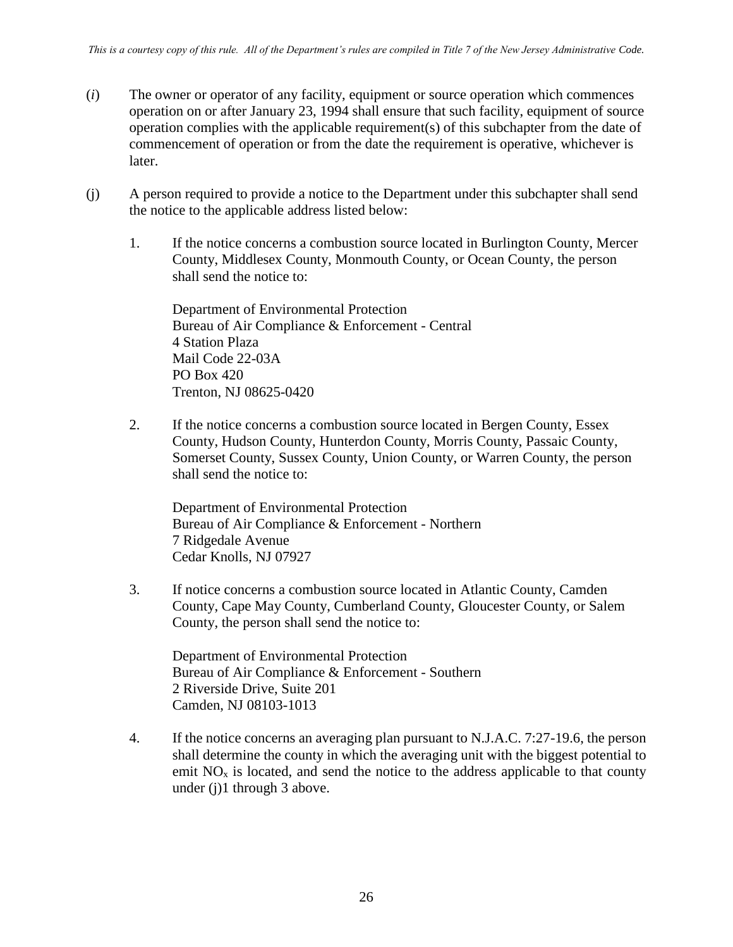- (*i*) The owner or operator of any facility, equipment or source operation which commences operation on or after January 23, 1994 shall ensure that such facility, equipment of source operation complies with the applicable requirement(s) of this subchapter from the date of commencement of operation or from the date the requirement is operative, whichever is later.
- (j) A person required to provide a notice to the Department under this subchapter shall send the notice to the applicable address listed below:
	- 1. If the notice concerns a combustion source located in Burlington County, Mercer County, Middlesex County, Monmouth County, or Ocean County, the person shall send the notice to:

Department of Environmental Protection Bureau of Air Compliance & Enforcement - Central 4 Station Plaza Mail Code 22-03A PO Box 420 Trenton, NJ 08625-0420

2. If the notice concerns a combustion source located in Bergen County, Essex County, Hudson County, Hunterdon County, Morris County, Passaic County, Somerset County, Sussex County, Union County, or Warren County, the person shall send the notice to:

Department of Environmental Protection Bureau of Air Compliance & Enforcement - Northern 7 Ridgedale Avenue Cedar Knolls, NJ 07927

3. If notice concerns a combustion source located in Atlantic County, Camden County, Cape May County, Cumberland County, Gloucester County, or Salem County, the person shall send the notice to:

Department of Environmental Protection Bureau of Air Compliance & Enforcement - Southern 2 Riverside Drive, Suite 201 Camden, NJ 08103-1013

4. If the notice concerns an averaging plan pursuant to N.J.A.C. 7:27-19.6, the person shall determine the county in which the averaging unit with the biggest potential to emit  $NO<sub>x</sub>$  is located, and send the notice to the address applicable to that county under (j)1 through 3 above.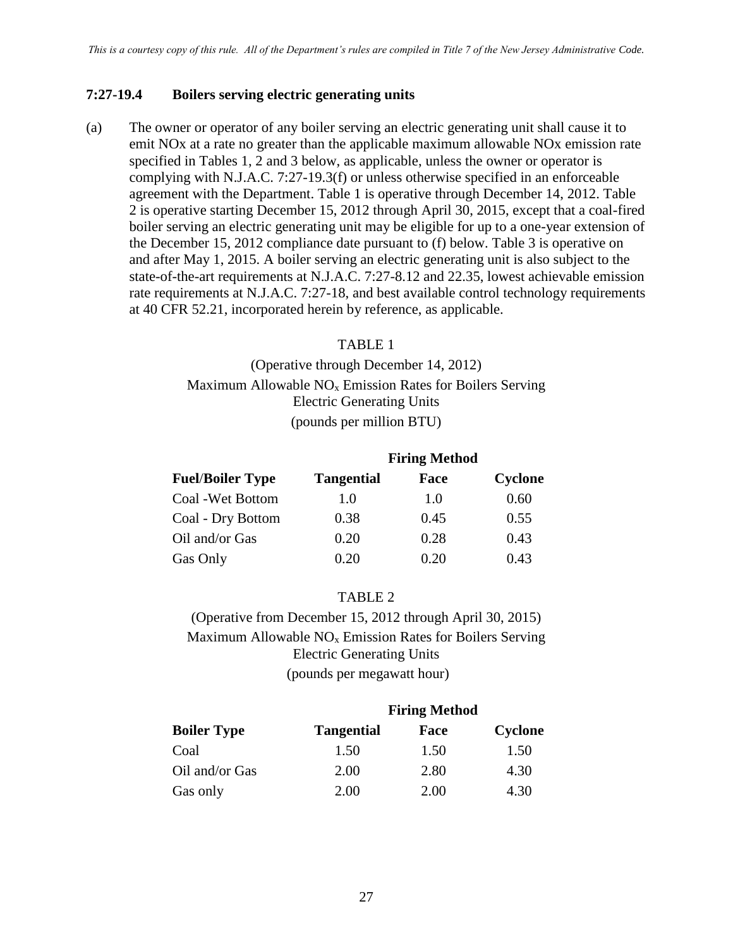#### **7:27-19.4 Boilers serving electric generating units**

(a) The owner or operator of any boiler serving an electric generating unit shall cause it to emit NOx at a rate no greater than the applicable maximum allowable NOx emission rate specified in Tables 1, 2 and 3 below, as applicable, unless the owner or operator is complying with N.J.A.C. 7:27-19.3(f) or unless otherwise specified in an enforceable agreement with the Department. Table 1 is operative through December 14, 2012. Table 2 is operative starting December 15, 2012 through April 30, 2015, except that a coal-fired boiler serving an electric generating unit may be eligible for up to a one-year extension of the December 15, 2012 compliance date pursuant to (f) below. Table 3 is operative on and after May 1, 2015. A boiler serving an electric generating unit is also subject to the state-of-the-art requirements at N.J.A.C. 7:27-8.12 and 22.35, lowest achievable emission rate requirements at N.J.A.C. 7:27-18, and best available control technology requirements at 40 CFR 52.21, incorporated herein by reference, as applicable.

#### TABLE 1

(Operative through December 14, 2012) Maximum Allowable  $NO<sub>x</sub>$  Emission Rates for Boilers Serving Electric Generating Units (pounds per million BTU)

|                         | <b>Firing Method</b> |      |         |
|-------------------------|----------------------|------|---------|
| <b>Fuel/Boiler Type</b> | <b>Tangential</b>    | Face | Cyclone |
| Coal - Wet Bottom       | 1.0                  | 1.0  | 0.60    |
| Coal - Dry Bottom       | 0.38                 | 0.45 | 0.55    |
| Oil and/or Gas          | 0.20                 | 0.28 | 0.43    |
| Gas Only                | 0.20                 | 0.20 | 0.43    |

#### TABLE 2

(Operative from December 15, 2012 through April 30, 2015) Maximum Allowable  $NO<sub>x</sub>$  Emission Rates for Boilers Serving Electric Generating Units (pounds per megawatt hour)

|                    | <b>Firing Method</b> |      |         |
|--------------------|----------------------|------|---------|
| <b>Boiler Type</b> | <b>Tangential</b>    | Face | Cyclone |
| Coal               | 1.50                 | 1.50 | 1.50    |
| Oil and/or Gas     | 2.00                 | 2.80 | 4.30    |
| Gas only           | 2.00                 | 2.00 | 4.30    |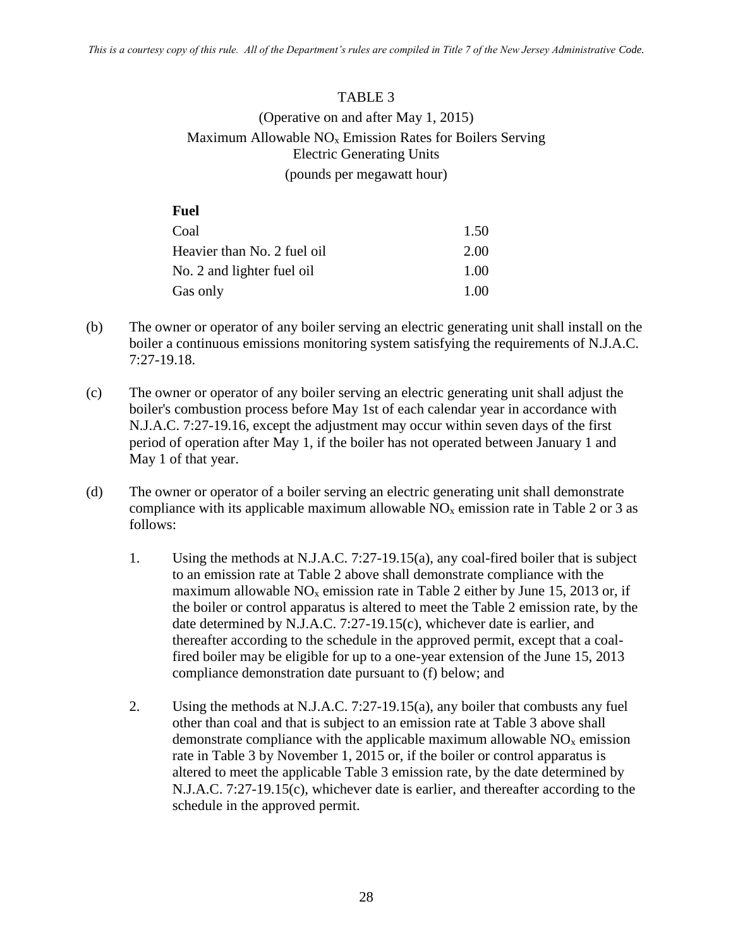#### TABLE 3

## (Operative on and after May 1, 2015) Maximum Allowable  $NO<sub>x</sub>$  Emission Rates for Boilers Serving Electric Generating Units (pounds per megawatt hour)

| <b>Fuel</b>                 |      |
|-----------------------------|------|
| Coal                        | 1.50 |
| Heavier than No. 2 fuel oil | 2.00 |
| No. 2 and lighter fuel oil  | 1.00 |
| Gas only                    | 1.00 |

- (b) The owner or operator of any boiler serving an electric generating unit shall install on the boiler a continuous emissions monitoring system satisfying the requirements of N.J.A.C. 7:27-19.18.
- (c) The owner or operator of any boiler serving an electric generating unit shall adjust the boiler's combustion process before May 1st of each calendar year in accordance with N.J.A.C. 7:27-19.16, except the adjustment may occur within seven days of the first period of operation after May 1, if the boiler has not operated between January 1 and May 1 of that year.
- (d) The owner or operator of a boiler serving an electric generating unit shall demonstrate compliance with its applicable maximum allowable  $NO<sub>x</sub>$  emission rate in Table 2 or 3 as follows:
	- 1. Using the methods at N.J.A.C. 7:27-19.15(a), any coal-fired boiler that is subject to an emission rate at Table 2 above shall demonstrate compliance with the maximum allowable  $NO<sub>x</sub>$  emission rate in Table 2 either by June 15, 2013 or, if the boiler or control apparatus is altered to meet the Table 2 emission rate, by the date determined by N.J.A.C. 7:27-19.15(c), whichever date is earlier, and thereafter according to the schedule in the approved permit, except that a coalfired boiler may be eligible for up to a one-year extension of the June 15, 2013 compliance demonstration date pursuant to (f) below; and
	- 2. Using the methods at N.J.A.C. 7:27-19.15(a), any boiler that combusts any fuel other than coal and that is subject to an emission rate at Table 3 above shall demonstrate compliance with the applicable maximum allowable  $NO<sub>x</sub>$  emission rate in Table 3 by November 1, 2015 or, if the boiler or control apparatus is altered to meet the applicable Table 3 emission rate, by the date determined by N.J.A.C. 7:27-19.15(c), whichever date is earlier, and thereafter according to the schedule in the approved permit.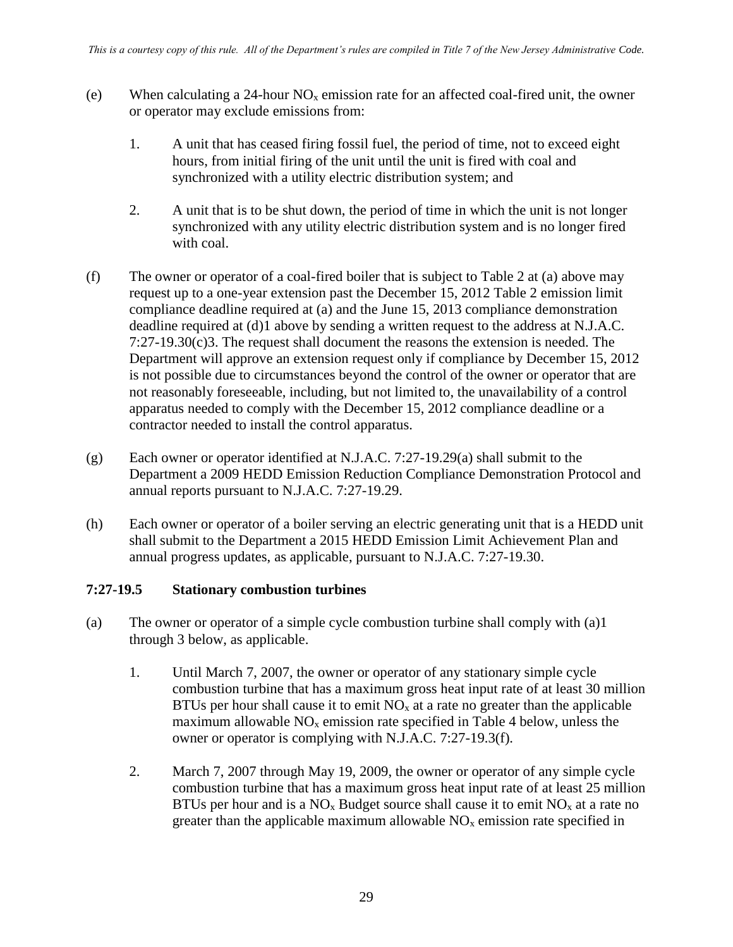- (e) When calculating a 24-hour  $NO<sub>x</sub>$  emission rate for an affected coal-fired unit, the owner or operator may exclude emissions from:
	- 1. A unit that has ceased firing fossil fuel, the period of time, not to exceed eight hours, from initial firing of the unit until the unit is fired with coal and synchronized with a utility electric distribution system; and
	- 2. A unit that is to be shut down, the period of time in which the unit is not longer synchronized with any utility electric distribution system and is no longer fired with coal.
- (f) The owner or operator of a coal-fired boiler that is subject to Table 2 at (a) above may request up to a one-year extension past the December 15, 2012 Table 2 emission limit compliance deadline required at (a) and the June 15, 2013 compliance demonstration deadline required at (d)1 above by sending a written request to the address at N.J.A.C. 7:27-19.30(c)3. The request shall document the reasons the extension is needed. The Department will approve an extension request only if compliance by December 15, 2012 is not possible due to circumstances beyond the control of the owner or operator that are not reasonably foreseeable, including, but not limited to, the unavailability of a control apparatus needed to comply with the December 15, 2012 compliance deadline or a contractor needed to install the control apparatus.
- (g) Each owner or operator identified at N.J.A.C. 7:27-19.29(a) shall submit to the Department a 2009 HEDD Emission Reduction Compliance Demonstration Protocol and annual reports pursuant to N.J.A.C. 7:27-19.29.
- (h) Each owner or operator of a boiler serving an electric generating unit that is a HEDD unit shall submit to the Department a 2015 HEDD Emission Limit Achievement Plan and annual progress updates, as applicable, pursuant to N.J.A.C. 7:27-19.30.

#### **7:27-19.5 Stationary combustion turbines**

- (a) The owner or operator of a simple cycle combustion turbine shall comply with (a)1 through 3 below, as applicable.
	- 1. Until March 7, 2007, the owner or operator of any stationary simple cycle combustion turbine that has a maximum gross heat input rate of at least 30 million BTUs per hour shall cause it to emit  $NO<sub>x</sub>$  at a rate no greater than the applicable maximum allowable  $NO<sub>x</sub>$  emission rate specified in Table 4 below, unless the owner or operator is complying with N.J.A.C. 7:27-19.3(f).
	- 2. March 7, 2007 through May 19, 2009, the owner or operator of any simple cycle combustion turbine that has a maximum gross heat input rate of at least 25 million BTUs per hour and is a  $NO<sub>x</sub>$  Budget source shall cause it to emit  $NO<sub>x</sub>$  at a rate no greater than the applicable maximum allowable  $NO<sub>x</sub>$  emission rate specified in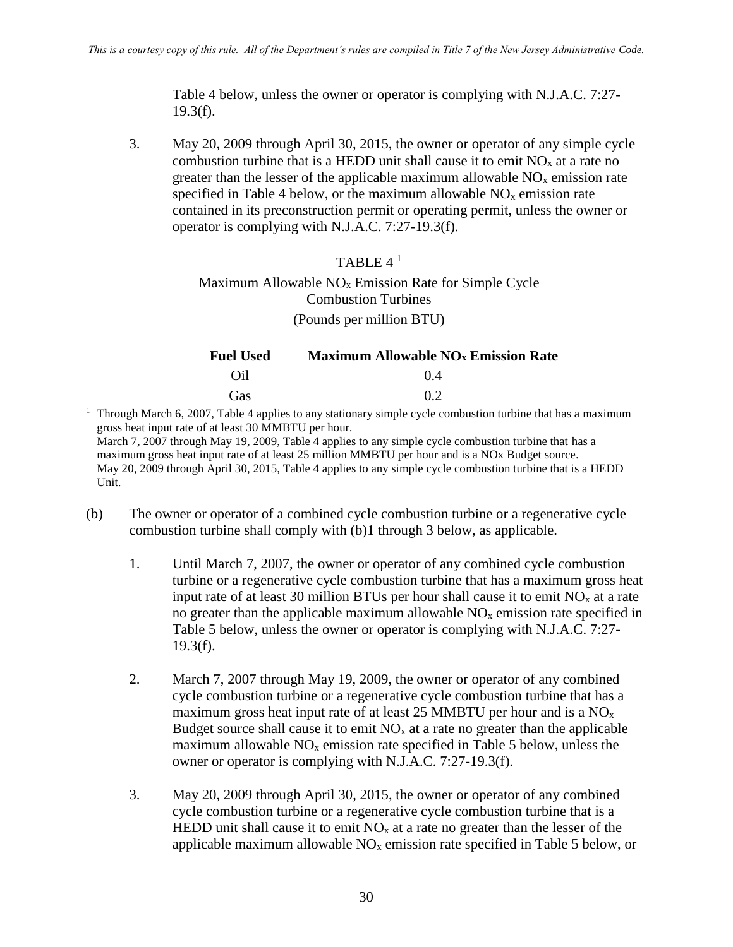Table 4 below, unless the owner or operator is complying with N.J.A.C. 7:27-  $19.3(f)$ .

3. May 20, 2009 through April 30, 2015, the owner or operator of any simple cycle combustion turbine that is a HEDD unit shall cause it to emit  $NO<sub>x</sub>$  at a rate no greater than the lesser of the applicable maximum allowable  $NO<sub>x</sub>$  emission rate specified in Table 4 below, or the maximum allowable  $NO<sub>x</sub>$  emission rate contained in its preconstruction permit or operating permit, unless the owner or operator is complying with N.J.A.C. 7:27-19.3(f).

### TABLE 4 <sup>1</sup>

#### Maximum Allowable  $NO<sub>x</sub>$  Emission Rate for Simple Cycle Combustion Turbines (Pounds per million BTU)

| <b>Fuel Used</b> | <b>Maximum Allowable NO<sub>x</sub></b> Emission Rate |
|------------------|-------------------------------------------------------|
| Oil              | (14)                                                  |
| Gas              | 02                                                    |
|                  |                                                       |

<sup>1</sup> Through March 6, 2007, Table 4 applies to any stationary simple cycle combustion turbine that has a maximum gross heat input rate of at least 30 MMBTU per hour. March 7, 2007 through May 19, 2009, Table 4 applies to any simple cycle combustion turbine that has a maximum gross heat input rate of at least 25 million MMBTU per hour and is a NOx Budget source. May 20, 2009 through April 30, 2015, Table 4 applies to any simple cycle combustion turbine that is a HEDD Unit.

- (b) The owner or operator of a combined cycle combustion turbine or a regenerative cycle combustion turbine shall comply with (b)1 through 3 below, as applicable.
	- 1. Until March 7, 2007, the owner or operator of any combined cycle combustion turbine or a regenerative cycle combustion turbine that has a maximum gross heat input rate of at least 30 million BTUs per hour shall cause it to emit  $NO<sub>x</sub>$  at a rate no greater than the applicable maximum allowable  $NO<sub>x</sub>$  emission rate specified in Table 5 below, unless the owner or operator is complying with N.J.A.C. 7:27-  $19.3(f)$ .
	- 2. March 7, 2007 through May 19, 2009, the owner or operator of any combined cycle combustion turbine or a regenerative cycle combustion turbine that has a maximum gross heat input rate of at least 25 MMBTU per hour and is a  $NO<sub>x</sub>$ Budget source shall cause it to emit  $NO<sub>x</sub>$  at a rate no greater than the applicable maximum allowable  $NO<sub>x</sub>$  emission rate specified in Table 5 below, unless the owner or operator is complying with N.J.A.C. 7:27-19.3(f).
	- 3. May 20, 2009 through April 30, 2015, the owner or operator of any combined cycle combustion turbine or a regenerative cycle combustion turbine that is a HEDD unit shall cause it to emit  $NO<sub>x</sub>$  at a rate no greater than the lesser of the applicable maximum allowable  $NO<sub>x</sub>$  emission rate specified in Table 5 below, or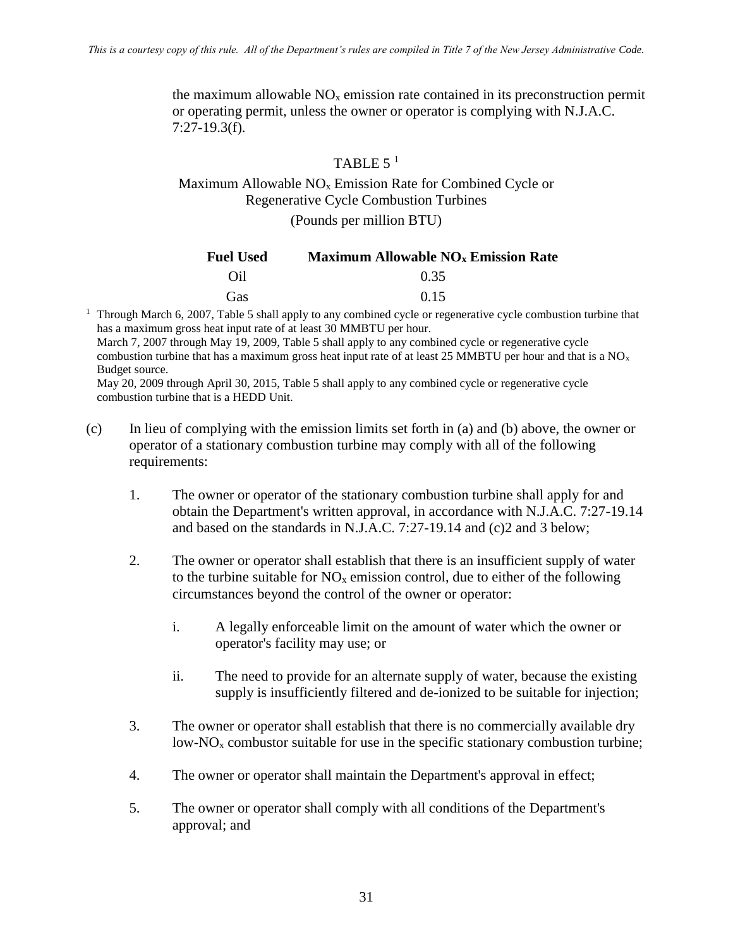the maximum allowable  $NO<sub>x</sub>$  emission rate contained in its preconstruction permit or operating permit, unless the owner or operator is complying with N.J.A.C. 7:27-19.3(f).

## TABLE  $5<sup>1</sup>$

# Maximum Allowable NO<sup>x</sup> Emission Rate for Combined Cycle or Regenerative Cycle Combustion Turbines

(Pounds per million BTU)

| <b>Fuel Used</b> | <b>Maximum Allowable NO<sub>x</sub> Emission Rate</b> |
|------------------|-------------------------------------------------------|
| Oil              | 0.35                                                  |
| Gas              | 0.15                                                  |

<sup>1</sup> Through March 6, 2007, Table 5 shall apply to any combined cycle or regenerative cycle combustion turbine that has a maximum gross heat input rate of at least 30 MMBTU per hour.

March 7, 2007 through May 19, 2009, Table 5 shall apply to any combined cycle or regenerative cycle combustion turbine that has a maximum gross heat input rate of at least 25 MMBTU per hour and that is a  $NO<sub>x</sub>$ Budget source.

May 20, 2009 through April 30, 2015, Table 5 shall apply to any combined cycle or regenerative cycle combustion turbine that is a HEDD Unit.

- (c) In lieu of complying with the emission limits set forth in (a) and (b) above, the owner or operator of a stationary combustion turbine may comply with all of the following requirements:
	- 1. The owner or operator of the stationary combustion turbine shall apply for and obtain the Department's written approval, in accordance with N.J.A.C. 7:27-19.14 and based on the standards in N.J.A.C. 7:27-19.14 and (c)2 and 3 below;
	- 2. The owner or operator shall establish that there is an insufficient supply of water to the turbine suitable for  $NO<sub>x</sub>$  emission control, due to either of the following circumstances beyond the control of the owner or operator:
		- i. A legally enforceable limit on the amount of water which the owner or operator's facility may use; or
		- ii. The need to provide for an alternate supply of water, because the existing supply is insufficiently filtered and de-ionized to be suitable for injection;
	- 3. The owner or operator shall establish that there is no commercially available dry low- $NO<sub>x</sub>$  combustor suitable for use in the specific stationary combustion turbine;
	- 4. The owner or operator shall maintain the Department's approval in effect;
	- 5. The owner or operator shall comply with all conditions of the Department's approval; and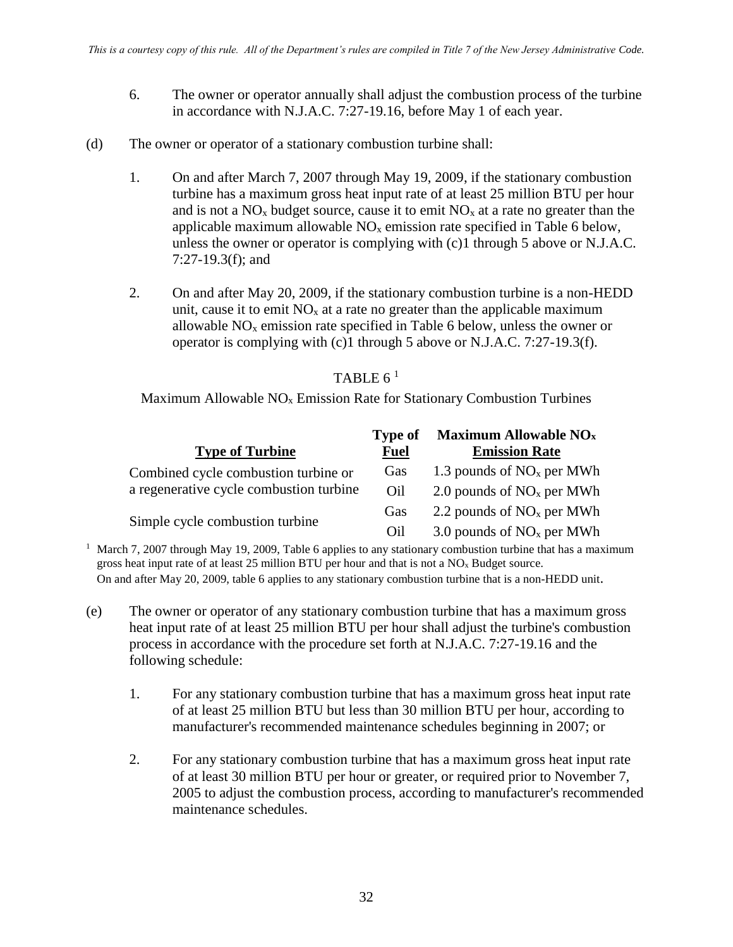- 6. The owner or operator annually shall adjust the combustion process of the turbine in accordance with N.J.A.C. 7:27-19.16, before May 1 of each year.
- (d) The owner or operator of a stationary combustion turbine shall:
	- 1. On and after March 7, 2007 through May 19, 2009, if the stationary combustion turbine has a maximum gross heat input rate of at least 25 million BTU per hour and is not a  $NO<sub>x</sub>$  budget source, cause it to emit  $NO<sub>x</sub>$  at a rate no greater than the applicable maximum allowable  $NO<sub>x</sub>$  emission rate specified in Table 6 below, unless the owner or operator is complying with (c)1 through 5 above or N.J.A.C. 7:27-19.3(f); and
	- 2. On and after May 20, 2009, if the stationary combustion turbine is a non-HEDD unit, cause it to emit  $NO<sub>x</sub>$  at a rate no greater than the applicable maximum allowable  $NO<sub>x</sub>$  emission rate specified in Table 6 below, unless the owner or operator is complying with (c)1 through 5 above or N.J.A.C. 7:27-19.3(f).

### TABLE  $6^1$

Maximum Allowable  $NO<sub>x</sub>$  Emission Rate for Stationary Combustion Turbines

|                                         | Type of     | Maximum Allowable NO <sub>x</sub> |
|-----------------------------------------|-------------|-----------------------------------|
| <b>Type of Turbine</b>                  | <b>Fuel</b> | <b>Emission Rate</b>              |
| Combined cycle combustion turbine or    | Gas         | 1.3 pounds of $NOx$ per MWh       |
| a regenerative cycle combustion turbine | Oil         | 2.0 pounds of $NOx$ per MWh       |
|                                         | Gas         | 2.2 pounds of $NOx$ per MWh       |
| Simple cycle combustion turbine         | Oil         | 3.0 pounds of $NOx$ per MWh       |

<sup>1</sup> March 7, 2007 through May 19, 2009, Table 6 applies to any stationary combustion turbine that has a maximum gross heat input rate of at least 25 million BTU per hour and that is not a  $NO<sub>x</sub>$  Budget source. On and after May 20, 2009, table 6 applies to any stationary combustion turbine that is a non-HEDD unit.

- (e) The owner or operator of any stationary combustion turbine that has a maximum gross heat input rate of at least 25 million BTU per hour shall adjust the turbine's combustion process in accordance with the procedure set forth at N.J.A.C. 7:27-19.16 and the following schedule:
	- 1. For any stationary combustion turbine that has a maximum gross heat input rate of at least 25 million BTU but less than 30 million BTU per hour, according to manufacturer's recommended maintenance schedules beginning in 2007; or
	- 2. For any stationary combustion turbine that has a maximum gross heat input rate of at least 30 million BTU per hour or greater, or required prior to November 7, 2005 to adjust the combustion process, according to manufacturer's recommended maintenance schedules.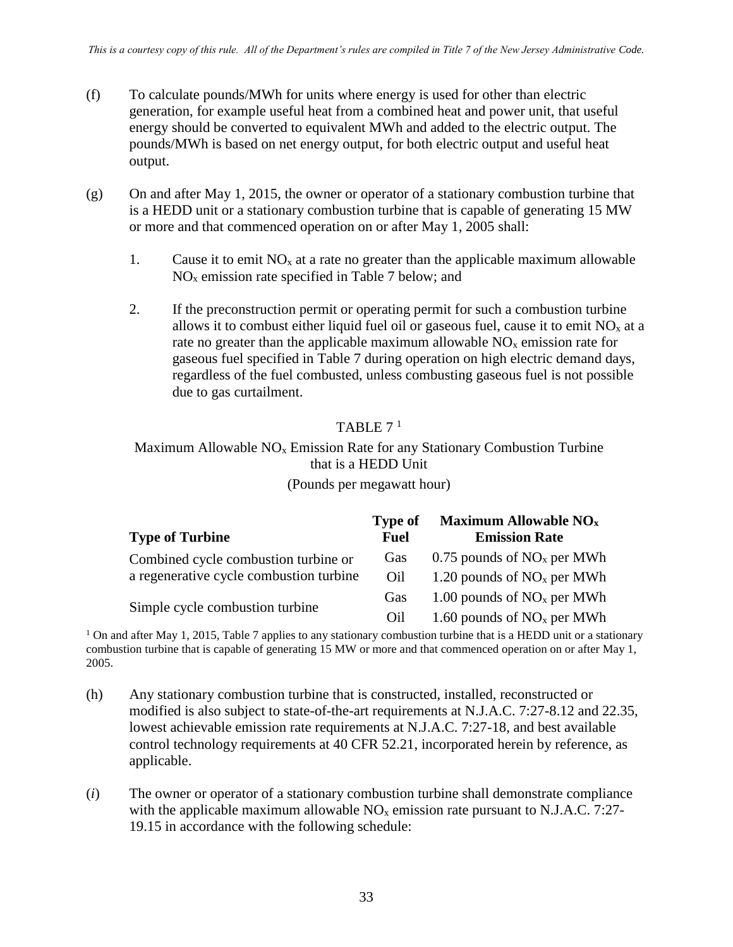- (f) To calculate pounds/MWh for units where energy is used for other than electric generation, for example useful heat from a combined heat and power unit, that useful energy should be converted to equivalent MWh and added to the electric output. The pounds/MWh is based on net energy output, for both electric output and useful heat output.
- (g) On and after May 1, 2015, the owner or operator of a stationary combustion turbine that is a HEDD unit or a stationary combustion turbine that is capable of generating 15 MW or more and that commenced operation on or after May 1, 2005 shall:
	- 1. Cause it to emit  $NO<sub>x</sub>$  at a rate no greater than the applicable maximum allowable  $NO<sub>x</sub>$  emission rate specified in Table 7 below; and
	- 2. If the preconstruction permit or operating permit for such a combustion turbine allows it to combust either liquid fuel oil or gaseous fuel, cause it to emit  $NO<sub>x</sub>$  at a rate no greater than the applicable maximum allowable  $NO<sub>x</sub>$  emission rate for gaseous fuel specified in Table 7 during operation on high electric demand days, regardless of the fuel combusted, unless combusting gaseous fuel is not possible due to gas curtailment.

## TABLE  $7<sup>1</sup>$

## Maximum Allowable  $NO<sub>x</sub>$  Emission Rate for any Stationary Combustion Turbine that is a HEDD Unit

#### (Pounds per megawatt hour)

| <b>Type of Turbine</b>                  | <b>Type of</b><br><b>Fuel</b> | Maximum Allowable $NOx$<br><b>Emission Rate</b> |
|-----------------------------------------|-------------------------------|-------------------------------------------------|
| Combined cycle combustion turbine or    | Gas                           | 0.75 pounds of $NOx$ per MWh                    |
| a regenerative cycle combustion turbine | Oil                           | 1.20 pounds of $NOx$ per MWh                    |
|                                         | Gas                           | 1.00 pounds of $NOx$ per MWh                    |
| Simple cycle combustion turbine         | Oil                           | 1.60 pounds of $NOx$ per MWh                    |

<sup>1</sup> On and after May 1, 2015, Table 7 applies to any stationary combustion turbine that is a HEDD unit or a stationary combustion turbine that is capable of generating 15 MW or more and that commenced operation on or after May 1, 2005.

- (h) Any stationary combustion turbine that is constructed, installed, reconstructed or modified is also subject to state-of-the-art requirements at N.J.A.C. 7:27-8.12 and 22.35, lowest achievable emission rate requirements at N.J.A.C. 7:27-18, and best available control technology requirements at 40 CFR 52.21, incorporated herein by reference, as applicable.
- (*i*) The owner or operator of a stationary combustion turbine shall demonstrate compliance with the applicable maximum allowable  $NO<sub>x</sub>$  emission rate pursuant to N.J.A.C. 7:27-19.15 in accordance with the following schedule: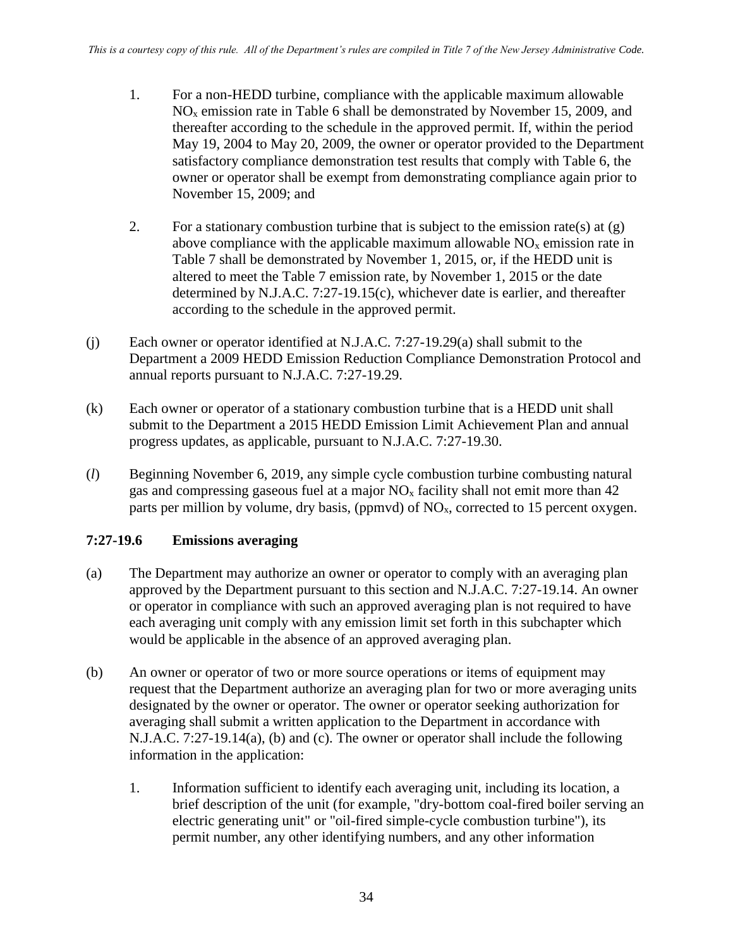- 1. For a non-HEDD turbine, compliance with the applicable maximum allowable  $NO<sub>x</sub>$  emission rate in Table 6 shall be demonstrated by November 15, 2009, and thereafter according to the schedule in the approved permit. If, within the period May 19, 2004 to May 20, 2009, the owner or operator provided to the Department satisfactory compliance demonstration test results that comply with Table 6, the owner or operator shall be exempt from demonstrating compliance again prior to November 15, 2009; and
- 2. For a stationary combustion turbine that is subject to the emission rate(s) at  $(g)$ above compliance with the applicable maximum allowable  $NO<sub>x</sub>$  emission rate in Table 7 shall be demonstrated by November 1, 2015, or, if the HEDD unit is altered to meet the Table 7 emission rate, by November 1, 2015 or the date determined by N.J.A.C. 7:27-19.15(c), whichever date is earlier, and thereafter according to the schedule in the approved permit.
- (j) Each owner or operator identified at N.J.A.C. 7:27-19.29(a) shall submit to the Department a 2009 HEDD Emission Reduction Compliance Demonstration Protocol and annual reports pursuant to N.J.A.C. 7:27-19.29.
- (k) Each owner or operator of a stationary combustion turbine that is a HEDD unit shall submit to the Department a 2015 HEDD Emission Limit Achievement Plan and annual progress updates, as applicable, pursuant to N.J.A.C. 7:27-19.30.
- (*l*) Beginning November 6, 2019, any simple cycle combustion turbine combusting natural gas and compressing gaseous fuel at a major  $NO<sub>x</sub>$  facility shall not emit more than 42 parts per million by volume, dry basis, (ppmvd) of  $NO<sub>x</sub>$ , corrected to 15 percent oxygen.

## **7:27-19.6 Emissions averaging**

- (a) The Department may authorize an owner or operator to comply with an averaging plan approved by the Department pursuant to this section and N.J.A.C. 7:27-19.14. An owner or operator in compliance with such an approved averaging plan is not required to have each averaging unit comply with any emission limit set forth in this subchapter which would be applicable in the absence of an approved averaging plan.
- (b) An owner or operator of two or more source operations or items of equipment may request that the Department authorize an averaging plan for two or more averaging units designated by the owner or operator. The owner or operator seeking authorization for averaging shall submit a written application to the Department in accordance with N.J.A.C. 7:27-19.14(a), (b) and (c). The owner or operator shall include the following information in the application:
	- 1. Information sufficient to identify each averaging unit, including its location, a brief description of the unit (for example, "dry-bottom coal-fired boiler serving an electric generating unit" or "oil-fired simple-cycle combustion turbine"), its permit number, any other identifying numbers, and any other information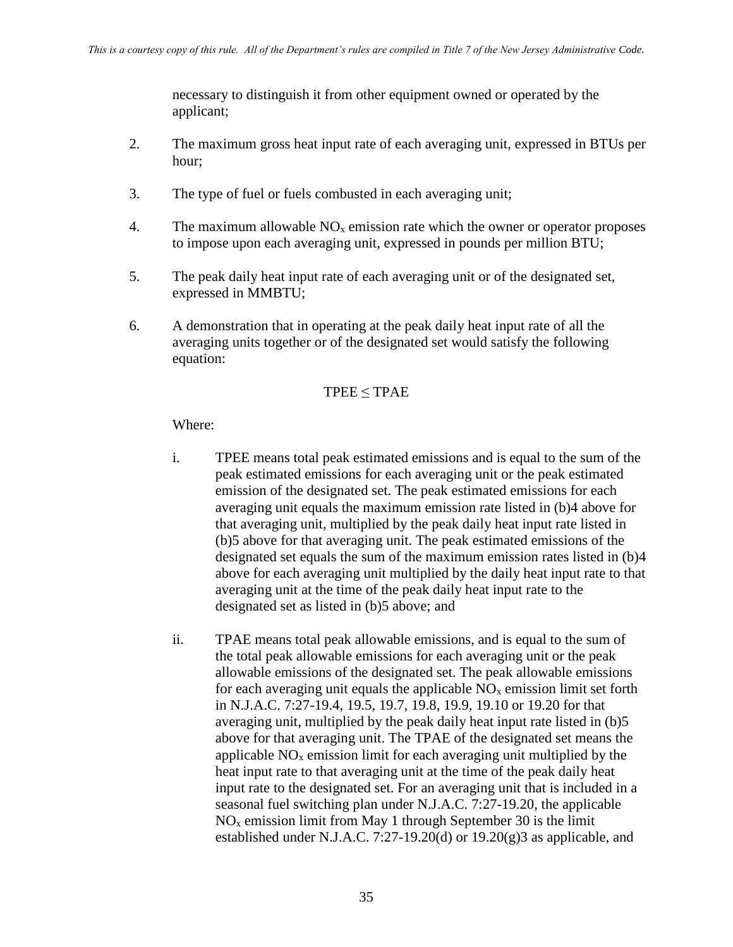necessary to distinguish it from other equipment owned or operated by the applicant;

- 2. The maximum gross heat input rate of each averaging unit, expressed in BTUs per hour;
- 3. The type of fuel or fuels combusted in each averaging unit;
- 4. The maximum allowable  $NO<sub>x</sub>$  emission rate which the owner or operator proposes to impose upon each averaging unit, expressed in pounds per million BTU;
- 5. The peak daily heat input rate of each averaging unit or of the designated set, expressed in MMBTU;
- 6. A demonstration that in operating at the peak daily heat input rate of all the averaging units together or of the designated set would satisfy the following equation:

### $TPEE \leq TPAE$

### Where:

- i. TPEE means total peak estimated emissions and is equal to the sum of the peak estimated emissions for each averaging unit or the peak estimated emission of the designated set. The peak estimated emissions for each averaging unit equals the maximum emission rate listed in (b)4 above for that averaging unit, multiplied by the peak daily heat input rate listed in (b)5 above for that averaging unit. The peak estimated emissions of the designated set equals the sum of the maximum emission rates listed in (b)4 above for each averaging unit multiplied by the daily heat input rate to that averaging unit at the time of the peak daily heat input rate to the designated set as listed in (b)5 above; and
- ii. TPAE means total peak allowable emissions, and is equal to the sum of the total peak allowable emissions for each averaging unit or the peak allowable emissions of the designated set. The peak allowable emissions for each averaging unit equals the applicable  $NO<sub>x</sub>$  emission limit set forth in N.J.A.C. 7:27-19.4, 19.5, 19.7, 19.8, 19.9, 19.10 or 19.20 for that averaging unit, multiplied by the peak daily heat input rate listed in (b)5 above for that averaging unit. The TPAE of the designated set means the applicable  $NO<sub>x</sub>$  emission limit for each averaging unit multiplied by the heat input rate to that averaging unit at the time of the peak daily heat input rate to the designated set. For an averaging unit that is included in a seasonal fuel switching plan under N.J.A.C. 7:27-19.20, the applicable  $NO<sub>x</sub>$  emission limit from May 1 through September 30 is the limit established under N.J.A.C. 7:27-19.20(d) or 19.20(g)3 as applicable, and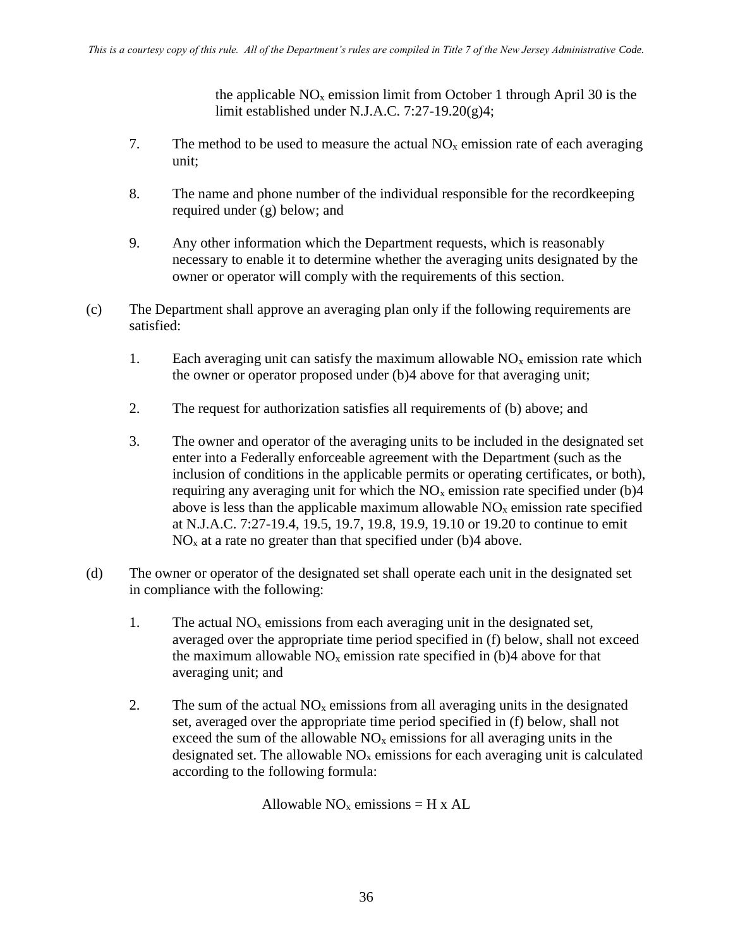the applicable  $NO<sub>x</sub>$  emission limit from October 1 through April 30 is the limit established under N.J.A.C. 7:27-19.20(g)4;

- 7. The method to be used to measure the actual  $NO<sub>x</sub>$  emission rate of each averaging unit;
- 8. The name and phone number of the individual responsible for the recordkeeping required under (g) below; and
- 9. Any other information which the Department requests, which is reasonably necessary to enable it to determine whether the averaging units designated by the owner or operator will comply with the requirements of this section.
- (c) The Department shall approve an averaging plan only if the following requirements are satisfied:
	- 1. Each averaging unit can satisfy the maximum allowable  $NO<sub>x</sub>$  emission rate which the owner or operator proposed under (b)4 above for that averaging unit;
	- 2. The request for authorization satisfies all requirements of (b) above; and
	- 3. The owner and operator of the averaging units to be included in the designated set enter into a Federally enforceable agreement with the Department (such as the inclusion of conditions in the applicable permits or operating certificates, or both), requiring any averaging unit for which the  $NO<sub>x</sub>$  emission rate specified under (b)4 above is less than the applicable maximum allowable  $NO<sub>x</sub>$  emission rate specified at N.J.A.C. 7:27-19.4, 19.5, 19.7, 19.8, 19.9, 19.10 or 19.20 to continue to emit  $NO<sub>x</sub>$  at a rate no greater than that specified under (b)4 above.
- (d) The owner or operator of the designated set shall operate each unit in the designated set in compliance with the following:
	- 1. The actual  $NO<sub>x</sub>$  emissions from each averaging unit in the designated set, averaged over the appropriate time period specified in (f) below, shall not exceed the maximum allowable  $NO<sub>x</sub>$  emission rate specified in (b)4 above for that averaging unit; and
	- 2. The sum of the actual  $NO<sub>x</sub>$  emissions from all averaging units in the designated set, averaged over the appropriate time period specified in (f) below, shall not exceed the sum of the allowable  $NO<sub>x</sub>$  emissions for all averaging units in the designated set. The allowable  $NO<sub>x</sub>$  emissions for each averaging unit is calculated according to the following formula:

Allowable  $NO<sub>x</sub>$  emissions = H x AL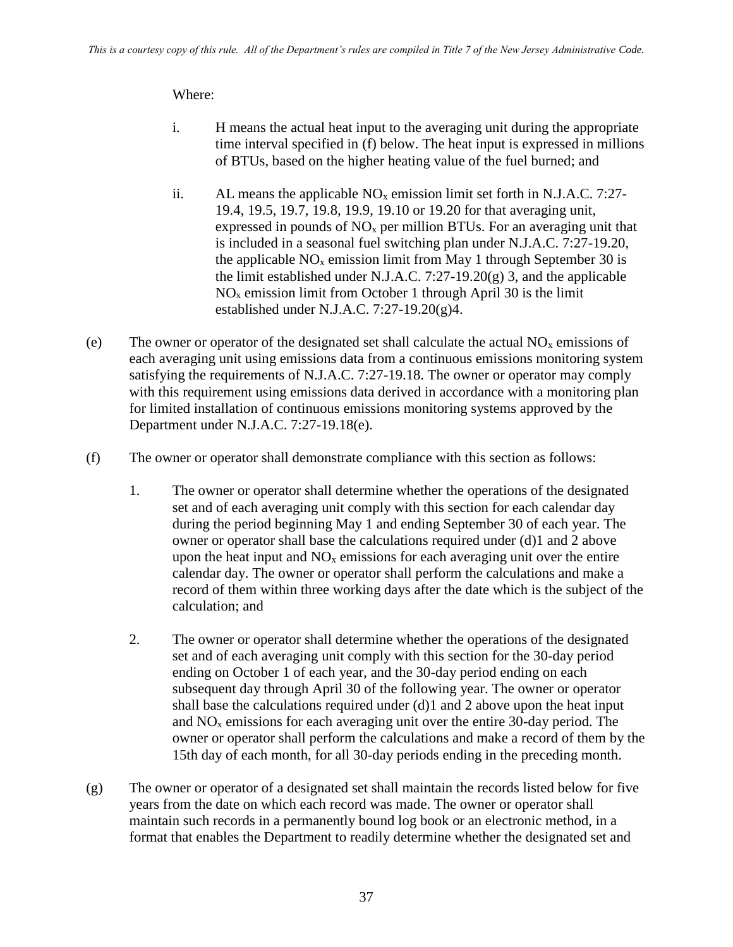## Where:

- i. H means the actual heat input to the averaging unit during the appropriate time interval specified in (f) below. The heat input is expressed in millions of BTUs, based on the higher heating value of the fuel burned; and
- ii. AL means the applicable  $NO<sub>x</sub>$  emission limit set forth in N.J.A.C. 7:27-19.4, 19.5, 19.7, 19.8, 19.9, 19.10 or 19.20 for that averaging unit, expressed in pounds of  $NO<sub>x</sub>$  per million BTUs. For an averaging unit that is included in a seasonal fuel switching plan under N.J.A.C. 7:27-19.20, the applicable  $NO<sub>x</sub>$  emission limit from May 1 through September 30 is the limit established under N.J.A.C. 7:27-19.20 $(g)$  3, and the applicable  $NO<sub>x</sub>$  emission limit from October 1 through April 30 is the limit established under N.J.A.C. 7:27-19.20(g)4.
- (e) The owner or operator of the designated set shall calculate the actual  $NO<sub>x</sub>$  emissions of each averaging unit using emissions data from a continuous emissions monitoring system satisfying the requirements of N.J.A.C. 7:27-19.18. The owner or operator may comply with this requirement using emissions data derived in accordance with a monitoring plan for limited installation of continuous emissions monitoring systems approved by the Department under N.J.A.C. 7:27-19.18(e).
- (f) The owner or operator shall demonstrate compliance with this section as follows:
	- 1. The owner or operator shall determine whether the operations of the designated set and of each averaging unit comply with this section for each calendar day during the period beginning May 1 and ending September 30 of each year. The owner or operator shall base the calculations required under (d)1 and 2 above upon the heat input and  $NO<sub>x</sub>$  emissions for each averaging unit over the entire calendar day. The owner or operator shall perform the calculations and make a record of them within three working days after the date which is the subject of the calculation; and
	- 2. The owner or operator shall determine whether the operations of the designated set and of each averaging unit comply with this section for the 30-day period ending on October 1 of each year, and the 30-day period ending on each subsequent day through April 30 of the following year. The owner or operator shall base the calculations required under (d)1 and 2 above upon the heat input and  $NO<sub>x</sub>$  emissions for each averaging unit over the entire 30-day period. The owner or operator shall perform the calculations and make a record of them by the 15th day of each month, for all 30-day periods ending in the preceding month.
- (g) The owner or operator of a designated set shall maintain the records listed below for five years from the date on which each record was made. The owner or operator shall maintain such records in a permanently bound log book or an electronic method, in a format that enables the Department to readily determine whether the designated set and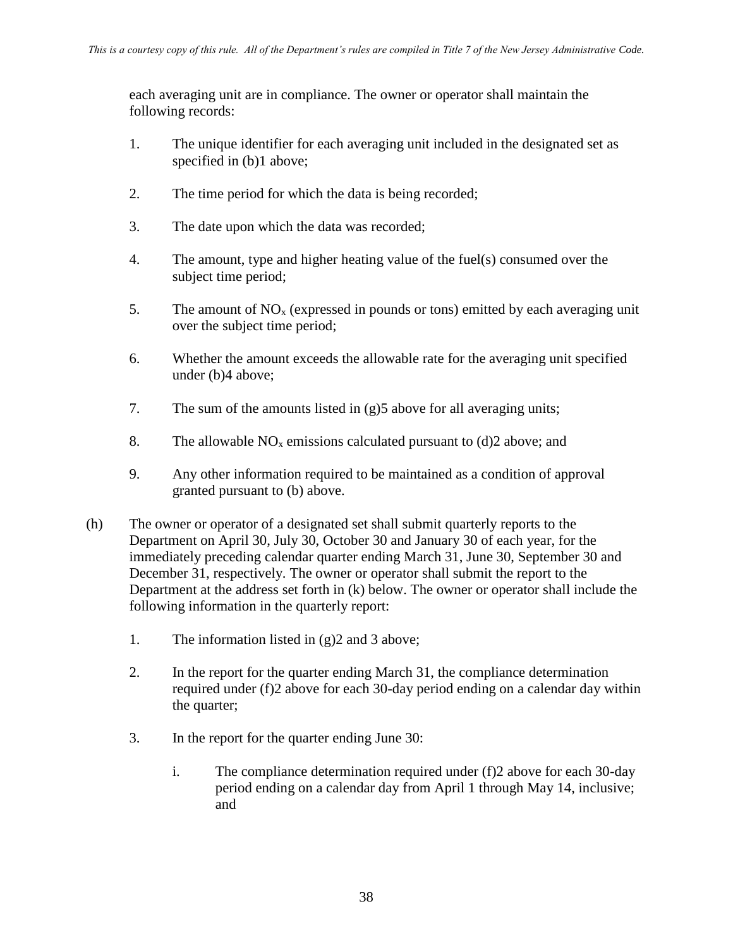each averaging unit are in compliance. The owner or operator shall maintain the following records:

- 1. The unique identifier for each averaging unit included in the designated set as specified in (b)1 above;
- 2. The time period for which the data is being recorded;
- 3. The date upon which the data was recorded;
- 4. The amount, type and higher heating value of the fuel(s) consumed over the subject time period;
- 5. The amount of  $NO<sub>x</sub>$  (expressed in pounds or tons) emitted by each averaging unit over the subject time period;
- 6. Whether the amount exceeds the allowable rate for the averaging unit specified under (b)4 above;
- 7. The sum of the amounts listed in (g)5 above for all averaging units;
- 8. The allowable  $NO<sub>x</sub>$  emissions calculated pursuant to (d)2 above; and
- 9. Any other information required to be maintained as a condition of approval granted pursuant to (b) above.
- (h) The owner or operator of a designated set shall submit quarterly reports to the Department on April 30, July 30, October 30 and January 30 of each year, for the immediately preceding calendar quarter ending March 31, June 30, September 30 and December 31, respectively. The owner or operator shall submit the report to the Department at the address set forth in (k) below. The owner or operator shall include the following information in the quarterly report:
	- 1. The information listed in (g)2 and 3 above;
	- 2. In the report for the quarter ending March 31, the compliance determination required under (f)2 above for each 30-day period ending on a calendar day within the quarter;
	- 3. In the report for the quarter ending June 30:
		- i. The compliance determination required under (f)2 above for each 30-day period ending on a calendar day from April 1 through May 14, inclusive; and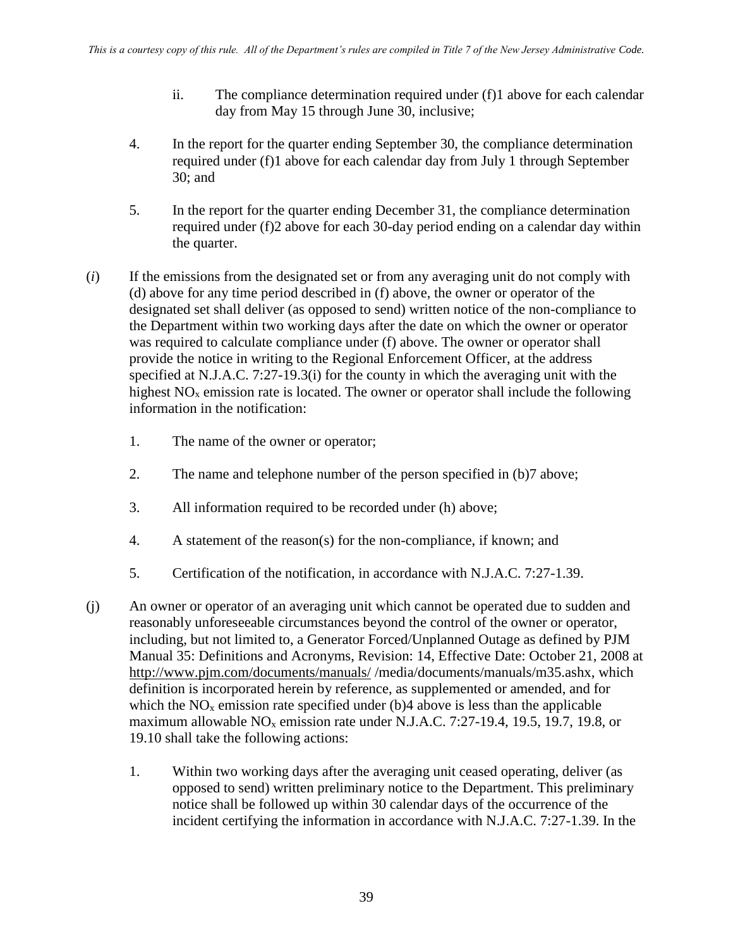- ii. The compliance determination required under (f)1 above for each calendar day from May 15 through June 30, inclusive;
- 4. In the report for the quarter ending September 30, the compliance determination required under (f)1 above for each calendar day from July 1 through September 30; and
- 5. In the report for the quarter ending December 31, the compliance determination required under (f)2 above for each 30-day period ending on a calendar day within the quarter.
- (*i*) If the emissions from the designated set or from any averaging unit do not comply with (d) above for any time period described in (f) above, the owner or operator of the designated set shall deliver (as opposed to send) written notice of the non-compliance to the Department within two working days after the date on which the owner or operator was required to calculate compliance under (f) above. The owner or operator shall provide the notice in writing to the Regional Enforcement Officer, at the address specified at N.J.A.C. 7:27-19.3(i) for the county in which the averaging unit with the highest  $NO<sub>x</sub>$  emission rate is located. The owner or operator shall include the following information in the notification:
	- 1. The name of the owner or operator;
	- 2. The name and telephone number of the person specified in (b)7 above;
	- 3. All information required to be recorded under (h) above;
	- 4. A statement of the reason(s) for the non-compliance, if known; and
	- 5. Certification of the notification, in accordance with N.J.A.C. 7:27-1.39.
- (j) An owner or operator of an averaging unit which cannot be operated due to sudden and reasonably unforeseeable circumstances beyond the control of the owner or operator, including, but not limited to, a Generator Forced/Unplanned Outage as defined by PJM Manual 35: Definitions and Acronyms, Revision: 14, Effective Date: October 21, 2008 at <http://www.pjm.com/documents/manuals/> /media/documents/manuals/m35.ashx, which definition is incorporated herein by reference, as supplemented or amended, and for which the  $NO<sub>x</sub>$  emission rate specified under (b)4 above is less than the applicable maximum allowable  $NO<sub>x</sub>$  emission rate under N.J.A.C. 7:27-19.4, 19.5, 19.7, 19.8, or 19.10 shall take the following actions:
	- 1. Within two working days after the averaging unit ceased operating, deliver (as opposed to send) written preliminary notice to the Department. This preliminary notice shall be followed up within 30 calendar days of the occurrence of the incident certifying the information in accordance with N.J.A.C. 7:27-1.39. In the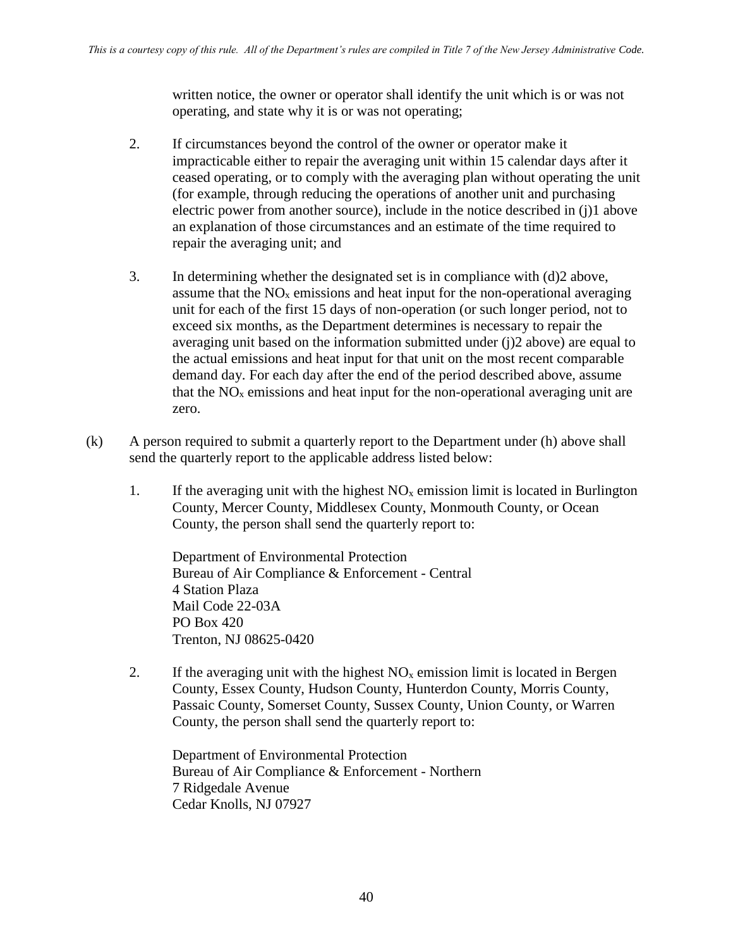written notice, the owner or operator shall identify the unit which is or was not operating, and state why it is or was not operating;

- 2. If circumstances beyond the control of the owner or operator make it impracticable either to repair the averaging unit within 15 calendar days after it ceased operating, or to comply with the averaging plan without operating the unit (for example, through reducing the operations of another unit and purchasing electric power from another source), include in the notice described in (j)1 above an explanation of those circumstances and an estimate of the time required to repair the averaging unit; and
- 3. In determining whether the designated set is in compliance with (d)2 above, assume that the  $NO<sub>x</sub>$  emissions and heat input for the non-operational averaging unit for each of the first 15 days of non-operation (or such longer period, not to exceed six months, as the Department determines is necessary to repair the averaging unit based on the information submitted under (j)2 above) are equal to the actual emissions and heat input for that unit on the most recent comparable demand day. For each day after the end of the period described above, assume that the  $NO<sub>x</sub>$  emissions and heat input for the non-operational averaging unit are zero.
- (k) A person required to submit a quarterly report to the Department under (h) above shall send the quarterly report to the applicable address listed below:
	- 1. If the averaging unit with the highest  $NO<sub>x</sub>$  emission limit is located in Burlington County, Mercer County, Middlesex County, Monmouth County, or Ocean County, the person shall send the quarterly report to:

Department of Environmental Protection Bureau of Air Compliance & Enforcement - Central 4 Station Plaza Mail Code 22-03A PO Box 420 Trenton, NJ 08625-0420

2. If the averaging unit with the highest  $NO<sub>x</sub>$  emission limit is located in Bergen County, Essex County, Hudson County, Hunterdon County, Morris County, Passaic County, Somerset County, Sussex County, Union County, or Warren County, the person shall send the quarterly report to:

Department of Environmental Protection Bureau of Air Compliance & Enforcement - Northern 7 Ridgedale Avenue Cedar Knolls, NJ 07927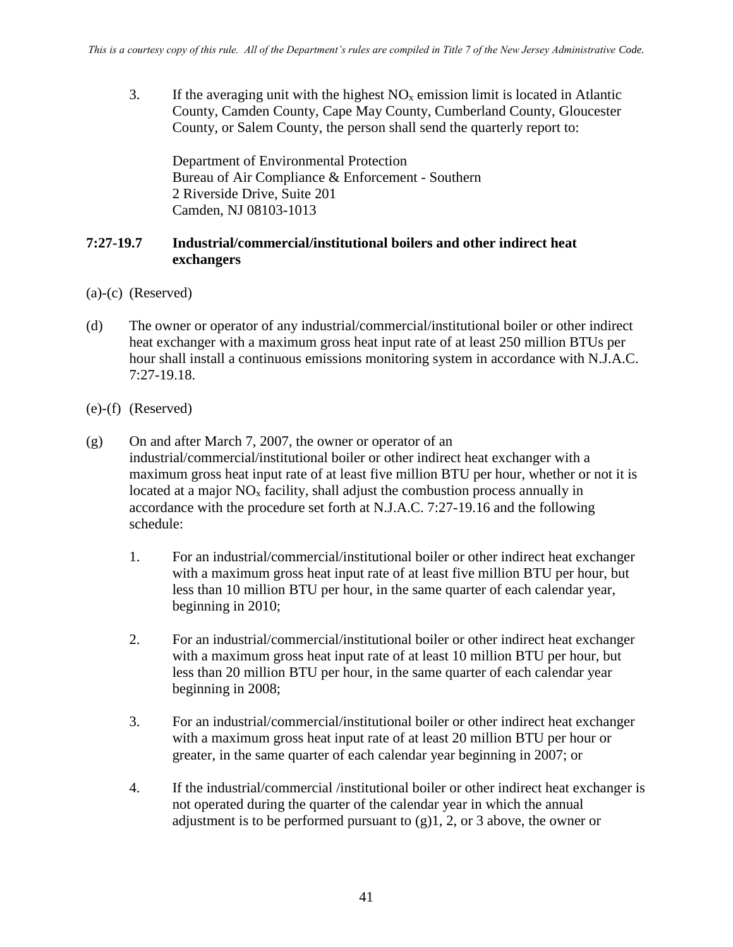3. If the averaging unit with the highest  $NO<sub>x</sub>$  emission limit is located in Atlantic County, Camden County, Cape May County, Cumberland County, Gloucester County, or Salem County, the person shall send the quarterly report to:

Department of Environmental Protection Bureau of Air Compliance & Enforcement - Southern 2 Riverside Drive, Suite 201 Camden, NJ 08103-1013

#### **7:27-19.7 Industrial/commercial/institutional boilers and other indirect heat exchangers**

- (a)-(c) (Reserved)
- (d) The owner or operator of any industrial/commercial/institutional boiler or other indirect heat exchanger with a maximum gross heat input rate of at least 250 million BTUs per hour shall install a continuous emissions monitoring system in accordance with N.J.A.C. 7:27-19.18.
- (e)-(f) (Reserved)
- (g) On and after March 7, 2007, the owner or operator of an industrial/commercial/institutional boiler or other indirect heat exchanger with a maximum gross heat input rate of at least five million BTU per hour, whether or not it is located at a major  $NO<sub>x</sub>$  facility, shall adjust the combustion process annually in accordance with the procedure set forth at N.J.A.C. 7:27-19.16 and the following schedule:
	- 1. For an industrial/commercial/institutional boiler or other indirect heat exchanger with a maximum gross heat input rate of at least five million BTU per hour, but less than 10 million BTU per hour, in the same quarter of each calendar year, beginning in 2010;
	- 2. For an industrial/commercial/institutional boiler or other indirect heat exchanger with a maximum gross heat input rate of at least 10 million BTU per hour, but less than 20 million BTU per hour, in the same quarter of each calendar year beginning in 2008;
	- 3. For an industrial/commercial/institutional boiler or other indirect heat exchanger with a maximum gross heat input rate of at least 20 million BTU per hour or greater, in the same quarter of each calendar year beginning in 2007; or
	- 4. If the industrial/commercial /institutional boiler or other indirect heat exchanger is not operated during the quarter of the calendar year in which the annual adjustment is to be performed pursuant to  $(g)1, 2,$  or 3 above, the owner or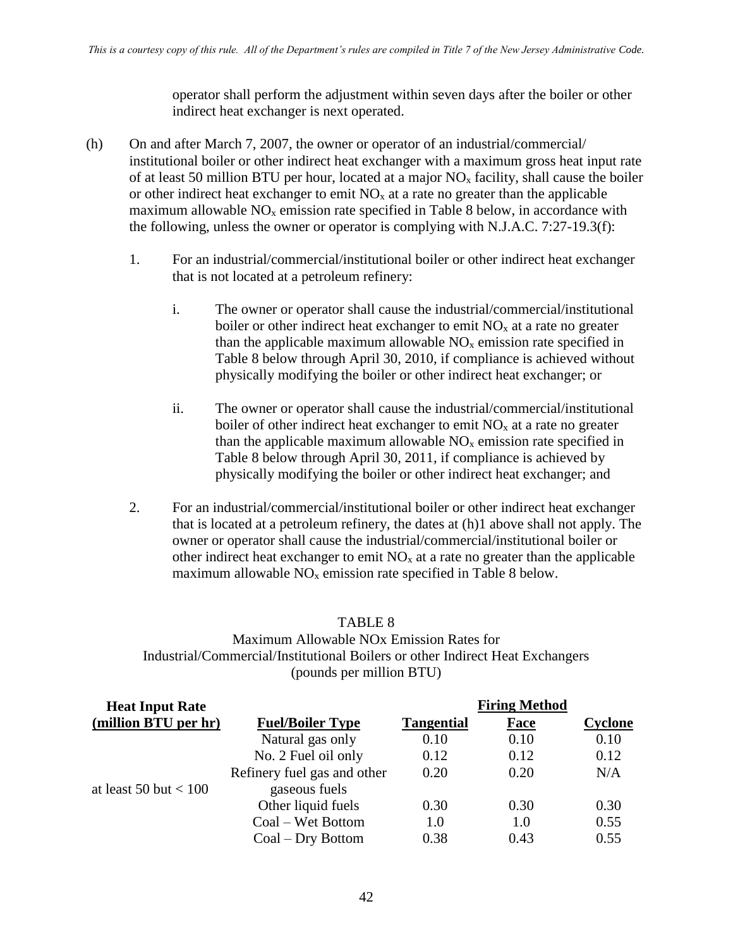operator shall perform the adjustment within seven days after the boiler or other indirect heat exchanger is next operated.

- (h) On and after March 7, 2007, the owner or operator of an industrial/commercial/ institutional boiler or other indirect heat exchanger with a maximum gross heat input rate of at least 50 million BTU per hour, located at a major  $NO<sub>x</sub>$  facility, shall cause the boiler or other indirect heat exchanger to emit  $NO<sub>x</sub>$  at a rate no greater than the applicable maximum allowable  $NO<sub>x</sub>$  emission rate specified in Table 8 below, in accordance with the following, unless the owner or operator is complying with N.J.A.C. 7:27-19.3(f):
	- 1. For an industrial/commercial/institutional boiler or other indirect heat exchanger that is not located at a petroleum refinery:
		- i. The owner or operator shall cause the industrial/commercial/institutional boiler or other indirect heat exchanger to emit  $NO<sub>x</sub>$  at a rate no greater than the applicable maximum allowable  $NO<sub>x</sub>$  emission rate specified in Table 8 below through April 30, 2010, if compliance is achieved without physically modifying the boiler or other indirect heat exchanger; or
		- ii. The owner or operator shall cause the industrial/commercial/institutional boiler of other indirect heat exchanger to emit  $NO<sub>x</sub>$  at a rate no greater than the applicable maximum allowable  $NO<sub>x</sub>$  emission rate specified in Table 8 below through April 30, 2011, if compliance is achieved by physically modifying the boiler or other indirect heat exchanger; and
	- 2. For an industrial/commercial/institutional boiler or other indirect heat exchanger that is located at a petroleum refinery, the dates at (h)1 above shall not apply. The owner or operator shall cause the industrial/commercial/institutional boiler or other indirect heat exchanger to emit  $NO<sub>x</sub>$  at a rate no greater than the applicable maximum allowable  $NO<sub>x</sub>$  emission rate specified in Table 8 below.

#### TABLE 8

# Maximum Allowable NOx Emission Rates for Industrial/Commercial/Institutional Boilers or other Indirect Heat Exchangers (pounds per million BTU)

| <b>Heat Input Rate</b>  |                             |                   | <b>Firing Method</b> |                |
|-------------------------|-----------------------------|-------------------|----------------------|----------------|
| (million BTU per hr)    | <b>Fuel/Boiler Type</b>     | <b>Tangential</b> | <b>Face</b>          | <b>Cyclone</b> |
|                         | Natural gas only            | 0.10              | 0.10                 | 0.10           |
|                         | No. 2 Fuel oil only         | 0.12              | 0.12                 | 0.12           |
|                         | Refinery fuel gas and other | 0.20              | 0.20                 | N/A            |
| at least 50 but $< 100$ | gaseous fuels               |                   |                      |                |
|                         | Other liquid fuels          | 0.30              | 0.30                 | 0.30           |
|                         | Coal – Wet Bottom           | 1.0               | 1.0                  | 0.55           |
|                         | Coal – Dry Bottom           | 0.38              | 0.43                 | 0.55           |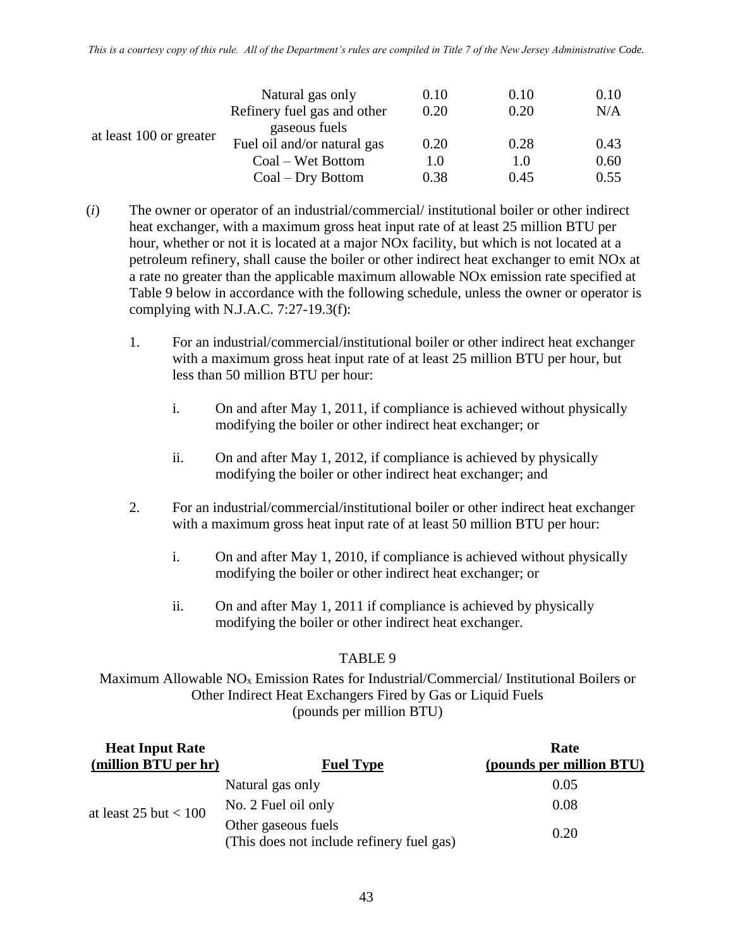*This is a courtesy copy of this rule. All of the Department's rules are compiled in Title 7 of the New Jersey Administrative Code.*

|                         | Natural gas only            | 0.10 | 0.10 | 0.10 |
|-------------------------|-----------------------------|------|------|------|
|                         | Refinery fuel gas and other | 0.20 | 0.20 | N/A  |
| at least 100 or greater | gaseous fuels               |      |      |      |
|                         | Fuel oil and/or natural gas | 0.20 | 0.28 | 0.43 |
|                         | Coal – Wet Bottom           | 1.0  | 1.0  | 0.60 |
|                         | Coal – Dry Bottom           | 0.38 | 0.45 | 0.55 |

- (*i*) The owner or operator of an industrial/commercial/ institutional boiler or other indirect heat exchanger, with a maximum gross heat input rate of at least 25 million BTU per hour, whether or not it is located at a major NOx facility, but which is not located at a petroleum refinery, shall cause the boiler or other indirect heat exchanger to emit NOx at a rate no greater than the applicable maximum allowable NOx emission rate specified at Table 9 below in accordance with the following schedule, unless the owner or operator is complying with N.J.A.C. 7:27-19.3(f):
	- 1. For an industrial/commercial/institutional boiler or other indirect heat exchanger with a maximum gross heat input rate of at least 25 million BTU per hour, but less than 50 million BTU per hour:
		- i. On and after May 1, 2011, if compliance is achieved without physically modifying the boiler or other indirect heat exchanger; or
		- ii. On and after May 1, 2012, if compliance is achieved by physically modifying the boiler or other indirect heat exchanger; and
	- 2. For an industrial/commercial/institutional boiler or other indirect heat exchanger with a maximum gross heat input rate of at least 50 million BTU per hour:
		- i. On and after May 1, 2010, if compliance is achieved without physically modifying the boiler or other indirect heat exchanger; or
		- ii. On and after May 1, 2011 if compliance is achieved by physically modifying the boiler or other indirect heat exchanger.

#### TABLE 9

Maximum Allowable NO<sub>x</sub> Emission Rates for Industrial/Commercial/ Institutional Boilers or Other Indirect Heat Exchangers Fired by Gas or Liquid Fuels (pounds per million BTU)

| <b>Heat Input Rate</b>    |                                                                  | Rate                     |
|---------------------------|------------------------------------------------------------------|--------------------------|
| (million BTU per hr)      | <b>Fuel Type</b>                                                 | (pounds per million BTU) |
| at least $25$ but $< 100$ | Natural gas only                                                 | 0.05                     |
|                           | No. 2 Fuel oil only                                              | 0.08                     |
|                           | Other gaseous fuels<br>(This does not include refinery fuel gas) | 0.20                     |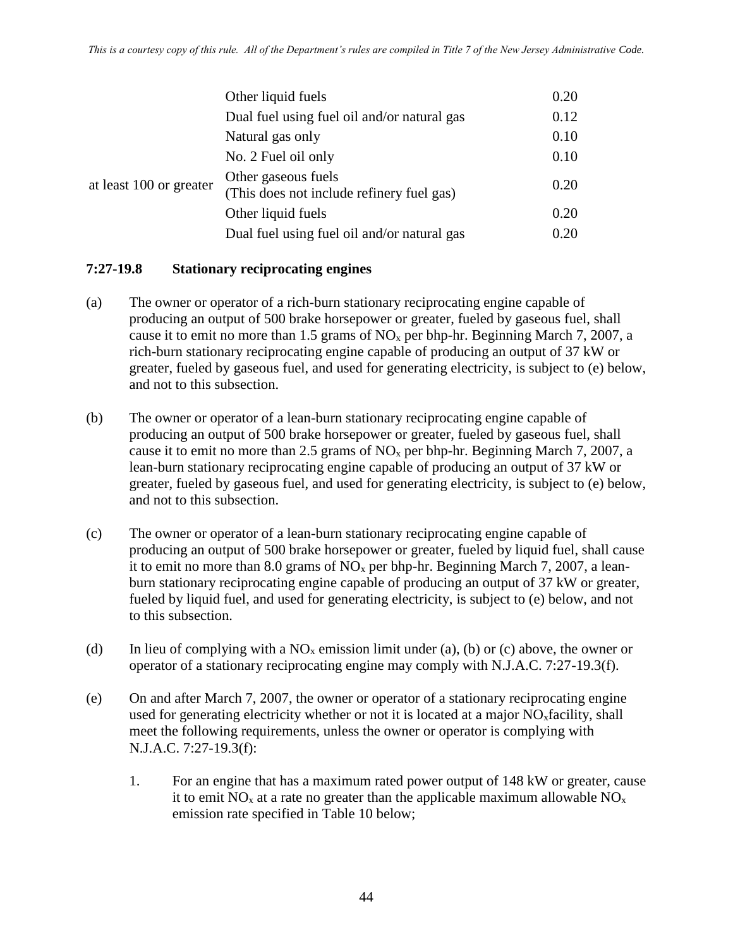|                         | Other liquid fuels                                               | 0.20 |
|-------------------------|------------------------------------------------------------------|------|
|                         | Dual fuel using fuel oil and/or natural gas                      | 0.12 |
| at least 100 or greater | Natural gas only                                                 | 0.10 |
|                         | No. 2 Fuel oil only                                              | 0.10 |
|                         | Other gaseous fuels<br>(This does not include refinery fuel gas) | 0.20 |
|                         | Other liquid fuels                                               | 0.20 |
|                         | Dual fuel using fuel oil and/or natural gas                      | 0.20 |

#### **7:27-19.8 Stationary reciprocating engines**

- (a) The owner or operator of a rich-burn stationary reciprocating engine capable of producing an output of 500 brake horsepower or greater, fueled by gaseous fuel, shall cause it to emit no more than 1.5 grams of  $NO<sub>x</sub>$  per bhp-hr. Beginning March 7, 2007, a rich-burn stationary reciprocating engine capable of producing an output of 37 kW or greater, fueled by gaseous fuel, and used for generating electricity, is subject to (e) below, and not to this subsection.
- (b) The owner or operator of a lean-burn stationary reciprocating engine capable of producing an output of 500 brake horsepower or greater, fueled by gaseous fuel, shall cause it to emit no more than 2.5 grams of  $NO<sub>x</sub>$  per bhp-hr. Beginning March 7, 2007, a lean-burn stationary reciprocating engine capable of producing an output of 37 kW or greater, fueled by gaseous fuel, and used for generating electricity, is subject to (e) below, and not to this subsection.
- (c) The owner or operator of a lean-burn stationary reciprocating engine capable of producing an output of 500 brake horsepower or greater, fueled by liquid fuel, shall cause it to emit no more than 8.0 grams of  $NO<sub>x</sub>$  per bhp-hr. Beginning March 7, 2007, a leanburn stationary reciprocating engine capable of producing an output of 37 kW or greater, fueled by liquid fuel, and used for generating electricity, is subject to (e) below, and not to this subsection.
- (d) In lieu of complying with a  $NO<sub>x</sub>$  emission limit under (a), (b) or (c) above, the owner or operator of a stationary reciprocating engine may comply with N.J.A.C. 7:27-19.3(f).
- (e) On and after March 7, 2007, the owner or operator of a stationary reciprocating engine used for generating electricity whether or not it is located at a major  $NO<sub>x</sub>$  facility, shall meet the following requirements, unless the owner or operator is complying with N.J.A.C. 7:27-19.3(f):
	- 1. For an engine that has a maximum rated power output of 148 kW or greater, cause it to emit  $NO<sub>x</sub>$  at a rate no greater than the applicable maximum allowable  $NO<sub>x</sub>$ emission rate specified in Table 10 below;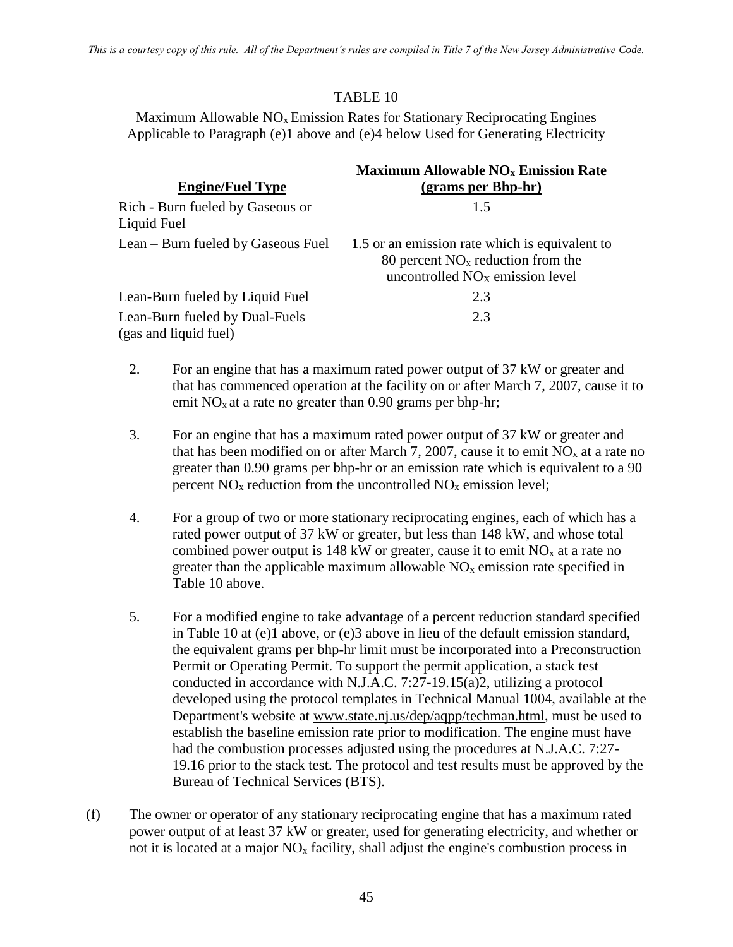# TABLE 10

Maximum Allowable  $NO<sub>x</sub>$  Emission Rates for Stationary Reciprocating Engines Applicable to Paragraph (e)1 above and (e)4 below Used for Generating Electricity

| <b>Engine/Fuel Type</b>                                 | <b>Maximum Allowable NO<sub>x</sub> Emission Rate</b><br>(grams per Bhp-hr)                                                          |
|---------------------------------------------------------|--------------------------------------------------------------------------------------------------------------------------------------|
| Rich - Burn fueled by Gaseous or<br>Liquid Fuel         | 1.5                                                                                                                                  |
| Lean – Burn fueled by Gaseous Fuel                      | 1.5 or an emission rate which is equivalent to<br>80 percent $NOx$ reduction from the<br>uncontrolled NO <sub>X</sub> emission level |
| Lean-Burn fueled by Liquid Fuel                         | 2.3                                                                                                                                  |
| Lean-Burn fueled by Dual-Fuels<br>(gas and liquid fuel) | 2.3                                                                                                                                  |

- 2. For an engine that has a maximum rated power output of 37 kW or greater and that has commenced operation at the facility on or after March 7, 2007, cause it to emit  $NO<sub>x</sub>$  at a rate no greater than 0.90 grams per bhp-hr;
- 3. For an engine that has a maximum rated power output of 37 kW or greater and that has been modified on or after March 7, 2007, cause it to emit  $NO<sub>x</sub>$  at a rate no greater than 0.90 grams per bhp-hr or an emission rate which is equivalent to a 90 percent  $NO<sub>x</sub>$  reduction from the uncontrolled  $NO<sub>x</sub>$  emission level;
- 4. For a group of two or more stationary reciprocating engines, each of which has a rated power output of 37 kW or greater, but less than 148 kW, and whose total combined power output is 148 kW or greater, cause it to emit  $NO<sub>x</sub>$  at a rate no greater than the applicable maximum allowable  $NO<sub>x</sub>$  emission rate specified in Table 10 above.
- 5. For a modified engine to take advantage of a percent reduction standard specified in Table 10 at (e)1 above, or (e)3 above in lieu of the default emission standard, the equivalent grams per bhp-hr limit must be incorporated into a Preconstruction Permit or Operating Permit. To support the permit application, a stack test conducted in accordance with N.J.A.C. 7:27-19.15(a)2, utilizing a protocol developed using the protocol templates in Technical Manual 1004, available at the Department's website at [www.state.nj.us/dep/aqpp/techman.html,](http://www.state.nj.us/dep/aqpp/techman.html) must be used to establish the baseline emission rate prior to modification. The engine must have had the combustion processes adjusted using the procedures at N.J.A.C. 7:27- 19.16 prior to the stack test. The protocol and test results must be approved by the Bureau of Technical Services (BTS).
- (f) The owner or operator of any stationary reciprocating engine that has a maximum rated power output of at least 37 kW or greater, used for generating electricity, and whether or not it is located at a major  $NO<sub>x</sub>$  facility, shall adjust the engine's combustion process in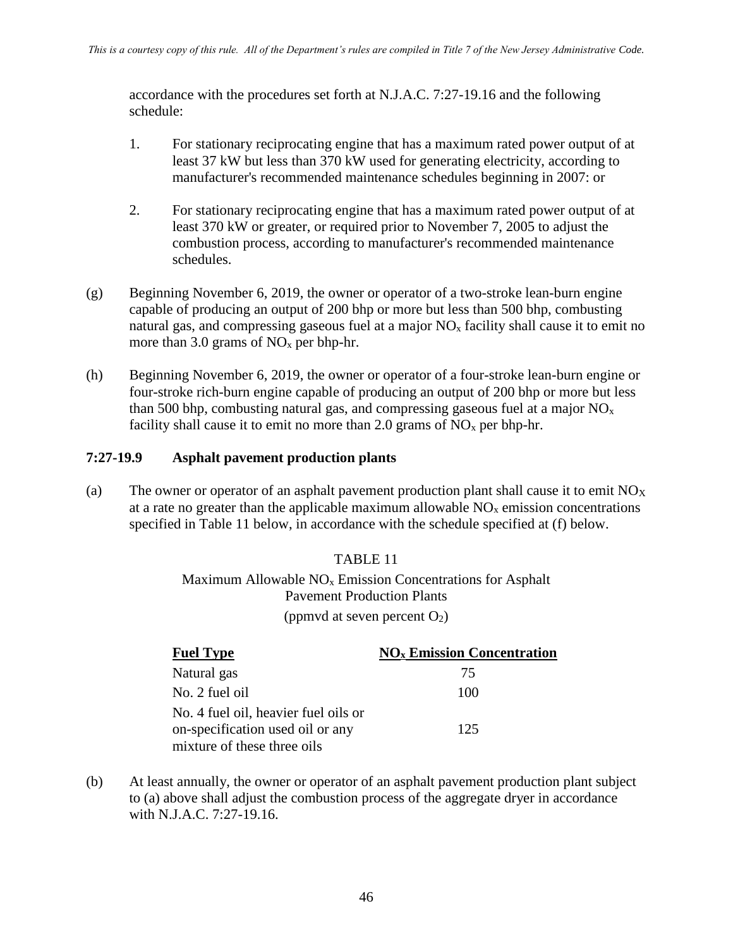accordance with the procedures set forth at N.J.A.C. 7:27-19.16 and the following schedule:

- 1. For stationary reciprocating engine that has a maximum rated power output of at least 37 kW but less than 370 kW used for generating electricity, according to manufacturer's recommended maintenance schedules beginning in 2007: or
- 2. For stationary reciprocating engine that has a maximum rated power output of at least 370 kW or greater, or required prior to November 7, 2005 to adjust the combustion process, according to manufacturer's recommended maintenance schedules.
- (g) Beginning November 6, 2019, the owner or operator of a two-stroke lean-burn engine capable of producing an output of 200 bhp or more but less than 500 bhp, combusting natural gas, and compressing gaseous fuel at a major  $NO<sub>x</sub>$  facility shall cause it to emit no more than 3.0 grams of  $NO<sub>x</sub>$  per bhp-hr.
- (h) Beginning November 6, 2019, the owner or operator of a four-stroke lean-burn engine or four-stroke rich-burn engine capable of producing an output of 200 bhp or more but less than 500 bhp, combusting natural gas, and compressing gaseous fuel at a major  $NO<sub>x</sub>$ facility shall cause it to emit no more than 2.0 grams of  $NO<sub>x</sub>$  per bhp-hr.

# **7:27-19.9 Asphalt pavement production plants**

(a) The owner or operator of an asphalt pavement production plant shall cause it to emit  $NO<sub>X</sub>$ at a rate no greater than the applicable maximum allowable  $NO<sub>x</sub>$  emission concentrations specified in Table 11 below, in accordance with the schedule specified at (f) below.

# TABLE 11 Maximum Allowable  $NO<sub>x</sub>$  Emission Concentrations for Asphalt Pavement Production Plants (ppmvd at seven percent  $O_2$ )

| <b>Fuel Type</b>                                                         | <b>NO<sub>x</sub></b> Emission Concentration |
|--------------------------------------------------------------------------|----------------------------------------------|
| Natural gas                                                              | 75                                           |
| No. 2 fuel oil                                                           | 100                                          |
| No. 4 fuel oil, heavier fuel oils or<br>on-specification used oil or any | 125                                          |
| mixture of these three oils                                              |                                              |

(b) At least annually, the owner or operator of an asphalt pavement production plant subject to (a) above shall adjust the combustion process of the aggregate dryer in accordance with N.J.A.C. 7:27-19.16.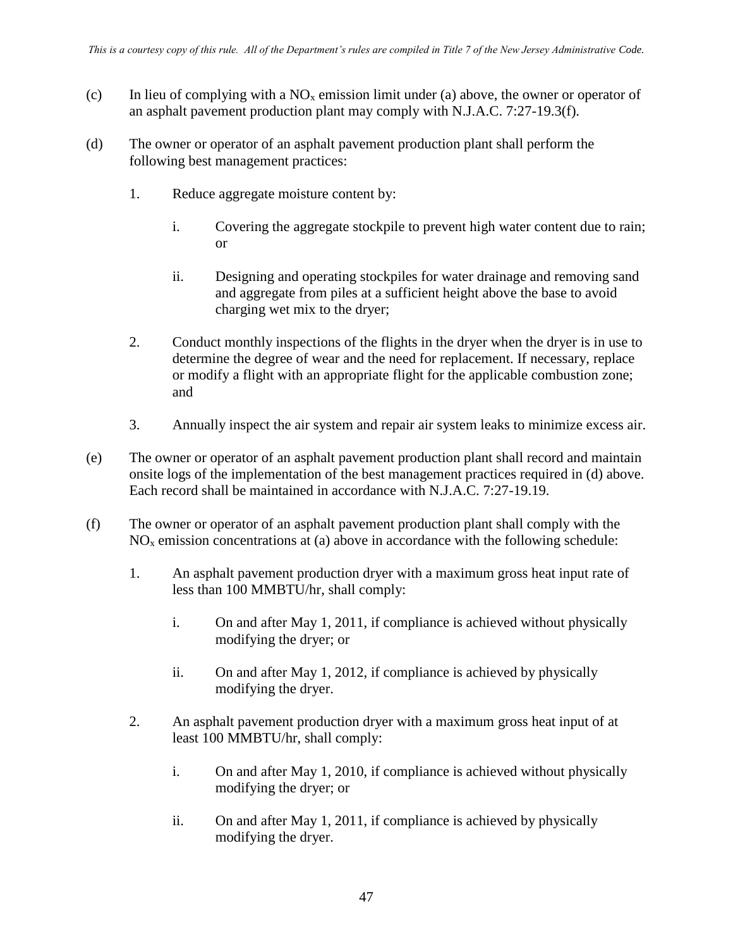- (c) In lieu of complying with a  $NO<sub>x</sub>$  emission limit under (a) above, the owner or operator of an asphalt pavement production plant may comply with N.J.A.C. 7:27-19.3(f).
- (d) The owner or operator of an asphalt pavement production plant shall perform the following best management practices:
	- 1. Reduce aggregate moisture content by:
		- i. Covering the aggregate stockpile to prevent high water content due to rain; or
		- ii. Designing and operating stockpiles for water drainage and removing sand and aggregate from piles at a sufficient height above the base to avoid charging wet mix to the dryer;
	- 2. Conduct monthly inspections of the flights in the dryer when the dryer is in use to determine the degree of wear and the need for replacement. If necessary, replace or modify a flight with an appropriate flight for the applicable combustion zone; and
	- 3. Annually inspect the air system and repair air system leaks to minimize excess air.
- (e) The owner or operator of an asphalt pavement production plant shall record and maintain onsite logs of the implementation of the best management practices required in (d) above. Each record shall be maintained in accordance with N.J.A.C. 7:27-19.19.
- (f) The owner or operator of an asphalt pavement production plant shall comply with the  $NO<sub>x</sub>$  emission concentrations at (a) above in accordance with the following schedule:
	- 1. An asphalt pavement production dryer with a maximum gross heat input rate of less than 100 MMBTU/hr, shall comply:
		- i. On and after May 1, 2011, if compliance is achieved without physically modifying the dryer; or
		- ii. On and after May 1, 2012, if compliance is achieved by physically modifying the dryer.
	- 2. An asphalt pavement production dryer with a maximum gross heat input of at least 100 MMBTU/hr, shall comply:
		- i. On and after May 1, 2010, if compliance is achieved without physically modifying the dryer; or
		- ii. On and after May 1, 2011, if compliance is achieved by physically modifying the dryer.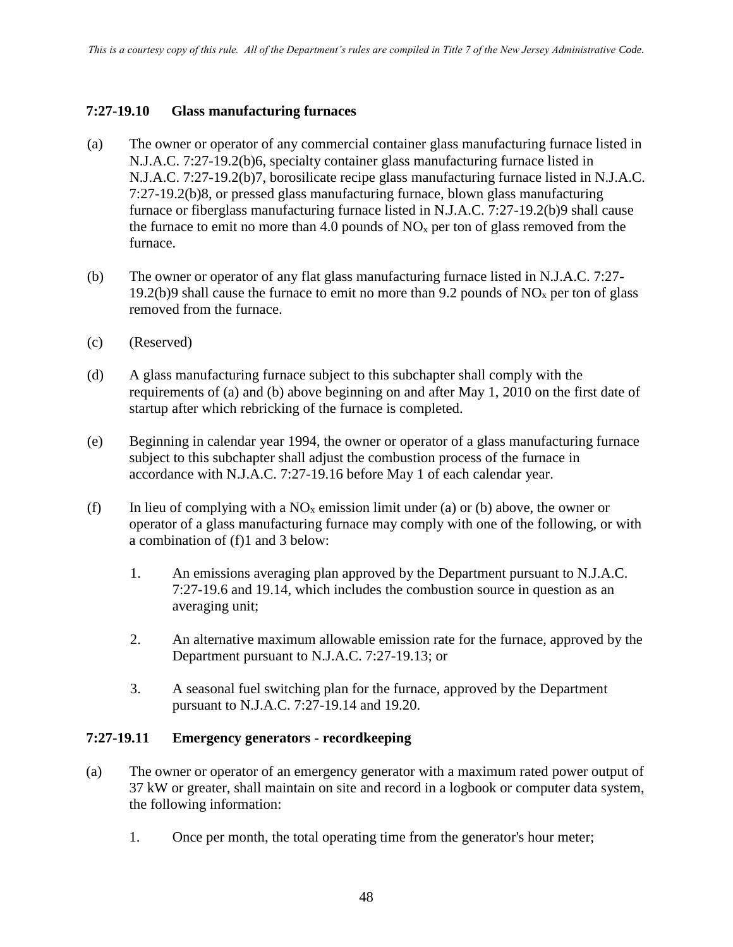# **7:27-19.10 Glass manufacturing furnaces**

- (a) The owner or operator of any commercial container glass manufacturing furnace listed in N.J.A.C. 7:27-19.2(b)6, specialty container glass manufacturing furnace listed in N.J.A.C. 7:27-19.2(b)7, borosilicate recipe glass manufacturing furnace listed in N.J.A.C. 7:27-19.2(b)8, or pressed glass manufacturing furnace, blown glass manufacturing furnace or fiberglass manufacturing furnace listed in N.J.A.C. 7:27-19.2(b)9 shall cause the furnace to emit no more than 4.0 pounds of  $NO<sub>x</sub>$  per ton of glass removed from the furnace.
- (b) The owner or operator of any flat glass manufacturing furnace listed in N.J.A.C. 7:27- 19.2(b)9 shall cause the furnace to emit no more than 9.2 pounds of  $NO<sub>x</sub>$  per ton of glass removed from the furnace.
- (c) (Reserved)
- (d) A glass manufacturing furnace subject to this subchapter shall comply with the requirements of (a) and (b) above beginning on and after May 1, 2010 on the first date of startup after which rebricking of the furnace is completed.
- (e) Beginning in calendar year 1994, the owner or operator of a glass manufacturing furnace subject to this subchapter shall adjust the combustion process of the furnace in accordance with N.J.A.C. 7:27-19.16 before May 1 of each calendar year.
- (f) In lieu of complying with a  $NO<sub>x</sub>$  emission limit under (a) or (b) above, the owner or operator of a glass manufacturing furnace may comply with one of the following, or with a combination of (f)1 and 3 below:
	- 1. An emissions averaging plan approved by the Department pursuant to N.J.A.C. 7:27-19.6 and 19.14, which includes the combustion source in question as an averaging unit;
	- 2. An alternative maximum allowable emission rate for the furnace, approved by the Department pursuant to N.J.A.C. 7:27-19.13; or
	- 3. A seasonal fuel switching plan for the furnace, approved by the Department pursuant to N.J.A.C. 7:27-19.14 and 19.20.

## **7:27-19.11 Emergency generators - recordkeeping**

- (a) The owner or operator of an emergency generator with a maximum rated power output of 37 kW or greater, shall maintain on site and record in a logbook or computer data system, the following information:
	- 1. Once per month, the total operating time from the generator's hour meter;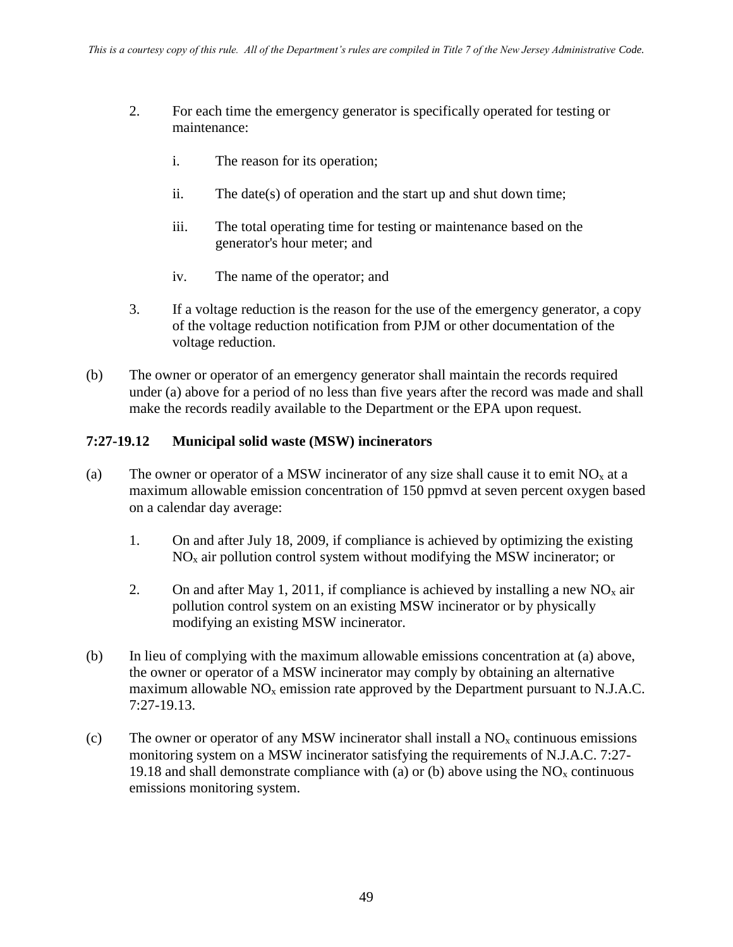- 2. For each time the emergency generator is specifically operated for testing or maintenance:
	- i. The reason for its operation;
	- ii. The date(s) of operation and the start up and shut down time;
	- iii. The total operating time for testing or maintenance based on the generator's hour meter; and
	- iv. The name of the operator; and
- 3. If a voltage reduction is the reason for the use of the emergency generator, a copy of the voltage reduction notification from PJM or other documentation of the voltage reduction.
- (b) The owner or operator of an emergency generator shall maintain the records required under (a) above for a period of no less than five years after the record was made and shall make the records readily available to the Department or the EPA upon request.

# **7:27-19.12 Municipal solid waste (MSW) incinerators**

- (a) The owner or operator of a MSW incinerator of any size shall cause it to emit  $NO<sub>x</sub>$  at a maximum allowable emission concentration of 150 ppmvd at seven percent oxygen based on a calendar day average:
	- 1. On and after July 18, 2009, if compliance is achieved by optimizing the existing  $NO<sub>x</sub>$  air pollution control system without modifying the MSW incinerator; or
	- 2. On and after May 1, 2011, if compliance is achieved by installing a new  $NO<sub>x</sub>$  air pollution control system on an existing MSW incinerator or by physically modifying an existing MSW incinerator.
- (b) In lieu of complying with the maximum allowable emissions concentration at (a) above, the owner or operator of a MSW incinerator may comply by obtaining an alternative maximum allowable  $NO<sub>x</sub>$  emission rate approved by the Department pursuant to N.J.A.C. 7:27-19.13.
- (c) The owner or operator of any MSW incinerator shall install a  $NO<sub>x</sub>$  continuous emissions monitoring system on a MSW incinerator satisfying the requirements of N.J.A.C. 7:27- 19.18 and shall demonstrate compliance with (a) or (b) above using the  $NO<sub>x</sub>$  continuous emissions monitoring system.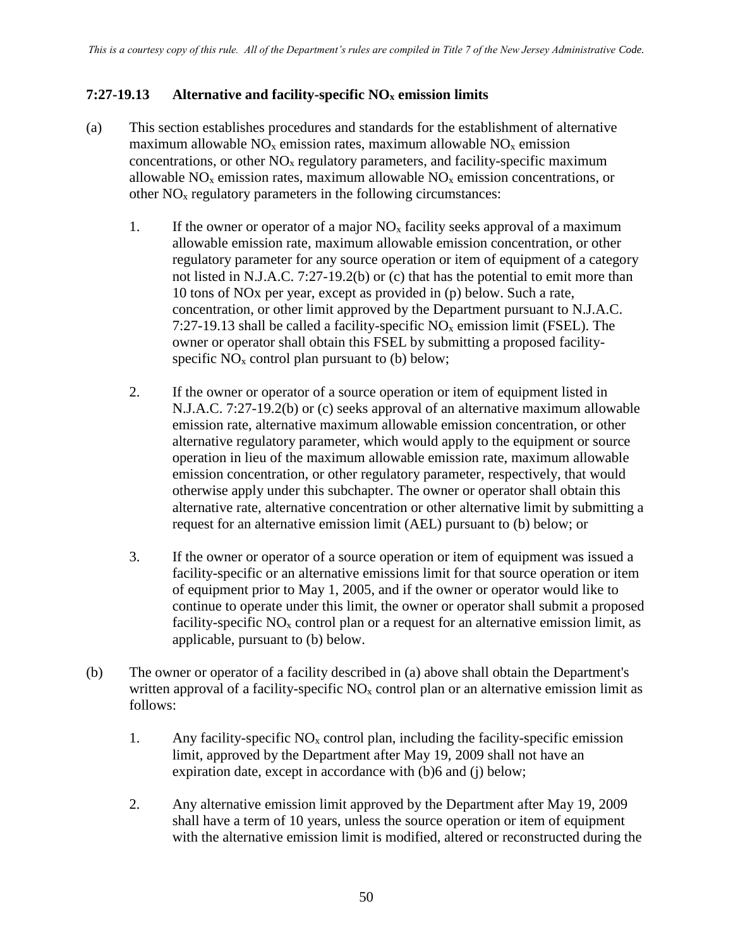# **7:27-19.13 Alternative and facility-specific NO<sup>x</sup> emission limits**

- (a) This section establishes procedures and standards for the establishment of alternative maximum allowable  $NO<sub>x</sub>$  emission rates, maximum allowable  $NO<sub>x</sub>$  emission concentrations, or other  $NO<sub>x</sub>$  regulatory parameters, and facility-specific maximum allowable  $NO<sub>x</sub>$  emission rates, maximum allowable  $NO<sub>x</sub>$  emission concentrations, or other  $NO<sub>x</sub>$  regulatory parameters in the following circumstances:
	- 1. If the owner or operator of a major  $NO<sub>x</sub>$  facility seeks approval of a maximum allowable emission rate, maximum allowable emission concentration, or other regulatory parameter for any source operation or item of equipment of a category not listed in N.J.A.C. 7:27-19.2(b) or (c) that has the potential to emit more than 10 tons of NOx per year, except as provided in (p) below. Such a rate, concentration, or other limit approved by the Department pursuant to N.J.A.C. 7:27-19.13 shall be called a facility-specific  $NO<sub>x</sub>$  emission limit (FSEL). The owner or operator shall obtain this FSEL by submitting a proposed facilityspecific  $NO<sub>x</sub>$  control plan pursuant to (b) below;
	- 2. If the owner or operator of a source operation or item of equipment listed in N.J.A.C. 7:27-19.2(b) or (c) seeks approval of an alternative maximum allowable emission rate, alternative maximum allowable emission concentration, or other alternative regulatory parameter, which would apply to the equipment or source operation in lieu of the maximum allowable emission rate, maximum allowable emission concentration, or other regulatory parameter, respectively, that would otherwise apply under this subchapter. The owner or operator shall obtain this alternative rate, alternative concentration or other alternative limit by submitting a request for an alternative emission limit (AEL) pursuant to (b) below; or
	- 3. If the owner or operator of a source operation or item of equipment was issued a facility-specific or an alternative emissions limit for that source operation or item of equipment prior to May 1, 2005, and if the owner or operator would like to continue to operate under this limit, the owner or operator shall submit a proposed facility-specific  $NO<sub>x</sub>$  control plan or a request for an alternative emission limit, as applicable, pursuant to (b) below.
- (b) The owner or operator of a facility described in (a) above shall obtain the Department's written approval of a facility-specific  $NO<sub>x</sub>$  control plan or an alternative emission limit as follows:
	- 1. Any facility-specific  $NO<sub>x</sub>$  control plan, including the facility-specific emission limit, approved by the Department after May 19, 2009 shall not have an expiration date, except in accordance with (b)6 and (j) below;
	- 2. Any alternative emission limit approved by the Department after May 19, 2009 shall have a term of 10 years, unless the source operation or item of equipment with the alternative emission limit is modified, altered or reconstructed during the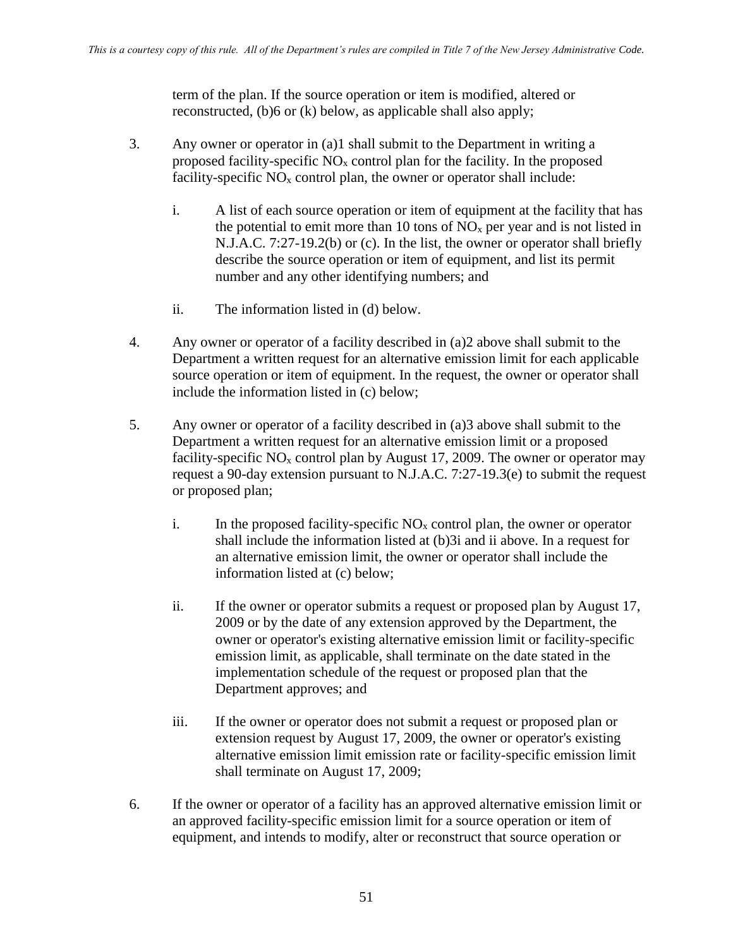term of the plan. If the source operation or item is modified, altered or reconstructed, (b)6 or (k) below, as applicable shall also apply;

- 3. Any owner or operator in (a)1 shall submit to the Department in writing a proposed facility-specific  $NO<sub>x</sub>$  control plan for the facility. In the proposed facility-specific  $NO<sub>x</sub>$  control plan, the owner or operator shall include:
	- i. A list of each source operation or item of equipment at the facility that has the potential to emit more than 10 tons of  $NO<sub>x</sub>$  per year and is not listed in N.J.A.C. 7:27-19.2(b) or (c). In the list, the owner or operator shall briefly describe the source operation or item of equipment, and list its permit number and any other identifying numbers; and
	- ii. The information listed in (d) below.
- 4. Any owner or operator of a facility described in (a)2 above shall submit to the Department a written request for an alternative emission limit for each applicable source operation or item of equipment. In the request, the owner or operator shall include the information listed in (c) below;
- 5. Any owner or operator of a facility described in (a)3 above shall submit to the Department a written request for an alternative emission limit or a proposed facility-specific  $NO<sub>x</sub>$  control plan by August 17, 2009. The owner or operator may request a 90-day extension pursuant to N.J.A.C. 7:27-19.3(e) to submit the request or proposed plan;
	- i. In the proposed facility-specific  $NO<sub>x</sub>$  control plan, the owner or operator shall include the information listed at (b)3i and ii above. In a request for an alternative emission limit, the owner or operator shall include the information listed at (c) below;
	- ii. If the owner or operator submits a request or proposed plan by August 17, 2009 or by the date of any extension approved by the Department, the owner or operator's existing alternative emission limit or facility-specific emission limit, as applicable, shall terminate on the date stated in the implementation schedule of the request or proposed plan that the Department approves; and
	- iii. If the owner or operator does not submit a request or proposed plan or extension request by August 17, 2009, the owner or operator's existing alternative emission limit emission rate or facility-specific emission limit shall terminate on August 17, 2009;
- 6. If the owner or operator of a facility has an approved alternative emission limit or an approved facility-specific emission limit for a source operation or item of equipment, and intends to modify, alter or reconstruct that source operation or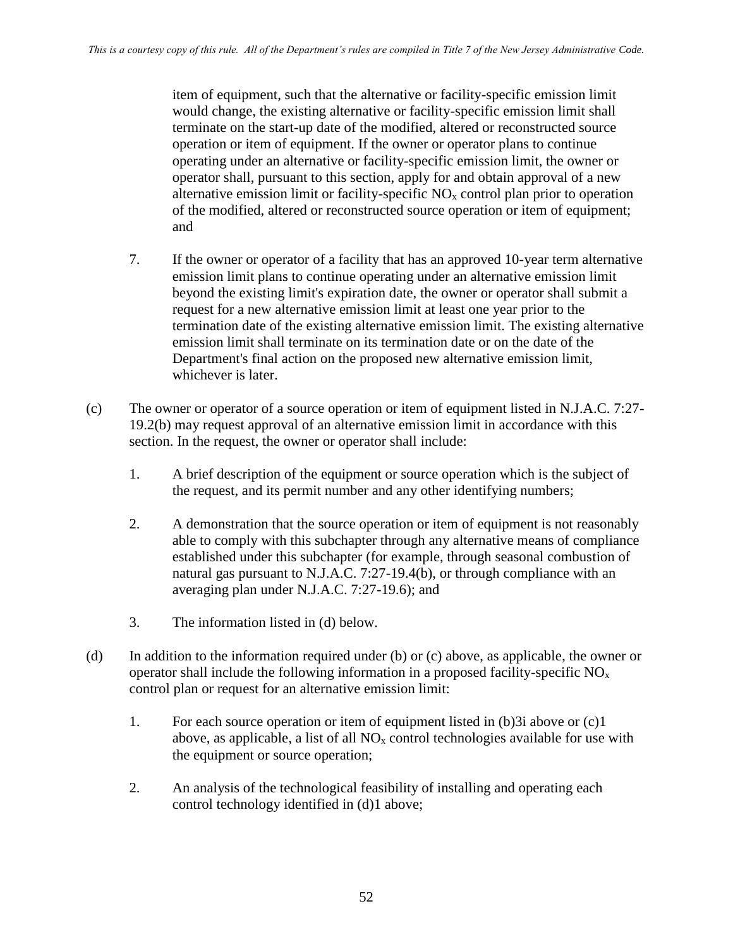item of equipment, such that the alternative or facility-specific emission limit would change, the existing alternative or facility-specific emission limit shall terminate on the start-up date of the modified, altered or reconstructed source operation or item of equipment. If the owner or operator plans to continue operating under an alternative or facility-specific emission limit, the owner or operator shall, pursuant to this section, apply for and obtain approval of a new alternative emission limit or facility-specific  $NO<sub>x</sub>$  control plan prior to operation of the modified, altered or reconstructed source operation or item of equipment; and

- 7. If the owner or operator of a facility that has an approved 10-year term alternative emission limit plans to continue operating under an alternative emission limit beyond the existing limit's expiration date, the owner or operator shall submit a request for a new alternative emission limit at least one year prior to the termination date of the existing alternative emission limit. The existing alternative emission limit shall terminate on its termination date or on the date of the Department's final action on the proposed new alternative emission limit, whichever is later.
- (c) The owner or operator of a source operation or item of equipment listed in N.J.A.C. 7:27- 19.2(b) may request approval of an alternative emission limit in accordance with this section. In the request, the owner or operator shall include:
	- 1. A brief description of the equipment or source operation which is the subject of the request, and its permit number and any other identifying numbers;
	- 2. A demonstration that the source operation or item of equipment is not reasonably able to comply with this subchapter through any alternative means of compliance established under this subchapter (for example, through seasonal combustion of natural gas pursuant to N.J.A.C. 7:27-19.4(b), or through compliance with an averaging plan under N.J.A.C. 7:27-19.6); and
	- 3. The information listed in (d) below.
- (d) In addition to the information required under (b) or (c) above, as applicable, the owner or operator shall include the following information in a proposed facility-specific  $NO<sub>x</sub>$ control plan or request for an alternative emission limit:
	- 1. For each source operation or item of equipment listed in (b)3i above or (c)1 above, as applicable, a list of all  $NO<sub>x</sub>$  control technologies available for use with the equipment or source operation;
	- 2. An analysis of the technological feasibility of installing and operating each control technology identified in (d)1 above;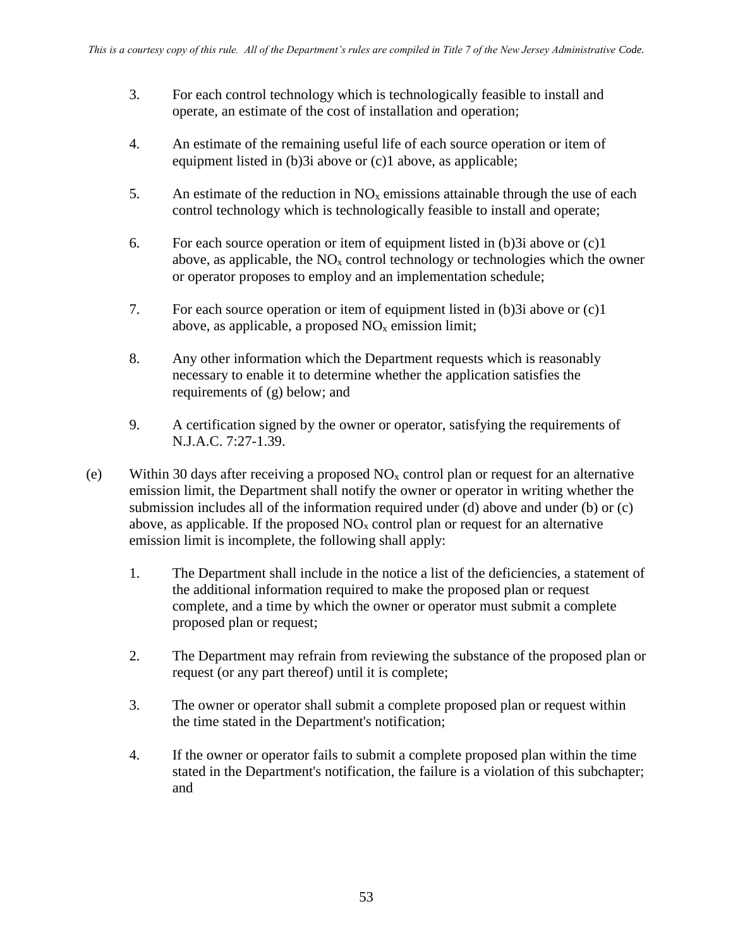- 3. For each control technology which is technologically feasible to install and operate, an estimate of the cost of installation and operation;
- 4. An estimate of the remaining useful life of each source operation or item of equipment listed in (b)3i above or (c)1 above, as applicable;
- 5. An estimate of the reduction in  $NO<sub>x</sub>$  emissions attainable through the use of each control technology which is technologically feasible to install and operate;
- 6. For each source operation or item of equipment listed in (b)3i above or (c)1 above, as applicable, the  $NO<sub>x</sub>$  control technology or technologies which the owner or operator proposes to employ and an implementation schedule;
- 7. For each source operation or item of equipment listed in (b)3i above or (c)1 above, as applicable, a proposed  $NO<sub>x</sub>$  emission limit;
- 8. Any other information which the Department requests which is reasonably necessary to enable it to determine whether the application satisfies the requirements of (g) below; and
- 9. A certification signed by the owner or operator, satisfying the requirements of N.J.A.C. 7:27-1.39.
- (e) Within 30 days after receiving a proposed  $NO<sub>x</sub>$  control plan or request for an alternative emission limit, the Department shall notify the owner or operator in writing whether the submission includes all of the information required under (d) above and under (b) or (c) above, as applicable. If the proposed  $NO<sub>x</sub>$  control plan or request for an alternative emission limit is incomplete, the following shall apply:
	- 1. The Department shall include in the notice a list of the deficiencies, a statement of the additional information required to make the proposed plan or request complete, and a time by which the owner or operator must submit a complete proposed plan or request;
	- 2. The Department may refrain from reviewing the substance of the proposed plan or request (or any part thereof) until it is complete;
	- 3. The owner or operator shall submit a complete proposed plan or request within the time stated in the Department's notification;
	- 4. If the owner or operator fails to submit a complete proposed plan within the time stated in the Department's notification, the failure is a violation of this subchapter; and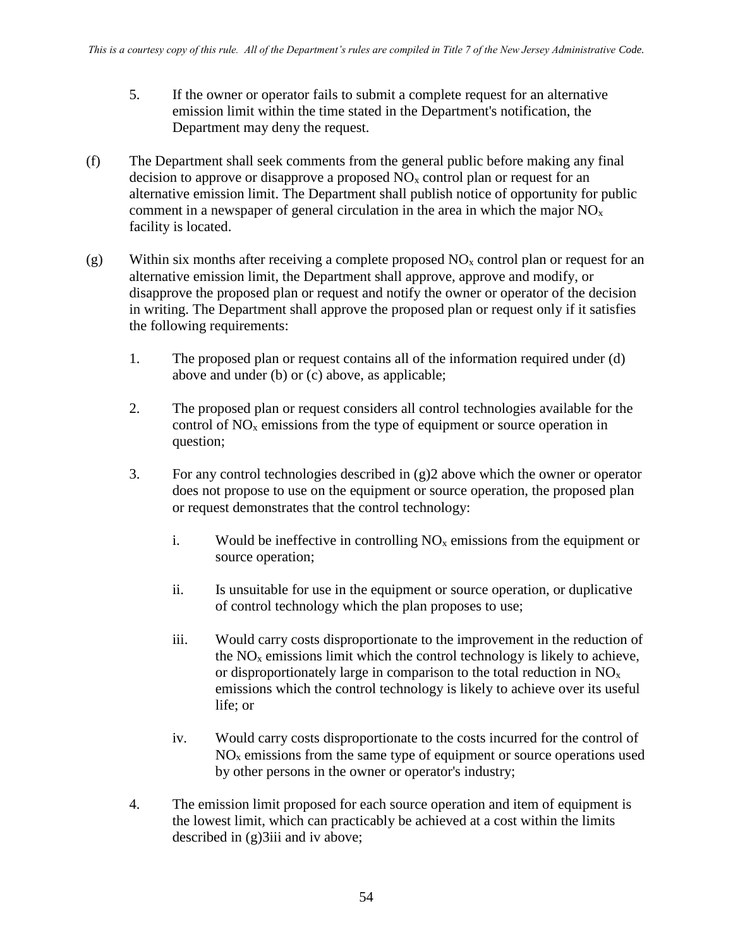- 5. If the owner or operator fails to submit a complete request for an alternative emission limit within the time stated in the Department's notification, the Department may deny the request.
- (f) The Department shall seek comments from the general public before making any final decision to approve or disapprove a proposed  $NO<sub>x</sub>$  control plan or request for an alternative emission limit. The Department shall publish notice of opportunity for public comment in a newspaper of general circulation in the area in which the major  $NO<sub>x</sub>$ facility is located.
- (g) Within six months after receiving a complete proposed  $NO<sub>x</sub>$  control plan or request for an alternative emission limit, the Department shall approve, approve and modify, or disapprove the proposed plan or request and notify the owner or operator of the decision in writing. The Department shall approve the proposed plan or request only if it satisfies the following requirements:
	- 1. The proposed plan or request contains all of the information required under (d) above and under (b) or (c) above, as applicable;
	- 2. The proposed plan or request considers all control technologies available for the control of  $NO<sub>x</sub>$  emissions from the type of equipment or source operation in question;
	- 3. For any control technologies described in (g)2 above which the owner or operator does not propose to use on the equipment or source operation, the proposed plan or request demonstrates that the control technology:
		- i. Would be ineffective in controlling  $NO<sub>x</sub>$  emissions from the equipment or source operation;
		- ii. Is unsuitable for use in the equipment or source operation, or duplicative of control technology which the plan proposes to use;
		- iii. Would carry costs disproportionate to the improvement in the reduction of the  $NO<sub>x</sub>$  emissions limit which the control technology is likely to achieve, or disproportionately large in comparison to the total reduction in NO<sup>x</sup> emissions which the control technology is likely to achieve over its useful life; or
		- iv. Would carry costs disproportionate to the costs incurred for the control of  $NO<sub>x</sub>$  emissions from the same type of equipment or source operations used by other persons in the owner or operator's industry;
	- 4. The emission limit proposed for each source operation and item of equipment is the lowest limit, which can practicably be achieved at a cost within the limits described in (g)3iii and iv above;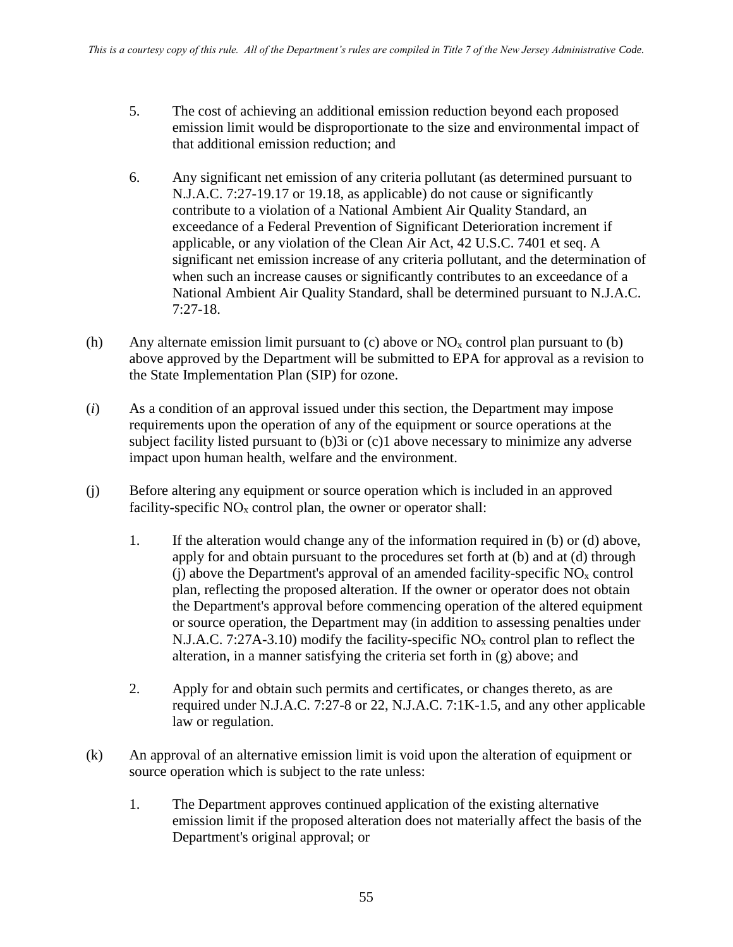- 5. The cost of achieving an additional emission reduction beyond each proposed emission limit would be disproportionate to the size and environmental impact of that additional emission reduction; and
- 6. Any significant net emission of any criteria pollutant (as determined pursuant to N.J.A.C. 7:27-19.17 or 19.18, as applicable) do not cause or significantly contribute to a violation of a National Ambient Air Quality Standard, an exceedance of a Federal Prevention of Significant Deterioration increment if applicable, or any violation of the Clean Air Act, 42 U.S.C. 7401 et seq. A significant net emission increase of any criteria pollutant, and the determination of when such an increase causes or significantly contributes to an exceedance of a National Ambient Air Quality Standard, shall be determined pursuant to N.J.A.C. 7:27-18.
- (h) Any alternate emission limit pursuant to (c) above or  $NO<sub>x</sub>$  control plan pursuant to (b) above approved by the Department will be submitted to EPA for approval as a revision to the State Implementation Plan (SIP) for ozone.
- (*i*) As a condition of an approval issued under this section, the Department may impose requirements upon the operation of any of the equipment or source operations at the subject facility listed pursuant to (b)3i or (c)1 above necessary to minimize any adverse impact upon human health, welfare and the environment.
- (j) Before altering any equipment or source operation which is included in an approved facility-specific  $NO<sub>x</sub>$  control plan, the owner or operator shall:
	- 1. If the alteration would change any of the information required in (b) or (d) above, apply for and obtain pursuant to the procedures set forth at (b) and at (d) through (i) above the Department's approval of an amended facility-specific  $NO<sub>x</sub>$  control plan, reflecting the proposed alteration. If the owner or operator does not obtain the Department's approval before commencing operation of the altered equipment or source operation, the Department may (in addition to assessing penalties under N.J.A.C. 7:27A-3.10) modify the facility-specific  $NO<sub>x</sub>$  control plan to reflect the alteration, in a manner satisfying the criteria set forth in (g) above; and
	- 2. Apply for and obtain such permits and certificates, or changes thereto, as are required under N.J.A.C. 7:27-8 or 22, N.J.A.C. 7:1K-1.5, and any other applicable law or regulation.
- (k) An approval of an alternative emission limit is void upon the alteration of equipment or source operation which is subject to the rate unless:
	- 1. The Department approves continued application of the existing alternative emission limit if the proposed alteration does not materially affect the basis of the Department's original approval; or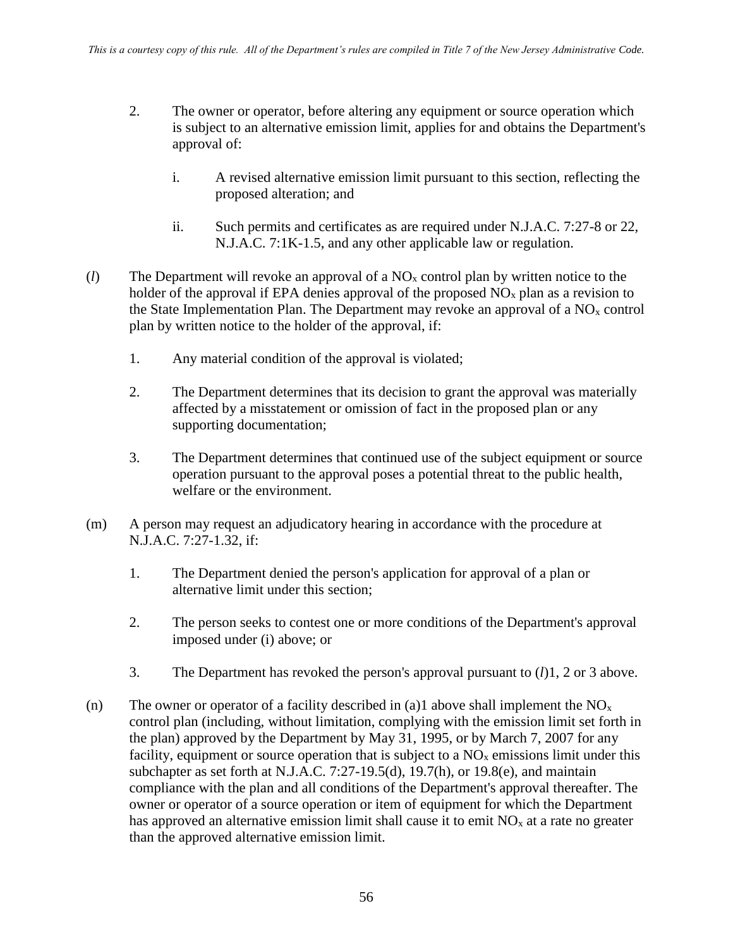- 2. The owner or operator, before altering any equipment or source operation which is subject to an alternative emission limit, applies for and obtains the Department's approval of:
	- i. A revised alternative emission limit pursuant to this section, reflecting the proposed alteration; and
	- ii. Such permits and certificates as are required under N.J.A.C. 7:27-8 or 22, N.J.A.C. 7:1K-1.5, and any other applicable law or regulation.
- (*l*) The Department will revoke an approval of a NO<sup>x</sup> control plan by written notice to the holder of the approval if EPA denies approval of the proposed  $NO<sub>x</sub>$  plan as a revision to the State Implementation Plan. The Department may revoke an approval of a  $NO<sub>x</sub>$  control plan by written notice to the holder of the approval, if:
	- 1. Any material condition of the approval is violated;
	- 2. The Department determines that its decision to grant the approval was materially affected by a misstatement or omission of fact in the proposed plan or any supporting documentation;
	- 3. The Department determines that continued use of the subject equipment or source operation pursuant to the approval poses a potential threat to the public health, welfare or the environment.
- (m) A person may request an adjudicatory hearing in accordance with the procedure at N.J.A.C. 7:27-1.32, if:
	- 1. The Department denied the person's application for approval of a plan or alternative limit under this section;
	- 2. The person seeks to contest one or more conditions of the Department's approval imposed under (i) above; or
	- 3. The Department has revoked the person's approval pursuant to (*l*)1, 2 or 3 above.
- (n) The owner or operator of a facility described in (a)1 above shall implement the  $NO<sub>x</sub>$ control plan (including, without limitation, complying with the emission limit set forth in the plan) approved by the Department by May 31, 1995, or by March 7, 2007 for any facility, equipment or source operation that is subject to a  $NO<sub>x</sub>$  emissions limit under this subchapter as set forth at N.J.A.C. 7:27-19.5(d), 19.7(h), or 19.8(e), and maintain compliance with the plan and all conditions of the Department's approval thereafter. The owner or operator of a source operation or item of equipment for which the Department has approved an alternative emission limit shall cause it to emit  $NO<sub>x</sub>$  at a rate no greater than the approved alternative emission limit.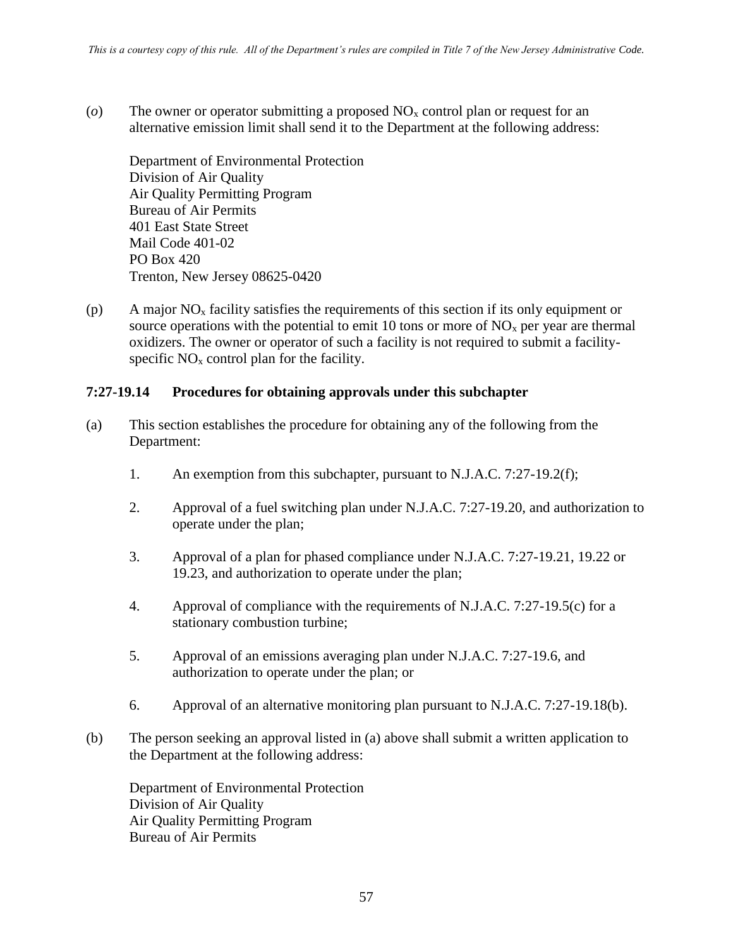(*o*) The owner or operator submitting a proposed NO<sup>x</sup> control plan or request for an alternative emission limit shall send it to the Department at the following address:

Department of Environmental Protection Division of Air Quality Air Quality Permitting Program Bureau of Air Permits 401 East State Street Mail Code 401-02 PO Box 420 Trenton, New Jersey 08625-0420

(p) A major  $NO<sub>x</sub>$  facility satisfies the requirements of this section if its only equipment or source operations with the potential to emit 10 tons or more of  $NO<sub>x</sub>$  per year are thermal oxidizers. The owner or operator of such a facility is not required to submit a facilityspecific  $NO<sub>x</sub>$  control plan for the facility.

#### **7:27-19.14 Procedures for obtaining approvals under this subchapter**

- (a) This section establishes the procedure for obtaining any of the following from the Department:
	- 1. An exemption from this subchapter, pursuant to N.J.A.C. 7:27-19.2(f);
	- 2. Approval of a fuel switching plan under N.J.A.C. 7:27-19.20, and authorization to operate under the plan;
	- 3. Approval of a plan for phased compliance under N.J.A.C. 7:27-19.21, 19.22 or 19.23, and authorization to operate under the plan;
	- 4. Approval of compliance with the requirements of N.J.A.C. 7:27-19.5(c) for a stationary combustion turbine;
	- 5. Approval of an emissions averaging plan under N.J.A.C. 7:27-19.6, and authorization to operate under the plan; or
	- 6. Approval of an alternative monitoring plan pursuant to N.J.A.C. 7:27-19.18(b).
- (b) The person seeking an approval listed in (a) above shall submit a written application to the Department at the following address:

Department of Environmental Protection Division of Air Quality Air Quality Permitting Program Bureau of Air Permits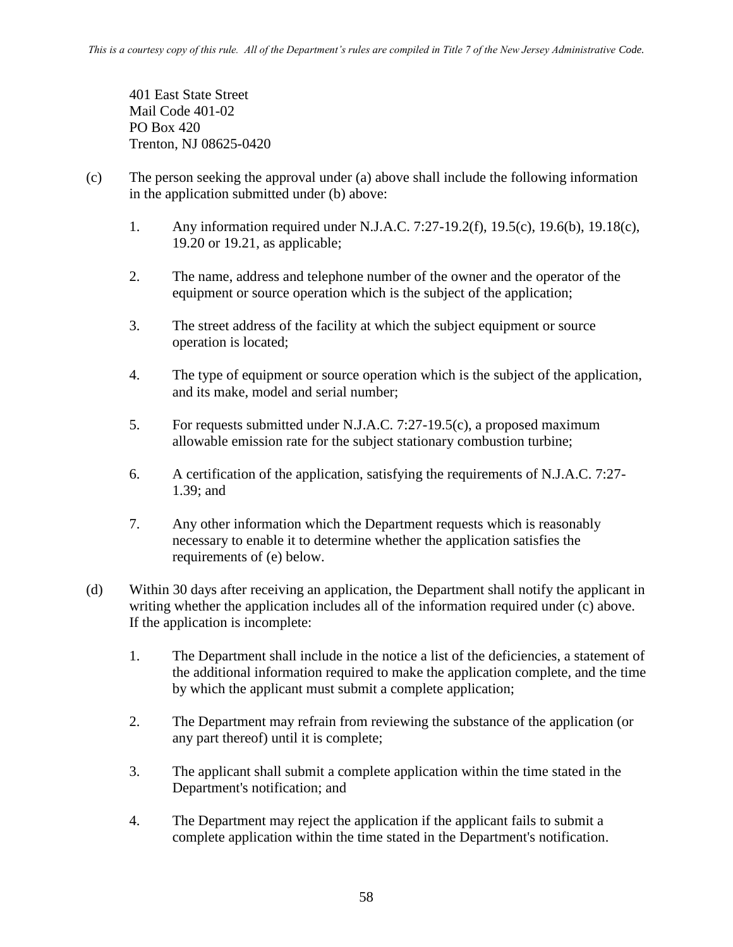401 East State Street Mail Code 401-02 PO Box 420 Trenton, NJ 08625-0420

- (c) The person seeking the approval under (a) above shall include the following information in the application submitted under (b) above:
	- 1. Any information required under N.J.A.C. 7:27-19.2(f), 19.5(c), 19.6(b), 19.18(c), 19.20 or 19.21, as applicable;
	- 2. The name, address and telephone number of the owner and the operator of the equipment or source operation which is the subject of the application;
	- 3. The street address of the facility at which the subject equipment or source operation is located;
	- 4. The type of equipment or source operation which is the subject of the application, and its make, model and serial number;
	- 5. For requests submitted under N.J.A.C. 7:27-19.5(c), a proposed maximum allowable emission rate for the subject stationary combustion turbine;
	- 6. A certification of the application, satisfying the requirements of N.J.A.C. 7:27- 1.39; and
	- 7. Any other information which the Department requests which is reasonably necessary to enable it to determine whether the application satisfies the requirements of (e) below.
- (d) Within 30 days after receiving an application, the Department shall notify the applicant in writing whether the application includes all of the information required under (c) above. If the application is incomplete:
	- 1. The Department shall include in the notice a list of the deficiencies, a statement of the additional information required to make the application complete, and the time by which the applicant must submit a complete application;
	- 2. The Department may refrain from reviewing the substance of the application (or any part thereof) until it is complete;
	- 3. The applicant shall submit a complete application within the time stated in the Department's notification; and
	- 4. The Department may reject the application if the applicant fails to submit a complete application within the time stated in the Department's notification.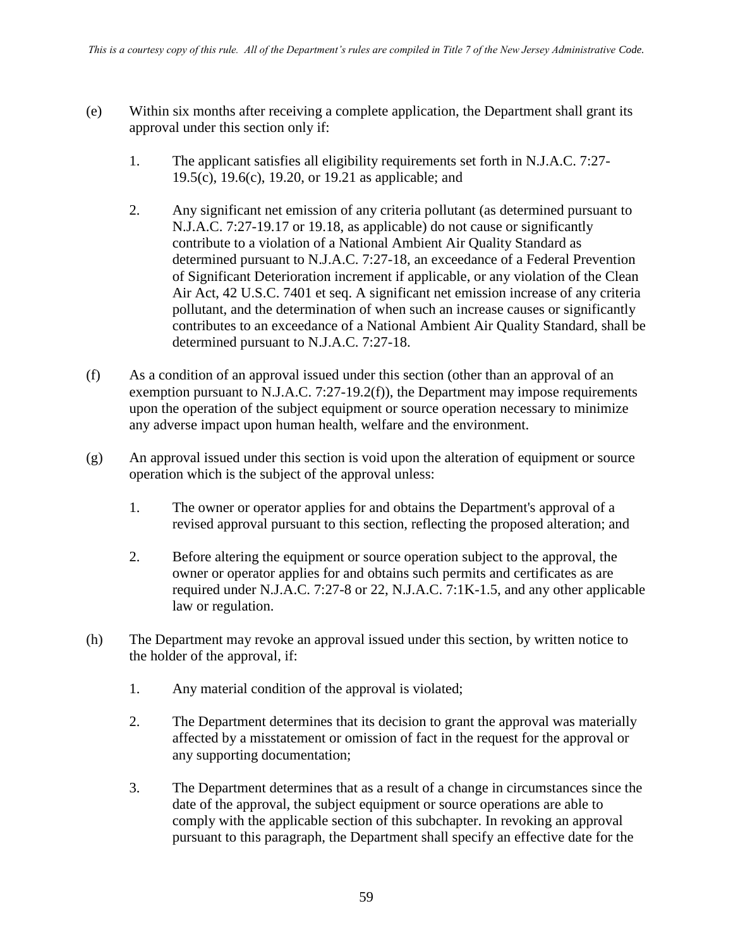- (e) Within six months after receiving a complete application, the Department shall grant its approval under this section only if:
	- 1. The applicant satisfies all eligibility requirements set forth in N.J.A.C. 7:27- 19.5(c), 19.6(c), 19.20, or 19.21 as applicable; and
	- 2. Any significant net emission of any criteria pollutant (as determined pursuant to N.J.A.C. 7:27-19.17 or 19.18, as applicable) do not cause or significantly contribute to a violation of a National Ambient Air Quality Standard as determined pursuant to N.J.A.C. 7:27-18, an exceedance of a Federal Prevention of Significant Deterioration increment if applicable, or any violation of the Clean Air Act, 42 U.S.C. 7401 et seq. A significant net emission increase of any criteria pollutant, and the determination of when such an increase causes or significantly contributes to an exceedance of a National Ambient Air Quality Standard, shall be determined pursuant to N.J.A.C. 7:27-18.
- (f) As a condition of an approval issued under this section (other than an approval of an exemption pursuant to N.J.A.C. 7:27-19.2(f)), the Department may impose requirements upon the operation of the subject equipment or source operation necessary to minimize any adverse impact upon human health, welfare and the environment.
- (g) An approval issued under this section is void upon the alteration of equipment or source operation which is the subject of the approval unless:
	- 1. The owner or operator applies for and obtains the Department's approval of a revised approval pursuant to this section, reflecting the proposed alteration; and
	- 2. Before altering the equipment or source operation subject to the approval, the owner or operator applies for and obtains such permits and certificates as are required under N.J.A.C. 7:27-8 or 22, N.J.A.C. 7:1K-1.5, and any other applicable law or regulation.
- (h) The Department may revoke an approval issued under this section, by written notice to the holder of the approval, if:
	- 1. Any material condition of the approval is violated;
	- 2. The Department determines that its decision to grant the approval was materially affected by a misstatement or omission of fact in the request for the approval or any supporting documentation;
	- 3. The Department determines that as a result of a change in circumstances since the date of the approval, the subject equipment or source operations are able to comply with the applicable section of this subchapter. In revoking an approval pursuant to this paragraph, the Department shall specify an effective date for the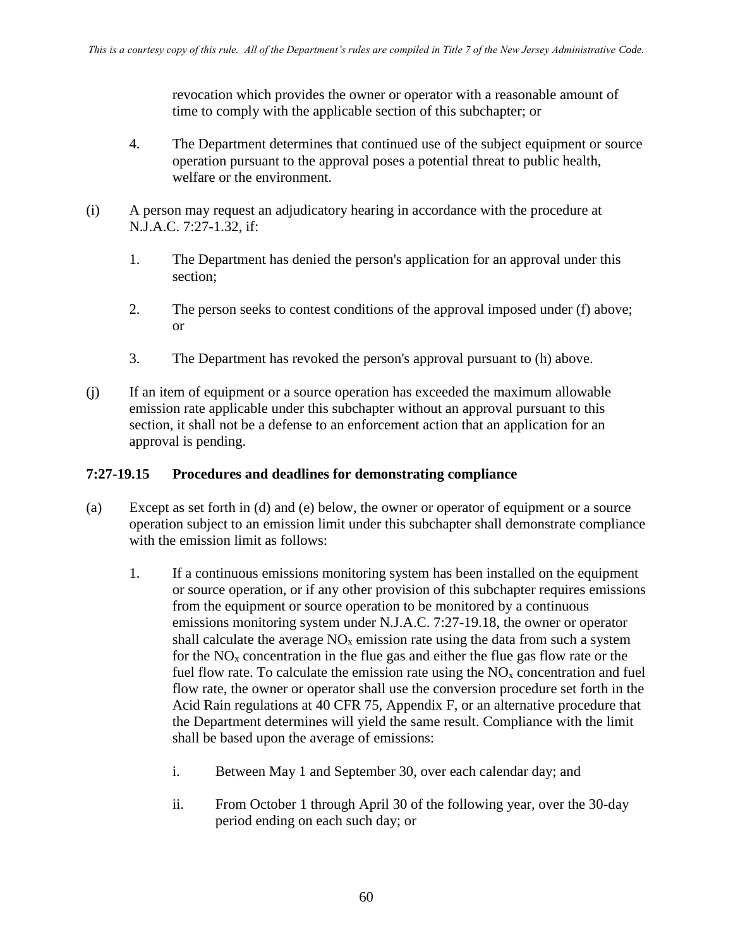revocation which provides the owner or operator with a reasonable amount of time to comply with the applicable section of this subchapter; or

- 4. The Department determines that continued use of the subject equipment or source operation pursuant to the approval poses a potential threat to public health, welfare or the environment.
- (i) A person may request an adjudicatory hearing in accordance with the procedure at N.J.A.C. 7:27-1.32, if:
	- 1. The Department has denied the person's application for an approval under this section;
	- 2. The person seeks to contest conditions of the approval imposed under (f) above; or
	- 3. The Department has revoked the person's approval pursuant to (h) above.
- (j) If an item of equipment or a source operation has exceeded the maximum allowable emission rate applicable under this subchapter without an approval pursuant to this section, it shall not be a defense to an enforcement action that an application for an approval is pending.

## **7:27-19.15 Procedures and deadlines for demonstrating compliance**

- (a) Except as set forth in (d) and (e) below, the owner or operator of equipment or a source operation subject to an emission limit under this subchapter shall demonstrate compliance with the emission limit as follows:
	- 1. If a continuous emissions monitoring system has been installed on the equipment or source operation, or if any other provision of this subchapter requires emissions from the equipment or source operation to be monitored by a continuous emissions monitoring system under N.J.A.C. 7:27-19.18, the owner or operator shall calculate the average  $NO<sub>x</sub>$  emission rate using the data from such a system for the  $NO<sub>x</sub>$  concentration in the flue gas and either the flue gas flow rate or the fuel flow rate. To calculate the emission rate using the  $NO<sub>x</sub>$  concentration and fuel flow rate, the owner or operator shall use the conversion procedure set forth in the Acid Rain regulations at 40 CFR 75, Appendix F, or an alternative procedure that the Department determines will yield the same result. Compliance with the limit shall be based upon the average of emissions:
		- i. Between May 1 and September 30, over each calendar day; and
		- ii. From October 1 through April 30 of the following year, over the 30-day period ending on each such day; or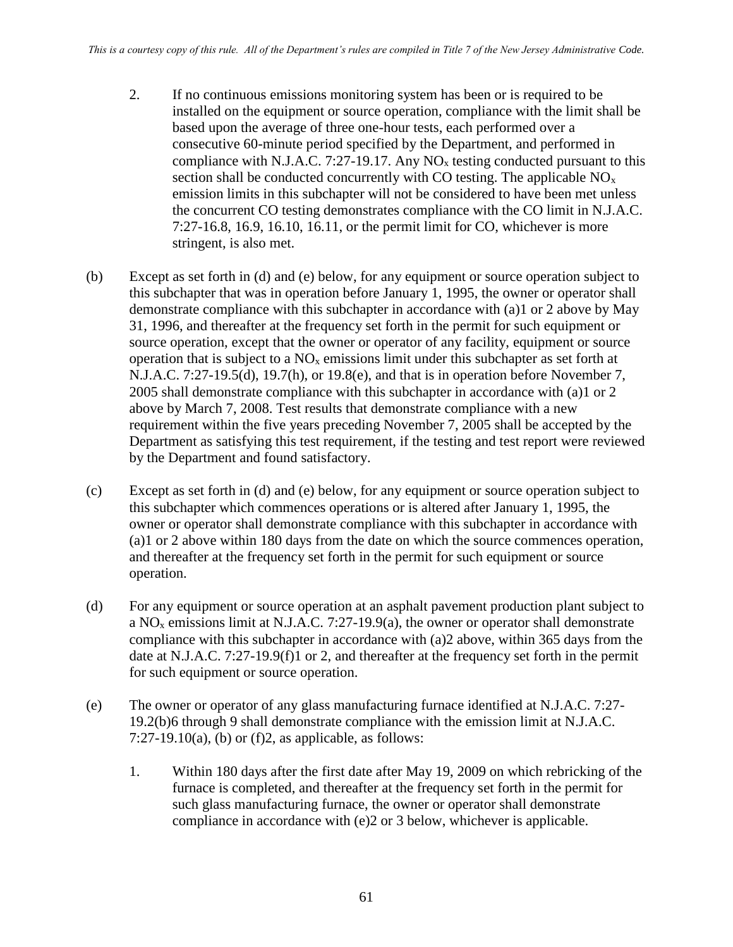- 2. If no continuous emissions monitoring system has been or is required to be installed on the equipment or source operation, compliance with the limit shall be based upon the average of three one-hour tests, each performed over a consecutive 60-minute period specified by the Department, and performed in compliance with N.J.A.C. 7:27-19.17. Any  $NO<sub>x</sub>$  testing conducted pursuant to this section shall be conducted concurrently with CO testing. The applicable  $NO<sub>x</sub>$ emission limits in this subchapter will not be considered to have been met unless the concurrent CO testing demonstrates compliance with the CO limit in N.J.A.C. 7:27-16.8, 16.9, 16.10, 16.11, or the permit limit for CO, whichever is more stringent, is also met.
- (b) Except as set forth in (d) and (e) below, for any equipment or source operation subject to this subchapter that was in operation before January 1, 1995, the owner or operator shall demonstrate compliance with this subchapter in accordance with (a)1 or 2 above by May 31, 1996, and thereafter at the frequency set forth in the permit for such equipment or source operation, except that the owner or operator of any facility, equipment or source operation that is subject to a  $NO<sub>x</sub>$  emissions limit under this subchapter as set forth at N.J.A.C. 7:27-19.5(d), 19.7(h), or 19.8(e), and that is in operation before November 7, 2005 shall demonstrate compliance with this subchapter in accordance with (a)1 or 2 above by March 7, 2008. Test results that demonstrate compliance with a new requirement within the five years preceding November 7, 2005 shall be accepted by the Department as satisfying this test requirement, if the testing and test report were reviewed by the Department and found satisfactory.
- (c) Except as set forth in (d) and (e) below, for any equipment or source operation subject to this subchapter which commences operations or is altered after January 1, 1995, the owner or operator shall demonstrate compliance with this subchapter in accordance with (a)1 or 2 above within 180 days from the date on which the source commences operation, and thereafter at the frequency set forth in the permit for such equipment or source operation.
- (d) For any equipment or source operation at an asphalt pavement production plant subject to a NO<sup>x</sup> emissions limit at N.J.A.C. 7:27-19.9(a), the owner or operator shall demonstrate compliance with this subchapter in accordance with (a)2 above, within 365 days from the date at N.J.A.C. 7:27-19.9(f)1 or 2, and thereafter at the frequency set forth in the permit for such equipment or source operation.
- (e) The owner or operator of any glass manufacturing furnace identified at N.J.A.C. 7:27- 19.2(b)6 through 9 shall demonstrate compliance with the emission limit at N.J.A.C. 7:27-19.10(a), (b) or (f)2, as applicable, as follows:
	- 1. Within 180 days after the first date after May 19, 2009 on which rebricking of the furnace is completed, and thereafter at the frequency set forth in the permit for such glass manufacturing furnace, the owner or operator shall demonstrate compliance in accordance with (e)2 or 3 below, whichever is applicable.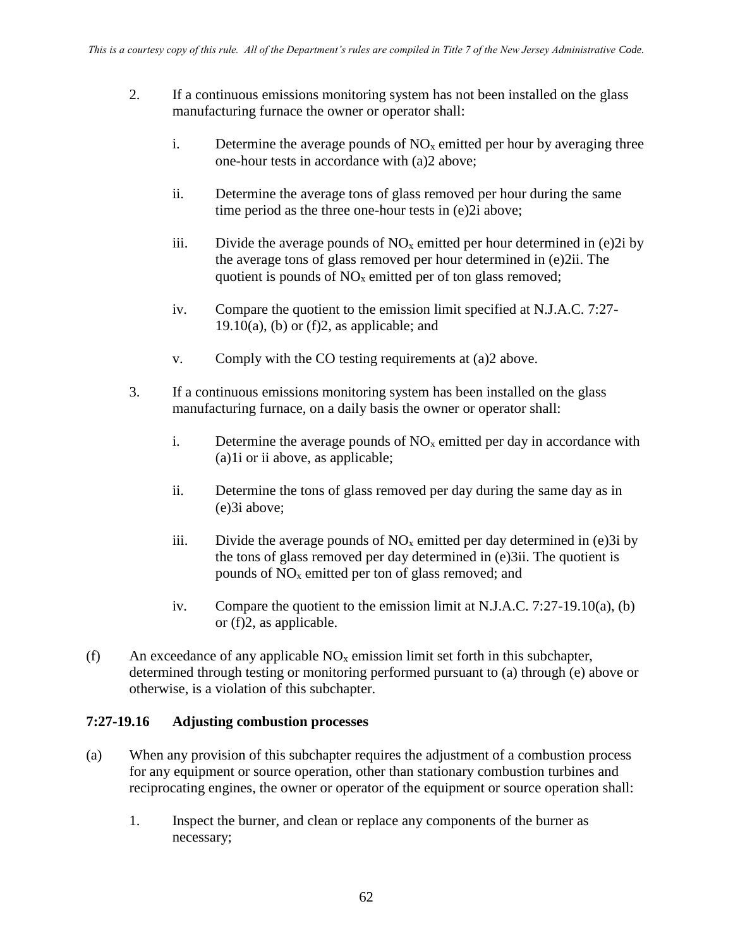- 2. If a continuous emissions monitoring system has not been installed on the glass manufacturing furnace the owner or operator shall:
	- i. Determine the average pounds of  $NO<sub>x</sub>$  emitted per hour by averaging three one-hour tests in accordance with (a)2 above;
	- ii. Determine the average tons of glass removed per hour during the same time period as the three one-hour tests in (e)2i above;
	- iii. Divide the average pounds of  $NO<sub>x</sub>$  emitted per hour determined in (e)2i by the average tons of glass removed per hour determined in (e)2ii. The quotient is pounds of  $NO<sub>x</sub>$  emitted per of ton glass removed;
	- iv. Compare the quotient to the emission limit specified at N.J.A.C. 7:27- 19.10(a), (b) or (f)2, as applicable; and
	- v. Comply with the CO testing requirements at (a)2 above.
- 3. If a continuous emissions monitoring system has been installed on the glass manufacturing furnace, on a daily basis the owner or operator shall:
	- i. Determine the average pounds of  $NO<sub>x</sub>$  emitted per day in accordance with (a)1i or ii above, as applicable;
	- ii. Determine the tons of glass removed per day during the same day as in (e)3i above;
	- iii. Divide the average pounds of  $NO<sub>x</sub>$  emitted per day determined in (e)3i by the tons of glass removed per day determined in (e)3ii. The quotient is pounds of NO<sup>x</sup> emitted per ton of glass removed; and
	- iv. Compare the quotient to the emission limit at N.J.A.C. 7:27-19.10(a), (b) or (f)2, as applicable.
- (f) An exceedance of any applicable  $NO<sub>x</sub>$  emission limit set forth in this subchapter, determined through testing or monitoring performed pursuant to (a) through (e) above or otherwise, is a violation of this subchapter.

#### **7:27-19.16 Adjusting combustion processes**

- (a) When any provision of this subchapter requires the adjustment of a combustion process for any equipment or source operation, other than stationary combustion turbines and reciprocating engines, the owner or operator of the equipment or source operation shall:
	- 1. Inspect the burner, and clean or replace any components of the burner as necessary;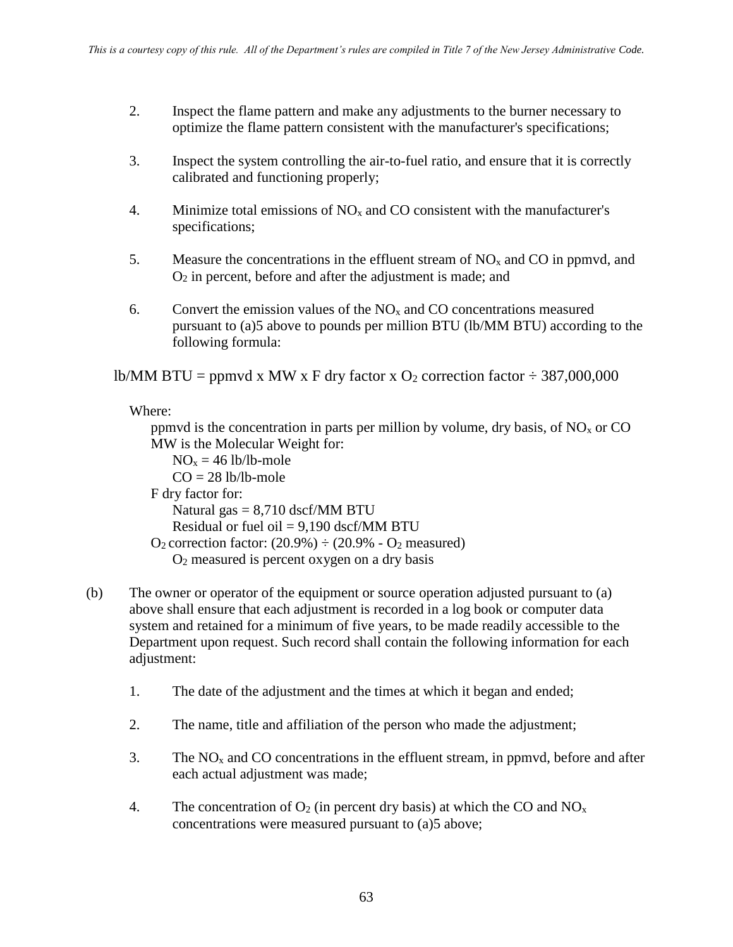- 2. Inspect the flame pattern and make any adjustments to the burner necessary to optimize the flame pattern consistent with the manufacturer's specifications;
- 3. Inspect the system controlling the air-to-fuel ratio, and ensure that it is correctly calibrated and functioning properly;
- 4. Minimize total emissions of  $NO<sub>x</sub>$  and CO consistent with the manufacturer's specifications;
- 5. Measure the concentrations in the effluent stream of  $NO<sub>x</sub>$  and CO in ppmvd, and O<sup>2</sup> in percent, before and after the adjustment is made; and
- 6. Convert the emission values of the  $NO<sub>x</sub>$  and CO concentrations measured pursuant to (a)5 above to pounds per million BTU (lb/MM BTU) according to the following formula:

lb/MM BTU = ppmvd x MW x F dry factor x  $O_2$  correction factor  $\div$  387,000,000

Where:

ppmvd is the concentration in parts per million by volume, dry basis, of  $NO<sub>x</sub>$  or CO MW is the Molecular Weight for:

 $NO<sub>x</sub> = 46$  lb/lb-mole  $CO = 28$  lb/lb-mole F dry factor for: Natural gas  $= 8,710$  dscf/MM BTU Residual or fuel oil  $= 9,190$  dscf/MM BTU  $O_2$  correction factor:  $(20.9\%) \div (20.9\% - O_2$  measured)  $O<sub>2</sub>$  measured is percent oxygen on a dry basis

- (b) The owner or operator of the equipment or source operation adjusted pursuant to (a) above shall ensure that each adjustment is recorded in a log book or computer data system and retained for a minimum of five years, to be made readily accessible to the Department upon request. Such record shall contain the following information for each adjustment:
	- 1. The date of the adjustment and the times at which it began and ended;
	- 2. The name, title and affiliation of the person who made the adjustment;
	- 3. The  $NO<sub>x</sub>$  and CO concentrations in the effluent stream, in ppmvd, before and after each actual adjustment was made;
	- 4. The concentration of  $O_2$  (in percent dry basis) at which the CO and  $NO_x$ concentrations were measured pursuant to (a)5 above;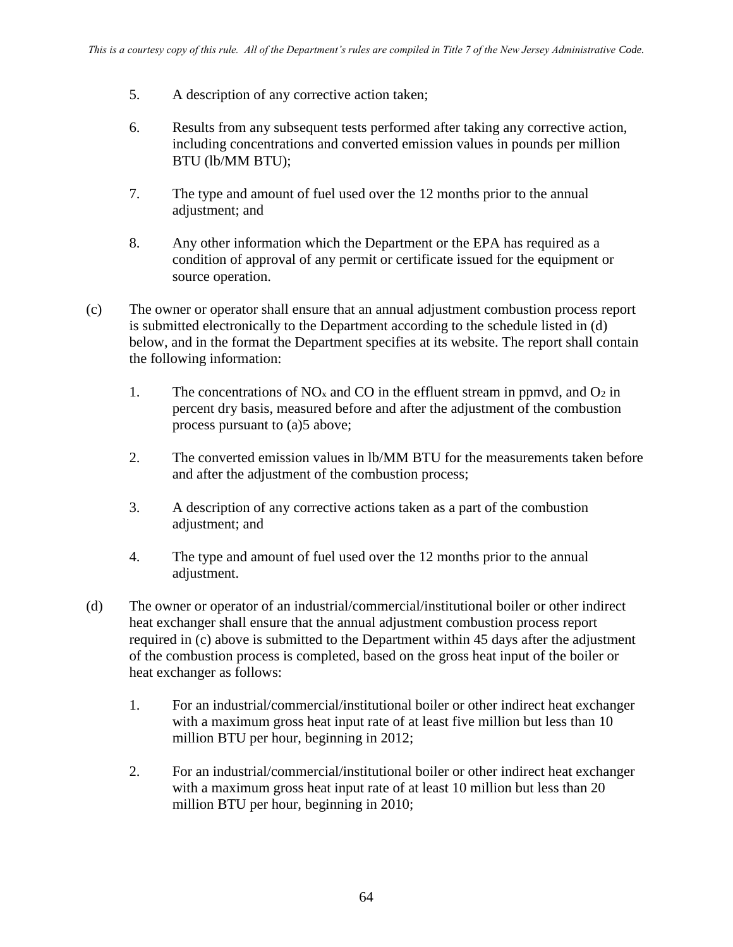- 5. A description of any corrective action taken;
- 6. Results from any subsequent tests performed after taking any corrective action, including concentrations and converted emission values in pounds per million BTU (lb/MM BTU);
- 7. The type and amount of fuel used over the 12 months prior to the annual adjustment; and
- 8. Any other information which the Department or the EPA has required as a condition of approval of any permit or certificate issued for the equipment or source operation.
- (c) The owner or operator shall ensure that an annual adjustment combustion process report is submitted electronically to the Department according to the schedule listed in (d) below, and in the format the Department specifies at its website. The report shall contain the following information:
	- 1. The concentrations of  $NO_x$  and  $CO$  in the effluent stream in ppmvd, and  $O_2$  in percent dry basis, measured before and after the adjustment of the combustion process pursuant to (a)5 above;
	- 2. The converted emission values in lb/MM BTU for the measurements taken before and after the adjustment of the combustion process;
	- 3. A description of any corrective actions taken as a part of the combustion adjustment; and
	- 4. The type and amount of fuel used over the 12 months prior to the annual adjustment.
- (d) The owner or operator of an industrial/commercial/institutional boiler or other indirect heat exchanger shall ensure that the annual adjustment combustion process report required in (c) above is submitted to the Department within 45 days after the adjustment of the combustion process is completed, based on the gross heat input of the boiler or heat exchanger as follows:
	- 1. For an industrial/commercial/institutional boiler or other indirect heat exchanger with a maximum gross heat input rate of at least five million but less than 10 million BTU per hour, beginning in 2012;
	- 2. For an industrial/commercial/institutional boiler or other indirect heat exchanger with a maximum gross heat input rate of at least 10 million but less than 20 million BTU per hour, beginning in 2010;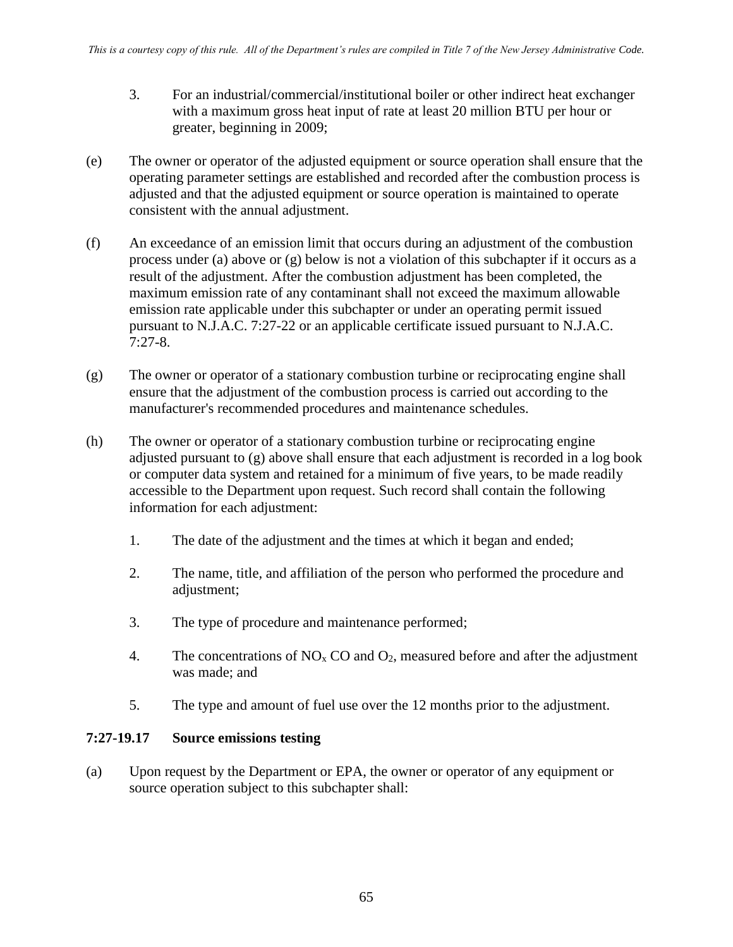- 3. For an industrial/commercial/institutional boiler or other indirect heat exchanger with a maximum gross heat input of rate at least 20 million BTU per hour or greater, beginning in 2009;
- (e) The owner or operator of the adjusted equipment or source operation shall ensure that the operating parameter settings are established and recorded after the combustion process is adjusted and that the adjusted equipment or source operation is maintained to operate consistent with the annual adjustment.
- (f) An exceedance of an emission limit that occurs during an adjustment of the combustion process under (a) above or (g) below is not a violation of this subchapter if it occurs as a result of the adjustment. After the combustion adjustment has been completed, the maximum emission rate of any contaminant shall not exceed the maximum allowable emission rate applicable under this subchapter or under an operating permit issued pursuant to N.J.A.C. 7:27-22 or an applicable certificate issued pursuant to N.J.A.C. 7:27-8.
- (g) The owner or operator of a stationary combustion turbine or reciprocating engine shall ensure that the adjustment of the combustion process is carried out according to the manufacturer's recommended procedures and maintenance schedules.
- (h) The owner or operator of a stationary combustion turbine or reciprocating engine adjusted pursuant to (g) above shall ensure that each adjustment is recorded in a log book or computer data system and retained for a minimum of five years, to be made readily accessible to the Department upon request. Such record shall contain the following information for each adjustment:
	- 1. The date of the adjustment and the times at which it began and ended;
	- 2. The name, title, and affiliation of the person who performed the procedure and adjustment;
	- 3. The type of procedure and maintenance performed;
	- 4. The concentrations of  $NO<sub>x</sub> CO$  and  $O<sub>2</sub>$ , measured before and after the adjustment was made; and
	- 5. The type and amount of fuel use over the 12 months prior to the adjustment.

#### **7:27-19.17 Source emissions testing**

(a) Upon request by the Department or EPA, the owner or operator of any equipment or source operation subject to this subchapter shall: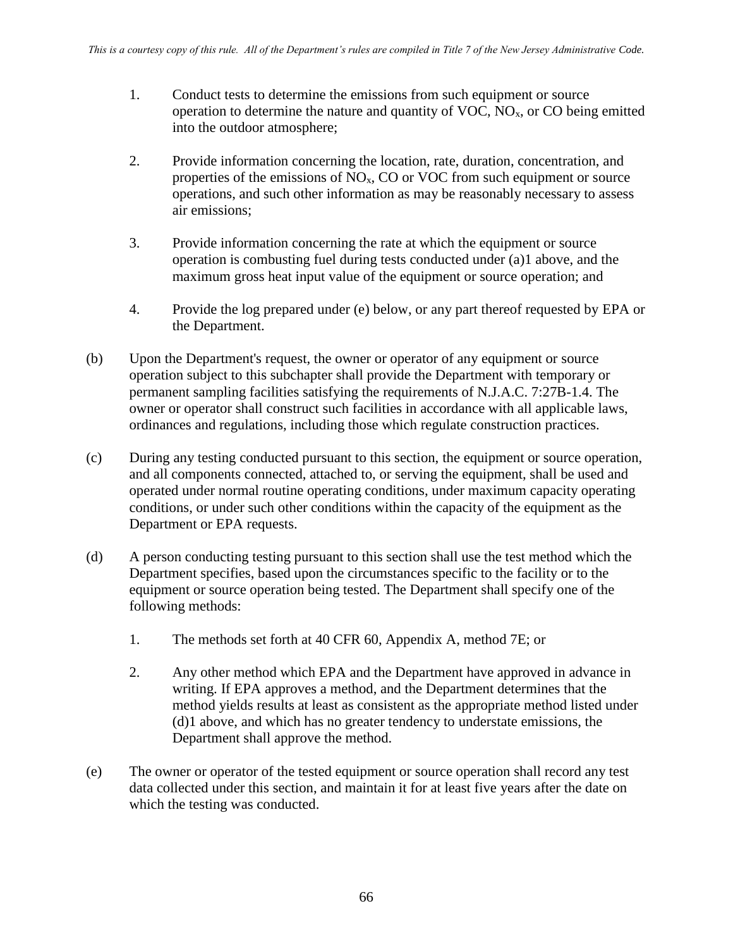- 1. Conduct tests to determine the emissions from such equipment or source operation to determine the nature and quantity of VOC,  $NO<sub>x</sub>$ , or CO being emitted into the outdoor atmosphere;
- 2. Provide information concerning the location, rate, duration, concentration, and properties of the emissions of NOx, CO or VOC from such equipment or source operations, and such other information as may be reasonably necessary to assess air emissions;
- 3. Provide information concerning the rate at which the equipment or source operation is combusting fuel during tests conducted under (a)1 above, and the maximum gross heat input value of the equipment or source operation; and
- 4. Provide the log prepared under (e) below, or any part thereof requested by EPA or the Department.
- (b) Upon the Department's request, the owner or operator of any equipment or source operation subject to this subchapter shall provide the Department with temporary or permanent sampling facilities satisfying the requirements of N.J.A.C. 7:27B-1.4. The owner or operator shall construct such facilities in accordance with all applicable laws, ordinances and regulations, including those which regulate construction practices.
- (c) During any testing conducted pursuant to this section, the equipment or source operation, and all components connected, attached to, or serving the equipment, shall be used and operated under normal routine operating conditions, under maximum capacity operating conditions, or under such other conditions within the capacity of the equipment as the Department or EPA requests.
- (d) A person conducting testing pursuant to this section shall use the test method which the Department specifies, based upon the circumstances specific to the facility or to the equipment or source operation being tested. The Department shall specify one of the following methods:
	- 1. The methods set forth at 40 CFR 60, Appendix A, method 7E; or
	- 2. Any other method which EPA and the Department have approved in advance in writing. If EPA approves a method, and the Department determines that the method yields results at least as consistent as the appropriate method listed under (d)1 above, and which has no greater tendency to understate emissions, the Department shall approve the method.
- (e) The owner or operator of the tested equipment or source operation shall record any test data collected under this section, and maintain it for at least five years after the date on which the testing was conducted.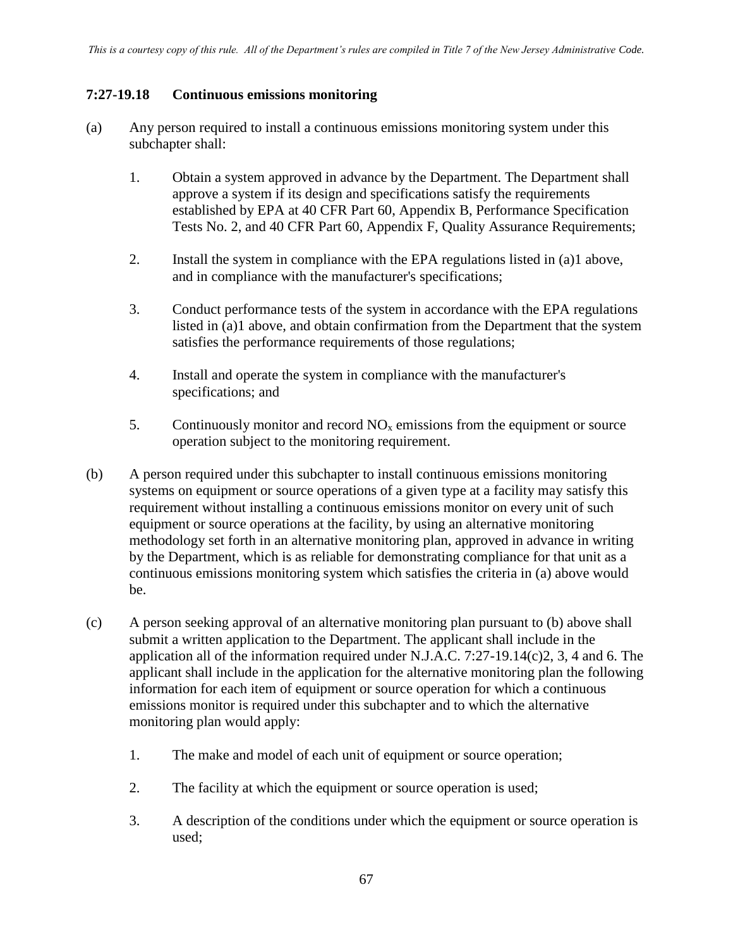#### **7:27-19.18 Continuous emissions monitoring**

- (a) Any person required to install a continuous emissions monitoring system under this subchapter shall:
	- 1. Obtain a system approved in advance by the Department. The Department shall approve a system if its design and specifications satisfy the requirements established by EPA at 40 CFR Part 60, Appendix B, Performance Specification Tests No. 2, and 40 CFR Part 60, Appendix F, Quality Assurance Requirements;
	- 2. Install the system in compliance with the EPA regulations listed in (a)1 above, and in compliance with the manufacturer's specifications;
	- 3. Conduct performance tests of the system in accordance with the EPA regulations listed in (a)1 above, and obtain confirmation from the Department that the system satisfies the performance requirements of those regulations;
	- 4. Install and operate the system in compliance with the manufacturer's specifications; and
	- 5. Continuously monitor and record  $NO<sub>x</sub>$  emissions from the equipment or source operation subject to the monitoring requirement.
- (b) A person required under this subchapter to install continuous emissions monitoring systems on equipment or source operations of a given type at a facility may satisfy this requirement without installing a continuous emissions monitor on every unit of such equipment or source operations at the facility, by using an alternative monitoring methodology set forth in an alternative monitoring plan, approved in advance in writing by the Department, which is as reliable for demonstrating compliance for that unit as a continuous emissions monitoring system which satisfies the criteria in (a) above would be.
- (c) A person seeking approval of an alternative monitoring plan pursuant to (b) above shall submit a written application to the Department. The applicant shall include in the application all of the information required under N.J.A.C. 7:27-19.14(c)2, 3, 4 and 6. The applicant shall include in the application for the alternative monitoring plan the following information for each item of equipment or source operation for which a continuous emissions monitor is required under this subchapter and to which the alternative monitoring plan would apply:
	- 1. The make and model of each unit of equipment or source operation;
	- 2. The facility at which the equipment or source operation is used;
	- 3. A description of the conditions under which the equipment or source operation is used;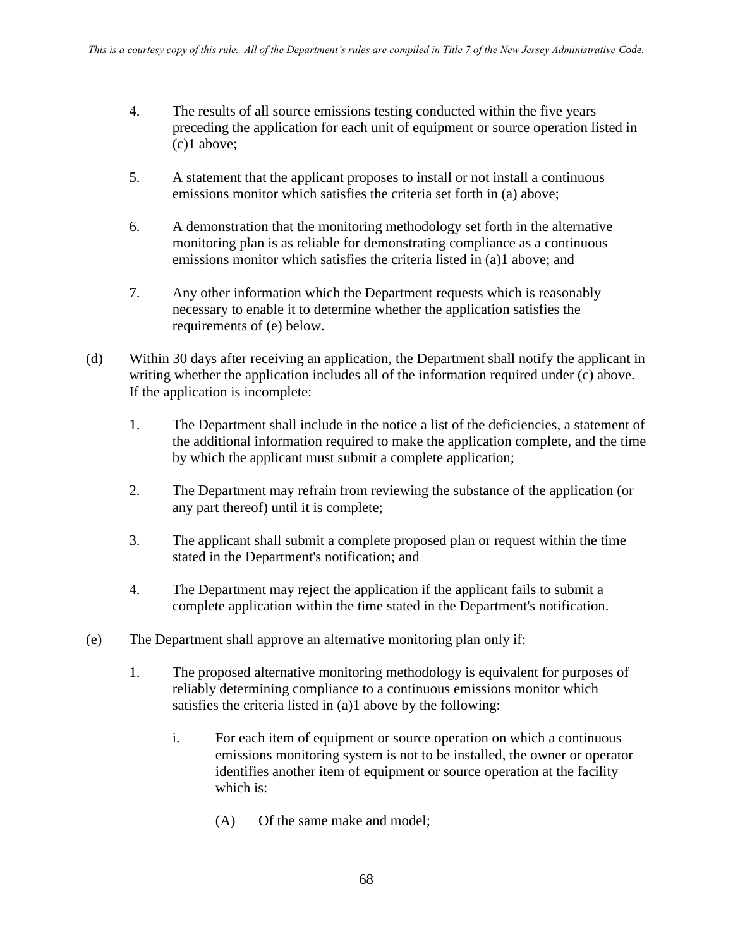- 4. The results of all source emissions testing conducted within the five years preceding the application for each unit of equipment or source operation listed in (c)1 above;
- 5. A statement that the applicant proposes to install or not install a continuous emissions monitor which satisfies the criteria set forth in (a) above;
- 6. A demonstration that the monitoring methodology set forth in the alternative monitoring plan is as reliable for demonstrating compliance as a continuous emissions monitor which satisfies the criteria listed in (a)1 above; and
- 7. Any other information which the Department requests which is reasonably necessary to enable it to determine whether the application satisfies the requirements of (e) below.
- (d) Within 30 days after receiving an application, the Department shall notify the applicant in writing whether the application includes all of the information required under (c) above. If the application is incomplete:
	- 1. The Department shall include in the notice a list of the deficiencies, a statement of the additional information required to make the application complete, and the time by which the applicant must submit a complete application;
	- 2. The Department may refrain from reviewing the substance of the application (or any part thereof) until it is complete;
	- 3. The applicant shall submit a complete proposed plan or request within the time stated in the Department's notification; and
	- 4. The Department may reject the application if the applicant fails to submit a complete application within the time stated in the Department's notification.
- (e) The Department shall approve an alternative monitoring plan only if:
	- 1. The proposed alternative monitoring methodology is equivalent for purposes of reliably determining compliance to a continuous emissions monitor which satisfies the criteria listed in (a)1 above by the following:
		- i. For each item of equipment or source operation on which a continuous emissions monitoring system is not to be installed, the owner or operator identifies another item of equipment or source operation at the facility which is:
			- (A) Of the same make and model;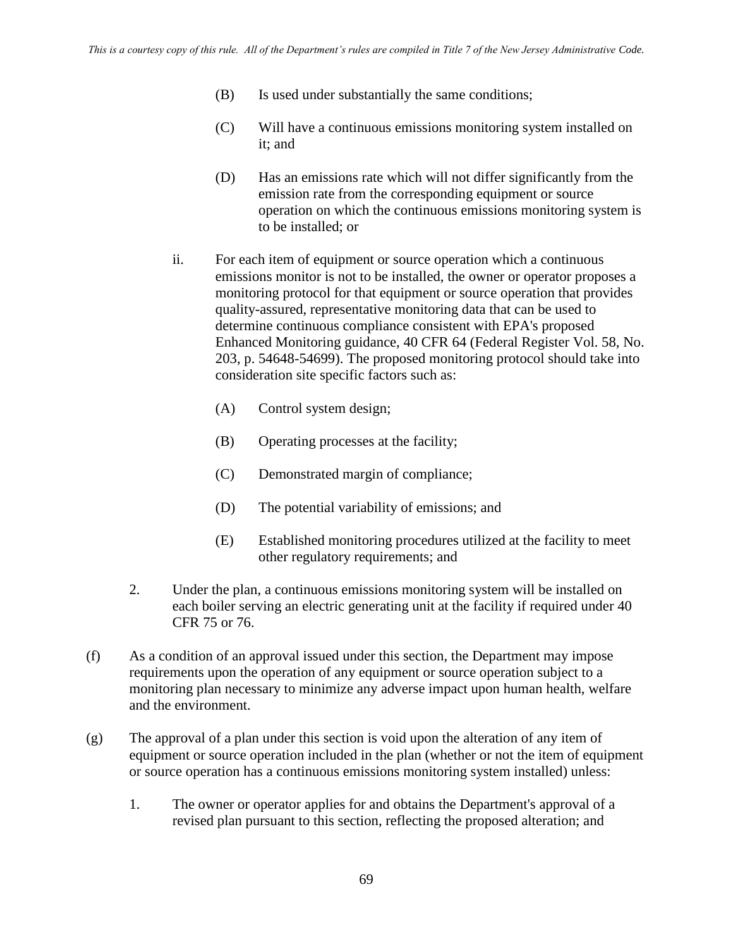- (B) Is used under substantially the same conditions;
- (C) Will have a continuous emissions monitoring system installed on it; and
- (D) Has an emissions rate which will not differ significantly from the emission rate from the corresponding equipment or source operation on which the continuous emissions monitoring system is to be installed; or
- ii. For each item of equipment or source operation which a continuous emissions monitor is not to be installed, the owner or operator proposes a monitoring protocol for that equipment or source operation that provides quality-assured, representative monitoring data that can be used to determine continuous compliance consistent with EPA's proposed Enhanced Monitoring guidance, 40 CFR 64 (Federal Register Vol. 58, No. 203, p. 54648-54699). The proposed monitoring protocol should take into consideration site specific factors such as:
	- (A) Control system design;
	- (B) Operating processes at the facility;
	- (C) Demonstrated margin of compliance;
	- (D) The potential variability of emissions; and
	- (E) Established monitoring procedures utilized at the facility to meet other regulatory requirements; and
- 2. Under the plan, a continuous emissions monitoring system will be installed on each boiler serving an electric generating unit at the facility if required under 40 CFR 75 or 76.
- (f) As a condition of an approval issued under this section, the Department may impose requirements upon the operation of any equipment or source operation subject to a monitoring plan necessary to minimize any adverse impact upon human health, welfare and the environment.
- (g) The approval of a plan under this section is void upon the alteration of any item of equipment or source operation included in the plan (whether or not the item of equipment or source operation has a continuous emissions monitoring system installed) unless:
	- 1. The owner or operator applies for and obtains the Department's approval of a revised plan pursuant to this section, reflecting the proposed alteration; and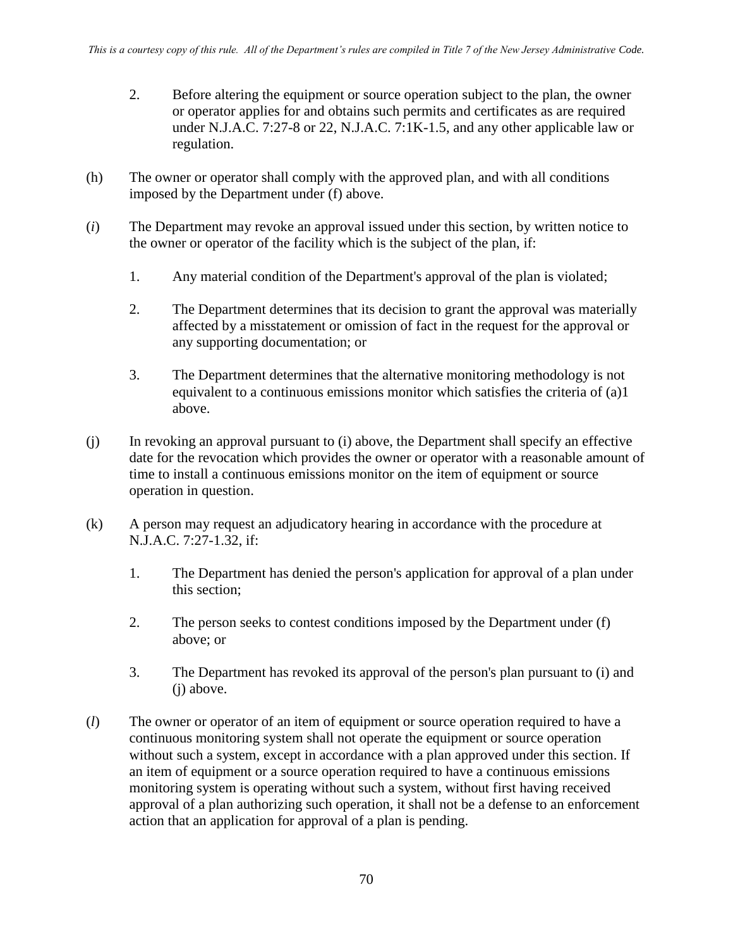- 2. Before altering the equipment or source operation subject to the plan, the owner or operator applies for and obtains such permits and certificates as are required under N.J.A.C. 7:27-8 or 22, N.J.A.C. 7:1K-1.5, and any other applicable law or regulation.
- (h) The owner or operator shall comply with the approved plan, and with all conditions imposed by the Department under (f) above.
- (*i*) The Department may revoke an approval issued under this section, by written notice to the owner or operator of the facility which is the subject of the plan, if:
	- 1. Any material condition of the Department's approval of the plan is violated;
	- 2. The Department determines that its decision to grant the approval was materially affected by a misstatement or omission of fact in the request for the approval or any supporting documentation; or
	- 3. The Department determines that the alternative monitoring methodology is not equivalent to a continuous emissions monitor which satisfies the criteria of (a)1 above.
- (j) In revoking an approval pursuant to (i) above, the Department shall specify an effective date for the revocation which provides the owner or operator with a reasonable amount of time to install a continuous emissions monitor on the item of equipment or source operation in question.
- (k) A person may request an adjudicatory hearing in accordance with the procedure at N.J.A.C. 7:27-1.32, if:
	- 1. The Department has denied the person's application for approval of a plan under this section;
	- 2. The person seeks to contest conditions imposed by the Department under (f) above; or
	- 3. The Department has revoked its approval of the person's plan pursuant to (i) and (j) above.
- (*l*) The owner or operator of an item of equipment or source operation required to have a continuous monitoring system shall not operate the equipment or source operation without such a system, except in accordance with a plan approved under this section. If an item of equipment or a source operation required to have a continuous emissions monitoring system is operating without such a system, without first having received approval of a plan authorizing such operation, it shall not be a defense to an enforcement action that an application for approval of a plan is pending.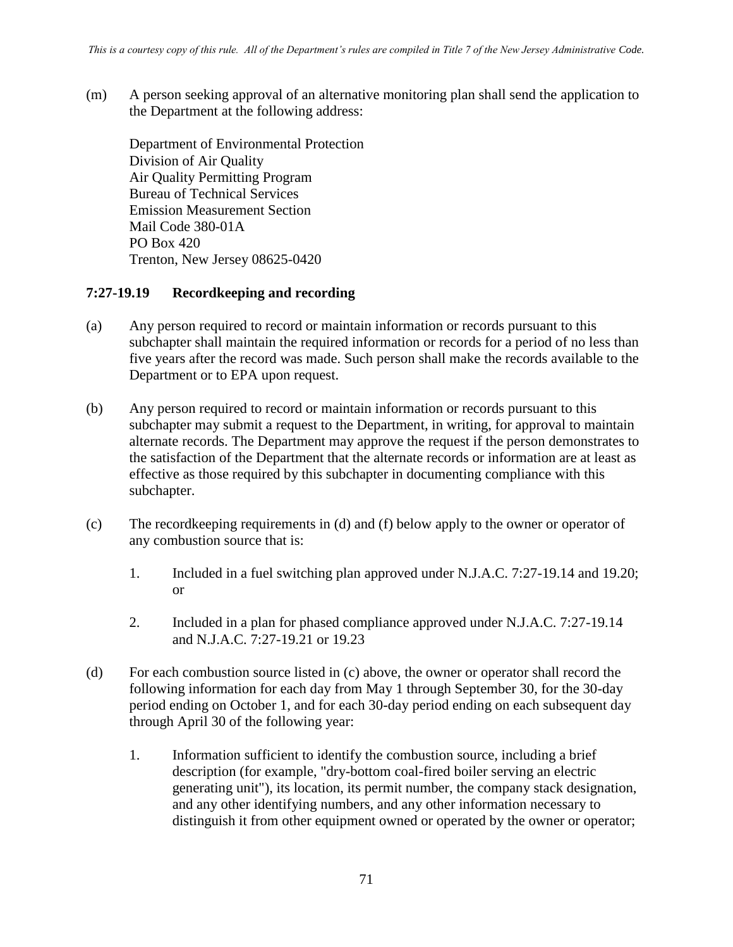(m) A person seeking approval of an alternative monitoring plan shall send the application to the Department at the following address:

Department of Environmental Protection Division of Air Quality Air Quality Permitting Program Bureau of Technical Services Emission Measurement Section Mail Code 380-01A PO Box 420 Trenton, New Jersey 08625-0420

#### **7:27-19.19 Recordkeeping and recording**

- (a) Any person required to record or maintain information or records pursuant to this subchapter shall maintain the required information or records for a period of no less than five years after the record was made. Such person shall make the records available to the Department or to EPA upon request.
- (b) Any person required to record or maintain information or records pursuant to this subchapter may submit a request to the Department, in writing, for approval to maintain alternate records. The Department may approve the request if the person demonstrates to the satisfaction of the Department that the alternate records or information are at least as effective as those required by this subchapter in documenting compliance with this subchapter.
- (c) The recordkeeping requirements in (d) and (f) below apply to the owner or operator of any combustion source that is:
	- 1. Included in a fuel switching plan approved under N.J.A.C. 7:27-19.14 and 19.20; or
	- 2. Included in a plan for phased compliance approved under N.J.A.C. 7:27-19.14 and N.J.A.C. 7:27-19.21 or 19.23
- (d) For each combustion source listed in (c) above, the owner or operator shall record the following information for each day from May 1 through September 30, for the 30-day period ending on October 1, and for each 30-day period ending on each subsequent day through April 30 of the following year:
	- 1. Information sufficient to identify the combustion source, including a brief description (for example, "dry-bottom coal-fired boiler serving an electric generating unit"), its location, its permit number, the company stack designation, and any other identifying numbers, and any other information necessary to distinguish it from other equipment owned or operated by the owner or operator;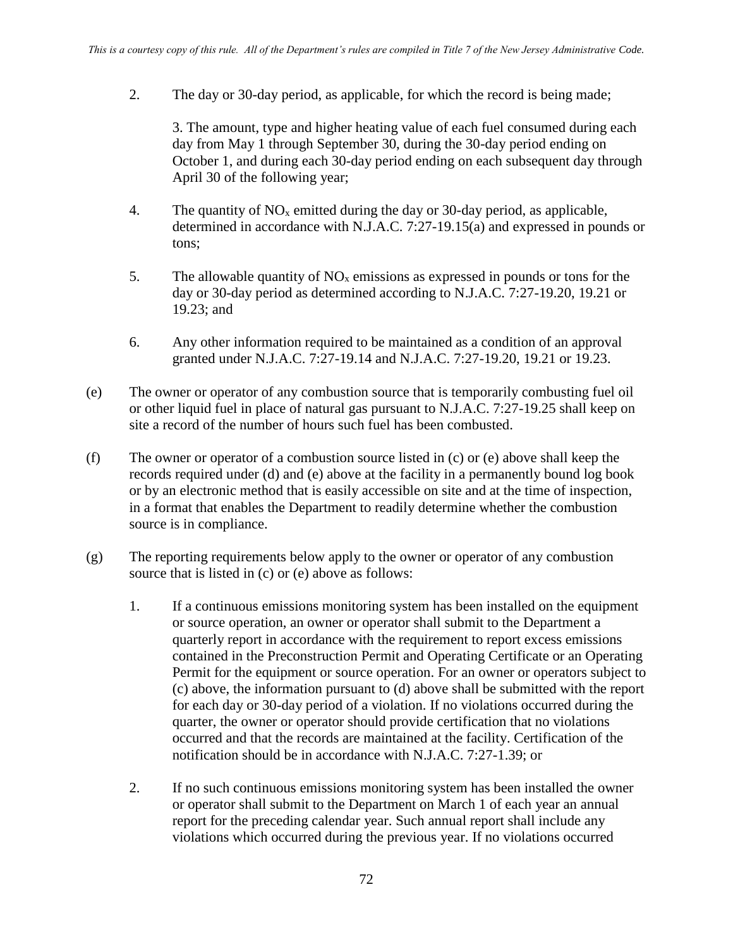2. The day or 30-day period, as applicable, for which the record is being made;

3. The amount, type and higher heating value of each fuel consumed during each day from May 1 through September 30, during the 30-day period ending on October 1, and during each 30-day period ending on each subsequent day through April 30 of the following year;

- 4. The quantity of  $NO<sub>x</sub>$  emitted during the day or 30-day period, as applicable, determined in accordance with N.J.A.C. 7:27-19.15(a) and expressed in pounds or tons;
- 5. The allowable quantity of  $NO<sub>x</sub>$  emissions as expressed in pounds or tons for the day or 30-day period as determined according to N.J.A.C. 7:27-19.20, 19.21 or 19.23; and
- 6. Any other information required to be maintained as a condition of an approval granted under N.J.A.C. 7:27-19.14 and N.J.A.C. 7:27-19.20, 19.21 or 19.23.
- (e) The owner or operator of any combustion source that is temporarily combusting fuel oil or other liquid fuel in place of natural gas pursuant to N.J.A.C. 7:27-19.25 shall keep on site a record of the number of hours such fuel has been combusted.
- (f) The owner or operator of a combustion source listed in (c) or (e) above shall keep the records required under (d) and (e) above at the facility in a permanently bound log book or by an electronic method that is easily accessible on site and at the time of inspection, in a format that enables the Department to readily determine whether the combustion source is in compliance.
- (g) The reporting requirements below apply to the owner or operator of any combustion source that is listed in (c) or (e) above as follows:
	- 1. If a continuous emissions monitoring system has been installed on the equipment or source operation, an owner or operator shall submit to the Department a quarterly report in accordance with the requirement to report excess emissions contained in the Preconstruction Permit and Operating Certificate or an Operating Permit for the equipment or source operation. For an owner or operators subject to (c) above, the information pursuant to (d) above shall be submitted with the report for each day or 30-day period of a violation. If no violations occurred during the quarter, the owner or operator should provide certification that no violations occurred and that the records are maintained at the facility. Certification of the notification should be in accordance with N.J.A.C. 7:27-1.39; or
	- 2. If no such continuous emissions monitoring system has been installed the owner or operator shall submit to the Department on March 1 of each year an annual report for the preceding calendar year. Such annual report shall include any violations which occurred during the previous year. If no violations occurred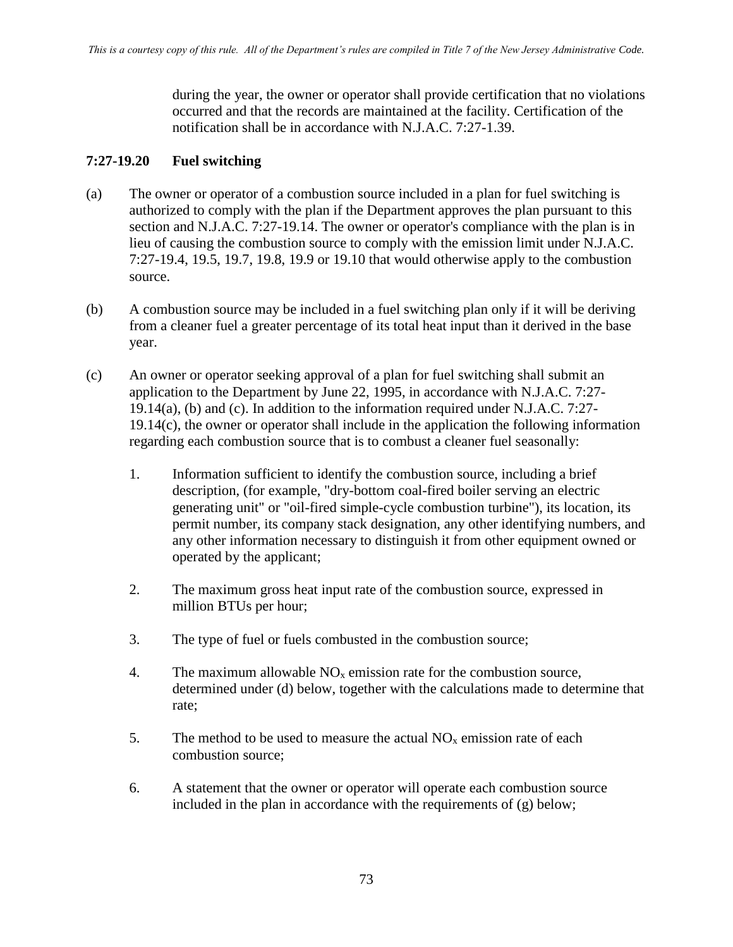during the year, the owner or operator shall provide certification that no violations occurred and that the records are maintained at the facility. Certification of the notification shall be in accordance with N.J.A.C. 7:27-1.39.

### **7:27-19.20 Fuel switching**

- (a) The owner or operator of a combustion source included in a plan for fuel switching is authorized to comply with the plan if the Department approves the plan pursuant to this section and N.J.A.C. 7:27-19.14. The owner or operator's compliance with the plan is in lieu of causing the combustion source to comply with the emission limit under N.J.A.C. 7:27-19.4, 19.5, 19.7, 19.8, 19.9 or 19.10 that would otherwise apply to the combustion source.
- (b) A combustion source may be included in a fuel switching plan only if it will be deriving from a cleaner fuel a greater percentage of its total heat input than it derived in the base year.
- (c) An owner or operator seeking approval of a plan for fuel switching shall submit an application to the Department by June 22, 1995, in accordance with N.J.A.C. 7:27- 19.14(a), (b) and (c). In addition to the information required under N.J.A.C. 7:27- 19.14(c), the owner or operator shall include in the application the following information regarding each combustion source that is to combust a cleaner fuel seasonally:
	- 1. Information sufficient to identify the combustion source, including a brief description, (for example, "dry-bottom coal-fired boiler serving an electric generating unit" or "oil-fired simple-cycle combustion turbine"), its location, its permit number, its company stack designation, any other identifying numbers, and any other information necessary to distinguish it from other equipment owned or operated by the applicant;
	- 2. The maximum gross heat input rate of the combustion source, expressed in million BTUs per hour;
	- 3. The type of fuel or fuels combusted in the combustion source;
	- 4. The maximum allowable  $NO<sub>x</sub>$  emission rate for the combustion source, determined under (d) below, together with the calculations made to determine that rate;
	- 5. The method to be used to measure the actual  $NO<sub>x</sub>$  emission rate of each combustion source;
	- 6. A statement that the owner or operator will operate each combustion source included in the plan in accordance with the requirements of (g) below;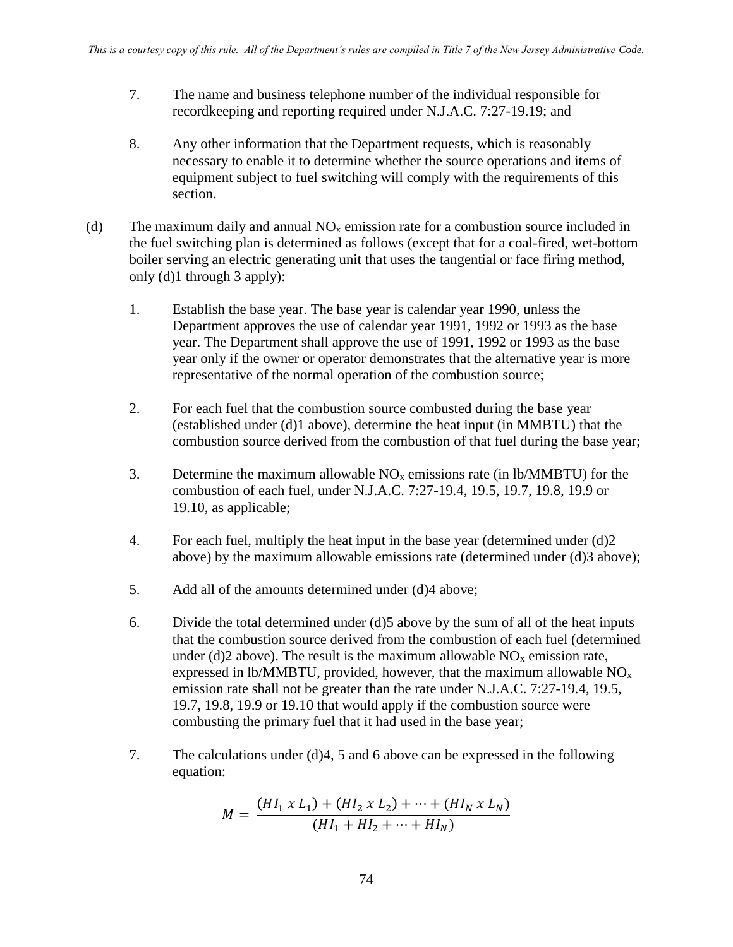- 7. The name and business telephone number of the individual responsible for recordkeeping and reporting required under N.J.A.C. 7:27-19.19; and
- 8. Any other information that the Department requests, which is reasonably necessary to enable it to determine whether the source operations and items of equipment subject to fuel switching will comply with the requirements of this section.
- (d) The maximum daily and annual  $NO<sub>x</sub>$  emission rate for a combustion source included in the fuel switching plan is determined as follows (except that for a coal-fired, wet-bottom boiler serving an electric generating unit that uses the tangential or face firing method, only (d)1 through 3 apply):
	- 1. Establish the base year. The base year is calendar year 1990, unless the Department approves the use of calendar year 1991, 1992 or 1993 as the base year. The Department shall approve the use of 1991, 1992 or 1993 as the base year only if the owner or operator demonstrates that the alternative year is more representative of the normal operation of the combustion source;
	- 2. For each fuel that the combustion source combusted during the base year (established under (d)1 above), determine the heat input (in MMBTU) that the combustion source derived from the combustion of that fuel during the base year;
	- 3. Determine the maximum allowable  $NO<sub>x</sub>$  emissions rate (in lb/MMBTU) for the combustion of each fuel, under N.J.A.C. 7:27-19.4, 19.5, 19.7, 19.8, 19.9 or 19.10, as applicable;
	- 4. For each fuel, multiply the heat input in the base year (determined under (d)2 above) by the maximum allowable emissions rate (determined under (d)3 above);
	- 5. Add all of the amounts determined under (d)4 above;
	- 6. Divide the total determined under (d)5 above by the sum of all of the heat inputs that the combustion source derived from the combustion of each fuel (determined under (d)2 above). The result is the maximum allowable  $NO<sub>x</sub>$  emission rate, expressed in lb/MMBTU, provided, however, that the maximum allowable  $NO<sub>x</sub>$ emission rate shall not be greater than the rate under N.J.A.C. 7:27-19.4, 19.5, 19.7, 19.8, 19.9 or 19.10 that would apply if the combustion source were combusting the primary fuel that it had used in the base year;
	- 7. The calculations under (d)4, 5 and 6 above can be expressed in the following equation:

$$
M = \frac{(HI_1 \times L_1) + (HI_2 \times L_2) + \dots + (HI_N \times L_N)}{(HI_1 + HI_2 + \dots + HI_N)}
$$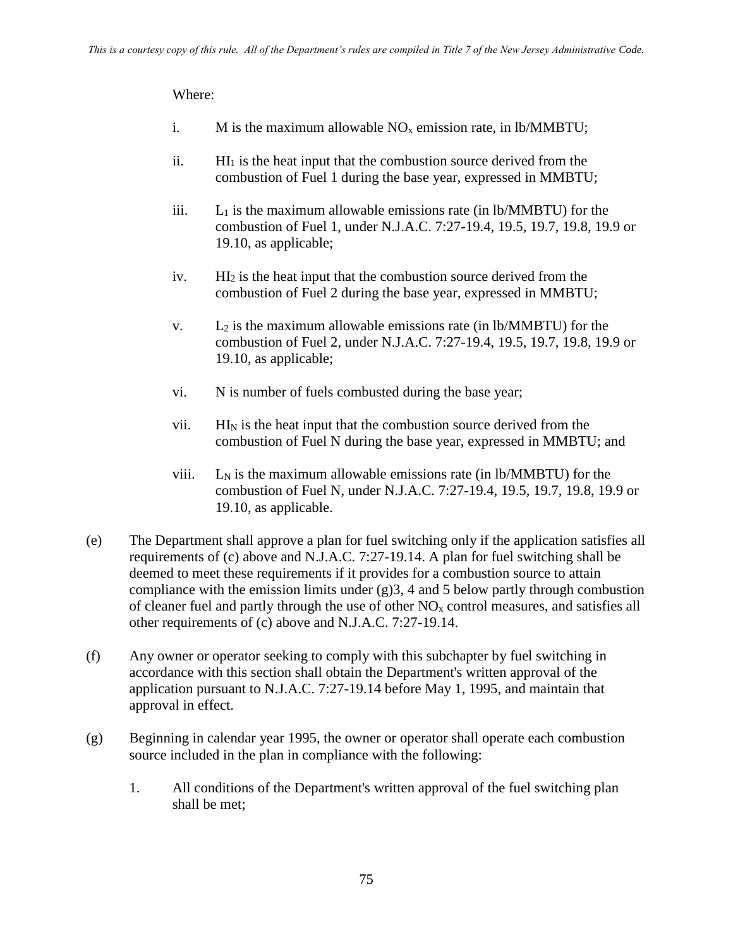- i. M is the maximum allowable  $NO<sub>x</sub>$  emission rate, in lb/MMBTU;
- ii.  $\text{HI}_1$  is the heat input that the combustion source derived from the combustion of Fuel 1 during the base year, expressed in MMBTU;
- iii.  $L_1$  is the maximum allowable emissions rate (in  $lb/MMBTU$ ) for the combustion of Fuel 1, under N.J.A.C. 7:27-19.4, 19.5, 19.7, 19.8, 19.9 or 19.10, as applicable;
- iv. HI<sup>2</sup> is the heat input that the combustion source derived from the combustion of Fuel 2 during the base year, expressed in MMBTU;
- v.  $L_2$  is the maximum allowable emissions rate (in lb/MMBTU) for the combustion of Fuel 2, under N.J.A.C. 7:27-19.4, 19.5, 19.7, 19.8, 19.9 or 19.10, as applicable;
- vi. N is number of fuels combusted during the base year;
- vii.  $H<sub>N</sub>$  is the heat input that the combustion source derived from the combustion of Fuel N during the base year, expressed in MMBTU; and
- viii.  $L_N$  is the maximum allowable emissions rate (in lb/MMBTU) for the combustion of Fuel N, under N.J.A.C. 7:27-19.4, 19.5, 19.7, 19.8, 19.9 or 19.10, as applicable.
- (e) The Department shall approve a plan for fuel switching only if the application satisfies all requirements of (c) above and N.J.A.C. 7:27-19.14. A plan for fuel switching shall be deemed to meet these requirements if it provides for a combustion source to attain compliance with the emission limits under  $(g)$ 3, 4 and 5 below partly through combustion of cleaner fuel and partly through the use of other  $NO<sub>x</sub>$  control measures, and satisfies all other requirements of (c) above and N.J.A.C. 7:27-19.14.
- (f) Any owner or operator seeking to comply with this subchapter by fuel switching in accordance with this section shall obtain the Department's written approval of the application pursuant to N.J.A.C. 7:27-19.14 before May 1, 1995, and maintain that approval in effect.
- (g) Beginning in calendar year 1995, the owner or operator shall operate each combustion source included in the plan in compliance with the following:
	- 1. All conditions of the Department's written approval of the fuel switching plan shall be met;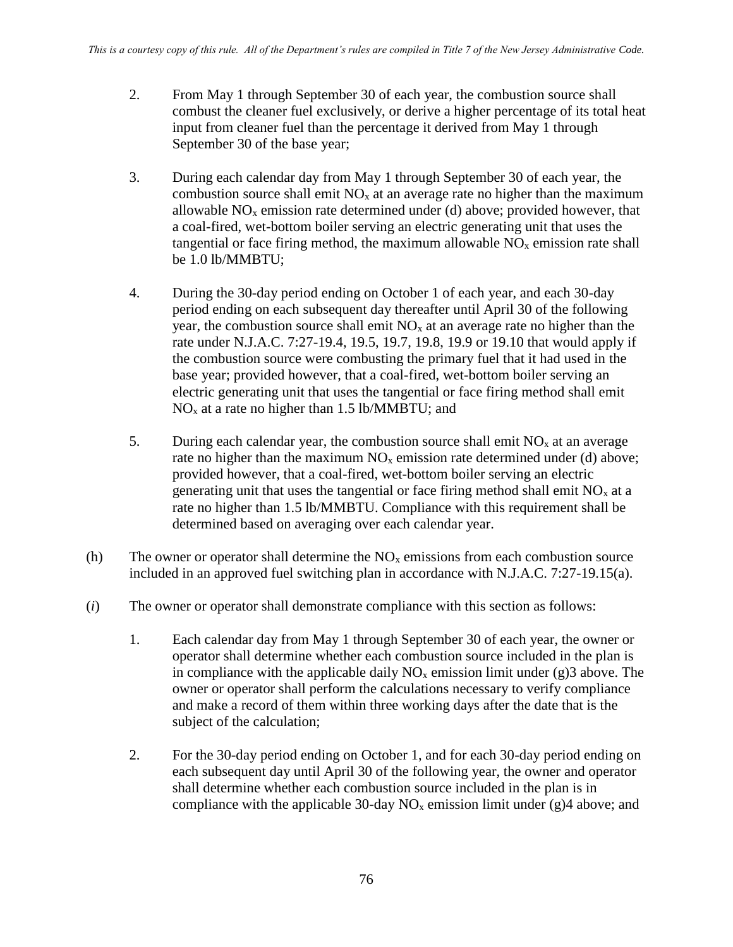- 2. From May 1 through September 30 of each year, the combustion source shall combust the cleaner fuel exclusively, or derive a higher percentage of its total heat input from cleaner fuel than the percentage it derived from May 1 through September 30 of the base year;
- 3. During each calendar day from May 1 through September 30 of each year, the combustion source shall emit  $NO<sub>x</sub>$  at an average rate no higher than the maximum allowable  $NO<sub>x</sub>$  emission rate determined under (d) above; provided however, that a coal-fired, wet-bottom boiler serving an electric generating unit that uses the tangential or face firing method, the maximum allowable  $NO<sub>x</sub>$  emission rate shall be 1.0 lb/MMBTU;
- 4. During the 30-day period ending on October 1 of each year, and each 30-day period ending on each subsequent day thereafter until April 30 of the following year, the combustion source shall emit  $NO<sub>x</sub>$  at an average rate no higher than the rate under N.J.A.C. 7:27-19.4, 19.5, 19.7, 19.8, 19.9 or 19.10 that would apply if the combustion source were combusting the primary fuel that it had used in the base year; provided however, that a coal-fired, wet-bottom boiler serving an electric generating unit that uses the tangential or face firing method shall emit  $NO<sub>x</sub>$  at a rate no higher than 1.5 lb/MMBTU; and
- 5. During each calendar year, the combustion source shall emit  $NO<sub>x</sub>$  at an average rate no higher than the maximum  $NO<sub>x</sub>$  emission rate determined under (d) above; provided however, that a coal-fired, wet-bottom boiler serving an electric generating unit that uses the tangential or face firing method shall emit  $NO<sub>x</sub>$  at a rate no higher than 1.5 lb/MMBTU. Compliance with this requirement shall be determined based on averaging over each calendar year.
- (h) The owner or operator shall determine the  $NO<sub>x</sub>$  emissions from each combustion source included in an approved fuel switching plan in accordance with N.J.A.C. 7:27-19.15(a).
- (*i*) The owner or operator shall demonstrate compliance with this section as follows:
	- 1. Each calendar day from May 1 through September 30 of each year, the owner or operator shall determine whether each combustion source included in the plan is in compliance with the applicable daily  $NO<sub>x</sub>$  emission limit under (g) 3 above. The owner or operator shall perform the calculations necessary to verify compliance and make a record of them within three working days after the date that is the subject of the calculation;
	- 2. For the 30-day period ending on October 1, and for each 30-day period ending on each subsequent day until April 30 of the following year, the owner and operator shall determine whether each combustion source included in the plan is in compliance with the applicable 30-day  $NO<sub>x</sub>$  emission limit under (g)4 above; and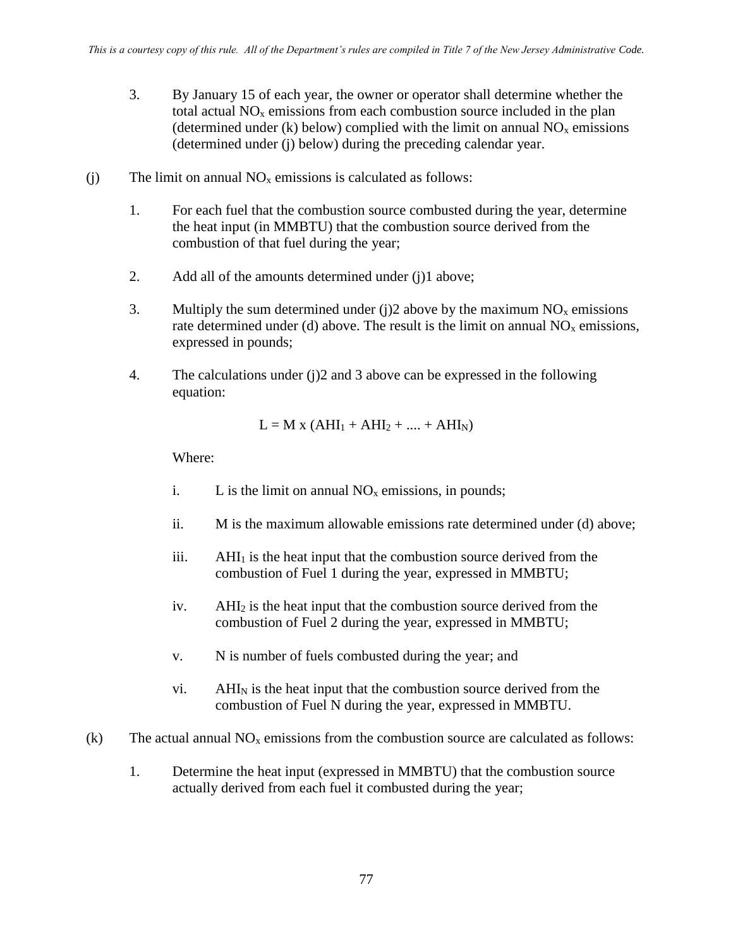- 3. By January 15 of each year, the owner or operator shall determine whether the total actual  $NO<sub>x</sub>$  emissions from each combustion source included in the plan (determined under (k) below) complied with the limit on annual  $NO<sub>x</sub>$  emissions (determined under (j) below) during the preceding calendar year.
- (j) The limit on annual  $NO<sub>x</sub>$  emissions is calculated as follows:
	- 1. For each fuel that the combustion source combusted during the year, determine the heat input (in MMBTU) that the combustion source derived from the combustion of that fuel during the year;
	- 2. Add all of the amounts determined under (j)1 above;
	- 3. Multiply the sum determined under (j)2 above by the maximum  $NO<sub>x</sub>$  emissions rate determined under (d) above. The result is the limit on annual  $NO<sub>x</sub>$  emissions, expressed in pounds;
	- 4. The calculations under (j)2 and 3 above can be expressed in the following equation:

$$
L = M x (AHI1 + AHI2 + .... + AHIN)
$$

- i. L is the limit on annual  $NO<sub>x</sub>$  emissions, in pounds;
- ii. M is the maximum allowable emissions rate determined under (d) above;
- $iii.$  AHI<sub>1</sub> is the heat input that the combustion source derived from the combustion of Fuel 1 during the year, expressed in MMBTU;
- iv. AHI<sup>2</sup> is the heat input that the combustion source derived from the combustion of Fuel 2 during the year, expressed in MMBTU;
- v. N is number of fuels combusted during the year; and
- $vi.$  AHI<sub>N</sub> is the heat input that the combustion source derived from the combustion of Fuel N during the year, expressed in MMBTU.
- (k) The actual annual  $NO<sub>x</sub>$  emissions from the combustion source are calculated as follows:
	- 1. Determine the heat input (expressed in MMBTU) that the combustion source actually derived from each fuel it combusted during the year;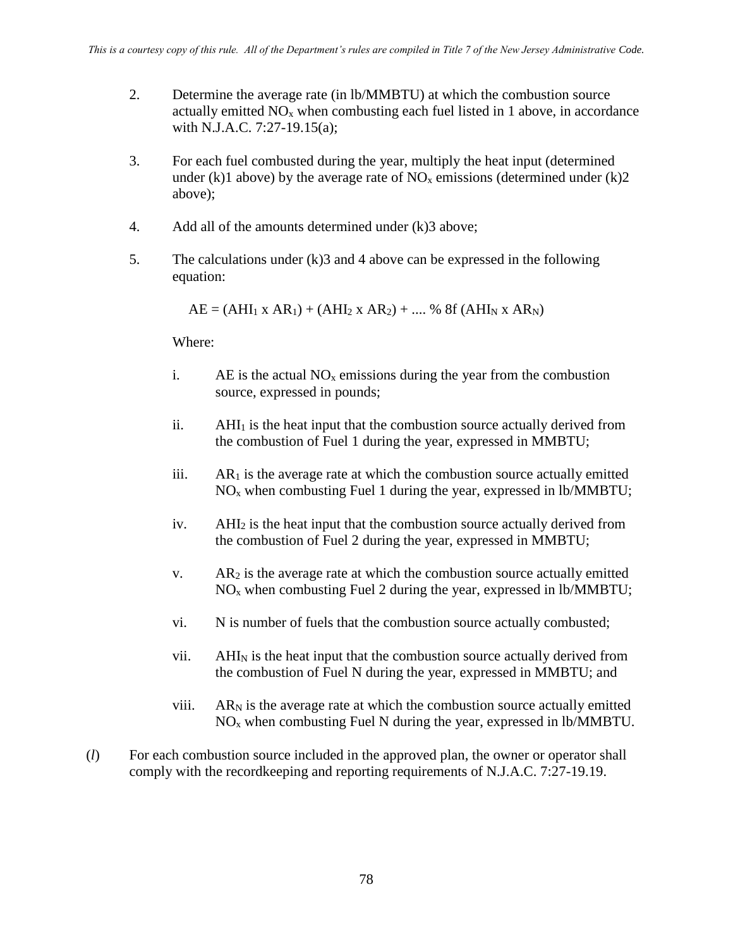- 2. Determine the average rate (in lb/MMBTU) at which the combustion source actually emitted  $NO<sub>x</sub>$  when combusting each fuel listed in 1 above, in accordance with N.J.A.C. 7:27-19.15(a);
- 3. For each fuel combusted during the year, multiply the heat input (determined under (k)1 above) by the average rate of  $NO<sub>x</sub>$  emissions (determined under (k)2 above);
- 4. Add all of the amounts determined under (k)3 above;
- 5. The calculations under (k)3 and 4 above can be expressed in the following equation:

 $AE = (AHI_1 \times AR_1) + (AHI_2 \times AR_2) + \dots$ % 8f (AHI<sub>N</sub> x AR<sub>N</sub>)

- i. AE is the actual  $NO<sub>x</sub>$  emissions during the year from the combustion source, expressed in pounds;
- ii.  $AHI<sub>1</sub>$  is the heat input that the combustion source actually derived from the combustion of Fuel 1 during the year, expressed in MMBTU;
- iii.  $AR<sub>1</sub>$  is the average rate at which the combustion source actually emitted  $NO<sub>x</sub>$  when combusting Fuel 1 during the year, expressed in lb/MMBTU;
- iv. AHI<sup>2</sup> is the heat input that the combustion source actually derived from the combustion of Fuel 2 during the year, expressed in MMBTU;
- v.  $AR_2$  is the average rate at which the combustion source actually emitted  $NO<sub>x</sub>$  when combusting Fuel 2 during the year, expressed in lb/MMBTU;
- vi. N is number of fuels that the combustion source actually combusted;
- vii. AHI<sup>N</sup> is the heat input that the combustion source actually derived from the combustion of Fuel N during the year, expressed in MMBTU; and
- viii.  $AR_N$  is the average rate at which the combustion source actually emitted  $NO<sub>x</sub>$  when combusting Fuel N during the year, expressed in lb/MMBTU.
- (*l*) For each combustion source included in the approved plan, the owner or operator shall comply with the recordkeeping and reporting requirements of N.J.A.C. 7:27-19.19.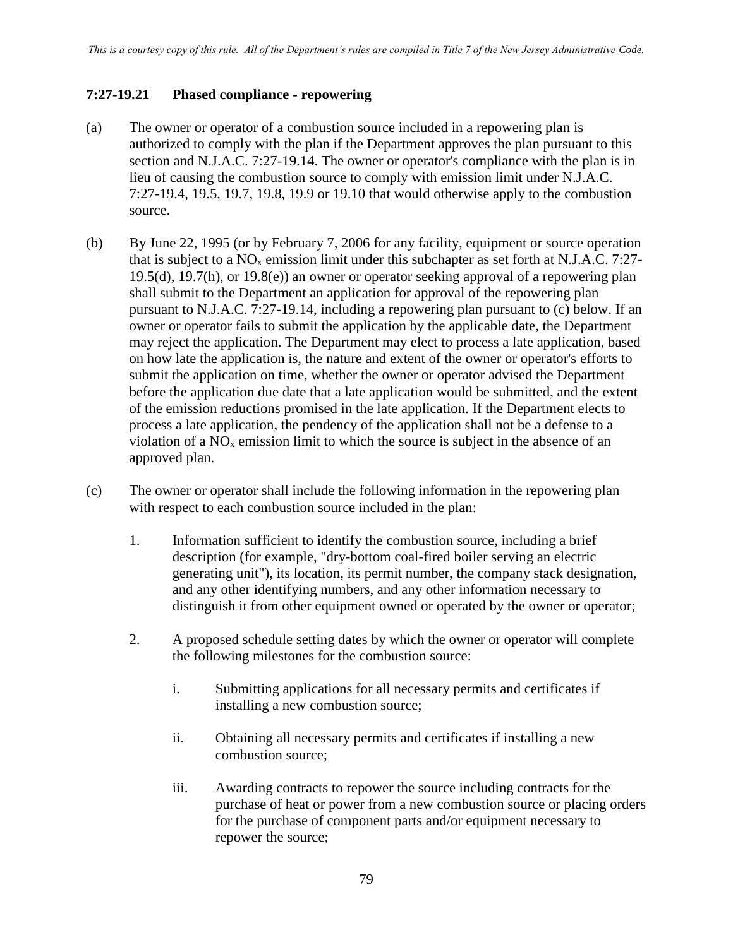### **7:27-19.21 Phased compliance - repowering**

- (a) The owner or operator of a combustion source included in a repowering plan is authorized to comply with the plan if the Department approves the plan pursuant to this section and N.J.A.C. 7:27-19.14. The owner or operator's compliance with the plan is in lieu of causing the combustion source to comply with emission limit under N.J.A.C. 7:27-19.4, 19.5, 19.7, 19.8, 19.9 or 19.10 that would otherwise apply to the combustion source.
- (b) By June 22, 1995 (or by February 7, 2006 for any facility, equipment or source operation that is subject to a  $NO<sub>x</sub>$  emission limit under this subchapter as set forth at N.J.A.C. 7:27-19.5(d), 19.7(h), or 19.8(e)) an owner or operator seeking approval of a repowering plan shall submit to the Department an application for approval of the repowering plan pursuant to N.J.A.C. 7:27-19.14, including a repowering plan pursuant to (c) below. If an owner or operator fails to submit the application by the applicable date, the Department may reject the application. The Department may elect to process a late application, based on how late the application is, the nature and extent of the owner or operator's efforts to submit the application on time, whether the owner or operator advised the Department before the application due date that a late application would be submitted, and the extent of the emission reductions promised in the late application. If the Department elects to process a late application, the pendency of the application shall not be a defense to a violation of a  $NO<sub>x</sub>$  emission limit to which the source is subject in the absence of an approved plan.
- (c) The owner or operator shall include the following information in the repowering plan with respect to each combustion source included in the plan:
	- 1. Information sufficient to identify the combustion source, including a brief description (for example, "dry-bottom coal-fired boiler serving an electric generating unit"), its location, its permit number, the company stack designation, and any other identifying numbers, and any other information necessary to distinguish it from other equipment owned or operated by the owner or operator;
	- 2. A proposed schedule setting dates by which the owner or operator will complete the following milestones for the combustion source:
		- i. Submitting applications for all necessary permits and certificates if installing a new combustion source;
		- ii. Obtaining all necessary permits and certificates if installing a new combustion source;
		- iii. Awarding contracts to repower the source including contracts for the purchase of heat or power from a new combustion source or placing orders for the purchase of component parts and/or equipment necessary to repower the source;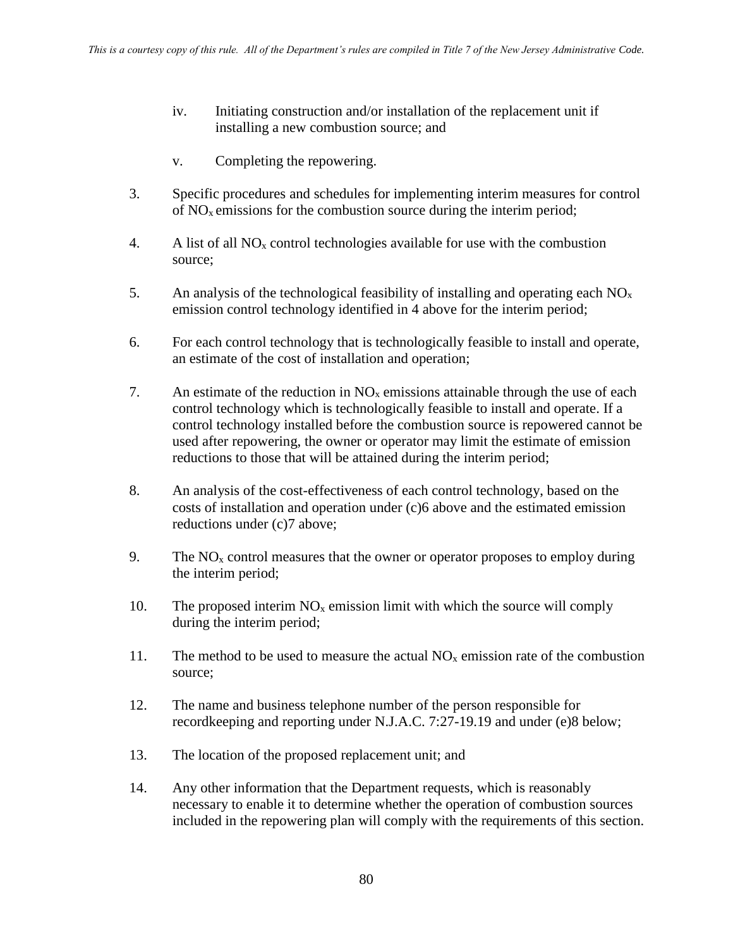- iv. Initiating construction and/or installation of the replacement unit if installing a new combustion source; and
- v. Completing the repowering.
- 3. Specific procedures and schedules for implementing interim measures for control of  $NO<sub>x</sub>$  emissions for the combustion source during the interim period;
- 4. A list of all  $NO<sub>x</sub>$  control technologies available for use with the combustion source;
- 5. An analysis of the technological feasibility of installing and operating each  $NO<sub>x</sub>$ emission control technology identified in 4 above for the interim period;
- 6. For each control technology that is technologically feasible to install and operate, an estimate of the cost of installation and operation;
- 7. An estimate of the reduction in  $NO<sub>x</sub>$  emissions attainable through the use of each control technology which is technologically feasible to install and operate. If a control technology installed before the combustion source is repowered cannot be used after repowering, the owner or operator may limit the estimate of emission reductions to those that will be attained during the interim period;
- 8. An analysis of the cost-effectiveness of each control technology, based on the costs of installation and operation under (c)6 above and the estimated emission reductions under (c)7 above;
- 9. The  $NO<sub>x</sub>$  control measures that the owner or operator proposes to employ during the interim period;
- 10. The proposed interim  $NO<sub>x</sub>$  emission limit with which the source will comply during the interim period;
- 11. The method to be used to measure the actual  $NO<sub>x</sub>$  emission rate of the combustion source;
- 12. The name and business telephone number of the person responsible for recordkeeping and reporting under N.J.A.C. 7:27-19.19 and under (e)8 below;
- 13. The location of the proposed replacement unit; and
- 14. Any other information that the Department requests, which is reasonably necessary to enable it to determine whether the operation of combustion sources included in the repowering plan will comply with the requirements of this section.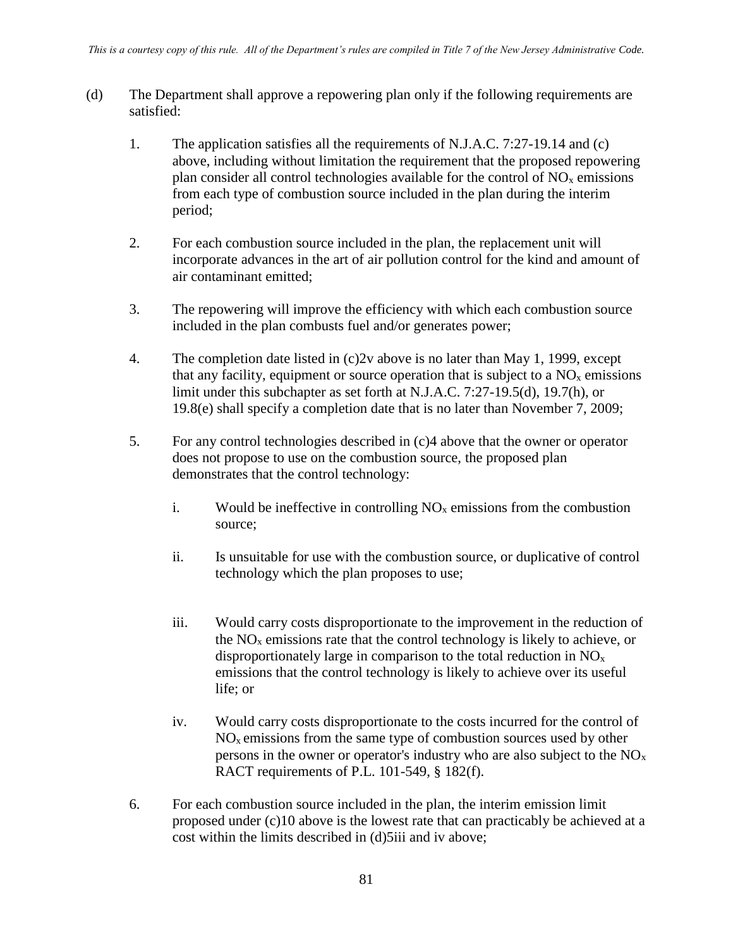- (d) The Department shall approve a repowering plan only if the following requirements are satisfied:
	- 1. The application satisfies all the requirements of N.J.A.C. 7:27-19.14 and (c) above, including without limitation the requirement that the proposed repowering plan consider all control technologies available for the control of  $NO<sub>x</sub>$  emissions from each type of combustion source included in the plan during the interim period;
	- 2. For each combustion source included in the plan, the replacement unit will incorporate advances in the art of air pollution control for the kind and amount of air contaminant emitted;
	- 3. The repowering will improve the efficiency with which each combustion source included in the plan combusts fuel and/or generates power;
	- 4. The completion date listed in (c)2v above is no later than May 1, 1999, except that any facility, equipment or source operation that is subject to a  $NO<sub>x</sub>$  emissions limit under this subchapter as set forth at N.J.A.C. 7:27-19.5(d), 19.7(h), or 19.8(e) shall specify a completion date that is no later than November 7, 2009;
	- 5. For any control technologies described in (c)4 above that the owner or operator does not propose to use on the combustion source, the proposed plan demonstrates that the control technology:
		- i. Would be ineffective in controlling  $NO<sub>x</sub>$  emissions from the combustion source;
		- ii. Is unsuitable for use with the combustion source, or duplicative of control technology which the plan proposes to use;
		- iii. Would carry costs disproportionate to the improvement in the reduction of the  $NO<sub>x</sub>$  emissions rate that the control technology is likely to achieve, or disproportionately large in comparison to the total reduction in  $NO<sub>x</sub>$ emissions that the control technology is likely to achieve over its useful life; or
		- iv. Would carry costs disproportionate to the costs incurred for the control of  $NO<sub>x</sub>$  emissions from the same type of combustion sources used by other persons in the owner or operator's industry who are also subject to the  $NO<sub>x</sub>$ RACT requirements of P.L. 101-549, § 182(f).
	- 6. For each combustion source included in the plan, the interim emission limit proposed under (c)10 above is the lowest rate that can practicably be achieved at a cost within the limits described in (d)5iii and iv above;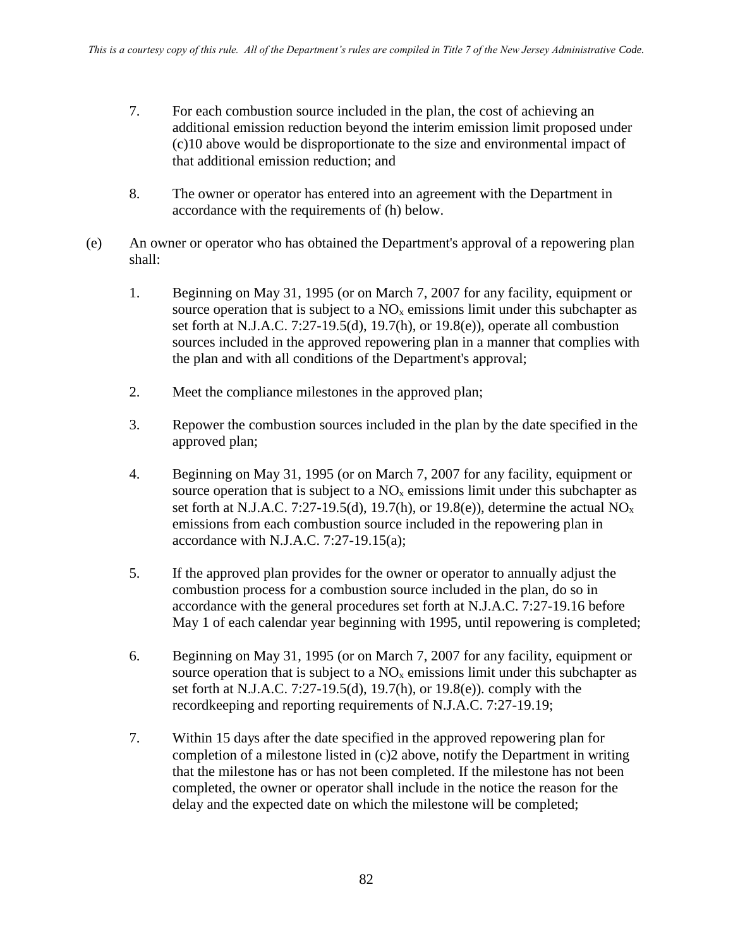- 7. For each combustion source included in the plan, the cost of achieving an additional emission reduction beyond the interim emission limit proposed under (c)10 above would be disproportionate to the size and environmental impact of that additional emission reduction; and
- 8. The owner or operator has entered into an agreement with the Department in accordance with the requirements of (h) below.
- (e) An owner or operator who has obtained the Department's approval of a repowering plan shall:
	- 1. Beginning on May 31, 1995 (or on March 7, 2007 for any facility, equipment or source operation that is subject to a  $NO<sub>x</sub>$  emissions limit under this subchapter as set forth at N.J.A.C. 7:27-19.5(d), 19.7(h), or 19.8(e)), operate all combustion sources included in the approved repowering plan in a manner that complies with the plan and with all conditions of the Department's approval;
	- 2. Meet the compliance milestones in the approved plan;
	- 3. Repower the combustion sources included in the plan by the date specified in the approved plan;
	- 4. Beginning on May 31, 1995 (or on March 7, 2007 for any facility, equipment or source operation that is subject to a  $NO<sub>x</sub>$  emissions limit under this subchapter as set forth at N.J.A.C. 7:27-19.5(d), 19.7(h), or 19.8(e)), determine the actual  $NO<sub>x</sub>$ emissions from each combustion source included in the repowering plan in accordance with N.J.A.C.  $7:27-19.15(a)$ :
	- 5. If the approved plan provides for the owner or operator to annually adjust the combustion process for a combustion source included in the plan, do so in accordance with the general procedures set forth at N.J.A.C. 7:27-19.16 before May 1 of each calendar year beginning with 1995, until repowering is completed;
	- 6. Beginning on May 31, 1995 (or on March 7, 2007 for any facility, equipment or source operation that is subject to a  $NO<sub>x</sub>$  emissions limit under this subchapter as set forth at N.J.A.C. 7:27-19.5(d), 19.7(h), or 19.8(e)). comply with the recordkeeping and reporting requirements of N.J.A.C. 7:27-19.19;
	- 7. Within 15 days after the date specified in the approved repowering plan for completion of a milestone listed in (c)2 above, notify the Department in writing that the milestone has or has not been completed. If the milestone has not been completed, the owner or operator shall include in the notice the reason for the delay and the expected date on which the milestone will be completed;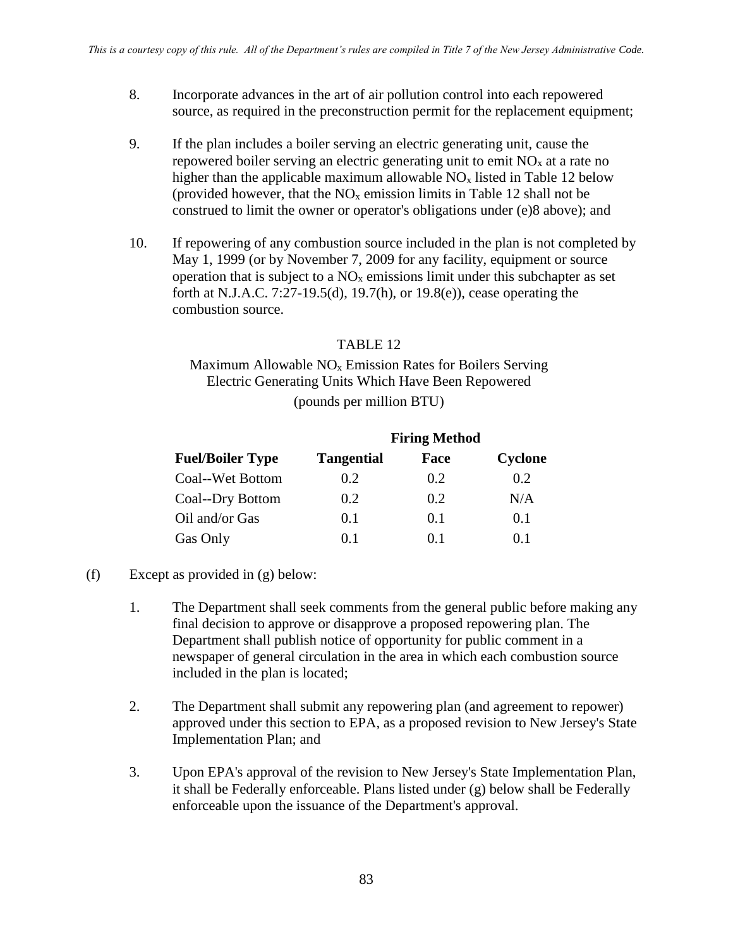- 8. Incorporate advances in the art of air pollution control into each repowered source, as required in the preconstruction permit for the replacement equipment;
- 9. If the plan includes a boiler serving an electric generating unit, cause the repowered boiler serving an electric generating unit to emit  $NO<sub>x</sub>$  at a rate no higher than the applicable maximum allowable  $NO<sub>x</sub>$  listed in Table 12 below (provided however, that the  $NO<sub>x</sub>$  emission limits in Table 12 shall not be construed to limit the owner or operator's obligations under (e)8 above); and
- 10. If repowering of any combustion source included in the plan is not completed by May 1, 1999 (or by November 7, 2009 for any facility, equipment or source operation that is subject to a  $NO<sub>x</sub>$  emissions limit under this subchapter as set forth at N.J.A.C. 7:27-19.5(d), 19.7(h), or 19.8(e)), cease operating the combustion source.

### TABLE 12

## Maximum Allowable  $NO<sub>x</sub>$  Emission Rates for Boilers Serving Electric Generating Units Which Have Been Repowered (pounds per million BTU)

|                         | <b>Firing Method</b> |      |         |
|-------------------------|----------------------|------|---------|
| <b>Fuel/Boiler Type</b> | <b>Tangential</b>    | Face | Cyclone |
| Coal--Wet Bottom        | 0.2                  | 0.2  | 0.2     |
| Coal--Dry Bottom        | 0.2                  | 0.2  | N/A     |
| Oil and/or Gas          | 0.1                  | 0.1  | 0.1     |
| Gas Only                | 0.1                  | 0.1  | 0.1     |

- (f) Except as provided in (g) below:
	- 1. The Department shall seek comments from the general public before making any final decision to approve or disapprove a proposed repowering plan. The Department shall publish notice of opportunity for public comment in a newspaper of general circulation in the area in which each combustion source included in the plan is located;
	- 2. The Department shall submit any repowering plan (and agreement to repower) approved under this section to EPA, as a proposed revision to New Jersey's State Implementation Plan; and
	- 3. Upon EPA's approval of the revision to New Jersey's State Implementation Plan, it shall be Federally enforceable. Plans listed under (g) below shall be Federally enforceable upon the issuance of the Department's approval.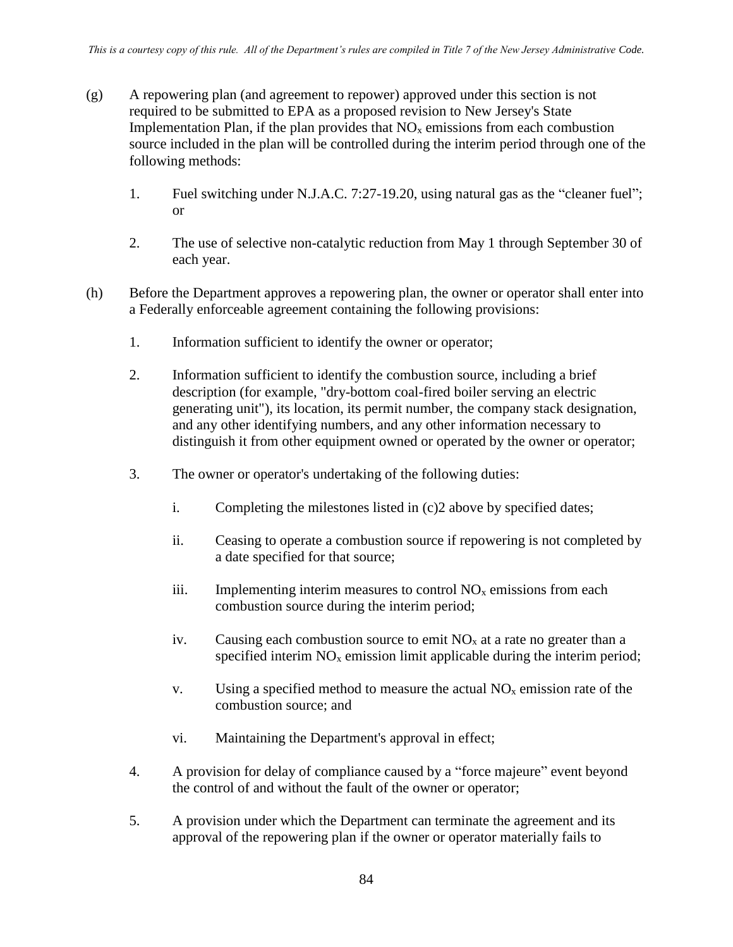- (g) A repowering plan (and agreement to repower) approved under this section is not required to be submitted to EPA as a proposed revision to New Jersey's State Implementation Plan, if the plan provides that  $NO<sub>x</sub>$  emissions from each combustion source included in the plan will be controlled during the interim period through one of the following methods:
	- 1. Fuel switching under N.J.A.C. 7:27-19.20, using natural gas as the "cleaner fuel"; or
	- 2. The use of selective non-catalytic reduction from May 1 through September 30 of each year.
- (h) Before the Department approves a repowering plan, the owner or operator shall enter into a Federally enforceable agreement containing the following provisions:
	- 1. Information sufficient to identify the owner or operator;
	- 2. Information sufficient to identify the combustion source, including a brief description (for example, "dry-bottom coal-fired boiler serving an electric generating unit"), its location, its permit number, the company stack designation, and any other identifying numbers, and any other information necessary to distinguish it from other equipment owned or operated by the owner or operator;
	- 3. The owner or operator's undertaking of the following duties:
		- i. Completing the milestones listed in (c)2 above by specified dates;
		- ii. Ceasing to operate a combustion source if repowering is not completed by a date specified for that source;
		- iii. Implementing interim measures to control  $NO<sub>x</sub>$  emissions from each combustion source during the interim period;
		- iv. Causing each combustion source to emit  $NO<sub>x</sub>$  at a rate no greater than a specified interim  $NO<sub>x</sub>$  emission limit applicable during the interim period;
		- v. Using a specified method to measure the actual  $NO<sub>x</sub>$  emission rate of the combustion source; and
		- vi. Maintaining the Department's approval in effect;
	- 4. A provision for delay of compliance caused by a "force majeure" event beyond the control of and without the fault of the owner or operator;
	- 5. A provision under which the Department can terminate the agreement and its approval of the repowering plan if the owner or operator materially fails to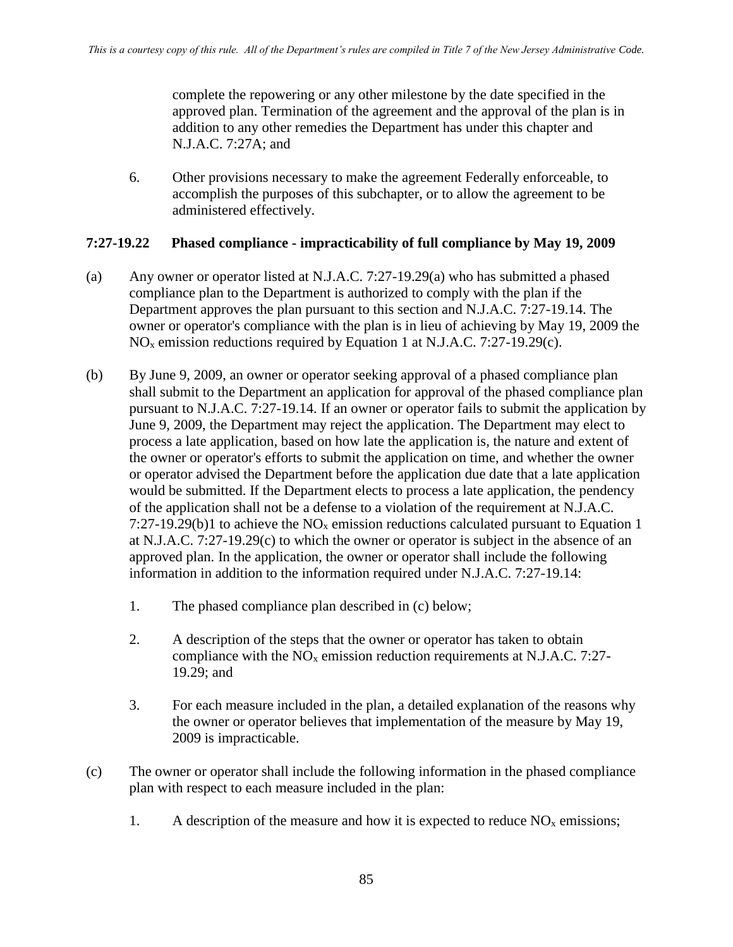complete the repowering or any other milestone by the date specified in the approved plan. Termination of the agreement and the approval of the plan is in addition to any other remedies the Department has under this chapter and N.J.A.C. 7:27A; and

6. Other provisions necessary to make the agreement Federally enforceable, to accomplish the purposes of this subchapter, or to allow the agreement to be administered effectively.

### **7:27-19.22 Phased compliance - impracticability of full compliance by May 19, 2009**

- (a) Any owner or operator listed at N.J.A.C. 7:27-19.29(a) who has submitted a phased compliance plan to the Department is authorized to comply with the plan if the Department approves the plan pursuant to this section and N.J.A.C. 7:27-19.14. The owner or operator's compliance with the plan is in lieu of achieving by May 19, 2009 the  $NO<sub>x</sub>$  emission reductions required by Equation 1 at N.J.A.C. 7:27-19.29(c).
- (b) By June 9, 2009, an owner or operator seeking approval of a phased compliance plan shall submit to the Department an application for approval of the phased compliance plan pursuant to N.J.A.C. 7:27-19.14. If an owner or operator fails to submit the application by June 9, 2009, the Department may reject the application. The Department may elect to process a late application, based on how late the application is, the nature and extent of the owner or operator's efforts to submit the application on time, and whether the owner or operator advised the Department before the application due date that a late application would be submitted. If the Department elects to process a late application, the pendency of the application shall not be a defense to a violation of the requirement at N.J.A.C. 7:27-19.29(b)1 to achieve the  $NO<sub>x</sub>$  emission reductions calculated pursuant to Equation 1 at N.J.A.C. 7:27-19.29(c) to which the owner or operator is subject in the absence of an approved plan. In the application, the owner or operator shall include the following information in addition to the information required under N.J.A.C. 7:27-19.14:
	- 1. The phased compliance plan described in (c) below;
	- 2. A description of the steps that the owner or operator has taken to obtain compliance with the  $NO<sub>x</sub>$  emission reduction requirements at N.J.A.C. 7:27-19.29; and
	- 3. For each measure included in the plan, a detailed explanation of the reasons why the owner or operator believes that implementation of the measure by May 19, 2009 is impracticable.
- (c) The owner or operator shall include the following information in the phased compliance plan with respect to each measure included in the plan:
	- 1. A description of the measure and how it is expected to reduce  $NO<sub>x</sub>$  emissions;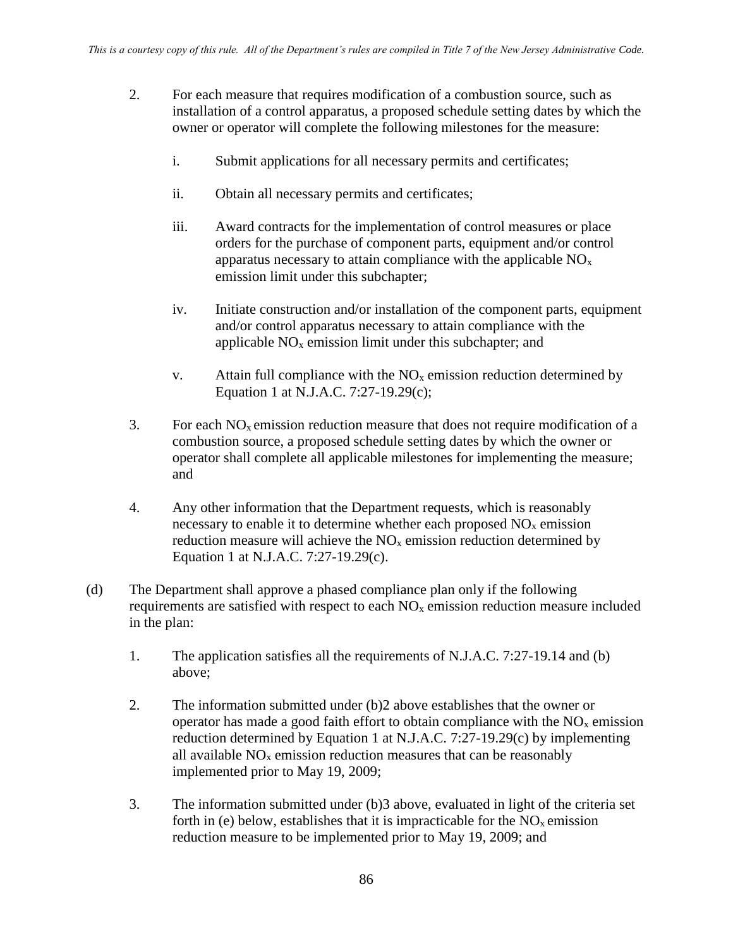- 2. For each measure that requires modification of a combustion source, such as installation of a control apparatus, a proposed schedule setting dates by which the owner or operator will complete the following milestones for the measure:
	- i. Submit applications for all necessary permits and certificates;
	- ii. Obtain all necessary permits and certificates;
	- iii. Award contracts for the implementation of control measures or place orders for the purchase of component parts, equipment and/or control apparatus necessary to attain compliance with the applicable  $NO<sub>x</sub>$ emission limit under this subchapter;
	- iv. Initiate construction and/or installation of the component parts, equipment and/or control apparatus necessary to attain compliance with the applicable  $NO<sub>x</sub>$  emission limit under this subchapter; and
	- v. Attain full compliance with the  $NO<sub>x</sub>$  emission reduction determined by Equation 1 at N.J.A.C. 7:27-19.29(c);
- 3. For each  $NO<sub>x</sub>$  emission reduction measure that does not require modification of a combustion source, a proposed schedule setting dates by which the owner or operator shall complete all applicable milestones for implementing the measure; and
- 4. Any other information that the Department requests, which is reasonably necessary to enable it to determine whether each proposed  $NO<sub>x</sub>$  emission reduction measure will achieve the  $NO<sub>x</sub>$  emission reduction determined by Equation 1 at N.J.A.C. 7:27-19.29(c).
- (d) The Department shall approve a phased compliance plan only if the following requirements are satisfied with respect to each  $NO<sub>x</sub>$  emission reduction measure included in the plan:
	- 1. The application satisfies all the requirements of N.J.A.C. 7:27-19.14 and (b) above;
	- 2. The information submitted under (b)2 above establishes that the owner or operator has made a good faith effort to obtain compliance with the  $NO<sub>x</sub>$  emission reduction determined by Equation 1 at N.J.A.C. 7:27-19.29(c) by implementing all available  $NO<sub>x</sub>$  emission reduction measures that can be reasonably implemented prior to May 19, 2009;
	- 3. The information submitted under (b)3 above, evaluated in light of the criteria set forth in (e) below, establishes that it is impracticable for the  $NO<sub>x</sub>$  emission reduction measure to be implemented prior to May 19, 2009; and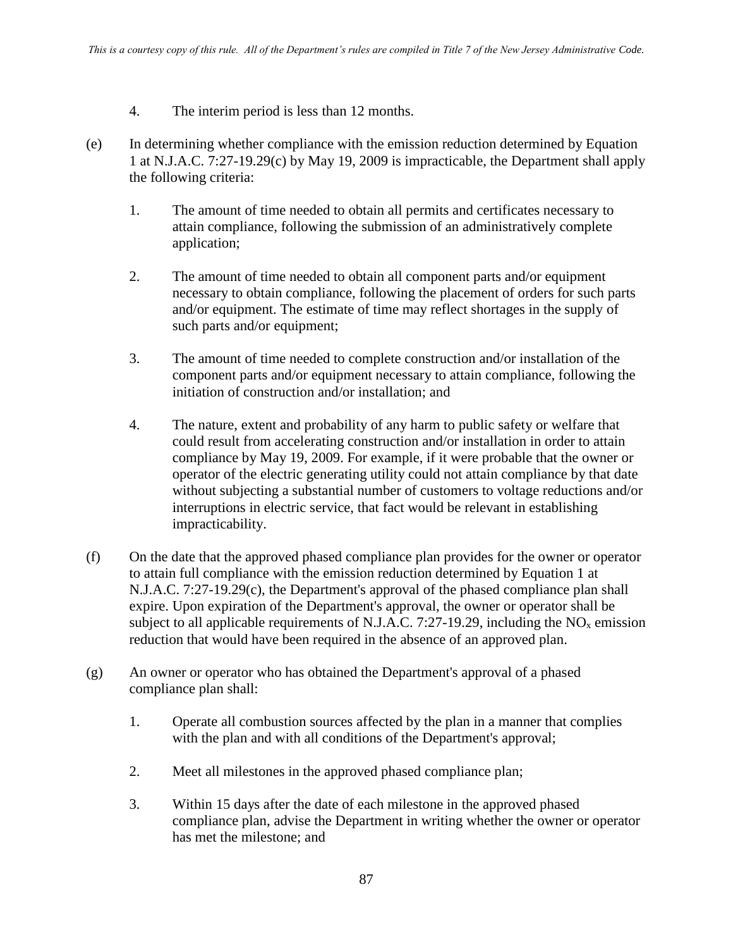- 4. The interim period is less than 12 months.
- (e) In determining whether compliance with the emission reduction determined by Equation 1 at N.J.A.C. 7:27-19.29(c) by May 19, 2009 is impracticable, the Department shall apply the following criteria:
	- 1. The amount of time needed to obtain all permits and certificates necessary to attain compliance, following the submission of an administratively complete application;
	- 2. The amount of time needed to obtain all component parts and/or equipment necessary to obtain compliance, following the placement of orders for such parts and/or equipment. The estimate of time may reflect shortages in the supply of such parts and/or equipment;
	- 3. The amount of time needed to complete construction and/or installation of the component parts and/or equipment necessary to attain compliance, following the initiation of construction and/or installation; and
	- 4. The nature, extent and probability of any harm to public safety or welfare that could result from accelerating construction and/or installation in order to attain compliance by May 19, 2009. For example, if it were probable that the owner or operator of the electric generating utility could not attain compliance by that date without subjecting a substantial number of customers to voltage reductions and/or interruptions in electric service, that fact would be relevant in establishing impracticability.
- (f) On the date that the approved phased compliance plan provides for the owner or operator to attain full compliance with the emission reduction determined by Equation 1 at N.J.A.C. 7:27-19.29(c), the Department's approval of the phased compliance plan shall expire. Upon expiration of the Department's approval, the owner or operator shall be subject to all applicable requirements of N.J.A.C. 7:27-19.29, including the  $NO<sub>x</sub>$  emission reduction that would have been required in the absence of an approved plan.
- (g) An owner or operator who has obtained the Department's approval of a phased compliance plan shall:
	- 1. Operate all combustion sources affected by the plan in a manner that complies with the plan and with all conditions of the Department's approval;
	- 2. Meet all milestones in the approved phased compliance plan;
	- 3. Within 15 days after the date of each milestone in the approved phased compliance plan, advise the Department in writing whether the owner or operator has met the milestone; and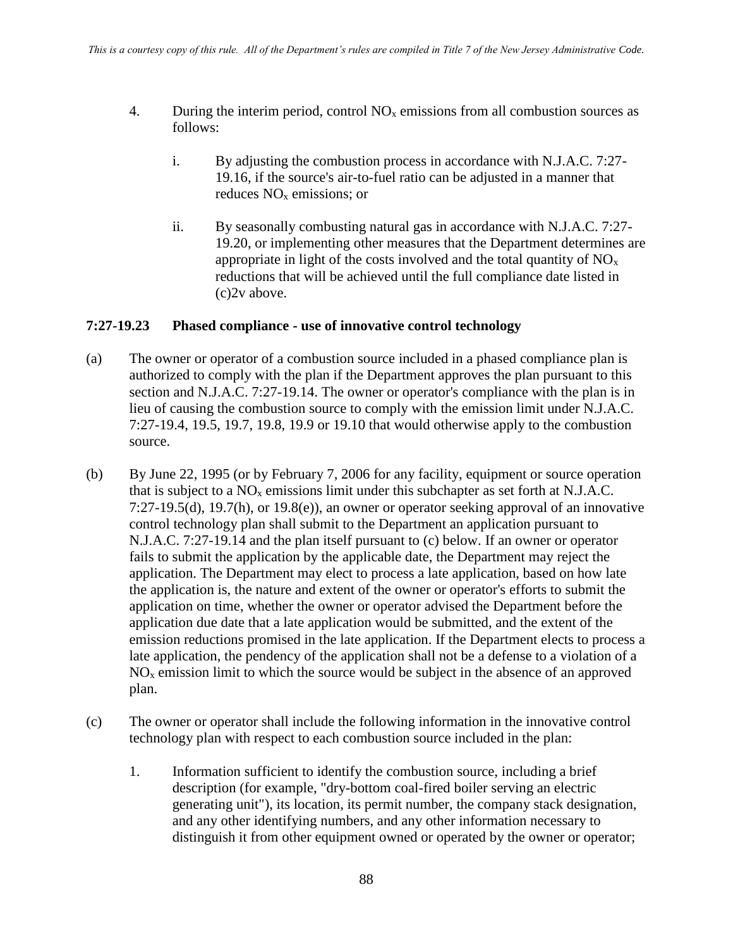- 4. During the interim period, control  $NO<sub>x</sub>$  emissions from all combustion sources as follows:
	- i. By adjusting the combustion process in accordance with N.J.A.C. 7:27- 19.16, if the source's air-to-fuel ratio can be adjusted in a manner that reduces NO<sup>x</sup> emissions; or
	- ii. By seasonally combusting natural gas in accordance with N.J.A.C. 7:27- 19.20, or implementing other measures that the Department determines are appropriate in light of the costs involved and the total quantity of  $NO<sub>x</sub>$ reductions that will be achieved until the full compliance date listed in (c)2v above.

#### **7:27-19.23 Phased compliance - use of innovative control technology**

- (a) The owner or operator of a combustion source included in a phased compliance plan is authorized to comply with the plan if the Department approves the plan pursuant to this section and N.J.A.C. 7:27-19.14. The owner or operator's compliance with the plan is in lieu of causing the combustion source to comply with the emission limit under N.J.A.C. 7:27-19.4, 19.5, 19.7, 19.8, 19.9 or 19.10 that would otherwise apply to the combustion source.
- (b) By June 22, 1995 (or by February 7, 2006 for any facility, equipment or source operation that is subject to a  $NO<sub>x</sub>$  emissions limit under this subchapter as set forth at N.J.A.C. 7:27-19.5(d), 19.7(h), or 19.8(e)), an owner or operator seeking approval of an innovative control technology plan shall submit to the Department an application pursuant to N.J.A.C. 7:27-19.14 and the plan itself pursuant to (c) below. If an owner or operator fails to submit the application by the applicable date, the Department may reject the application. The Department may elect to process a late application, based on how late the application is, the nature and extent of the owner or operator's efforts to submit the application on time, whether the owner or operator advised the Department before the application due date that a late application would be submitted, and the extent of the emission reductions promised in the late application. If the Department elects to process a late application, the pendency of the application shall not be a defense to a violation of a  $NO<sub>x</sub>$  emission limit to which the source would be subject in the absence of an approved plan.
- (c) The owner or operator shall include the following information in the innovative control technology plan with respect to each combustion source included in the plan:
	- 1. Information sufficient to identify the combustion source, including a brief description (for example, "dry-bottom coal-fired boiler serving an electric generating unit"), its location, its permit number, the company stack designation, and any other identifying numbers, and any other information necessary to distinguish it from other equipment owned or operated by the owner or operator;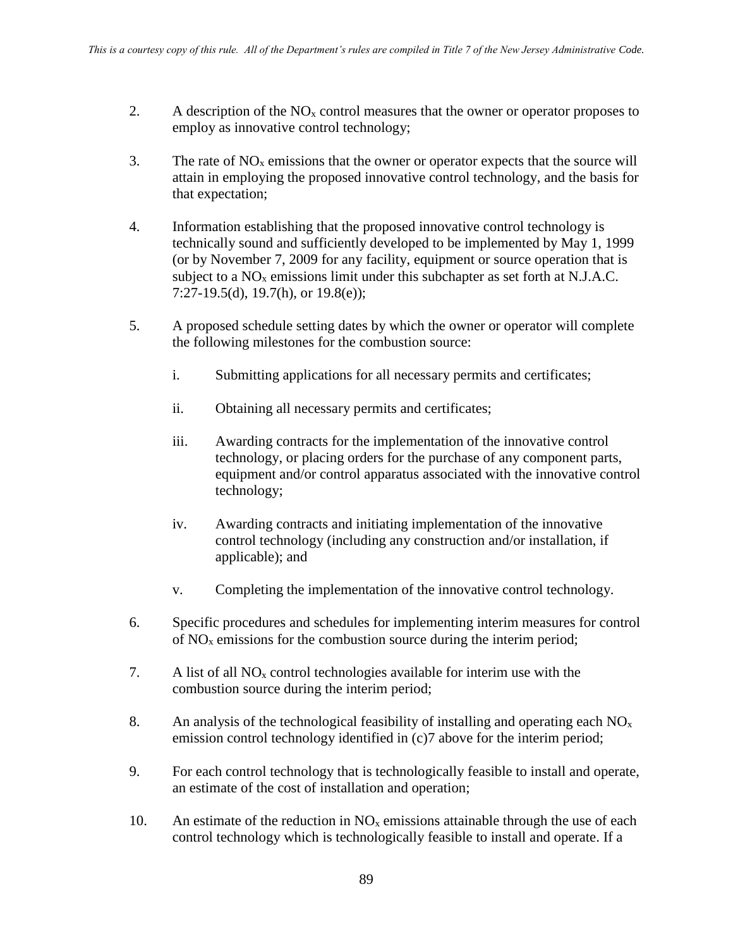- 2. A description of the  $NO<sub>x</sub>$  control measures that the owner or operator proposes to employ as innovative control technology;
- 3. The rate of  $NO<sub>x</sub>$  emissions that the owner or operator expects that the source will attain in employing the proposed innovative control technology, and the basis for that expectation;
- 4. Information establishing that the proposed innovative control technology is technically sound and sufficiently developed to be implemented by May 1, 1999 (or by November 7, 2009 for any facility, equipment or source operation that is subject to a  $NO<sub>x</sub>$  emissions limit under this subchapter as set forth at N.J.A.C. 7:27-19.5(d), 19.7(h), or 19.8(e));
- 5. A proposed schedule setting dates by which the owner or operator will complete the following milestones for the combustion source:
	- i. Submitting applications for all necessary permits and certificates;
	- ii. Obtaining all necessary permits and certificates;
	- iii. Awarding contracts for the implementation of the innovative control technology, or placing orders for the purchase of any component parts, equipment and/or control apparatus associated with the innovative control technology;
	- iv. Awarding contracts and initiating implementation of the innovative control technology (including any construction and/or installation, if applicable); and
	- v. Completing the implementation of the innovative control technology.
- 6. Specific procedures and schedules for implementing interim measures for control of  $NO<sub>x</sub>$  emissions for the combustion source during the interim period;
- 7. A list of all  $NO<sub>x</sub>$  control technologies available for interim use with the combustion source during the interim period;
- 8. An analysis of the technological feasibility of installing and operating each  $NO<sub>x</sub>$ emission control technology identified in (c)7 above for the interim period;
- 9. For each control technology that is technologically feasible to install and operate, an estimate of the cost of installation and operation;
- 10. An estimate of the reduction in  $NO<sub>x</sub>$  emissions attainable through the use of each control technology which is technologically feasible to install and operate. If a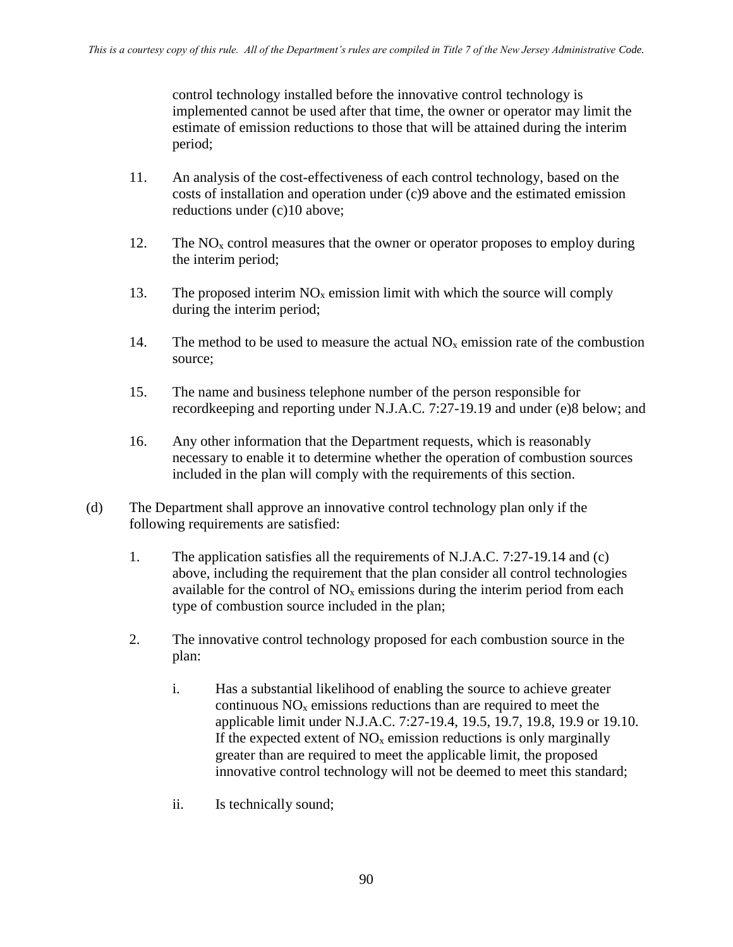control technology installed before the innovative control technology is implemented cannot be used after that time, the owner or operator may limit the estimate of emission reductions to those that will be attained during the interim period;

- 11. An analysis of the cost-effectiveness of each control technology, based on the costs of installation and operation under (c)9 above and the estimated emission reductions under (c)10 above;
- 12. The  $NO<sub>x</sub>$  control measures that the owner or operator proposes to employ during the interim period;
- 13. The proposed interim  $NO<sub>x</sub>$  emission limit with which the source will comply during the interim period;
- 14. The method to be used to measure the actual  $NO<sub>x</sub>$  emission rate of the combustion source;
- 15. The name and business telephone number of the person responsible for recordkeeping and reporting under N.J.A.C. 7:27-19.19 and under (e)8 below; and
- 16. Any other information that the Department requests, which is reasonably necessary to enable it to determine whether the operation of combustion sources included in the plan will comply with the requirements of this section.
- (d) The Department shall approve an innovative control technology plan only if the following requirements are satisfied:
	- 1. The application satisfies all the requirements of N.J.A.C. 7:27-19.14 and (c) above, including the requirement that the plan consider all control technologies available for the control of  $NO<sub>x</sub>$  emissions during the interim period from each type of combustion source included in the plan;
	- 2. The innovative control technology proposed for each combustion source in the plan:
		- i. Has a substantial likelihood of enabling the source to achieve greater continuous  $NO<sub>x</sub>$  emissions reductions than are required to meet the applicable limit under N.J.A.C. 7:27-19.4, 19.5, 19.7, 19.8, 19.9 or 19.10. If the expected extent of  $NO<sub>x</sub>$  emission reductions is only marginally greater than are required to meet the applicable limit, the proposed innovative control technology will not be deemed to meet this standard;
		- ii. Is technically sound;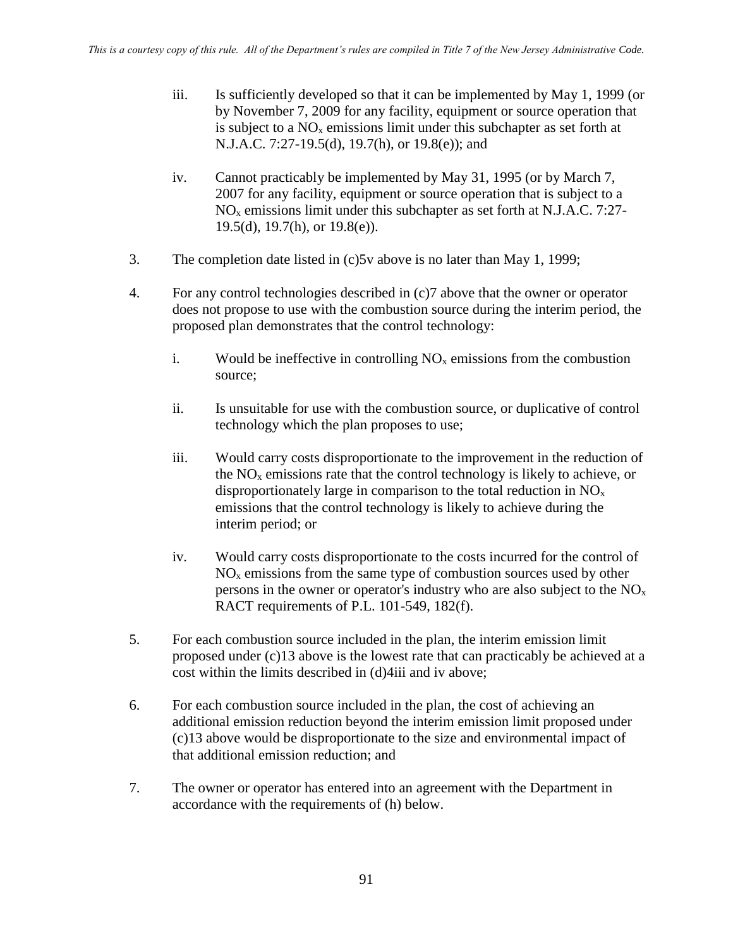- iii. Is sufficiently developed so that it can be implemented by May 1, 1999 (or by November 7, 2009 for any facility, equipment or source operation that is subject to a  $NO<sub>x</sub>$  emissions limit under this subchapter as set forth at N.J.A.C. 7:27-19.5(d), 19.7(h), or 19.8(e)); and
- iv. Cannot practicably be implemented by May 31, 1995 (or by March 7, 2007 for any facility, equipment or source operation that is subject to a  $NO<sub>x</sub>$  emissions limit under this subchapter as set forth at N.J.A.C. 7:27-19.5(d), 19.7(h), or  $19.8(e)$ ).
- 3. The completion date listed in (c)5v above is no later than May 1, 1999;
- 4. For any control technologies described in (c)7 above that the owner or operator does not propose to use with the combustion source during the interim period, the proposed plan demonstrates that the control technology:
	- i. Would be ineffective in controlling  $NO<sub>x</sub>$  emissions from the combustion source;
	- ii. Is unsuitable for use with the combustion source, or duplicative of control technology which the plan proposes to use;
	- iii. Would carry costs disproportionate to the improvement in the reduction of the  $NO<sub>x</sub>$  emissions rate that the control technology is likely to achieve, or disproportionately large in comparison to the total reduction in  $NO<sub>x</sub>$ emissions that the control technology is likely to achieve during the interim period; or
	- iv. Would carry costs disproportionate to the costs incurred for the control of  $NO<sub>x</sub>$  emissions from the same type of combustion sources used by other persons in the owner or operator's industry who are also subject to the  $NO<sub>x</sub>$ RACT requirements of P.L. 101-549, 182(f).
- 5. For each combustion source included in the plan, the interim emission limit proposed under (c)13 above is the lowest rate that can practicably be achieved at a cost within the limits described in (d)4iii and iv above;
- 6. For each combustion source included in the plan, the cost of achieving an additional emission reduction beyond the interim emission limit proposed under (c)13 above would be disproportionate to the size and environmental impact of that additional emission reduction; and
- 7. The owner or operator has entered into an agreement with the Department in accordance with the requirements of (h) below.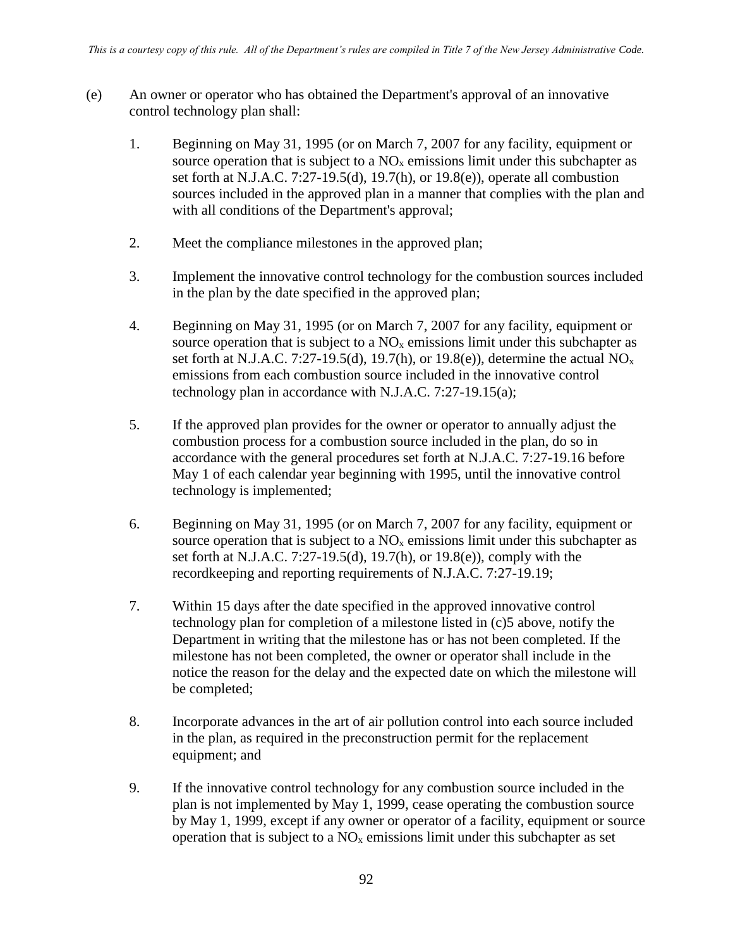- (e) An owner or operator who has obtained the Department's approval of an innovative control technology plan shall:
	- 1. Beginning on May 31, 1995 (or on March 7, 2007 for any facility, equipment or source operation that is subject to a  $NO<sub>x</sub>$  emissions limit under this subchapter as set forth at N.J.A.C. 7:27-19.5(d), 19.7(h), or 19.8(e)), operate all combustion sources included in the approved plan in a manner that complies with the plan and with all conditions of the Department's approval;
	- 2. Meet the compliance milestones in the approved plan;
	- 3. Implement the innovative control technology for the combustion sources included in the plan by the date specified in the approved plan;
	- 4. Beginning on May 31, 1995 (or on March 7, 2007 for any facility, equipment or source operation that is subject to a  $NO<sub>x</sub>$  emissions limit under this subchapter as set forth at N.J.A.C. 7:27-19.5(d), 19.7(h), or 19.8(e)), determine the actual  $NO<sub>x</sub>$ emissions from each combustion source included in the innovative control technology plan in accordance with N.J.A.C. 7:27-19.15(a);
	- 5. If the approved plan provides for the owner or operator to annually adjust the combustion process for a combustion source included in the plan, do so in accordance with the general procedures set forth at N.J.A.C. 7:27-19.16 before May 1 of each calendar year beginning with 1995, until the innovative control technology is implemented;
	- 6. Beginning on May 31, 1995 (or on March 7, 2007 for any facility, equipment or source operation that is subject to a  $NO<sub>x</sub>$  emissions limit under this subchapter as set forth at N.J.A.C. 7:27-19.5(d), 19.7(h), or 19.8(e)), comply with the recordkeeping and reporting requirements of N.J.A.C. 7:27-19.19;
	- 7. Within 15 days after the date specified in the approved innovative control technology plan for completion of a milestone listed in (c)5 above, notify the Department in writing that the milestone has or has not been completed. If the milestone has not been completed, the owner or operator shall include in the notice the reason for the delay and the expected date on which the milestone will be completed;
	- 8. Incorporate advances in the art of air pollution control into each source included in the plan, as required in the preconstruction permit for the replacement equipment; and
	- 9. If the innovative control technology for any combustion source included in the plan is not implemented by May 1, 1999, cease operating the combustion source by May 1, 1999, except if any owner or operator of a facility, equipment or source operation that is subject to a  $NO<sub>x</sub>$  emissions limit under this subchapter as set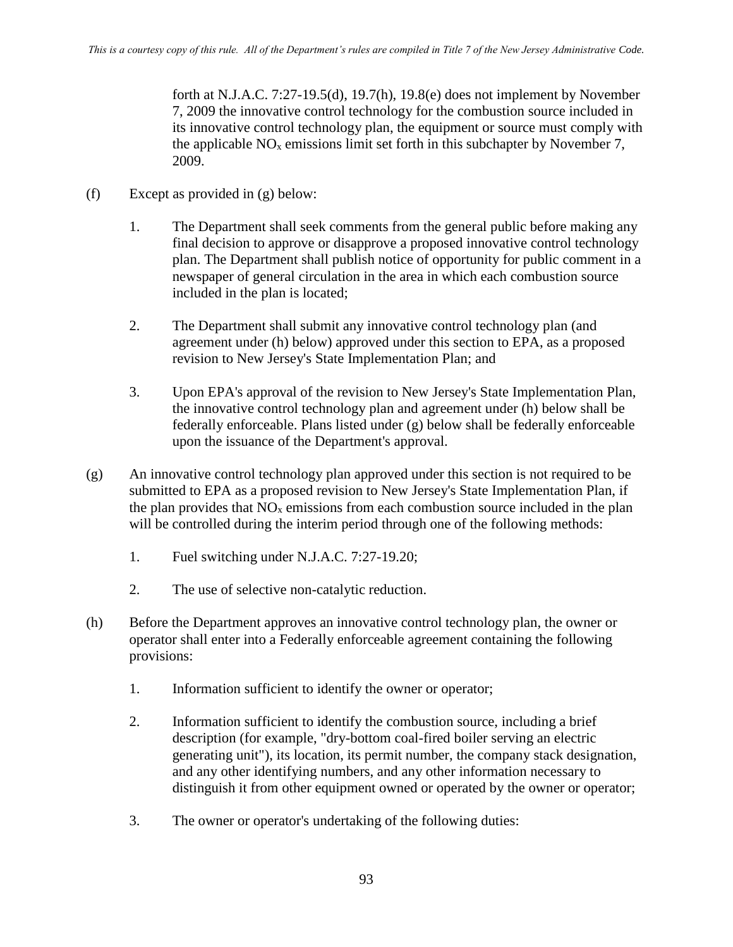forth at N.J.A.C. 7:27-19.5(d), 19.7(h), 19.8(e) does not implement by November 7, 2009 the innovative control technology for the combustion source included in its innovative control technology plan, the equipment or source must comply with the applicable  $NO<sub>x</sub>$  emissions limit set forth in this subchapter by November 7, 2009.

- (f) Except as provided in (g) below:
	- 1. The Department shall seek comments from the general public before making any final decision to approve or disapprove a proposed innovative control technology plan. The Department shall publish notice of opportunity for public comment in a newspaper of general circulation in the area in which each combustion source included in the plan is located;
	- 2. The Department shall submit any innovative control technology plan (and agreement under (h) below) approved under this section to EPA, as a proposed revision to New Jersey's State Implementation Plan; and
	- 3. Upon EPA's approval of the revision to New Jersey's State Implementation Plan, the innovative control technology plan and agreement under (h) below shall be federally enforceable. Plans listed under (g) below shall be federally enforceable upon the issuance of the Department's approval.
- (g) An innovative control technology plan approved under this section is not required to be submitted to EPA as a proposed revision to New Jersey's State Implementation Plan, if the plan provides that  $NO<sub>x</sub>$  emissions from each combustion source included in the plan will be controlled during the interim period through one of the following methods:
	- 1. Fuel switching under N.J.A.C. 7:27-19.20;
	- 2. The use of selective non-catalytic reduction.
- (h) Before the Department approves an innovative control technology plan, the owner or operator shall enter into a Federally enforceable agreement containing the following provisions:
	- 1. Information sufficient to identify the owner or operator;
	- 2. Information sufficient to identify the combustion source, including a brief description (for example, "dry-bottom coal-fired boiler serving an electric generating unit"), its location, its permit number, the company stack designation, and any other identifying numbers, and any other information necessary to distinguish it from other equipment owned or operated by the owner or operator;
	- 3. The owner or operator's undertaking of the following duties: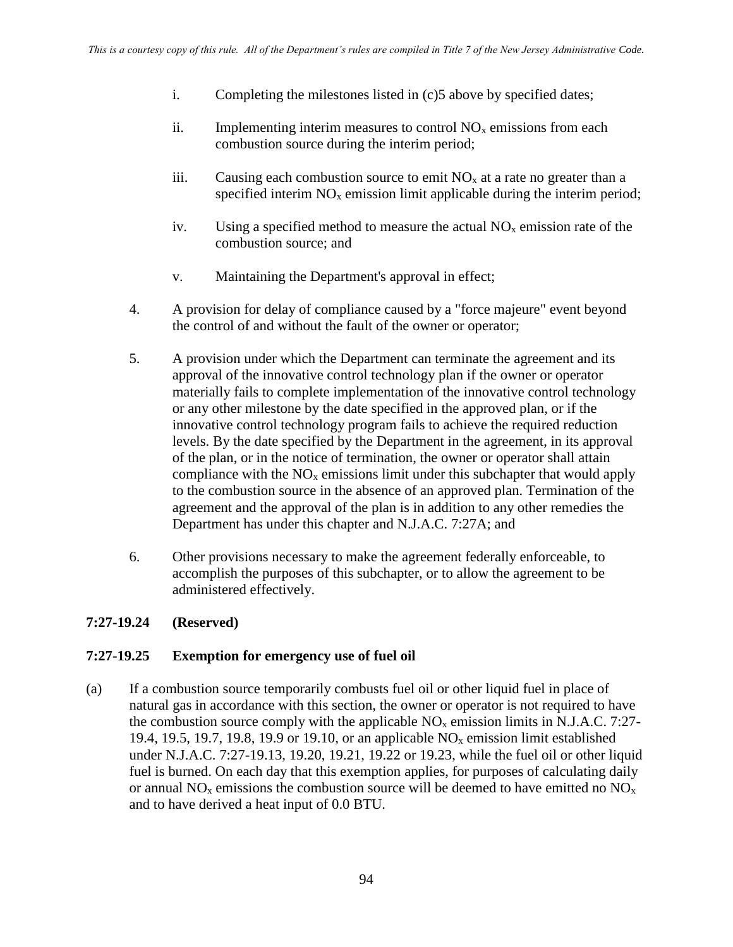- i. Completing the milestones listed in (c)5 above by specified dates;
- ii. Implementing interim measures to control  $NO<sub>x</sub>$  emissions from each combustion source during the interim period;
- iii. Causing each combustion source to emit  $NO<sub>x</sub>$  at a rate no greater than a specified interim  $NO<sub>x</sub>$  emission limit applicable during the interim period;
- iv. Using a specified method to measure the actual  $NO<sub>x</sub>$  emission rate of the combustion source; and
- v. Maintaining the Department's approval in effect;
- 4. A provision for delay of compliance caused by a "force majeure" event beyond the control of and without the fault of the owner or operator;
- 5. A provision under which the Department can terminate the agreement and its approval of the innovative control technology plan if the owner or operator materially fails to complete implementation of the innovative control technology or any other milestone by the date specified in the approved plan, or if the innovative control technology program fails to achieve the required reduction levels. By the date specified by the Department in the agreement, in its approval of the plan, or in the notice of termination, the owner or operator shall attain compliance with the  $NO<sub>x</sub>$  emissions limit under this subchapter that would apply to the combustion source in the absence of an approved plan. Termination of the agreement and the approval of the plan is in addition to any other remedies the Department has under this chapter and N.J.A.C. 7:27A; and
- 6. Other provisions necessary to make the agreement federally enforceable, to accomplish the purposes of this subchapter, or to allow the agreement to be administered effectively.

#### **7:27-19.24 (Reserved)**

#### **7:27-19.25 Exemption for emergency use of fuel oil**

(a) If a combustion source temporarily combusts fuel oil or other liquid fuel in place of natural gas in accordance with this section, the owner or operator is not required to have the combustion source comply with the applicable  $NO<sub>x</sub>$  emission limits in N.J.A.C. 7:27-19.4, 19.5, 19.7, 19.8, 19.9 or 19.10, or an applicable  $NO<sub>x</sub>$  emission limit established under N.J.A.C. 7:27-19.13, 19.20, 19.21, 19.22 or 19.23, while the fuel oil or other liquid fuel is burned. On each day that this exemption applies, for purposes of calculating daily or annual  $NO<sub>x</sub>$  emissions the combustion source will be deemed to have emitted no  $NO<sub>x</sub>$ and to have derived a heat input of 0.0 BTU.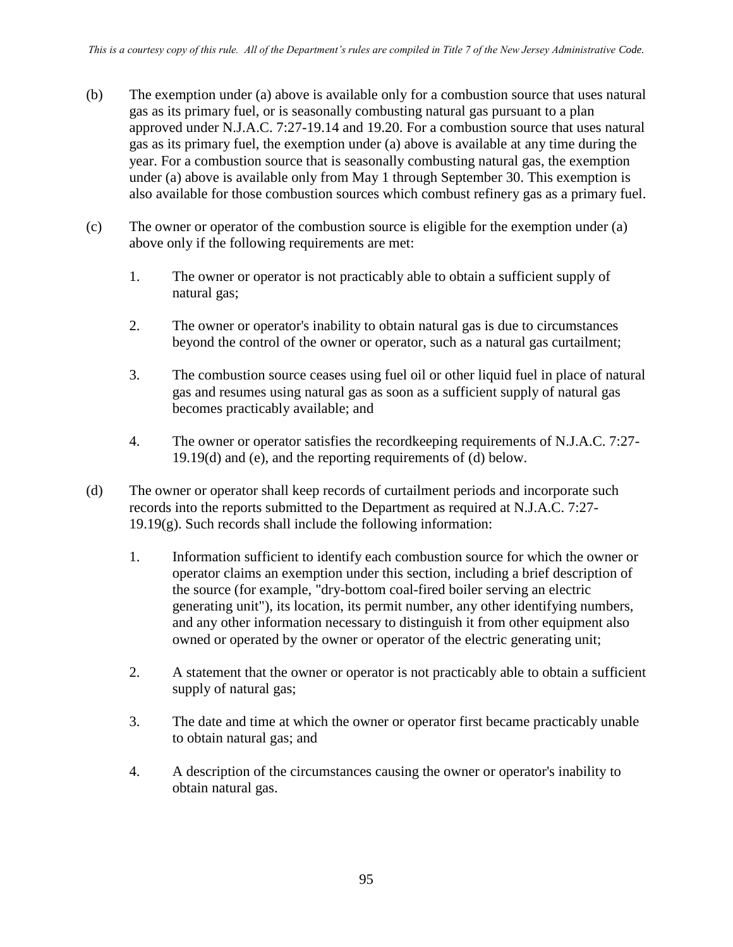- (b) The exemption under (a) above is available only for a combustion source that uses natural gas as its primary fuel, or is seasonally combusting natural gas pursuant to a plan approved under N.J.A.C. 7:27-19.14 and 19.20. For a combustion source that uses natural gas as its primary fuel, the exemption under (a) above is available at any time during the year. For a combustion source that is seasonally combusting natural gas, the exemption under (a) above is available only from May 1 through September 30. This exemption is also available for those combustion sources which combust refinery gas as a primary fuel.
- (c) The owner or operator of the combustion source is eligible for the exemption under (a) above only if the following requirements are met:
	- 1. The owner or operator is not practicably able to obtain a sufficient supply of natural gas;
	- 2. The owner or operator's inability to obtain natural gas is due to circumstances beyond the control of the owner or operator, such as a natural gas curtailment;
	- 3. The combustion source ceases using fuel oil or other liquid fuel in place of natural gas and resumes using natural gas as soon as a sufficient supply of natural gas becomes practicably available; and
	- 4. The owner or operator satisfies the recordkeeping requirements of N.J.A.C. 7:27- 19.19(d) and (e), and the reporting requirements of (d) below.
- (d) The owner or operator shall keep records of curtailment periods and incorporate such records into the reports submitted to the Department as required at N.J.A.C. 7:27-  $19.19(g)$ . Such records shall include the following information:
	- 1. Information sufficient to identify each combustion source for which the owner or operator claims an exemption under this section, including a brief description of the source (for example, "dry-bottom coal-fired boiler serving an electric generating unit"), its location, its permit number, any other identifying numbers, and any other information necessary to distinguish it from other equipment also owned or operated by the owner or operator of the electric generating unit;
	- 2. A statement that the owner or operator is not practicably able to obtain a sufficient supply of natural gas;
	- 3. The date and time at which the owner or operator first became practicably unable to obtain natural gas; and
	- 4. A description of the circumstances causing the owner or operator's inability to obtain natural gas.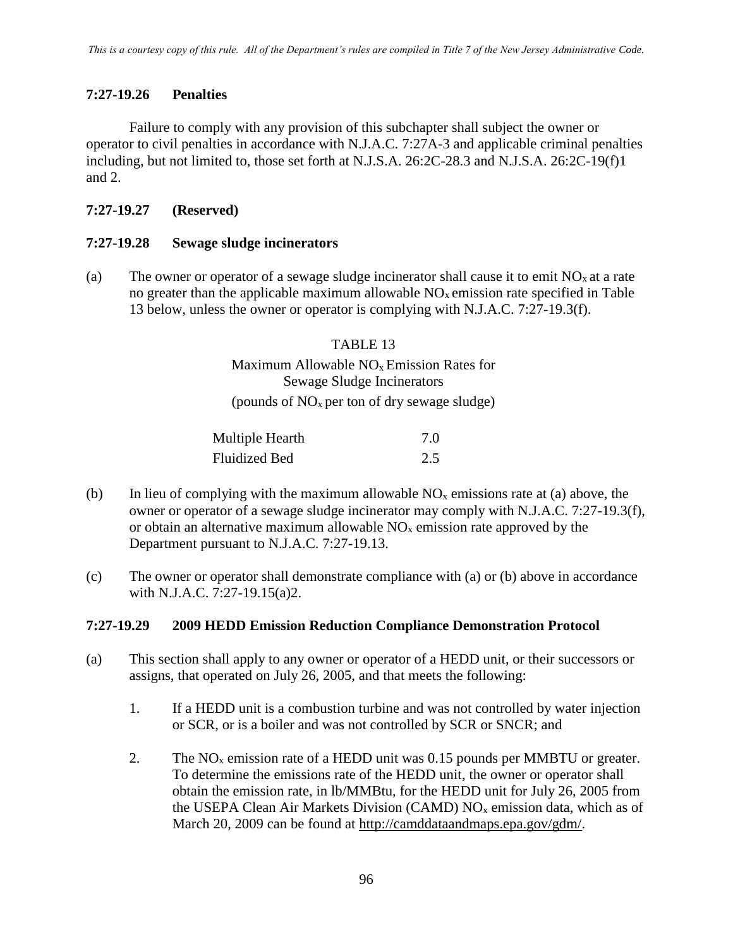### **7:27-19.26 Penalties**

Failure to comply with any provision of this subchapter shall subject the owner or operator to civil penalties in accordance with N.J.A.C. 7:27A-3 and applicable criminal penalties including, but not limited to, those set forth at N.J.S.A. 26:2C-28.3 and N.J.S.A. 26:2C-19(f)1 and 2.

### **7:27-19.27 (Reserved)**

#### **7:27-19.28 Sewage sludge incinerators**

(a) The owner or operator of a sewage sludge incinerator shall cause it to emit  $NO<sub>x</sub>$  at a rate no greater than the applicable maximum allowable  $NO<sub>x</sub>$  emission rate specified in Table 13 below, unless the owner or operator is complying with N.J.A.C. 7:27-19.3(f).

#### TABLE 13

# Maximum Allowable  $NO<sub>x</sub>$  Emission Rates for Sewage Sludge Incinerators (pounds of  $NO<sub>x</sub>$  per ton of dry sewage sludge)

| Multiple Hearth | 7.0 |
|-----------------|-----|
| Fluidized Bed   | 2.5 |

- (b) In lieu of complying with the maximum allowable  $NO<sub>x</sub>$  emissions rate at (a) above, the owner or operator of a sewage sludge incinerator may comply with N.J.A.C. 7:27-19.3(f), or obtain an alternative maximum allowable  $NO<sub>x</sub>$  emission rate approved by the Department pursuant to N.J.A.C. 7:27-19.13.
- (c) The owner or operator shall demonstrate compliance with (a) or (b) above in accordance with N.J.A.C. 7:27-19.15(a)2.

#### **7:27-19.29 2009 HEDD Emission Reduction Compliance Demonstration Protocol**

- (a) This section shall apply to any owner or operator of a HEDD unit, or their successors or assigns, that operated on July 26, 2005, and that meets the following:
	- 1. If a HEDD unit is a combustion turbine and was not controlled by water injection or SCR, or is a boiler and was not controlled by SCR or SNCR; and
	- 2. The  $NO<sub>x</sub>$  emission rate of a HEDD unit was 0.15 pounds per MMBTU or greater. To determine the emissions rate of the HEDD unit, the owner or operator shall obtain the emission rate, in lb/MMBtu, for the HEDD unit for July 26, 2005 from the USEPA Clean Air Markets Division (CAMD)  $NO<sub>x</sub>$  emission data, which as of March 20, 2009 can be found at [http://camddataandmaps.epa.gov/gdm/.](http://camddataandmaps.epa.gov/gdm/)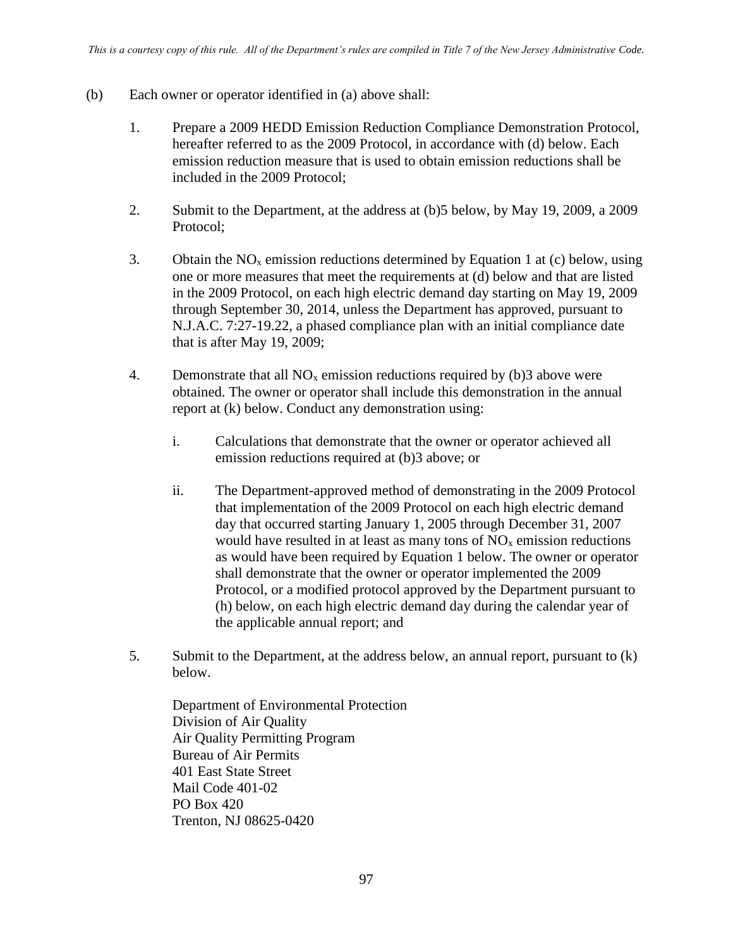- (b) Each owner or operator identified in (a) above shall:
	- 1. Prepare a 2009 HEDD Emission Reduction Compliance Demonstration Protocol, hereafter referred to as the 2009 Protocol, in accordance with (d) below. Each emission reduction measure that is used to obtain emission reductions shall be included in the 2009 Protocol;
	- 2. Submit to the Department, at the address at (b)5 below, by May 19, 2009, a 2009 Protocol;
	- 3. Obtain the  $NO<sub>x</sub>$  emission reductions determined by Equation 1 at (c) below, using one or more measures that meet the requirements at (d) below and that are listed in the 2009 Protocol, on each high electric demand day starting on May 19, 2009 through September 30, 2014, unless the Department has approved, pursuant to N.J.A.C. 7:27-19.22, a phased compliance plan with an initial compliance date that is after May 19, 2009;
	- 4. Demonstrate that all  $NO<sub>x</sub>$  emission reductions required by (b)3 above were obtained. The owner or operator shall include this demonstration in the annual report at (k) below. Conduct any demonstration using:
		- i. Calculations that demonstrate that the owner or operator achieved all emission reductions required at (b)3 above; or
		- ii. The Department-approved method of demonstrating in the 2009 Protocol that implementation of the 2009 Protocol on each high electric demand day that occurred starting January 1, 2005 through December 31, 2007 would have resulted in at least as many tons of  $NO<sub>x</sub>$  emission reductions as would have been required by Equation 1 below. The owner or operator shall demonstrate that the owner or operator implemented the 2009 Protocol, or a modified protocol approved by the Department pursuant to (h) below, on each high electric demand day during the calendar year of the applicable annual report; and
	- 5. Submit to the Department, at the address below, an annual report, pursuant to (k) below.

Department of Environmental Protection Division of Air Quality Air Quality Permitting Program Bureau of Air Permits 401 East State Street Mail Code 401-02 PO Box 420 Trenton, NJ 08625-0420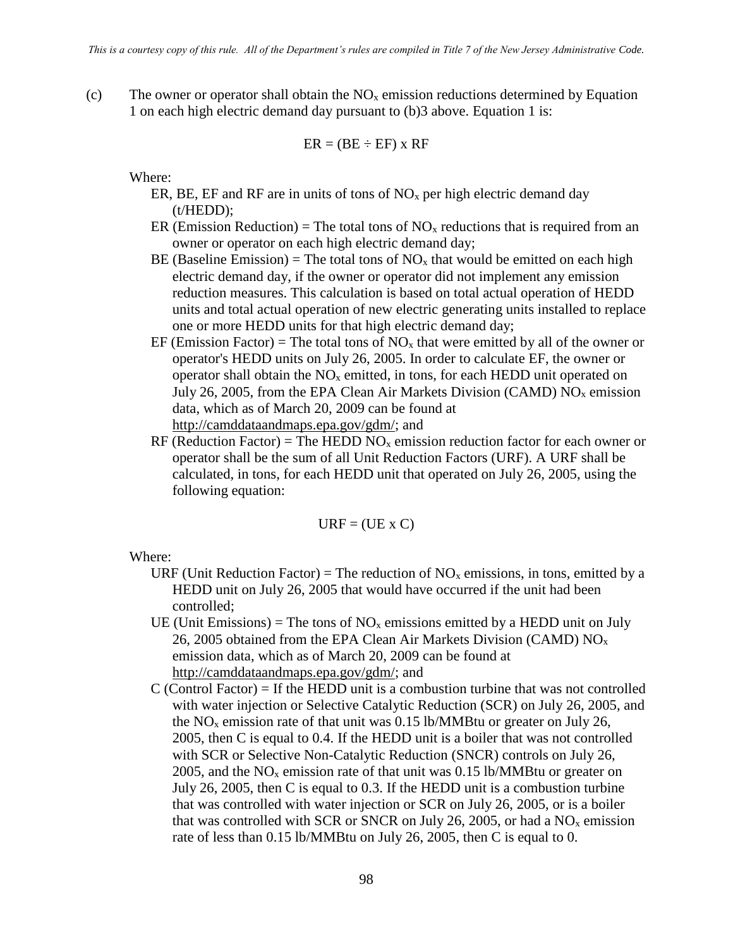(c) The owner or operator shall obtain the  $NO<sub>x</sub>$  emission reductions determined by Equation 1 on each high electric demand day pursuant to (b)3 above. Equation 1 is:

$$
ER = (BE \div EF) \times RF
$$

Where:

- ER, BE, EF and RF are in units of tons of  $NO<sub>x</sub>$  per high electric demand day (t/HEDD);
- ER (Emission Reduction) = The total tons of  $NO<sub>x</sub>$  reductions that is required from an owner or operator on each high electric demand day;
- BE (Baseline Emission) = The total tons of  $NO<sub>x</sub>$  that would be emitted on each high electric demand day, if the owner or operator did not implement any emission reduction measures. This calculation is based on total actual operation of HEDD units and total actual operation of new electric generating units installed to replace one or more HEDD units for that high electric demand day;
- EF (Emission Factor) = The total tons of  $NO<sub>x</sub>$  that were emitted by all of the owner or operator's HEDD units on July 26, 2005. In order to calculate EF, the owner or operator shall obtain the  $NO<sub>x</sub>$  emitted, in tons, for each HEDD unit operated on July 26, 2005, from the EPA Clean Air Markets Division (CAMD)  $NO<sub>x</sub>$  emission data, which as of March 20, 2009 can be found at [http://camddataandmaps.epa.gov/gdm/;](http://camddataandmaps.epa.gov/gdm/) and
- RF (Reduction Factor) = The HEDD NO<sub>x</sub> emission reduction factor for each owner or operator shall be the sum of all Unit Reduction Factors (URF). A URF shall be calculated, in tons, for each HEDD unit that operated on July 26, 2005, using the following equation:

 $URF = (UE \times C)$ 

- URF (Unit Reduction Factor) = The reduction of  $NO<sub>x</sub>$  emissions, in tons, emitted by a HEDD unit on July 26, 2005 that would have occurred if the unit had been controlled;
- UE (Unit Emissions) = The tons of  $NO<sub>x</sub>$  emissions emitted by a HEDD unit on July 26, 2005 obtained from the EPA Clean Air Markets Division (CAMD)  $NO<sub>x</sub>$ emission data, which as of March 20, 2009 can be found at [http://camddataandmaps.epa.gov/gdm/;](http://camddataandmaps.epa.gov/gdm/) and
- $C$  (Control Factor) = If the HEDD unit is a combustion turbine that was not controlled with water injection or Selective Catalytic Reduction (SCR) on July 26, 2005, and the  $NO<sub>x</sub>$  emission rate of that unit was 0.15 lb/MMBtu or greater on July 26, 2005, then C is equal to 0.4. If the HEDD unit is a boiler that was not controlled with SCR or Selective Non-Catalytic Reduction (SNCR) controls on July 26, 2005, and the  $NO<sub>x</sub>$  emission rate of that unit was 0.15 lb/MMBtu or greater on July 26, 2005, then C is equal to 0.3. If the HEDD unit is a combustion turbine that was controlled with water injection or SCR on July 26, 2005, or is a boiler that was controlled with SCR or SNCR on July 26, 2005, or had a  $NO<sub>x</sub>$  emission rate of less than 0.15 lb/MMBtu on July 26, 2005, then C is equal to 0.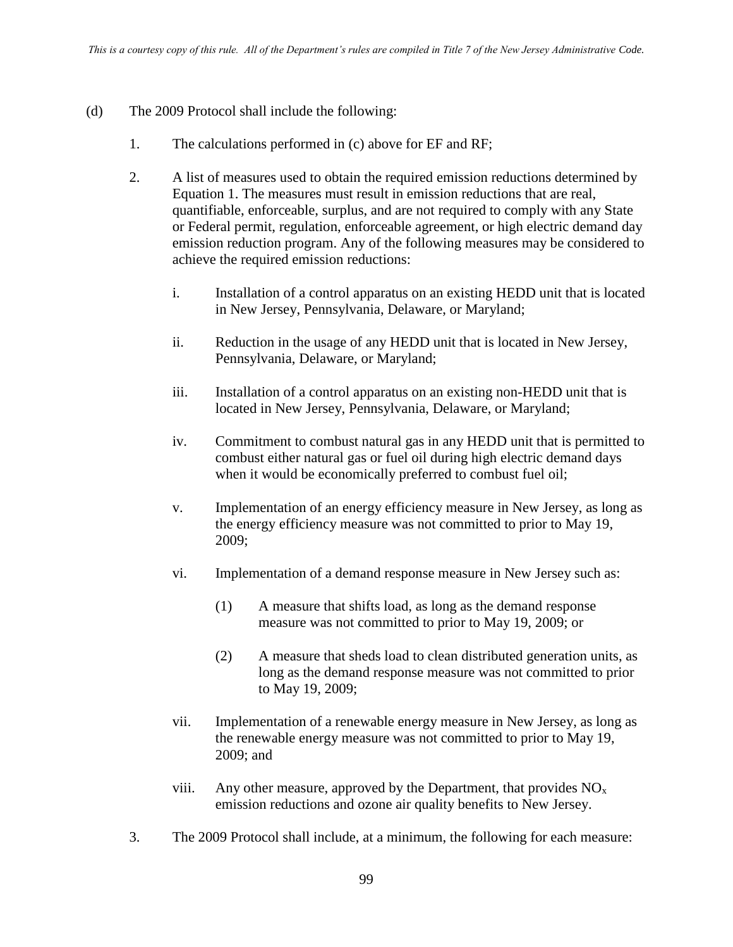- (d) The 2009 Protocol shall include the following:
	- 1. The calculations performed in (c) above for EF and RF;
	- 2. A list of measures used to obtain the required emission reductions determined by Equation 1. The measures must result in emission reductions that are real, quantifiable, enforceable, surplus, and are not required to comply with any State or Federal permit, regulation, enforceable agreement, or high electric demand day emission reduction program. Any of the following measures may be considered to achieve the required emission reductions:
		- i. Installation of a control apparatus on an existing HEDD unit that is located in New Jersey, Pennsylvania, Delaware, or Maryland;
		- ii. Reduction in the usage of any HEDD unit that is located in New Jersey, Pennsylvania, Delaware, or Maryland;
		- iii. Installation of a control apparatus on an existing non-HEDD unit that is located in New Jersey, Pennsylvania, Delaware, or Maryland;
		- iv. Commitment to combust natural gas in any HEDD unit that is permitted to combust either natural gas or fuel oil during high electric demand days when it would be economically preferred to combust fuel oil;
		- v. Implementation of an energy efficiency measure in New Jersey, as long as the energy efficiency measure was not committed to prior to May 19, 2009;
		- vi. Implementation of a demand response measure in New Jersey such as:
			- (1) A measure that shifts load, as long as the demand response measure was not committed to prior to May 19, 2009; or
			- (2) A measure that sheds load to clean distributed generation units, as long as the demand response measure was not committed to prior to May 19, 2009;
		- vii. Implementation of a renewable energy measure in New Jersey, as long as the renewable energy measure was not committed to prior to May 19, 2009; and
		- viii. Any other measure, approved by the Department, that provides  $NO<sub>x</sub>$ emission reductions and ozone air quality benefits to New Jersey.
	- 3. The 2009 Protocol shall include, at a minimum, the following for each measure: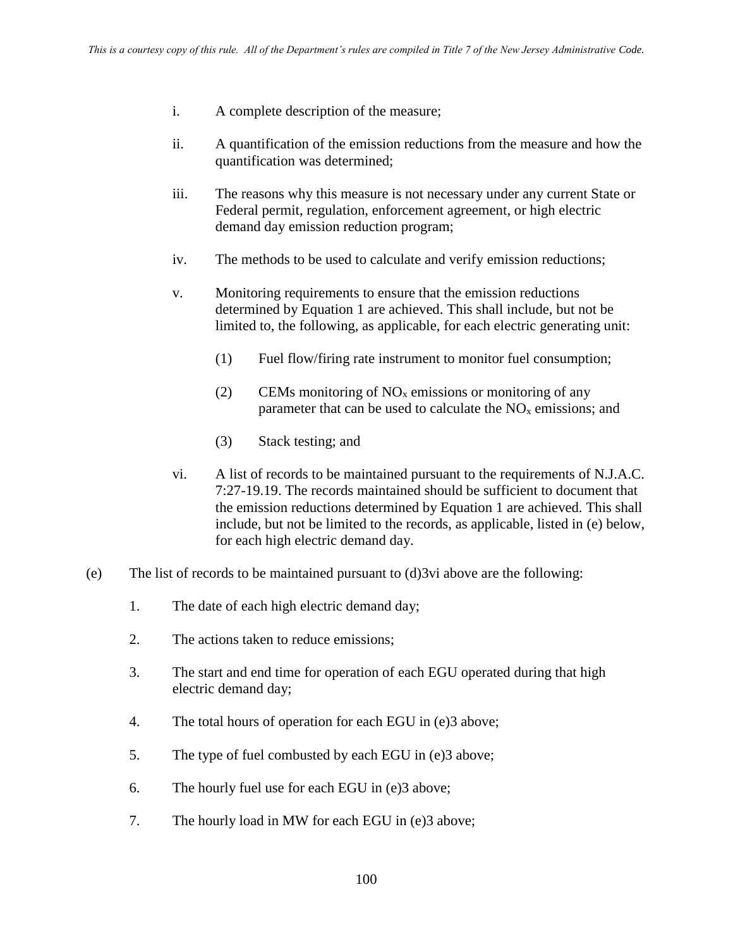- i. A complete description of the measure;
- ii. A quantification of the emission reductions from the measure and how the quantification was determined;
- iii. The reasons why this measure is not necessary under any current State or Federal permit, regulation, enforcement agreement, or high electric demand day emission reduction program;
- iv. The methods to be used to calculate and verify emission reductions;
- v. Monitoring requirements to ensure that the emission reductions determined by Equation 1 are achieved. This shall include, but not be limited to, the following, as applicable, for each electric generating unit:
	- (1) Fuel flow/firing rate instrument to monitor fuel consumption;
	- (2) CEMs monitoring of  $NO<sub>x</sub>$  emissions or monitoring of any parameter that can be used to calculate the  $NO<sub>x</sub>$  emissions; and
	- (3) Stack testing; and
- vi. A list of records to be maintained pursuant to the requirements of N.J.A.C. 7:27-19.19. The records maintained should be sufficient to document that the emission reductions determined by Equation 1 are achieved. This shall include, but not be limited to the records, as applicable, listed in (e) below, for each high electric demand day.
- (e) The list of records to be maintained pursuant to (d)3vi above are the following:
	- 1. The date of each high electric demand day;
	- 2. The actions taken to reduce emissions;
	- 3. The start and end time for operation of each EGU operated during that high electric demand day;
	- 4. The total hours of operation for each EGU in (e)3 above;
	- 5. The type of fuel combusted by each EGU in (e)3 above;
	- 6. The hourly fuel use for each EGU in (e)3 above;
	- 7. The hourly load in MW for each EGU in (e)3 above;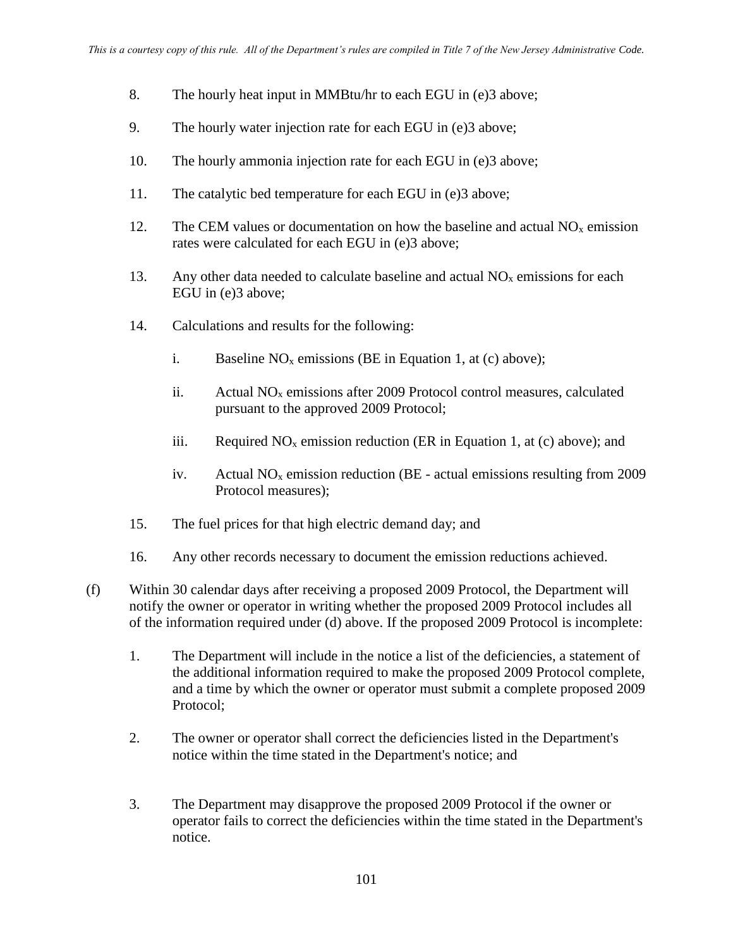- 8. The hourly heat input in MMBtu/hr to each EGU in (e)3 above;
- 9. The hourly water injection rate for each EGU in (e)3 above;
- 10. The hourly ammonia injection rate for each EGU in (e)3 above;
- 11. The catalytic bed temperature for each EGU in (e)3 above;
- 12. The CEM values or documentation on how the baseline and actual  $NO<sub>x</sub>$  emission rates were calculated for each EGU in (e)3 above;
- 13. Any other data needed to calculate baseline and actual  $NO<sub>x</sub>$  emissions for each EGU in (e)3 above;
- 14. Calculations and results for the following:
	- i. Baseline  $NO<sub>x</sub>$  emissions (BE in Equation 1, at (c) above);
	- ii. Actual  $NO<sub>x</sub>$  emissions after 2009 Protocol control measures, calculated pursuant to the approved 2009 Protocol;
	- iii. Required  $NO<sub>x</sub>$  emission reduction (ER in Equation 1, at (c) above); and
	- iv. Actual  $NO<sub>x</sub>$  emission reduction (BE actual emissions resulting from 2009) Protocol measures);
- 15. The fuel prices for that high electric demand day; and
- 16. Any other records necessary to document the emission reductions achieved.
- (f) Within 30 calendar days after receiving a proposed 2009 Protocol, the Department will notify the owner or operator in writing whether the proposed 2009 Protocol includes all of the information required under (d) above. If the proposed 2009 Protocol is incomplete:
	- 1. The Department will include in the notice a list of the deficiencies, a statement of the additional information required to make the proposed 2009 Protocol complete, and a time by which the owner or operator must submit a complete proposed 2009 Protocol;
	- 2. The owner or operator shall correct the deficiencies listed in the Department's notice within the time stated in the Department's notice; and
	- 3. The Department may disapprove the proposed 2009 Protocol if the owner or operator fails to correct the deficiencies within the time stated in the Department's notice.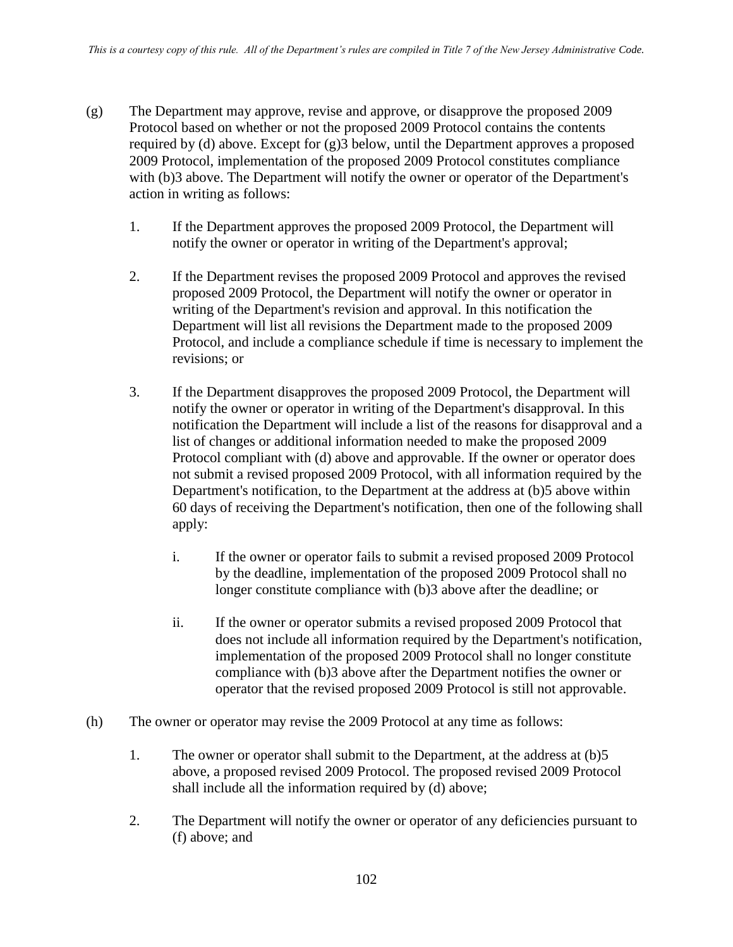- (g) The Department may approve, revise and approve, or disapprove the proposed 2009 Protocol based on whether or not the proposed 2009 Protocol contains the contents required by (d) above. Except for (g)3 below, until the Department approves a proposed 2009 Protocol, implementation of the proposed 2009 Protocol constitutes compliance with (b)3 above. The Department will notify the owner or operator of the Department's action in writing as follows:
	- 1. If the Department approves the proposed 2009 Protocol, the Department will notify the owner or operator in writing of the Department's approval;
	- 2. If the Department revises the proposed 2009 Protocol and approves the revised proposed 2009 Protocol, the Department will notify the owner or operator in writing of the Department's revision and approval. In this notification the Department will list all revisions the Department made to the proposed 2009 Protocol, and include a compliance schedule if time is necessary to implement the revisions; or
	- 3. If the Department disapproves the proposed 2009 Protocol, the Department will notify the owner or operator in writing of the Department's disapproval. In this notification the Department will include a list of the reasons for disapproval and a list of changes or additional information needed to make the proposed 2009 Protocol compliant with (d) above and approvable. If the owner or operator does not submit a revised proposed 2009 Protocol, with all information required by the Department's notification, to the Department at the address at (b)5 above within 60 days of receiving the Department's notification, then one of the following shall apply:
		- i. If the owner or operator fails to submit a revised proposed 2009 Protocol by the deadline, implementation of the proposed 2009 Protocol shall no longer constitute compliance with (b)3 above after the deadline; or
		- ii. If the owner or operator submits a revised proposed 2009 Protocol that does not include all information required by the Department's notification, implementation of the proposed 2009 Protocol shall no longer constitute compliance with (b)3 above after the Department notifies the owner or operator that the revised proposed 2009 Protocol is still not approvable.
- (h) The owner or operator may revise the 2009 Protocol at any time as follows:
	- 1. The owner or operator shall submit to the Department, at the address at (b)5 above, a proposed revised 2009 Protocol. The proposed revised 2009 Protocol shall include all the information required by (d) above;
	- 2. The Department will notify the owner or operator of any deficiencies pursuant to (f) above; and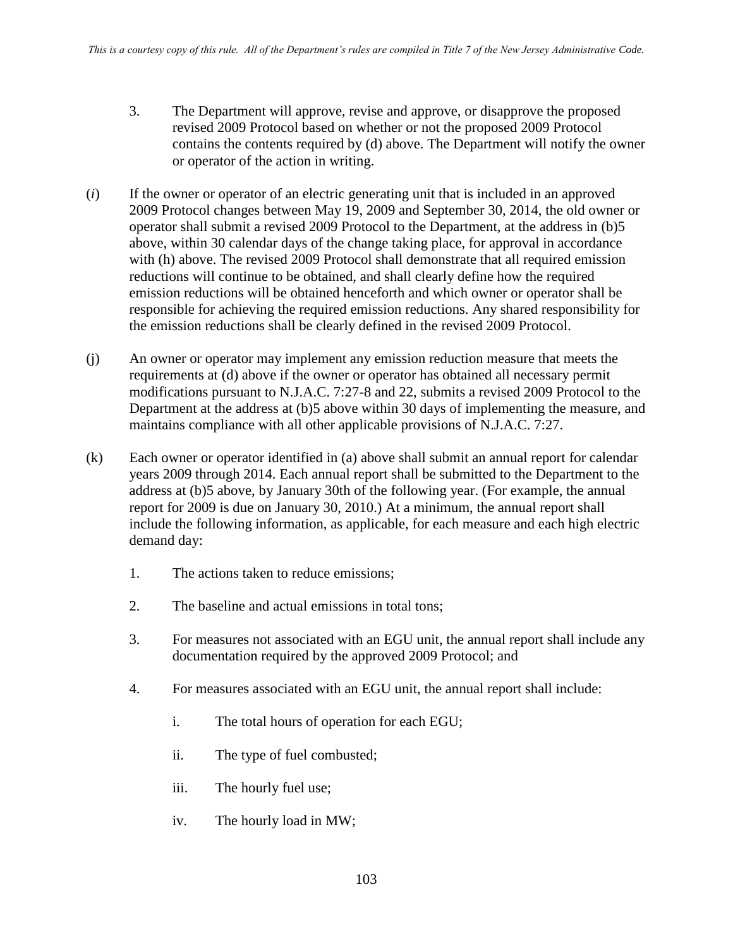- 3. The Department will approve, revise and approve, or disapprove the proposed revised 2009 Protocol based on whether or not the proposed 2009 Protocol contains the contents required by (d) above. The Department will notify the owner or operator of the action in writing.
- (*i*) If the owner or operator of an electric generating unit that is included in an approved 2009 Protocol changes between May 19, 2009 and September 30, 2014, the old owner or operator shall submit a revised 2009 Protocol to the Department, at the address in (b)5 above, within 30 calendar days of the change taking place, for approval in accordance with (h) above. The revised 2009 Protocol shall demonstrate that all required emission reductions will continue to be obtained, and shall clearly define how the required emission reductions will be obtained henceforth and which owner or operator shall be responsible for achieving the required emission reductions. Any shared responsibility for the emission reductions shall be clearly defined in the revised 2009 Protocol.
- (j) An owner or operator may implement any emission reduction measure that meets the requirements at (d) above if the owner or operator has obtained all necessary permit modifications pursuant to N.J.A.C. 7:27-8 and 22, submits a revised 2009 Protocol to the Department at the address at (b)5 above within 30 days of implementing the measure, and maintains compliance with all other applicable provisions of N.J.A.C. 7:27.
- (k) Each owner or operator identified in (a) above shall submit an annual report for calendar years 2009 through 2014. Each annual report shall be submitted to the Department to the address at (b)5 above, by January 30th of the following year. (For example, the annual report for 2009 is due on January 30, 2010.) At a minimum, the annual report shall include the following information, as applicable, for each measure and each high electric demand day:
	- 1. The actions taken to reduce emissions;
	- 2. The baseline and actual emissions in total tons;
	- 3. For measures not associated with an EGU unit, the annual report shall include any documentation required by the approved 2009 Protocol; and
	- 4. For measures associated with an EGU unit, the annual report shall include:
		- i. The total hours of operation for each EGU;
		- ii. The type of fuel combusted;
		- iii. The hourly fuel use;
		- iv. The hourly load in MW;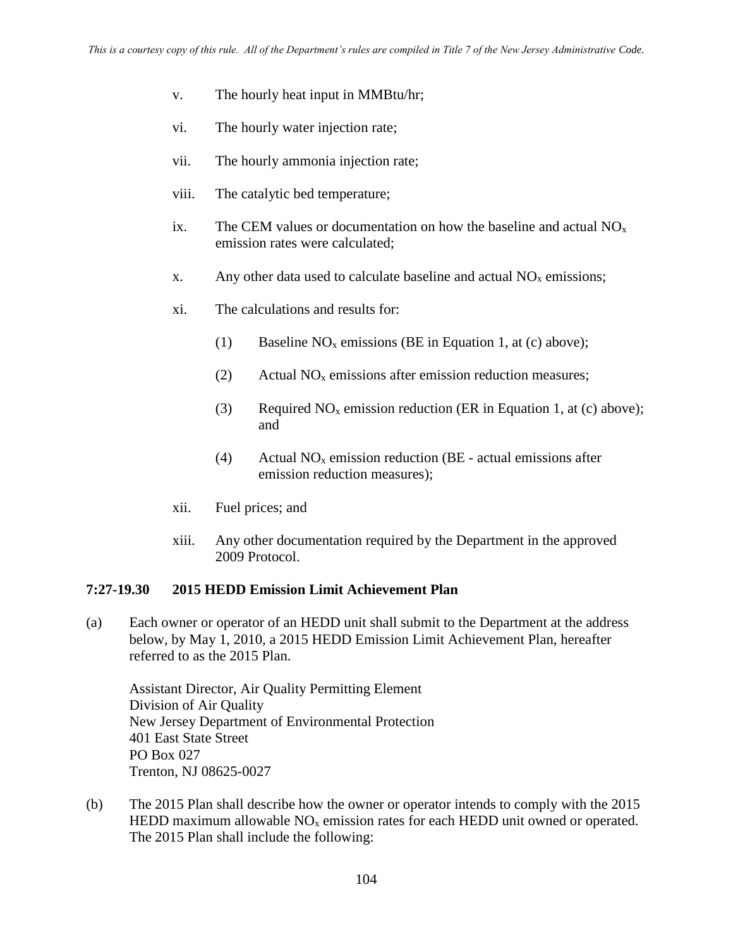- v. The hourly heat input in MMBtu/hr;
- vi. The hourly water injection rate;
- vii. The hourly ammonia injection rate;
- viii. The catalytic bed temperature;
- ix. The CEM values or documentation on how the baseline and actual  $NO<sub>x</sub>$ emission rates were calculated;
- x. Any other data used to calculate baseline and actual  $NO<sub>x</sub>$  emissions;
- xi. The calculations and results for:
	- (1) Baseline  $NO<sub>x</sub>$  emissions (BE in Equation 1, at (c) above);
	- (2) Actual  $NO<sub>x</sub>$  emissions after emission reduction measures;
	- (3) Required  $NO<sub>x</sub>$  emission reduction (ER in Equation 1, at (c) above); and
	- (4) Actual  $NO<sub>x</sub>$  emission reduction (BE actual emissions after emission reduction measures);
- xii. Fuel prices; and
- xiii. Any other documentation required by the Department in the approved 2009 Protocol.

#### **7:27-19.30 2015 HEDD Emission Limit Achievement Plan**

(a) Each owner or operator of an HEDD unit shall submit to the Department at the address below, by May 1, 2010, a 2015 HEDD Emission Limit Achievement Plan, hereafter referred to as the 2015 Plan.

Assistant Director, Air Quality Permitting Element Division of Air Quality New Jersey Department of Environmental Protection 401 East State Street PO Box 027 Trenton, NJ 08625-0027

(b) The 2015 Plan shall describe how the owner or operator intends to comply with the 2015 HEDD maximum allowable  $NO<sub>x</sub>$  emission rates for each HEDD unit owned or operated. The 2015 Plan shall include the following: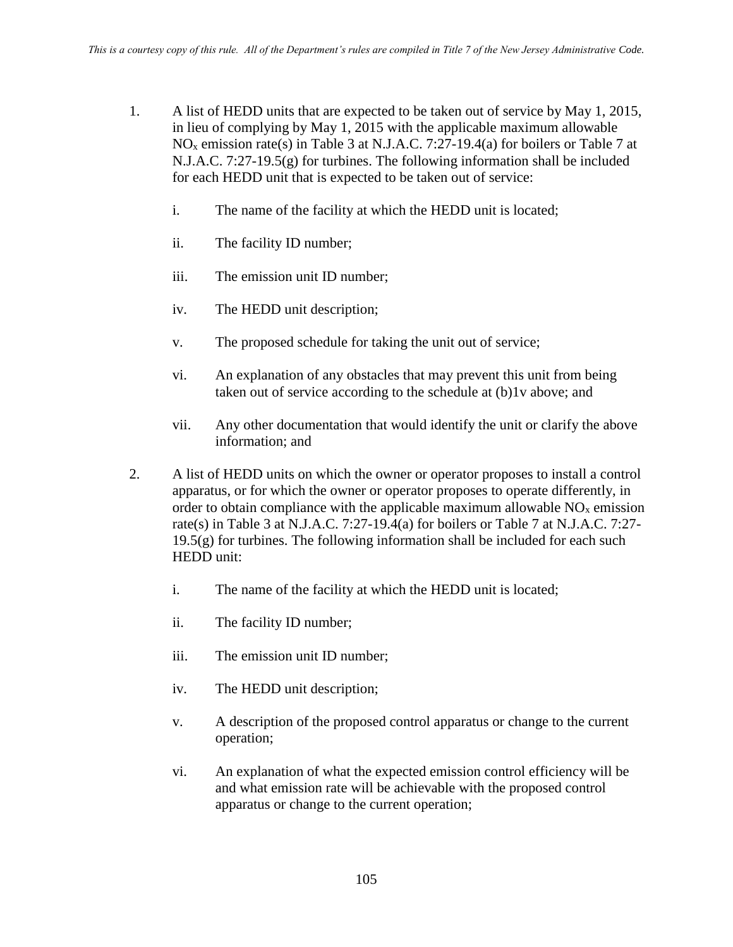- 1. A list of HEDD units that are expected to be taken out of service by May 1, 2015, in lieu of complying by May 1, 2015 with the applicable maximum allowable NO<sup>x</sup> emission rate(s) in Table 3 at N.J.A.C. 7:27-19.4(a) for boilers or Table 7 at  $N.J.A.C. 7:27-19.5(g)$  for turbines. The following information shall be included for each HEDD unit that is expected to be taken out of service:
	- i. The name of the facility at which the HEDD unit is located;
	- ii. The facility ID number;
	- iii. The emission unit ID number;
	- iv. The HEDD unit description;
	- v. The proposed schedule for taking the unit out of service;
	- vi. An explanation of any obstacles that may prevent this unit from being taken out of service according to the schedule at (b)1v above; and
	- vii. Any other documentation that would identify the unit or clarify the above information; and
- 2. A list of HEDD units on which the owner or operator proposes to install a control apparatus, or for which the owner or operator proposes to operate differently, in order to obtain compliance with the applicable maximum allowable  $NO<sub>x</sub>$  emission rate(s) in Table 3 at N.J.A.C. 7:27-19.4(a) for boilers or Table 7 at N.J.A.C. 7:27-  $19.5(g)$  for turbines. The following information shall be included for each such HEDD unit:
	- i. The name of the facility at which the HEDD unit is located;
	- ii. The facility ID number;
	- iii. The emission unit ID number;
	- iv. The HEDD unit description;
	- v. A description of the proposed control apparatus or change to the current operation;
	- vi. An explanation of what the expected emission control efficiency will be and what emission rate will be achievable with the proposed control apparatus or change to the current operation;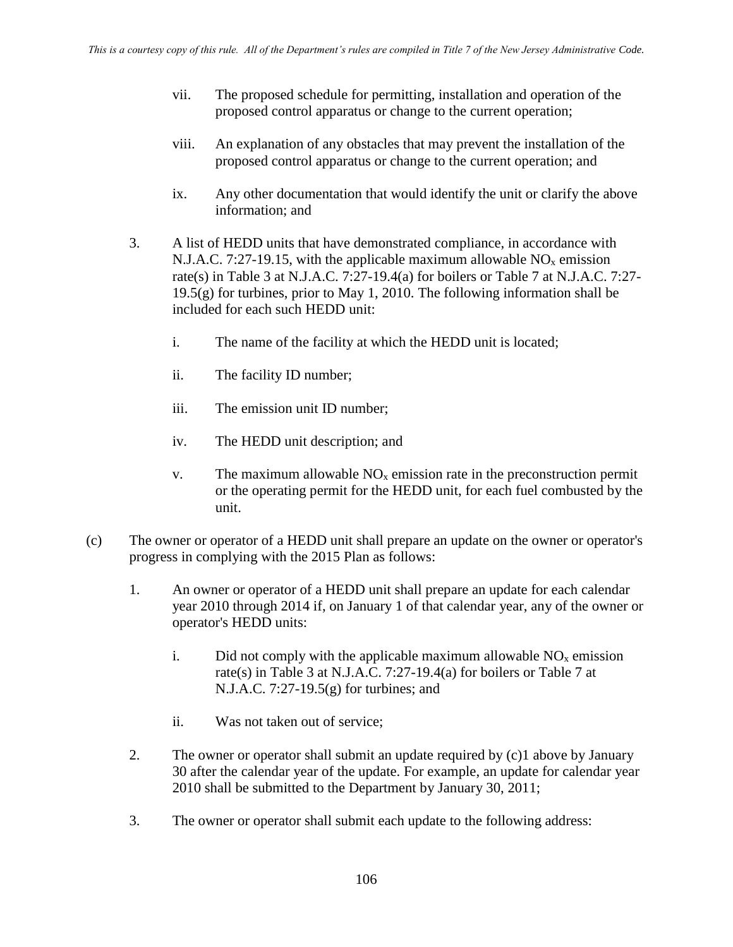- vii. The proposed schedule for permitting, installation and operation of the proposed control apparatus or change to the current operation;
- viii. An explanation of any obstacles that may prevent the installation of the proposed control apparatus or change to the current operation; and
- ix. Any other documentation that would identify the unit or clarify the above information; and
- 3. A list of HEDD units that have demonstrated compliance, in accordance with N.J.A.C. 7:27-19.15, with the applicable maximum allowable  $NO<sub>x</sub>$  emission rate(s) in Table 3 at N.J.A.C. 7:27-19.4(a) for boilers or Table 7 at N.J.A.C. 7:27- 19.5(g) for turbines, prior to May 1, 2010. The following information shall be included for each such HEDD unit:
	- i. The name of the facility at which the HEDD unit is located;
	- ii. The facility ID number;
	- iii. The emission unit ID number;
	- iv. The HEDD unit description; and
	- v. The maximum allowable  $NO<sub>x</sub>$  emission rate in the preconstruction permit or the operating permit for the HEDD unit, for each fuel combusted by the unit.
- (c) The owner or operator of a HEDD unit shall prepare an update on the owner or operator's progress in complying with the 2015 Plan as follows:
	- 1. An owner or operator of a HEDD unit shall prepare an update for each calendar year 2010 through 2014 if, on January 1 of that calendar year, any of the owner or operator's HEDD units:
		- i. Did not comply with the applicable maximum allowable  $NO<sub>x</sub>$  emission rate(s) in Table 3 at N.J.A.C. 7:27-19.4(a) for boilers or Table 7 at N.J.A.C. 7:27-19.5(g) for turbines; and
		- ii. Was not taken out of service;
	- 2. The owner or operator shall submit an update required by (c)1 above by January 30 after the calendar year of the update. For example, an update for calendar year 2010 shall be submitted to the Department by January 30, 2011;
	- 3. The owner or operator shall submit each update to the following address: